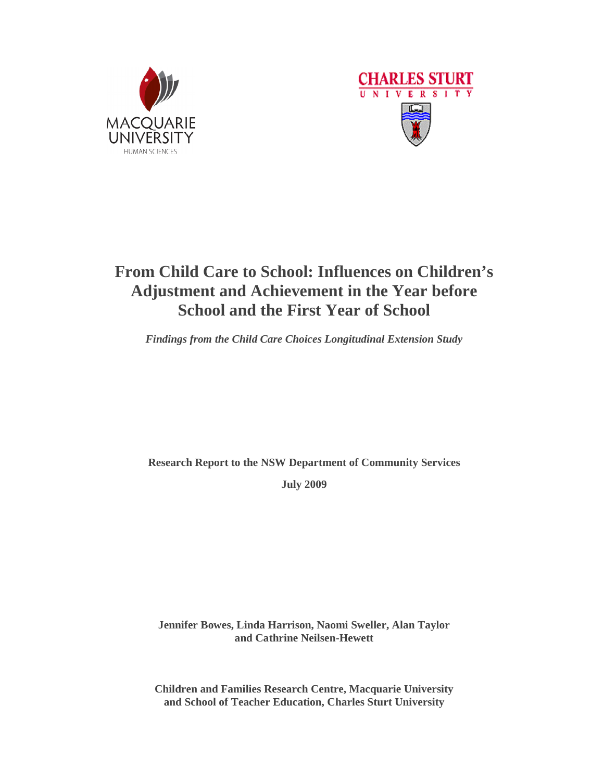



# **From Child Care to School: Influences on Children's Adjustment and Achievement in the Year before School and the First Year of School**

*Findings from the Child Care Choices Longitudinal Extension Study* 

**Research Report to the NSW Department of Community Services** 

**July 2009** 

**Jennifer Bowes, Linda Harrison, Naomi Sweller, Alan Taylor and Cathrine Neilsen-Hewett** 

**Children and Families Research Centre, Macquarie University and School of Teacher Education, Charles Sturt University**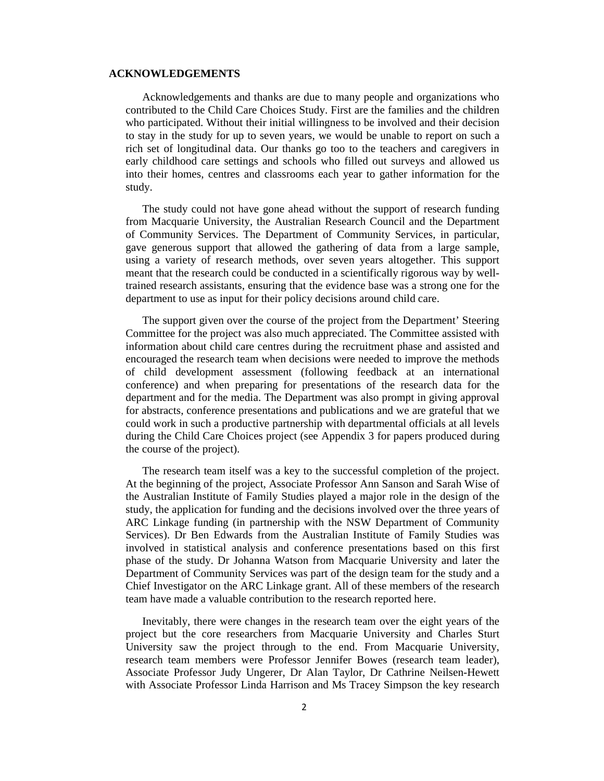# **ACKNOWLEDGEMENTS**

Acknowledgements and thanks are due to many people and organizations who contributed to the Child Care Choices Study. First are the families and the children who participated. Without their initial willingness to be involved and their decision to stay in the study for up to seven years, we would be unable to report on such a rich set of longitudinal data. Our thanks go too to the teachers and caregivers in early childhood care settings and schools who filled out surveys and allowed us into their homes, centres and classrooms each year to gather information for the study.

The study could not have gone ahead without the support of research funding from Macquarie University, the Australian Research Council and the Department of Community Services. The Department of Community Services, in particular, gave generous support that allowed the gathering of data from a large sample, using a variety of research methods, over seven years altogether. This support meant that the research could be conducted in a scientifically rigorous way by welltrained research assistants, ensuring that the evidence base was a strong one for the department to use as input for their policy decisions around child care.

The support given over the course of the project from the Department' Steering Committee for the project was also much appreciated. The Committee assisted with information about child care centres during the recruitment phase and assisted and encouraged the research team when decisions were needed to improve the methods of child development assessment (following feedback at an international conference) and when preparing for presentations of the research data for the department and for the media. The Department was also prompt in giving approval for abstracts, conference presentations and publications and we are grateful that we could work in such a productive partnership with departmental officials at all levels during the Child Care Choices project (see Appendix 3 for papers produced during the course of the project).

The research team itself was a key to the successful completion of the project. At the beginning of the project, Associate Professor Ann Sanson and Sarah Wise of the Australian Institute of Family Studies played a major role in the design of the study, the application for funding and the decisions involved over the three years of ARC Linkage funding (in partnership with the NSW Department of Community Services). Dr Ben Edwards from the Australian Institute of Family Studies was involved in statistical analysis and conference presentations based on this first phase of the study. Dr Johanna Watson from Macquarie University and later the Department of Community Services was part of the design team for the study and a Chief Investigator on the ARC Linkage grant. All of these members of the research team have made a valuable contribution to the research reported here.

Inevitably, there were changes in the research team over the eight years of the project but the core researchers from Macquarie University and Charles Sturt University saw the project through to the end. From Macquarie University, research team members were Professor Jennifer Bowes (research team leader), Associate Professor Judy Ungerer, Dr Alan Taylor, Dr Cathrine Neilsen-Hewett with Associate Professor Linda Harrison and Ms Tracey Simpson the key research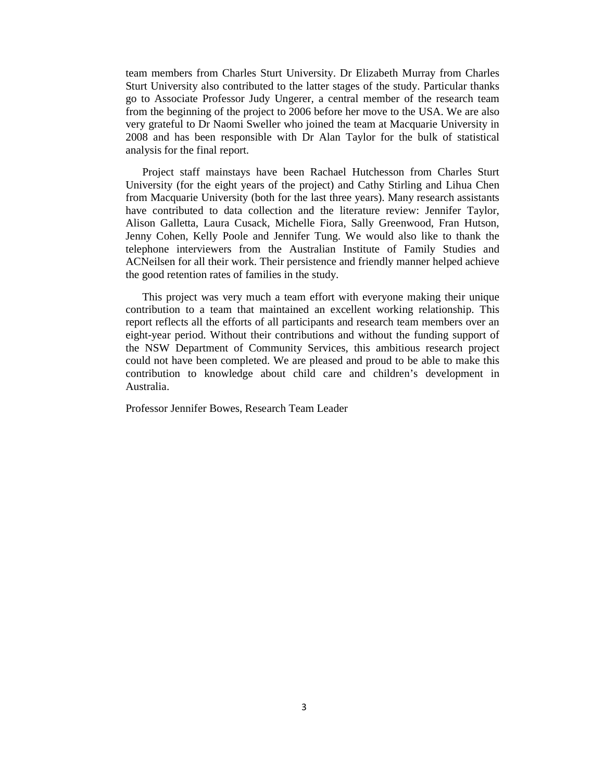team members from Charles Sturt University. Dr Elizabeth Murray from Charles Sturt University also contributed to the latter stages of the study. Particular thanks go to Associate Professor Judy Ungerer, a central member of the research team from the beginning of the project to 2006 before her move to the USA. We are also very grateful to Dr Naomi Sweller who joined the team at Macquarie University in 2008 and has been responsible with Dr Alan Taylor for the bulk of statistical analysis for the final report.

Project staff mainstays have been Rachael Hutchesson from Charles Sturt University (for the eight years of the project) and Cathy Stirling and Lihua Chen from Macquarie University (both for the last three years). Many research assistants have contributed to data collection and the literature review: Jennifer Taylor, Alison Galletta, Laura Cusack, Michelle Fiora, Sally Greenwood, Fran Hutson, Jenny Cohen, Kelly Poole and Jennifer Tung. We would also like to thank the telephone interviewers from the Australian Institute of Family Studies and ACNeilsen for all their work. Their persistence and friendly manner helped achieve the good retention rates of families in the study.

This project was very much a team effort with everyone making their unique contribution to a team that maintained an excellent working relationship. This report reflects all the efforts of all participants and research team members over an eight-year period. Without their contributions and without the funding support of the NSW Department of Community Services, this ambitious research project could not have been completed. We are pleased and proud to be able to make this contribution to knowledge about child care and children's development in Australia.

Professor Jennifer Bowes, Research Team Leader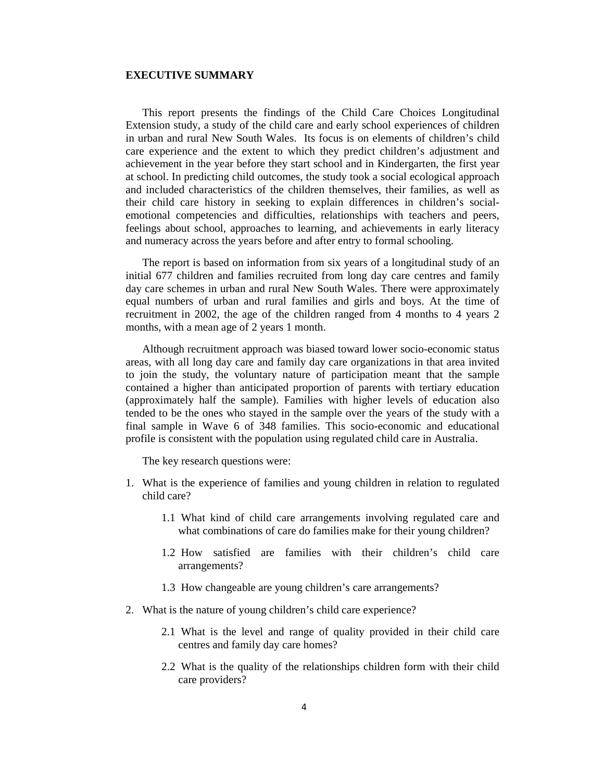# **EXECUTIVE SUMMARY**

This report presents the findings of the Child Care Choices Longitudinal Extension study, a study of the child care and early school experiences of children in urban and rural New South Wales. Its focus is on elements of children's child care experience and the extent to which they predict children's adjustment and achievement in the year before they start school and in Kindergarten, the first year at school. In predicting child outcomes, the study took a social ecological approach and included characteristics of the children themselves, their families, as well as their child care history in seeking to explain differences in children's socialemotional competencies and difficulties, relationships with teachers and peers, feelings about school, approaches to learning, and achievements in early literacy and numeracy across the years before and after entry to formal schooling.

The report is based on information from six years of a longitudinal study of an initial 677 children and families recruited from long day care centres and family day care schemes in urban and rural New South Wales. There were approximately equal numbers of urban and rural families and girls and boys. At the time of recruitment in 2002, the age of the children ranged from 4 months to 4 years 2 months, with a mean age of 2 years 1 month.

Although recruitment approach was biased toward lower socio-economic status areas, with all long day care and family day care organizations in that area invited to join the study, the voluntary nature of participation meant that the sample contained a higher than anticipated proportion of parents with tertiary education (approximately half the sample). Families with higher levels of education also tended to be the ones who stayed in the sample over the years of the study with a final sample in Wave 6 of 348 families. This socio-economic and educational profile is consistent with the population using regulated child care in Australia.

The key research questions were:

- 1. What is the experience of families and young children in relation to regulated child care?
	- 1.1 What kind of child care arrangements involving regulated care and what combinations of care do families make for their young children?
	- 1.2 How satisfied are families with their children's child care arrangements?
	- 1.3 How changeable are young children's care arrangements?
- 2. What is the nature of young children's child care experience?
	- 2.1 What is the level and range of quality provided in their child care centres and family day care homes?
	- 2.2 What is the quality of the relationships children form with their child care providers?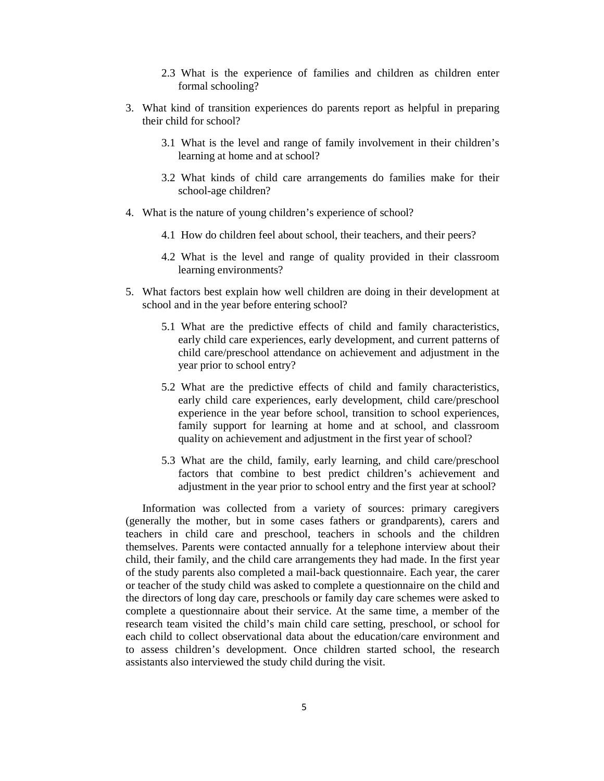- 2.3 What is the experience of families and children as children enter formal schooling?
- 3. What kind of transition experiences do parents report as helpful in preparing their child for school?
	- 3.1 What is the level and range of family involvement in their children's learning at home and at school?
	- 3.2 What kinds of child care arrangements do families make for their school-age children?
- 4. What is the nature of young children's experience of school?
	- 4.1 How do children feel about school, their teachers, and their peers?
	- 4.2 What is the level and range of quality provided in their classroom learning environments?
- 5. What factors best explain how well children are doing in their development at school and in the year before entering school?
	- 5.1 What are the predictive effects of child and family characteristics, early child care experiences, early development, and current patterns of child care/preschool attendance on achievement and adjustment in the year prior to school entry?
	- 5.2 What are the predictive effects of child and family characteristics, early child care experiences, early development, child care/preschool experience in the year before school, transition to school experiences, family support for learning at home and at school, and classroom quality on achievement and adjustment in the first year of school?
	- 5.3 What are the child, family, early learning, and child care/preschool factors that combine to best predict children's achievement and adjustment in the year prior to school entry and the first year at school?

Information was collected from a variety of sources: primary caregivers (generally the mother, but in some cases fathers or grandparents), carers and teachers in child care and preschool, teachers in schools and the children themselves. Parents were contacted annually for a telephone interview about their child, their family, and the child care arrangements they had made. In the first year of the study parents also completed a mail-back questionnaire. Each year, the carer or teacher of the study child was asked to complete a questionnaire on the child and the directors of long day care, preschools or family day care schemes were asked to complete a questionnaire about their service. At the same time, a member of the research team visited the child's main child care setting, preschool, or school for each child to collect observational data about the education/care environment and to assess children's development. Once children started school, the research assistants also interviewed the study child during the visit.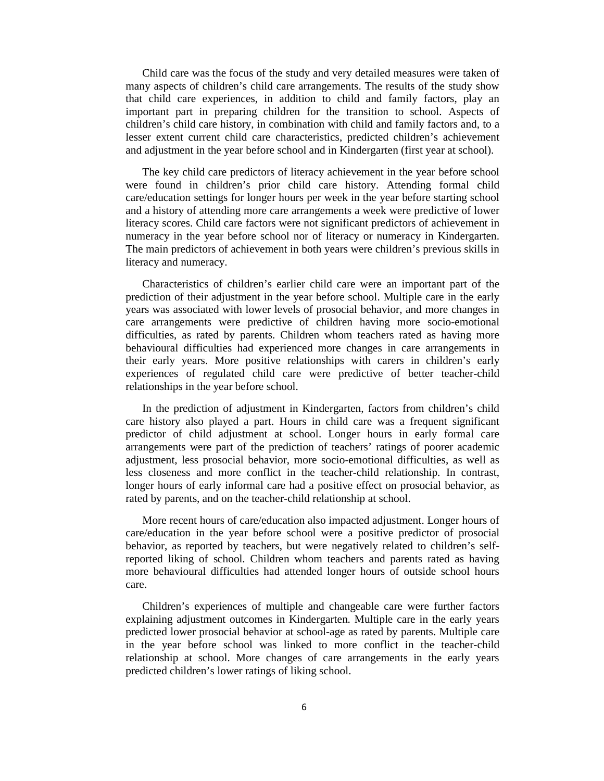Child care was the focus of the study and very detailed measures were taken of many aspects of children's child care arrangements. The results of the study show that child care experiences, in addition to child and family factors, play an important part in preparing children for the transition to school. Aspects of children's child care history, in combination with child and family factors and, to a lesser extent current child care characteristics, predicted children's achievement and adjustment in the year before school and in Kindergarten (first year at school).

The key child care predictors of literacy achievement in the year before school were found in children's prior child care history. Attending formal child care/education settings for longer hours per week in the year before starting school and a history of attending more care arrangements a week were predictive of lower literacy scores. Child care factors were not significant predictors of achievement in numeracy in the year before school nor of literacy or numeracy in Kindergarten. The main predictors of achievement in both years were children's previous skills in literacy and numeracy.

Characteristics of children's earlier child care were an important part of the prediction of their adjustment in the year before school. Multiple care in the early years was associated with lower levels of prosocial behavior, and more changes in care arrangements were predictive of children having more socio-emotional difficulties, as rated by parents. Children whom teachers rated as having more behavioural difficulties had experienced more changes in care arrangements in their early years. More positive relationships with carers in children's early experiences of regulated child care were predictive of better teacher-child relationships in the year before school.

In the prediction of adjustment in Kindergarten, factors from children's child care history also played a part. Hours in child care was a frequent significant predictor of child adjustment at school. Longer hours in early formal care arrangements were part of the prediction of teachers' ratings of poorer academic adjustment, less prosocial behavior, more socio-emotional difficulties, as well as less closeness and more conflict in the teacher-child relationship. In contrast, longer hours of early informal care had a positive effect on prosocial behavior, as rated by parents, and on the teacher-child relationship at school.

More recent hours of care/education also impacted adjustment. Longer hours of care/education in the year before school were a positive predictor of prosocial behavior, as reported by teachers, but were negatively related to children's selfreported liking of school. Children whom teachers and parents rated as having more behavioural difficulties had attended longer hours of outside school hours care.

Children's experiences of multiple and changeable care were further factors explaining adjustment outcomes in Kindergarten. Multiple care in the early years predicted lower prosocial behavior at school-age as rated by parents. Multiple care in the year before school was linked to more conflict in the teacher-child relationship at school. More changes of care arrangements in the early years predicted children's lower ratings of liking school.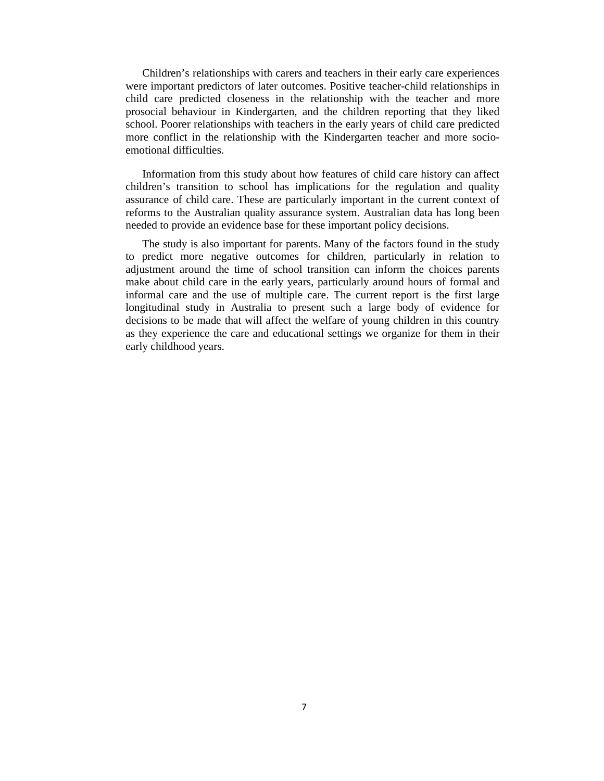Children's relationships with carers and teachers in their early care experiences were important predictors of later outcomes. Positive teacher-child relationships in child care predicted closeness in the relationship with the teacher and more prosocial behaviour in Kindergarten, and the children reporting that they liked school. Poorer relationships with teachers in the early years of child care predicted more conflict in the relationship with the Kindergarten teacher and more socioemotional difficulties.

Information from this study about how features of child care history can affect children's transition to school has implications for the regulation and quality assurance of child care. These are particularly important in the current context of reforms to the Australian quality assurance system. Australian data has long been needed to provide an evidence base for these important policy decisions.

The study is also important for parents. Many of the factors found in the study to predict more negative outcomes for children, particularly in relation to adjustment around the time of school transition can inform the choices parents make about child care in the early years, particularly around hours of formal and informal care and the use of multiple care. The current report is the first large longitudinal study in Australia to present such a large body of evidence for decisions to be made that will affect the welfare of young children in this country as they experience the care and educational settings we organize for them in their early childhood years.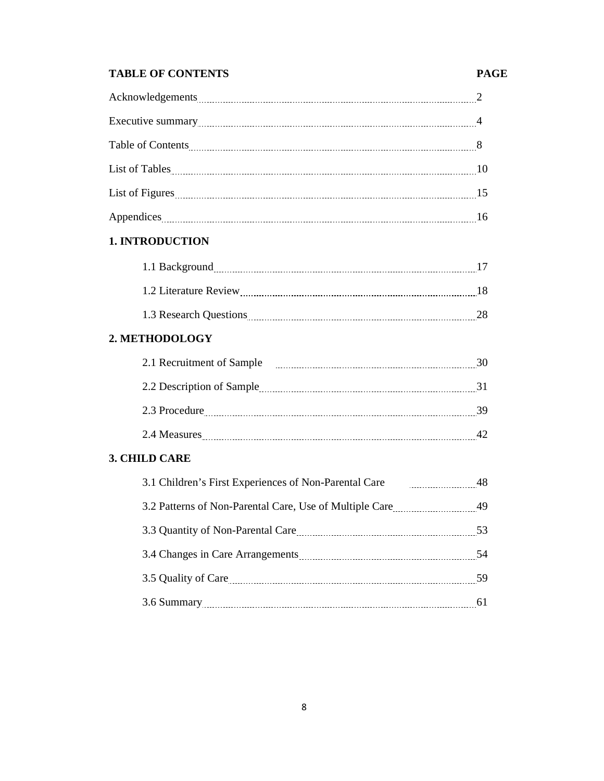# **TABLE OF CONTENTS PAGE**

# Acknowledgements 2 Executive summary 2000 Manual Communication and the summary 4 Table of Contents 28 and 200 million and 200 million and 200 million and 30 million and 30 million and 30 million and 30 million and 30 million and 30 million and 30 million and 30 million and 30 million and 30 million and List of Tables 10 10 List of Figures 2000 15 million 2000 15 million 2000 15 million 2000 15 million 2000 15 million 2000 15 million 2000 15 million 2000 15 million 2000 15 million 2000 16 million 2000 16 million 2000 16 million 2000 16 millio Appendices 16

# **1. INTRODUCTION**

| 1.1 Background         |  |
|------------------------|--|
|                        |  |
| 1.2 Literature Review  |  |
|                        |  |
| 1.3 Research Questions |  |
|                        |  |

# **2. METHODOLOGY**

| 2.1 Recruitment of Sample |    |
|---------------------------|----|
| 2.2 Description of Sample |    |
| 2.3 Procedure             | 30 |
| 2.4 Measures              |    |

# **3. CHILD CARE**

| 3.1 Children's First Experiences of Non-Parental Care           | 48  |
|-----------------------------------------------------------------|-----|
| 3.2 Patterns of Non-Parental Care, Use of Multiple Care 2014 19 |     |
|                                                                 | 53  |
|                                                                 | 54  |
|                                                                 | -59 |
|                                                                 |     |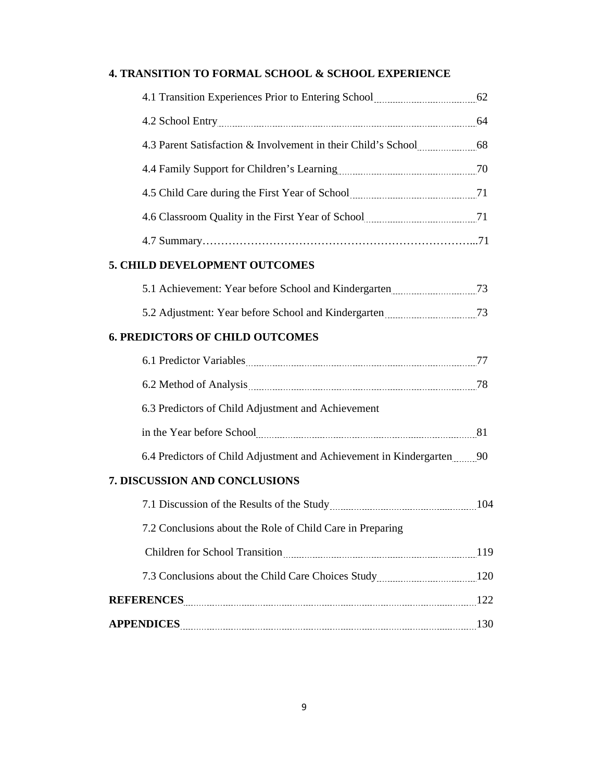# **4. TRANSITION TO FORMAL SCHOOL & SCHOOL EXPERIENCE**

| 4.1 Transition Experiences Prior to Entering School manufactured 62        |  |
|----------------------------------------------------------------------------|--|
|                                                                            |  |
| 4.3 Parent Satisfaction & Involvement in their Child's School [11, 120] 68 |  |
|                                                                            |  |
|                                                                            |  |
|                                                                            |  |
|                                                                            |  |
| 5. CHILD DEVELOPMENT OUTCOMES                                              |  |
|                                                                            |  |
| 5.2 Adjustment: Year before School and Kindergarten manufacturers 73       |  |
| <b>6. PREDICTORS OF CHILD OUTCOMES</b>                                     |  |
|                                                                            |  |
|                                                                            |  |
| 6.3 Predictors of Child Adjustment and Achievement                         |  |
|                                                                            |  |
| 6.4 Predictors of Child Adjustment and Achievement in Kindergarten 90      |  |
| 7. DISCUSSION AND CONCLUSIONS                                              |  |
|                                                                            |  |
| 7.2 Conclusions about the Role of Child Care in Preparing                  |  |
|                                                                            |  |
|                                                                            |  |
| REFERENCES 22                                                              |  |
|                                                                            |  |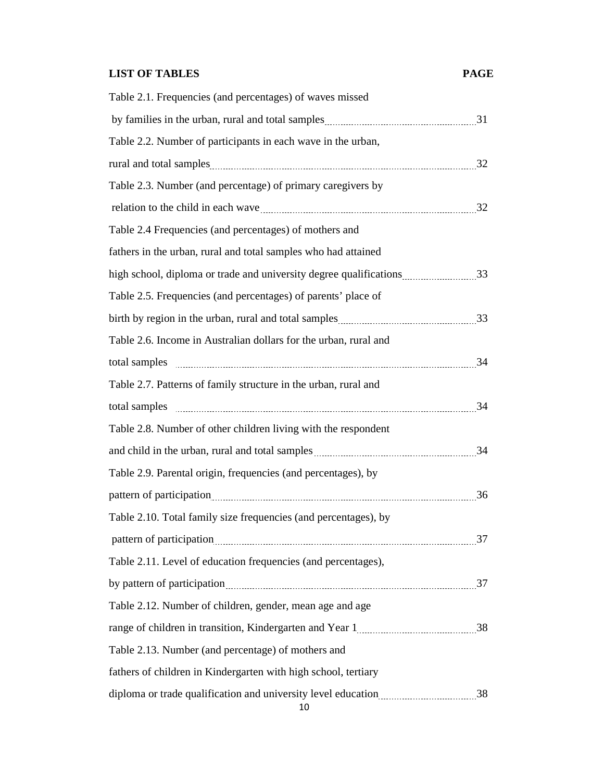# **LIST OF TABLES PAGE**

| Table 2.1. Frequencies (and percentages) of waves missed                              |  |
|---------------------------------------------------------------------------------------|--|
|                                                                                       |  |
| Table 2.2. Number of participants in each wave in the urban,                          |  |
|                                                                                       |  |
| Table 2.3. Number (and percentage) of primary caregivers by                           |  |
|                                                                                       |  |
| Table 2.4 Frequencies (and percentages) of mothers and                                |  |
| fathers in the urban, rural and total samples who had attained                        |  |
| high school, diploma or trade and university degree qualifications33                  |  |
| Table 2.5. Frequencies (and percentages) of parents' place of                         |  |
|                                                                                       |  |
| Table 2.6. Income in Australian dollars for the urban, rural and                      |  |
|                                                                                       |  |
| Table 2.7. Patterns of family structure in the urban, rural and                       |  |
| total samples 24                                                                      |  |
| Table 2.8. Number of other children living with the respondent                        |  |
|                                                                                       |  |
| Table 2.9. Parental origin, frequencies (and percentages), by                         |  |
|                                                                                       |  |
| Table 2.10. Total family size frequencies (and percentages), by                       |  |
| pattern of participation 27                                                           |  |
| Table 2.11. Level of education frequencies (and percentages),                         |  |
|                                                                                       |  |
| Table 2.12. Number of children, gender, mean age and age                              |  |
|                                                                                       |  |
| Table 2.13. Number (and percentage) of mothers and                                    |  |
| fathers of children in Kindergarten with high school, tertiary                        |  |
| diploma or trade qualification and university level education <i>manual manual</i> 38 |  |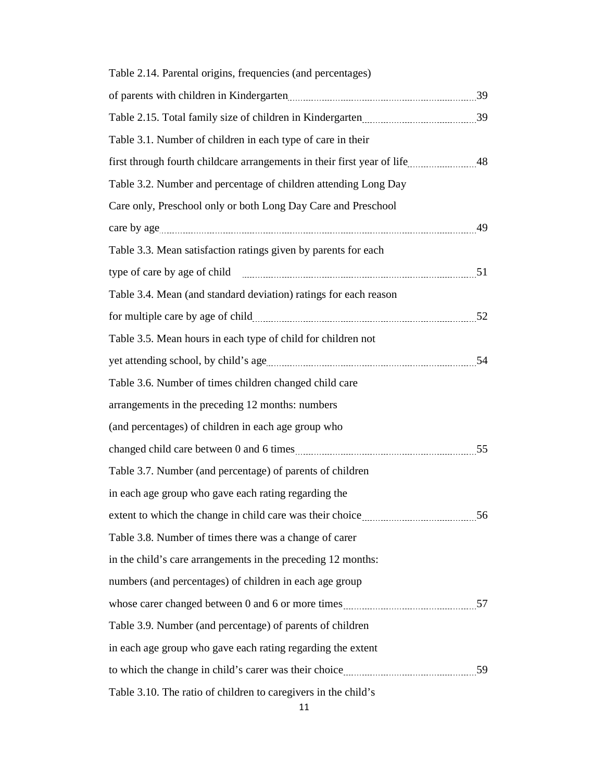| Table 2.14. Parental origins, frequencies (and percentages)      |  |
|------------------------------------------------------------------|--|
|                                                                  |  |
|                                                                  |  |
| Table 3.1. Number of children in each type of care in their      |  |
|                                                                  |  |
| Table 3.2. Number and percentage of children attending Long Day  |  |
| Care only, Preschool only or both Long Day Care and Preschool    |  |
|                                                                  |  |
| Table 3.3. Mean satisfaction ratings given by parents for each   |  |
|                                                                  |  |
| Table 3.4. Mean (and standard deviation) ratings for each reason |  |
|                                                                  |  |
| Table 3.5. Mean hours in each type of child for children not     |  |
|                                                                  |  |
| Table 3.6. Number of times children changed child care           |  |
| arrangements in the preceding 12 months: numbers                 |  |
| (and percentages) of children in each age group who              |  |
|                                                                  |  |
| Table 3.7. Number (and percentage) of parents of children        |  |
| in each age group who gave each rating regarding the             |  |
|                                                                  |  |
| Table 3.8. Number of times there was a change of carer           |  |
| in the child's care arrangements in the preceding 12 months:     |  |
| numbers (and percentages) of children in each age group          |  |
|                                                                  |  |
| Table 3.9. Number (and percentage) of parents of children        |  |
| in each age group who gave each rating regarding the extent      |  |
|                                                                  |  |
| Table 3.10. The ratio of children to caregivers in the child's   |  |

11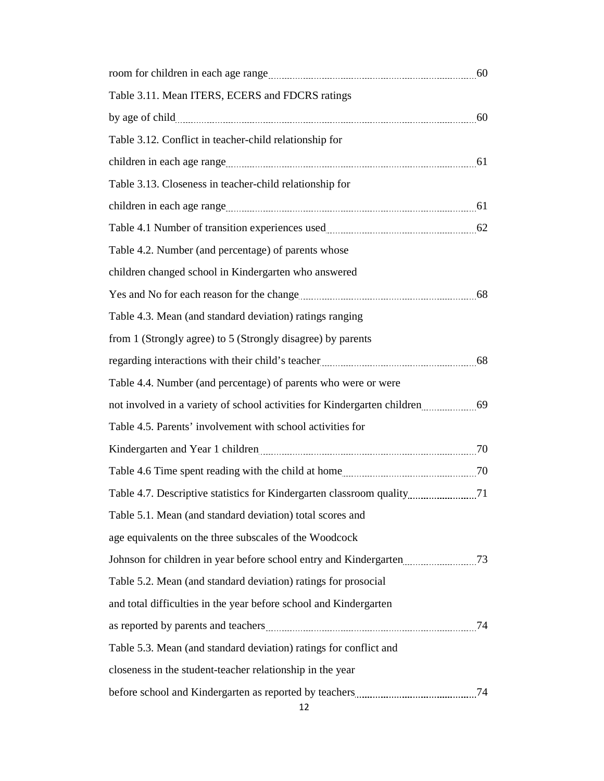| Table 3.11. Mean ITERS, ECERS and FDCRS ratings                                      |  |
|--------------------------------------------------------------------------------------|--|
|                                                                                      |  |
| Table 3.12. Conflict in teacher-child relationship for                               |  |
|                                                                                      |  |
| Table 3.13. Closeness in teacher-child relationship for                              |  |
|                                                                                      |  |
| Table 4.1 Number of transition experiences used <i>manual communical</i> contract 62 |  |
| Table 4.2. Number (and percentage) of parents whose                                  |  |
| children changed school in Kindergarten who answered                                 |  |
|                                                                                      |  |
| Table 4.3. Mean (and standard deviation) ratings ranging                             |  |
| from 1 (Strongly agree) to 5 (Strongly disagree) by parents                          |  |
|                                                                                      |  |
| Table 4.4. Number (and percentage) of parents who were or were                       |  |
|                                                                                      |  |
| Table 4.5. Parents' involvement with school activities for                           |  |
|                                                                                      |  |
|                                                                                      |  |
|                                                                                      |  |
| Table 5.1. Mean (and standard deviation) total scores and                            |  |
| age equivalents on the three subscales of the Woodcock                               |  |
| Johnson for children in year before school entry and Kindergarten [11, 23]           |  |
| Table 5.2. Mean (and standard deviation) ratings for prosocial                       |  |
| and total difficulties in the year before school and Kindergarten                    |  |
|                                                                                      |  |
| Table 5.3. Mean (and standard deviation) ratings for conflict and                    |  |
| closeness in the student-teacher relationship in the year                            |  |
|                                                                                      |  |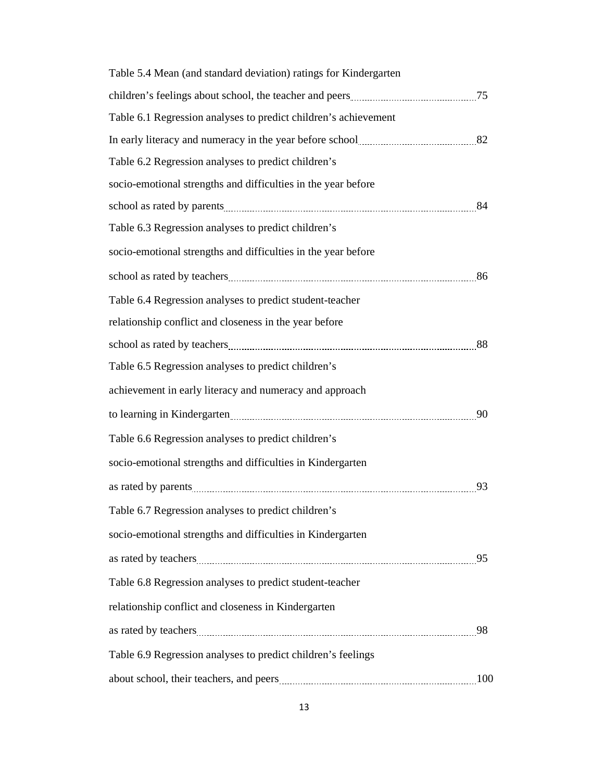| Table 5.4 Mean (and standard deviation) ratings for Kindergarten                                               |    |
|----------------------------------------------------------------------------------------------------------------|----|
| children's feelings about school, the teacher and peers <b>manufacturer</b> and $75$                           |    |
| Table 6.1 Regression analyses to predict children's achievement                                                |    |
| In early literacy and numeracy in the year before school <b>manufacture</b> 32                                 |    |
| Table 6.2 Regression analyses to predict children's                                                            |    |
| socio-emotional strengths and difficulties in the year before                                                  |    |
|                                                                                                                |    |
| Table 6.3 Regression analyses to predict children's                                                            |    |
| socio-emotional strengths and difficulties in the year before                                                  |    |
|                                                                                                                |    |
| Table 6.4 Regression analyses to predict student-teacher                                                       |    |
| relationship conflict and closeness in the year before                                                         |    |
|                                                                                                                |    |
| Table 6.5 Regression analyses to predict children's                                                            |    |
| achievement in early literacy and numeracy and approach                                                        |    |
| to learning in Kindergarten Matter and Matter and Matter and Matter and Matter and Matter and Matter and Matte |    |
| Table 6.6 Regression analyses to predict children's                                                            |    |
| socio-emotional strengths and difficulties in Kindergarten                                                     |    |
|                                                                                                                | 93 |
| Table 6.7 Regression analyses to predict children's                                                            |    |
| socio-emotional strengths and difficulties in Kindergarten                                                     |    |
|                                                                                                                |    |
| Table 6.8 Regression analyses to predict student-teacher                                                       |    |
| relationship conflict and closeness in Kindergarten                                                            |    |
|                                                                                                                |    |
| Table 6.9 Regression analyses to predict children's feelings                                                   |    |
|                                                                                                                |    |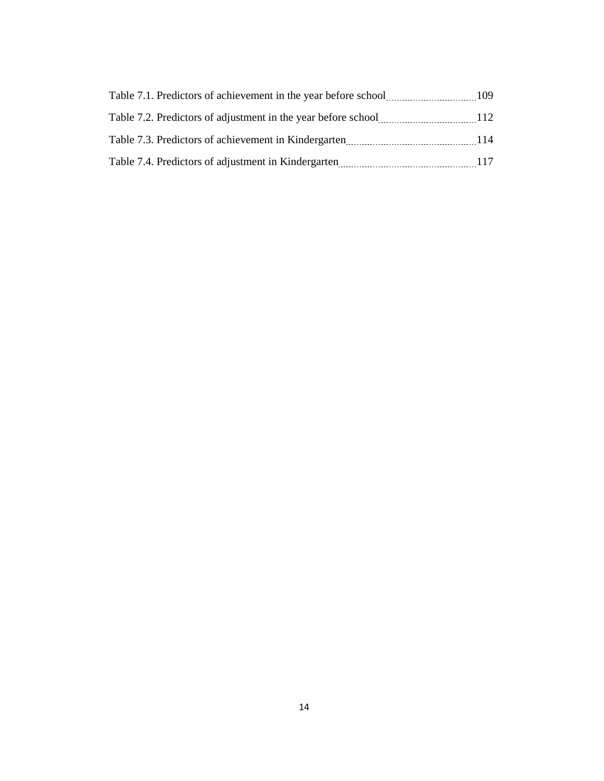| Table 7.1. Predictors of achievement in the year before school | 109 |
|----------------------------------------------------------------|-----|
| Table 7.2. Predictors of adjustment in the year before school  | 112 |
| Table 7.3. Predictors of achievement in Kindergarten           | 114 |
| Table 7.4. Predictors of adjustment in Kindergarten            | 117 |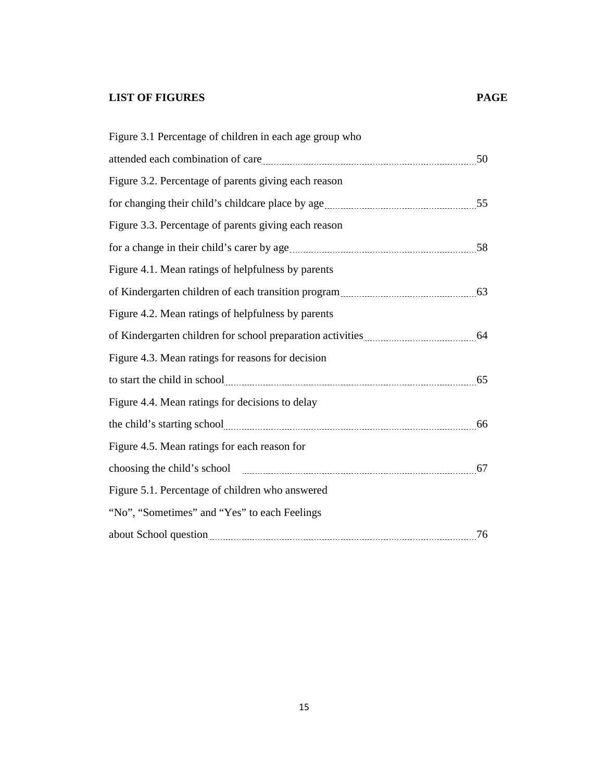# **LIST OF FIGURES PAGE**

| Figure 3.1 Percentage of children in each age group who                                                                                                                                                                              |    |
|--------------------------------------------------------------------------------------------------------------------------------------------------------------------------------------------------------------------------------------|----|
| attended each combination of care manufactured and state and state and state and state and state and state and                                                                                                                       |    |
| Figure 3.2. Percentage of parents giving each reason                                                                                                                                                                                 |    |
|                                                                                                                                                                                                                                      |    |
| Figure 3.3. Percentage of parents giving each reason                                                                                                                                                                                 |    |
| for a change in their child's carer by age <i>manual container a change in their child's</i> carer by age <i>manual container and their</i> 58                                                                                       |    |
| Figure 4.1. Mean ratings of helpfulness by parents                                                                                                                                                                                   |    |
|                                                                                                                                                                                                                                      |    |
| Figure 4.2. Mean ratings of helpfulness by parents                                                                                                                                                                                   |    |
|                                                                                                                                                                                                                                      |    |
| Figure 4.3. Mean ratings for reasons for decision                                                                                                                                                                                    |    |
| to start the child in school <u>manual contract of</u> the start the child in school                                                                                                                                                 |    |
| Figure 4.4. Mean ratings for decisions to delay                                                                                                                                                                                      |    |
|                                                                                                                                                                                                                                      |    |
| Figure 4.5. Mean ratings for each reason for                                                                                                                                                                                         |    |
| choosing the child's school manufactured and the child's school                                                                                                                                                                      | 67 |
| Figure 5.1. Percentage of children who answered                                                                                                                                                                                      |    |
| "No", "Sometimes" and "Yes" to each Feelings                                                                                                                                                                                         |    |
| about School question <b>contained a contract of the contract of the contract of the contract of the contract of the contract of the contract of the contract of the contract of the contract of the contract of the contract of</b> | 76 |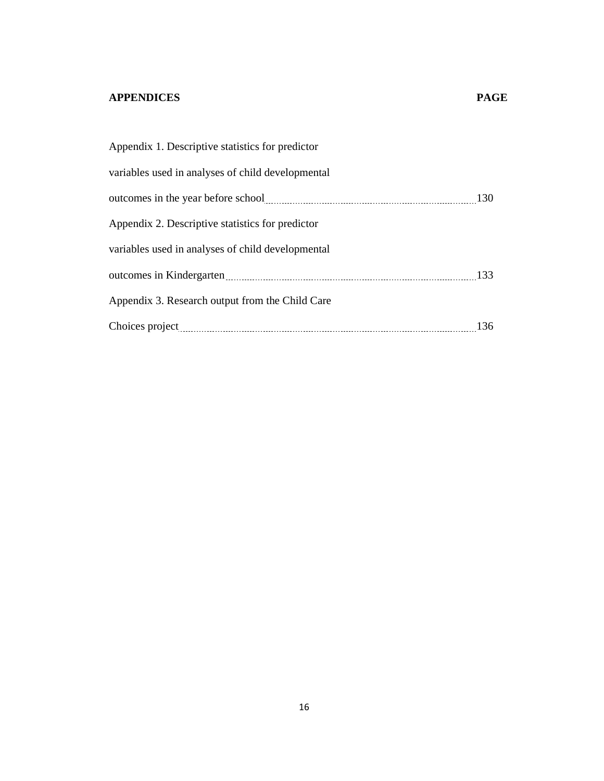# **APPENDICES PAGE**

| Appendix 1. Descriptive statistics for predictor                           |            |
|----------------------------------------------------------------------------|------------|
| variables used in analyses of child developmental                          |            |
| outcomes in the year before school manufactured and the year before school | <b>130</b> |
| Appendix 2. Descriptive statistics for predictor                           |            |
| variables used in analyses of child developmental                          |            |
|                                                                            | 133        |
| Appendix 3. Research output from the Child Care                            |            |
| Choices project                                                            | 136        |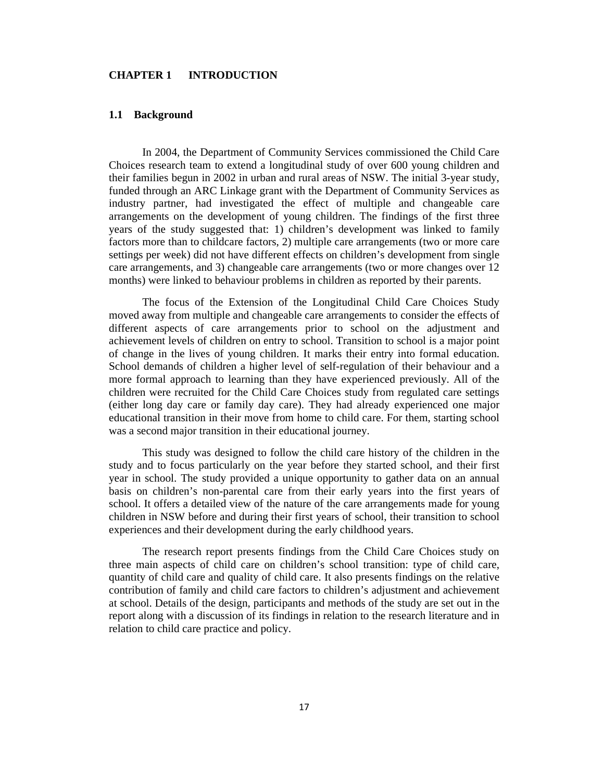# **CHAPTER 1 INTRODUCTION**

# **1.1 Background**

In 2004, the Department of Community Services commissioned the Child Care Choices research team to extend a longitudinal study of over 600 young children and their families begun in 2002 in urban and rural areas of NSW. The initial 3-year study, funded through an ARC Linkage grant with the Department of Community Services as industry partner, had investigated the effect of multiple and changeable care arrangements on the development of young children. The findings of the first three years of the study suggested that: 1) children's development was linked to family factors more than to childcare factors, 2) multiple care arrangements (two or more care settings per week) did not have different effects on children's development from single care arrangements, and 3) changeable care arrangements (two or more changes over 12 months) were linked to behaviour problems in children as reported by their parents.

The focus of the Extension of the Longitudinal Child Care Choices Study moved away from multiple and changeable care arrangements to consider the effects of different aspects of care arrangements prior to school on the adjustment and achievement levels of children on entry to school. Transition to school is a major point of change in the lives of young children. It marks their entry into formal education. School demands of children a higher level of self-regulation of their behaviour and a more formal approach to learning than they have experienced previously. All of the children were recruited for the Child Care Choices study from regulated care settings (either long day care or family day care). They had already experienced one major educational transition in their move from home to child care. For them, starting school was a second major transition in their educational journey.

This study was designed to follow the child care history of the children in the study and to focus particularly on the year before they started school, and their first year in school. The study provided a unique opportunity to gather data on an annual basis on children's non-parental care from their early years into the first years of school. It offers a detailed view of the nature of the care arrangements made for young children in NSW before and during their first years of school, their transition to school experiences and their development during the early childhood years.

The research report presents findings from the Child Care Choices study on three main aspects of child care on children's school transition: type of child care, quantity of child care and quality of child care. It also presents findings on the relative contribution of family and child care factors to children's adjustment and achievement at school. Details of the design, participants and methods of the study are set out in the report along with a discussion of its findings in relation to the research literature and in relation to child care practice and policy.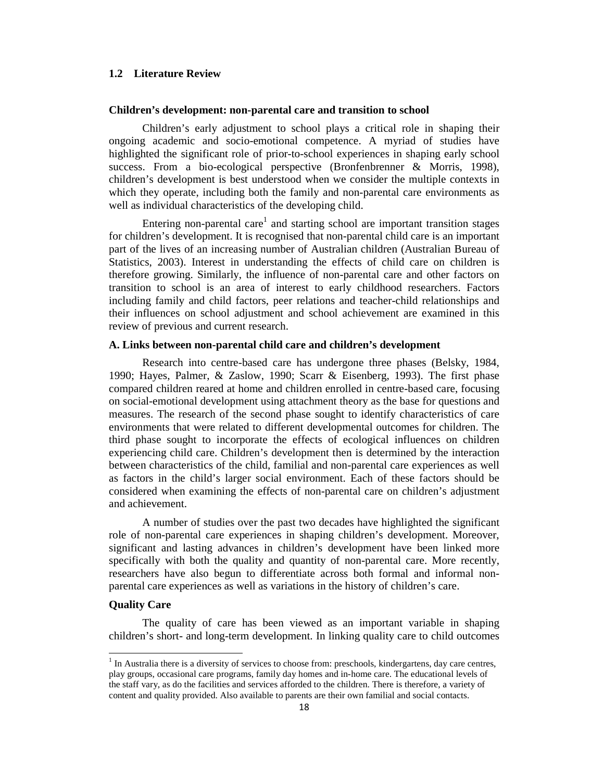# **1.2 Literature Review**

# **Children's development: non-parental care and transition to school**

Children's early adjustment to school plays a critical role in shaping their ongoing academic and socio-emotional competence. A myriad of studies have highlighted the significant role of prior-to-school experiences in shaping early school success. From a bio-ecological perspective (Bronfenbrenner & Morris, 1998), children's development is best understood when we consider the multiple contexts in which they operate, including both the family and non-parental care environments as well as individual characteristics of the developing child.

Entering non-parental care<sup>1</sup> and starting school are important transition stages for children's development. It is recognised that non-parental child care is an important part of the lives of an increasing number of Australian children (Australian Bureau of Statistics, 2003). Interest in understanding the effects of child care on children is therefore growing. Similarly, the influence of non-parental care and other factors on transition to school is an area of interest to early childhood researchers. Factors including family and child factors, peer relations and teacher-child relationships and their influences on school adjustment and school achievement are examined in this review of previous and current research.

# **A. Links between non-parental child care and children's development**

Research into centre-based care has undergone three phases (Belsky, 1984, 1990; Hayes, Palmer, & Zaslow, 1990; Scarr & Eisenberg, 1993). The first phase compared children reared at home and children enrolled in centre-based care, focusing on social-emotional development using attachment theory as the base for questions and measures. The research of the second phase sought to identify characteristics of care environments that were related to different developmental outcomes for children. The third phase sought to incorporate the effects of ecological influences on children experiencing child care. Children's development then is determined by the interaction between characteristics of the child, familial and non-parental care experiences as well as factors in the child's larger social environment. Each of these factors should be considered when examining the effects of non-parental care on children's adjustment and achievement.

A number of studies over the past two decades have highlighted the significant role of non-parental care experiences in shaping children's development. Moreover, significant and lasting advances in children's development have been linked more specifically with both the quality and quantity of non-parental care. More recently, researchers have also begun to differentiate across both formal and informal nonparental care experiences as well as variations in the history of children's care.

# **Quality Care**

 $\overline{\phantom{a}}$ 

The quality of care has been viewed as an important variable in shaping children's short- and long-term development. In linking quality care to child outcomes

<sup>&</sup>lt;sup>1</sup> In Australia there is a diversity of services to choose from: preschools, kindergartens, day care centres, play groups, occasional care programs, family day homes and in-home care. The educational levels of the staff vary, as do the facilities and services afforded to the children. There is therefore, a variety of content and quality provided. Also available to parents are their own familial and social contacts.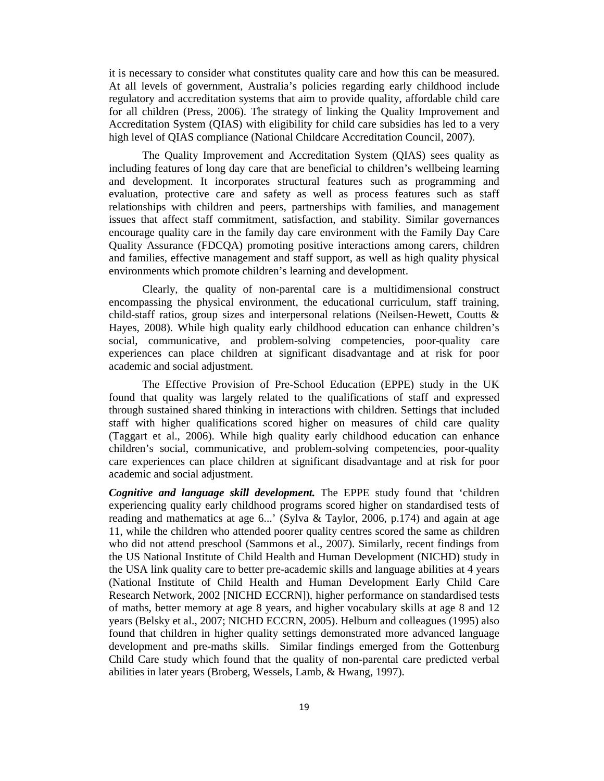it is necessary to consider what constitutes quality care and how this can be measured. At all levels of government, Australia's policies regarding early childhood include regulatory and accreditation systems that aim to provide quality, affordable child care for all children (Press, 2006). The strategy of linking the Quality Improvement and Accreditation System (QIAS) with eligibility for child care subsidies has led to a very high level of QIAS compliance (National Childcare Accreditation Council, 2007).

The Quality Improvement and Accreditation System (QIAS) sees quality as including features of long day care that are beneficial to children's wellbeing learning and development. It incorporates structural features such as programming and evaluation, protective care and safety as well as process features such as staff relationships with children and peers, partnerships with families, and management issues that affect staff commitment, satisfaction, and stability. Similar governances encourage quality care in the family day care environment with the Family Day Care Quality Assurance (FDCQA) promoting positive interactions among carers, children and families, effective management and staff support, as well as high quality physical environments which promote children's learning and development.

Clearly, the quality of non-parental care is a multidimensional construct encompassing the physical environment, the educational curriculum, staff training, child-staff ratios, group sizes and interpersonal relations (Neilsen-Hewett, Coutts & Hayes, 2008). While high quality early childhood education can enhance children's social, communicative, and problem-solving competencies, poor-quality care experiences can place children at significant disadvantage and at risk for poor academic and social adjustment.

The Effective Provision of Pre-School Education (EPPE) study in the UK found that quality was largely related to the qualifications of staff and expressed through sustained shared thinking in interactions with children. Settings that included staff with higher qualifications scored higher on measures of child care quality (Taggart et al., 2006). While high quality early childhood education can enhance children's social, communicative, and problem-solving competencies, poor-quality care experiences can place children at significant disadvantage and at risk for poor academic and social adjustment.

*Cognitive and language skill development.* The EPPE study found that 'children experiencing quality early childhood programs scored higher on standardised tests of reading and mathematics at age 6...' (Sylva & Taylor, 2006, p.174) and again at age 11, while the children who attended poorer quality centres scored the same as children who did not attend preschool (Sammons et al., 2007). Similarly, recent findings from the US National Institute of Child Health and Human Development (NICHD) study in the USA link quality care to better pre-academic skills and language abilities at 4 years (National Institute of Child Health and Human Development Early Child Care Research Network, 2002 [NICHD ECCRN]), higher performance on standardised tests of maths, better memory at age 8 years, and higher vocabulary skills at age 8 and 12 years (Belsky et al., 2007; NICHD ECCRN, 2005). Helburn and colleagues (1995) also found that children in higher quality settings demonstrated more advanced language development and pre-maths skills. Similar findings emerged from the Gottenburg Child Care study which found that the quality of non-parental care predicted verbal abilities in later years (Broberg, Wessels, Lamb, & Hwang, 1997).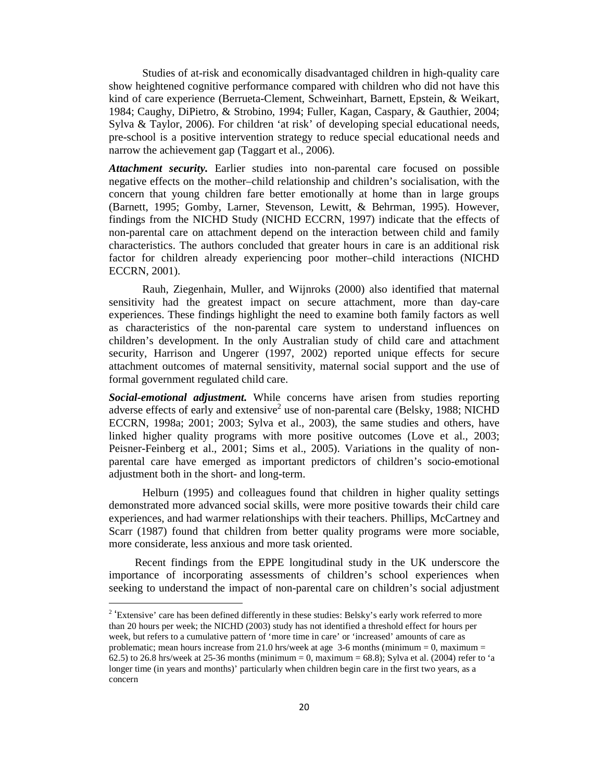Studies of at-risk and economically disadvantaged children in high-quality care show heightened cognitive performance compared with children who did not have this kind of care experience (Berrueta-Clement, Schweinhart, Barnett, Epstein, & Weikart, 1984; Caughy, DiPietro, & Strobino, 1994; Fuller, Kagan, Caspary, & Gauthier, 2004; Sylva & Taylor, 2006). For children 'at risk' of developing special educational needs, pre-school is a positive intervention strategy to reduce special educational needs and narrow the achievement gap (Taggart et al., 2006).

*Attachment security.* Earlier studies into non-parental care focused on possible negative effects on the mother–child relationship and children's socialisation, with the concern that young children fare better emotionally at home than in large groups (Barnett, 1995; Gomby, Larner, Stevenson, Lewitt, & Behrman, 1995). However, findings from the NICHD Study (NICHD ECCRN, 1997) indicate that the effects of non-parental care on attachment depend on the interaction between child and family characteristics. The authors concluded that greater hours in care is an additional risk factor for children already experiencing poor mother–child interactions (NICHD ECCRN, 2001).

Rauh, Ziegenhain, Muller, and Wijnroks (2000) also identified that maternal sensitivity had the greatest impact on secure attachment, more than day-care experiences. These findings highlight the need to examine both family factors as well as characteristics of the non-parental care system to understand influences on children's development. In the only Australian study of child care and attachment security, Harrison and Ungerer (1997, 2002) reported unique effects for secure attachment outcomes of maternal sensitivity, maternal social support and the use of formal government regulated child care.

*Social-emotional adjustment.* While concerns have arisen from studies reporting adverse effects of early and extensive<sup>2</sup> use of non-parental care (Belsky, 1988; NICHD ECCRN, 1998a; 2001; 2003; Sylva et al., 2003), the same studies and others, have linked higher quality programs with more positive outcomes (Love et al., 2003; Peisner-Feinberg et al., 2001; Sims et al., 2005). Variations in the quality of nonparental care have emerged as important predictors of children's socio-emotional adjustment both in the short- and long-term.

Helburn (1995) and colleagues found that children in higher quality settings demonstrated more advanced social skills, were more positive towards their child care experiences, and had warmer relationships with their teachers. Phillips, McCartney and Scarr (1987) found that children from better quality programs were more sociable, more considerate, less anxious and more task oriented.

 Recent findings from the EPPE longitudinal study in the UK underscore the importance of incorporating assessments of children's school experiences when seeking to understand the impact of non-parental care on children's social adjustment

l

<sup>&</sup>lt;sup>2</sup> 'Extensive' care has been defined differently in these studies: Belsky's early work referred to more than 20 hours per week; the NICHD (2003) study has not identified a threshold effect for hours per week, but refers to a cumulative pattern of 'more time in care' or 'increased' amounts of care as problematic; mean hours increase from 21.0 hrs/week at age  $3-6$  months (minimum = 0, maximum = 62.5) to 26.8 hrs/week at 25-36 months (minimum = 0, maximum = 68.8); Sylva et al. (2004) refer to 'a longer time (in years and months)' particularly when children begin care in the first two years, as a concern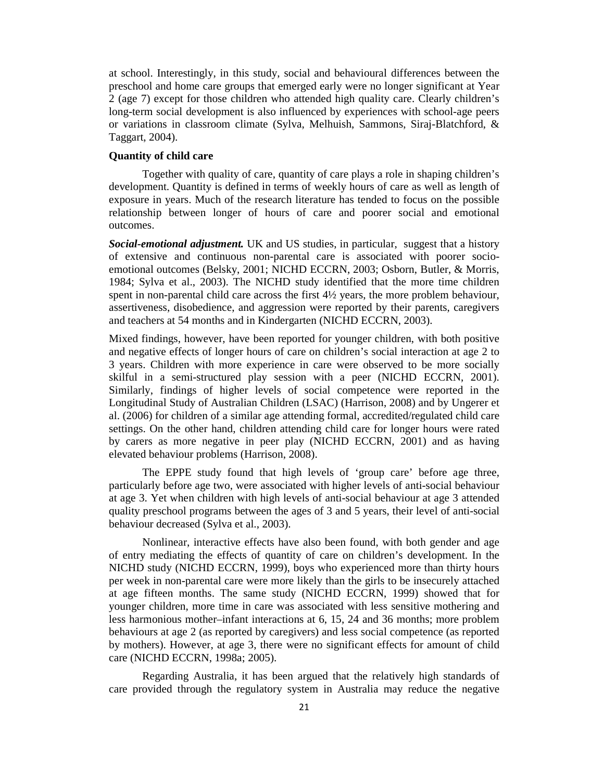at school. Interestingly, in this study, social and behavioural differences between the preschool and home care groups that emerged early were no longer significant at Year 2 (age 7) except for those children who attended high quality care. Clearly children's long-term social development is also influenced by experiences with school-age peers or variations in classroom climate (Sylva, Melhuish, Sammons, Siraj-Blatchford, & Taggart, 2004).

# **Quantity of child care**

Together with quality of care, quantity of care plays a role in shaping children's development. Quantity is defined in terms of weekly hours of care as well as length of exposure in years. Much of the research literature has tended to focus on the possible relationship between longer of hours of care and poorer social and emotional outcomes.

*Social-emotional adjustment.* UK and US studies, in particular, suggest that a history of extensive and continuous non-parental care is associated with poorer socioemotional outcomes (Belsky, 2001; NICHD ECCRN, 2003; Osborn, Butler, & Morris, 1984; Sylva et al., 2003). The NICHD study identified that the more time children spent in non-parental child care across the first 4½ years, the more problem behaviour, assertiveness, disobedience, and aggression were reported by their parents, caregivers and teachers at 54 months and in Kindergarten (NICHD ECCRN, 2003).

Mixed findings, however, have been reported for younger children, with both positive and negative effects of longer hours of care on children's social interaction at age 2 to 3 years. Children with more experience in care were observed to be more socially skilful in a semi-structured play session with a peer (NICHD ECCRN, 2001). Similarly, findings of higher levels of social competence were reported in the Longitudinal Study of Australian Children (LSAC) (Harrison, 2008) and by Ungerer et al. (2006) for children of a similar age attending formal, accredited/regulated child care settings. On the other hand, children attending child care for longer hours were rated by carers as more negative in peer play (NICHD ECCRN, 2001) and as having elevated behaviour problems (Harrison, 2008).

The EPPE study found that high levels of 'group care' before age three, particularly before age two, were associated with higher levels of anti-social behaviour at age 3. Yet when children with high levels of anti-social behaviour at age 3 attended quality preschool programs between the ages of 3 and 5 years, their level of anti-social behaviour decreased (Sylva et al., 2003).

Nonlinear, interactive effects have also been found, with both gender and age of entry mediating the effects of quantity of care on children's development. In the NICHD study (NICHD ECCRN, 1999), boys who experienced more than thirty hours per week in non-parental care were more likely than the girls to be insecurely attached at age fifteen months. The same study (NICHD ECCRN, 1999) showed that for younger children, more time in care was associated with less sensitive mothering and less harmonious mother–infant interactions at 6, 15, 24 and 36 months; more problem behaviours at age 2 (as reported by caregivers) and less social competence (as reported by mothers). However, at age 3, there were no significant effects for amount of child care (NICHD ECCRN, 1998a; 2005).

Regarding Australia, it has been argued that the relatively high standards of care provided through the regulatory system in Australia may reduce the negative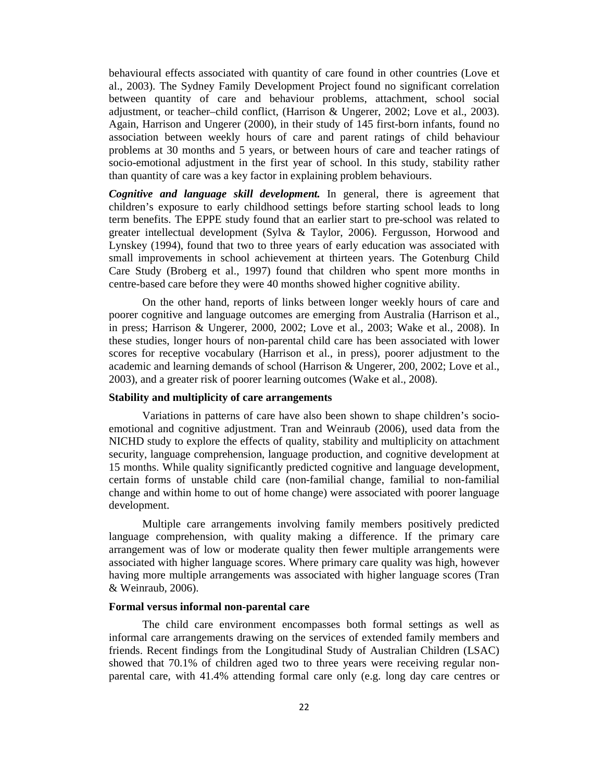behavioural effects associated with quantity of care found in other countries (Love et al., 2003). The Sydney Family Development Project found no significant correlation between quantity of care and behaviour problems, attachment, school social adjustment, or teacher–child conflict, (Harrison & Ungerer, 2002; Love et al., 2003). Again, Harrison and Ungerer (2000), in their study of 145 first-born infants, found no association between weekly hours of care and parent ratings of child behaviour problems at 30 months and 5 years, or between hours of care and teacher ratings of socio-emotional adjustment in the first year of school. In this study, stability rather than quantity of care was a key factor in explaining problem behaviours.

*Cognitive and language skill development.* In general, there is agreement that children's exposure to early childhood settings before starting school leads to long term benefits. The EPPE study found that an earlier start to pre-school was related to greater intellectual development (Sylva & Taylor, 2006). Fergusson, Horwood and Lynskey (1994), found that two to three years of early education was associated with small improvements in school achievement at thirteen years. The Gotenburg Child Care Study (Broberg et al., 1997) found that children who spent more months in centre-based care before they were 40 months showed higher cognitive ability.

On the other hand, reports of links between longer weekly hours of care and poorer cognitive and language outcomes are emerging from Australia (Harrison et al., in press; Harrison & Ungerer, 2000, 2002; Love et al., 2003; Wake et al., 2008). In these studies, longer hours of non-parental child care has been associated with lower scores for receptive vocabulary (Harrison et al., in press), poorer adjustment to the academic and learning demands of school (Harrison & Ungerer, 200, 2002; Love et al., 2003), and a greater risk of poorer learning outcomes (Wake et al., 2008).

# **Stability and multiplicity of care arrangements**

Variations in patterns of care have also been shown to shape children's socioemotional and cognitive adjustment. Tran and Weinraub (2006), used data from the NICHD study to explore the effects of quality, stability and multiplicity on attachment security, language comprehension, language production, and cognitive development at 15 months. While quality significantly predicted cognitive and language development, certain forms of unstable child care (non-familial change, familial to non-familial change and within home to out of home change) were associated with poorer language development.

Multiple care arrangements involving family members positively predicted language comprehension, with quality making a difference. If the primary care arrangement was of low or moderate quality then fewer multiple arrangements were associated with higher language scores. Where primary care quality was high, however having more multiple arrangements was associated with higher language scores (Tran & Weinraub, 2006).

## **Formal versus informal non-parental care**

The child care environment encompasses both formal settings as well as informal care arrangements drawing on the services of extended family members and friends. Recent findings from the Longitudinal Study of Australian Children (LSAC) showed that 70.1% of children aged two to three years were receiving regular nonparental care, with 41.4% attending formal care only (e.g. long day care centres or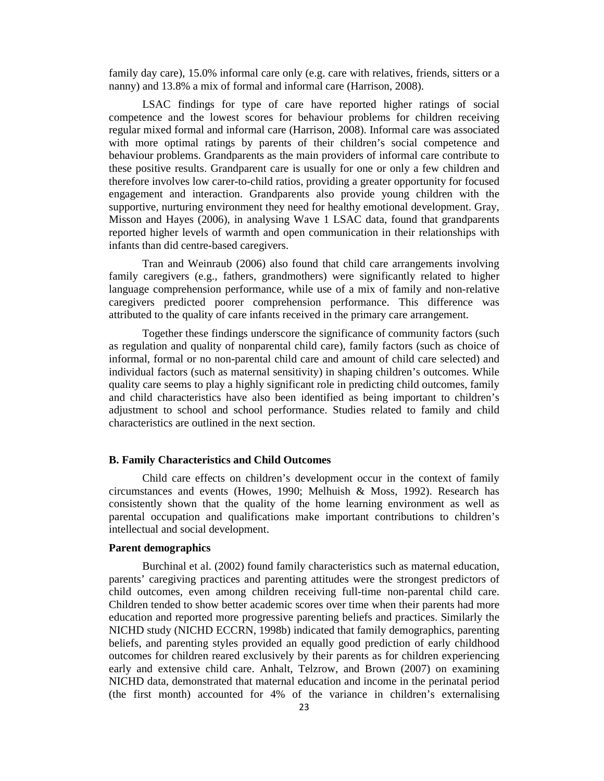family day care), 15.0% informal care only (e.g. care with relatives, friends, sitters or a nanny) and 13.8% a mix of formal and informal care (Harrison, 2008).

LSAC findings for type of care have reported higher ratings of social competence and the lowest scores for behaviour problems for children receiving regular mixed formal and informal care (Harrison, 2008). Informal care was associated with more optimal ratings by parents of their children's social competence and behaviour problems. Grandparents as the main providers of informal care contribute to these positive results. Grandparent care is usually for one or only a few children and therefore involves low carer-to-child ratios, providing a greater opportunity for focused engagement and interaction. Grandparents also provide young children with the supportive, nurturing environment they need for healthy emotional development. Gray, Misson and Hayes (2006), in analysing Wave 1 LSAC data, found that grandparents reported higher levels of warmth and open communication in their relationships with infants than did centre-based caregivers.

Tran and Weinraub (2006) also found that child care arrangements involving family caregivers (e.g., fathers, grandmothers) were significantly related to higher language comprehension performance, while use of a mix of family and non-relative caregivers predicted poorer comprehension performance. This difference was attributed to the quality of care infants received in the primary care arrangement.

Together these findings underscore the significance of community factors (such as regulation and quality of nonparental child care), family factors (such as choice of informal, formal or no non-parental child care and amount of child care selected) and individual factors (such as maternal sensitivity) in shaping children's outcomes. While quality care seems to play a highly significant role in predicting child outcomes, family and child characteristics have also been identified as being important to children's adjustment to school and school performance. Studies related to family and child characteristics are outlined in the next section.

# **B. Family Characteristics and Child Outcomes**

Child care effects on children's development occur in the context of family circumstances and events (Howes, 1990; Melhuish & Moss, 1992). Research has consistently shown that the quality of the home learning environment as well as parental occupation and qualifications make important contributions to children's intellectual and social development.

# **Parent demographics**

Burchinal et al. (2002) found family characteristics such as maternal education, parents' caregiving practices and parenting attitudes were the strongest predictors of child outcomes, even among children receiving full-time non-parental child care. Children tended to show better academic scores over time when their parents had more education and reported more progressive parenting beliefs and practices. Similarly the NICHD study (NICHD ECCRN, 1998b) indicated that family demographics, parenting beliefs, and parenting styles provided an equally good prediction of early childhood outcomes for children reared exclusively by their parents as for children experiencing early and extensive child care. Anhalt, Telzrow, and Brown (2007) on examining NICHD data, demonstrated that maternal education and income in the perinatal period (the first month) accounted for 4% of the variance in children's externalising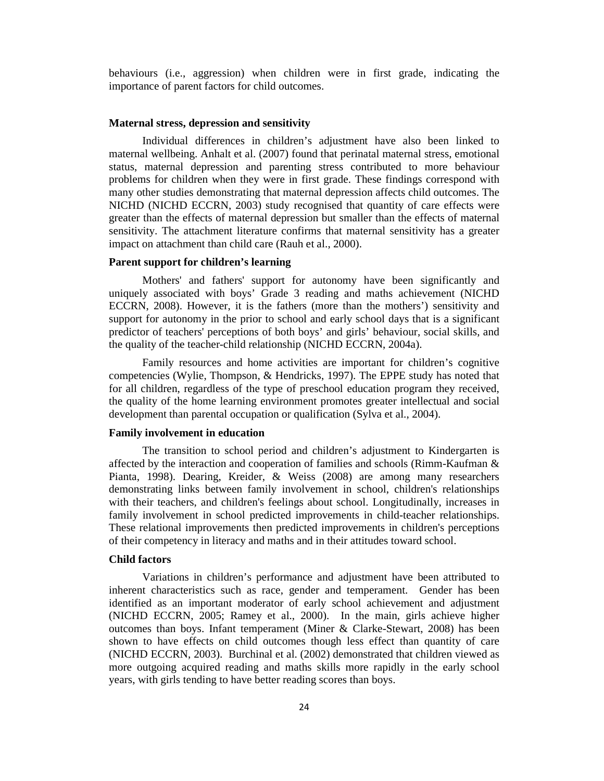behaviours (i.e., aggression) when children were in first grade, indicating the importance of parent factors for child outcomes.

#### **Maternal stress, depression and sensitivity**

Individual differences in children's adjustment have also been linked to maternal wellbeing. Anhalt et al. (2007) found that perinatal maternal stress, emotional status, maternal depression and parenting stress contributed to more behaviour problems for children when they were in first grade. These findings correspond with many other studies demonstrating that maternal depression affects child outcomes. The NICHD (NICHD ECCRN, 2003) study recognised that quantity of care effects were greater than the effects of maternal depression but smaller than the effects of maternal sensitivity. The attachment literature confirms that maternal sensitivity has a greater impact on attachment than child care (Rauh et al., 2000).

# **Parent support for children's learning**

Mothers' and fathers' support for autonomy have been significantly and uniquely associated with boys' Grade 3 reading and maths achievement (NICHD ECCRN, 2008). However, it is the fathers (more than the mothers') sensitivity and support for autonomy in the prior to school and early school days that is a significant predictor of teachers' perceptions of both boys' and girls' behaviour, social skills, and the quality of the teacher-child relationship (NICHD ECCRN, 2004a).

Family resources and home activities are important for children's cognitive competencies (Wylie, Thompson, & Hendricks, 1997). The EPPE study has noted that for all children, regardless of the type of preschool education program they received, the quality of the home learning environment promotes greater intellectual and social development than parental occupation or qualification (Sylva et al., 2004).

# **Family involvement in education**

The transition to school period and children's adjustment to Kindergarten is affected by the interaction and cooperation of families and schools (Rimm-Kaufman & Pianta, 1998). Dearing, Kreider, & Weiss (2008) are among many researchers demonstrating links between family involvement in school, children's relationships with their teachers, and children's feelings about school. Longitudinally, increases in family involvement in school predicted improvements in child-teacher relationships. These relational improvements then predicted improvements in children's perceptions of their competency in literacy and maths and in their attitudes toward school.

# **Child factors**

Variations in children's performance and adjustment have been attributed to inherent characteristics such as race, gender and temperament. Gender has been identified as an important moderator of early school achievement and adjustment (NICHD ECCRN, 2005; Ramey et al., 2000). In the main, girls achieve higher outcomes than boys. Infant temperament (Miner & Clarke-Stewart, 2008) has been shown to have effects on child outcomes though less effect than quantity of care (NICHD ECCRN, 2003). Burchinal et al. (2002) demonstrated that children viewed as more outgoing acquired reading and maths skills more rapidly in the early school years, with girls tending to have better reading scores than boys.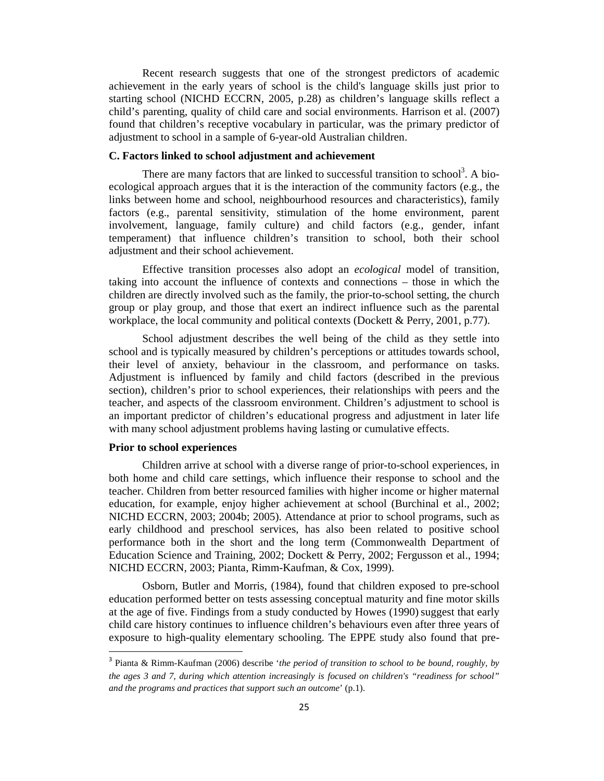Recent research suggests that one of the strongest predictors of academic achievement in the early years of school is the child's language skills just prior to starting school (NICHD ECCRN, 2005, p.28) as children's language skills reflect a child's parenting, quality of child care and social environments. Harrison et al. (2007) found that children's receptive vocabulary in particular, was the primary predictor of adjustment to school in a sample of 6-year-old Australian children.

# **C. Factors linked to school adjustment and achievement**

There are many factors that are linked to successful transition to school<sup>3</sup>. A bioecological approach argues that it is the interaction of the community factors (e.g., the links between home and school, neighbourhood resources and characteristics), family factors (e.g., parental sensitivity, stimulation of the home environment, parent involvement, language, family culture) and child factors (e.g., gender, infant temperament) that influence children's transition to school, both their school adjustment and their school achievement.

Effective transition processes also adopt an *ecological* model of transition, taking into account the influence of contexts and connections – those in which the children are directly involved such as the family, the prior-to-school setting, the church group or play group, and those that exert an indirect influence such as the parental workplace, the local community and political contexts (Dockett & Perry, 2001, p.77).

School adjustment describes the well being of the child as they settle into school and is typically measured by children's perceptions or attitudes towards school, their level of anxiety, behaviour in the classroom, and performance on tasks. Adjustment is influenced by family and child factors (described in the previous section), children's prior to school experiences, their relationships with peers and the teacher, and aspects of the classroom environment. Children's adjustment to school is an important predictor of children's educational progress and adjustment in later life with many school adjustment problems having lasting or cumulative effects.

# **Prior to school experiences**

 $\overline{a}$ 

Children arrive at school with a diverse range of prior-to-school experiences, in both home and child care settings, which influence their response to school and the teacher. Children from better resourced families with higher income or higher maternal education, for example, enjoy higher achievement at school (Burchinal et al., 2002; NICHD ECCRN, 2003; 2004b; 2005). Attendance at prior to school programs, such as early childhood and preschool services, has also been related to positive school performance both in the short and the long term (Commonwealth Department of Education Science and Training, 2002; Dockett & Perry, 2002; Fergusson et al., 1994; NICHD ECCRN, 2003; Pianta, Rimm-Kaufman, & Cox, 1999).

Osborn, Butler and Morris, (1984), found that children exposed to pre-school education performed better on tests assessing conceptual maturity and fine motor skills at the age of five. Findings from a study conducted by Howes (1990) suggest that early child care history continues to influence children's behaviours even after three years of exposure to high-quality elementary schooling. The EPPE study also found that pre-

<sup>3</sup> Pianta & Rimm-Kaufman (2006) describe '*the period of transition to school to be bound, roughly, by the ages 3 and 7, during which attention increasingly is focused on children's "readiness for school" and the programs and practices that support such an outcome*' (p.1).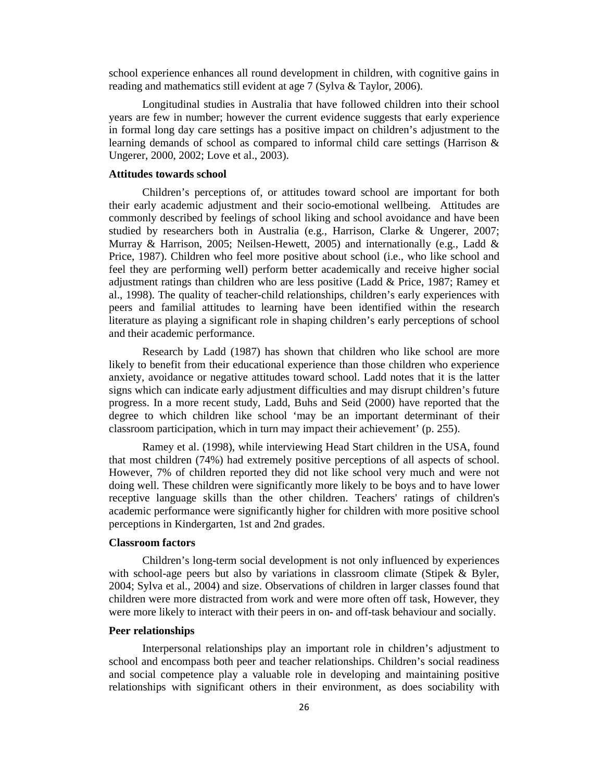school experience enhances all round development in children, with cognitive gains in reading and mathematics still evident at age 7 (Sylva & Taylor, 2006).

Longitudinal studies in Australia that have followed children into their school years are few in number; however the current evidence suggests that early experience in formal long day care settings has a positive impact on children's adjustment to the learning demands of school as compared to informal child care settings (Harrison & Ungerer, 2000, 2002; Love et al., 2003).

## **Attitudes towards school**

Children's perceptions of, or attitudes toward school are important for both their early academic adjustment and their socio-emotional wellbeing. Attitudes are commonly described by feelings of school liking and school avoidance and have been studied by researchers both in Australia (e.g., Harrison, Clarke & Ungerer, 2007; Murray & Harrison, 2005; Neilsen-Hewett, 2005) and internationally (e.g., Ladd & Price, 1987). Children who feel more positive about school (i.e., who like school and feel they are performing well) perform better academically and receive higher social adjustment ratings than children who are less positive (Ladd & Price, 1987; Ramey et al., 1998). The quality of teacher-child relationships, children's early experiences with peers and familial attitudes to learning have been identified within the research literature as playing a significant role in shaping children's early perceptions of school and their academic performance.

Research by Ladd (1987) has shown that children who like school are more likely to benefit from their educational experience than those children who experience anxiety, avoidance or negative attitudes toward school. Ladd notes that it is the latter signs which can indicate early adjustment difficulties and may disrupt children's future progress. In a more recent study, Ladd, Buhs and Seid (2000) have reported that the degree to which children like school 'may be an important determinant of their classroom participation, which in turn may impact their achievement' (p. 255).

Ramey et al. (1998), while interviewing Head Start children in the USA, found that most children (74%) had extremely positive perceptions of all aspects of school. However, 7% of children reported they did not like school very much and were not doing well. These children were significantly more likely to be boys and to have lower receptive language skills than the other children. Teachers' ratings of children's academic performance were significantly higher for children with more positive school perceptions in Kindergarten, 1st and 2nd grades.

# **Classroom factors**

Children's long-term social development is not only influenced by experiences with school-age peers but also by variations in classroom climate (Stipek & Byler, 2004; Sylva et al., 2004) and size. Observations of children in larger classes found that children were more distracted from work and were more often off task, However, they were more likely to interact with their peers in on- and off-task behaviour and socially.

# **Peer relationships**

Interpersonal relationships play an important role in children's adjustment to school and encompass both peer and teacher relationships. Children's social readiness and social competence play a valuable role in developing and maintaining positive relationships with significant others in their environment, as does sociability with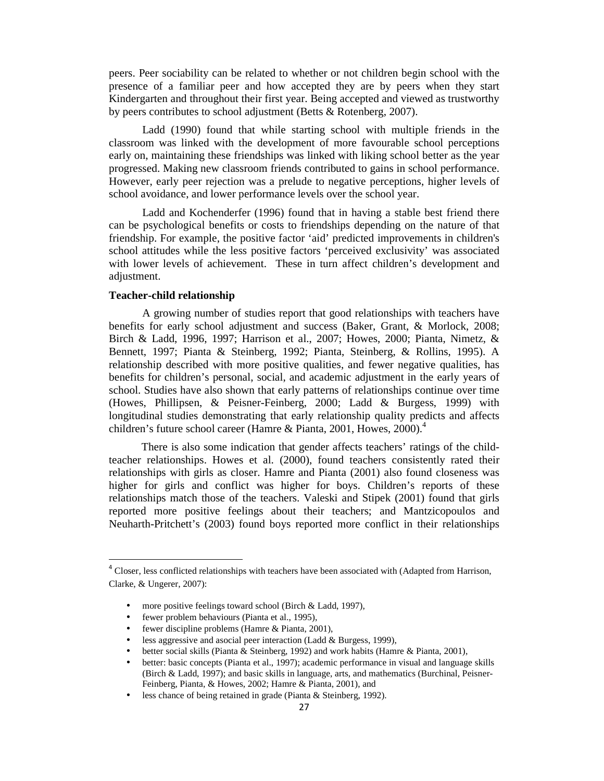peers. Peer sociability can be related to whether or not children begin school with the presence of a familiar peer and how accepted they are by peers when they start Kindergarten and throughout their first year. Being accepted and viewed as trustworthy by peers contributes to school adjustment (Betts & Rotenberg, 2007).

Ladd (1990) found that while starting school with multiple friends in the classroom was linked with the development of more favourable school perceptions early on, maintaining these friendships was linked with liking school better as the year progressed. Making new classroom friends contributed to gains in school performance. However, early peer rejection was a prelude to negative perceptions, higher levels of school avoidance, and lower performance levels over the school year.

Ladd and Kochenderfer (1996) found that in having a stable best friend there can be psychological benefits or costs to friendships depending on the nature of that friendship. For example, the positive factor 'aid' predicted improvements in children's school attitudes while the less positive factors 'perceived exclusivity' was associated with lower levels of achievement. These in turn affect children's development and adjustment.

# **Teacher-child relationship**

l

A growing number of studies report that good relationships with teachers have benefits for early school adjustment and success (Baker, Grant, & Morlock, 2008; Birch & Ladd, 1996, 1997; Harrison et al., 2007; Howes, 2000; Pianta, Nimetz, & Bennett, 1997; Pianta & Steinberg, 1992; Pianta, Steinberg, & Rollins, 1995). A relationship described with more positive qualities, and fewer negative qualities, has benefits for children's personal, social, and academic adjustment in the early years of school. Studies have also shown that early patterns of relationships continue over time (Howes, Phillipsen, & Peisner-Feinberg, 2000; Ladd & Burgess, 1999) with longitudinal studies demonstrating that early relationship quality predicts and affects children's future school career (Hamre & Pianta, 2001, Howes, 2000).<sup>4</sup>

There is also some indication that gender affects teachers' ratings of the childteacher relationships. Howes et al. (2000), found teachers consistently rated their relationships with girls as closer. Hamre and Pianta (2001) also found closeness was higher for girls and conflict was higher for boys. Children's reports of these relationships match those of the teachers. Valeski and Stipek (2001) found that girls reported more positive feelings about their teachers; and Mantzicopoulos and Neuharth-Pritchett's (2003) found boys reported more conflict in their relationships

- less aggressive and asocial peer interaction (Ladd & Burgess, 1999),
- better social skills (Pianta & Steinberg, 1992) and work habits (Hamre & Pianta, 2001),

<sup>&</sup>lt;sup>4</sup> Closer, less conflicted relationships with teachers have been associated with (Adapted from Harrison, Clarke, & Ungerer, 2007):

more positive feelings toward school (Birch & Ladd, 1997),

fewer problem behaviours (Pianta et al., 1995),

<sup>•</sup> fewer discipline problems (Hamre & Pianta, 2001),

<sup>•</sup> better: basic concepts (Pianta et al., 1997); academic performance in visual and language skills (Birch & Ladd, 1997); and basic skills in language, arts, and mathematics (Burchinal, Peisner-Feinberg, Pianta, & Howes, 2002; Hamre & Pianta, 2001), and

less chance of being retained in grade (Pianta & Steinberg, 1992).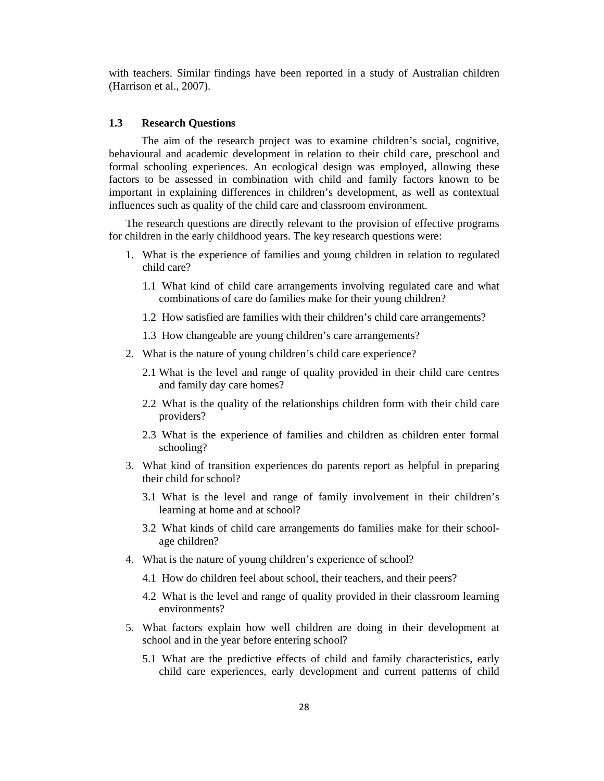with teachers. Similar findings have been reported in a study of Australian children (Harrison et al., 2007).

# **1.3 Research Questions**

The aim of the research project was to examine children's social, cognitive, behavioural and academic development in relation to their child care, preschool and formal schooling experiences. An ecological design was employed, allowing these factors to be assessed in combination with child and family factors known to be important in explaining differences in children's development, as well as contextual influences such as quality of the child care and classroom environment.

The research questions are directly relevant to the provision of effective programs for children in the early childhood years. The key research questions were:

- 1. What is the experience of families and young children in relation to regulated child care?
	- 1.1 What kind of child care arrangements involving regulated care and what combinations of care do families make for their young children?
	- 1.2 How satisfied are families with their children's child care arrangements?
	- 1.3 How changeable are young children's care arrangements?
- 2. What is the nature of young children's child care experience?
	- 2.1 What is the level and range of quality provided in their child care centres and family day care homes?
	- 2.2 What is the quality of the relationships children form with their child care providers?
	- 2.3 What is the experience of families and children as children enter formal schooling?
- 3. What kind of transition experiences do parents report as helpful in preparing their child for school?
	- 3.1 What is the level and range of family involvement in their children's learning at home and at school?
	- 3.2 What kinds of child care arrangements do families make for their schoolage children?
- 4. What is the nature of young children's experience of school?
	- 4.1 How do children feel about school, their teachers, and their peers?
	- 4.2 What is the level and range of quality provided in their classroom learning environments?
- 5. What factors explain how well children are doing in their development at school and in the year before entering school?
	- 5.1 What are the predictive effects of child and family characteristics, early child care experiences, early development and current patterns of child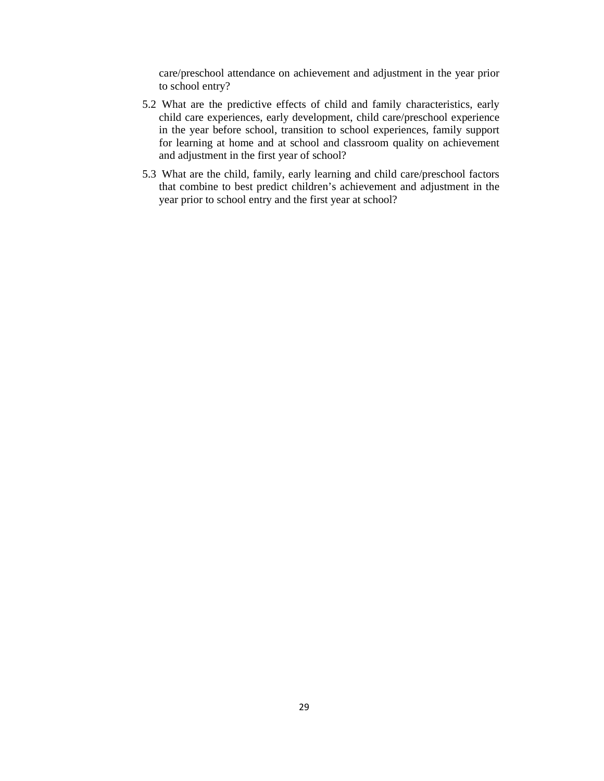care/preschool attendance on achievement and adjustment in the year prior to school entry?

- 5.2 What are the predictive effects of child and family characteristics, early child care experiences, early development, child care/preschool experience in the year before school, transition to school experiences, family support for learning at home and at school and classroom quality on achievement and adjustment in the first year of school?
- 5.3 What are the child, family, early learning and child care/preschool factors that combine to best predict children's achievement and adjustment in the year prior to school entry and the first year at school?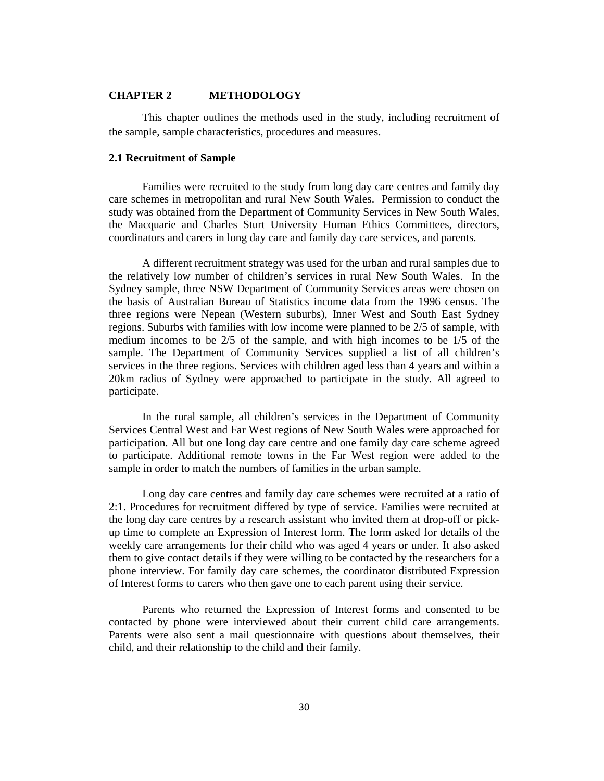## **CHAPTER 2 METHODOLOGY**

This chapter outlines the methods used in the study, including recruitment of the sample, sample characteristics, procedures and measures.

## **2.1 Recruitment of Sample**

Families were recruited to the study from long day care centres and family day care schemes in metropolitan and rural New South Wales. Permission to conduct the study was obtained from the Department of Community Services in New South Wales, the Macquarie and Charles Sturt University Human Ethics Committees, directors, coordinators and carers in long day care and family day care services, and parents.

A different recruitment strategy was used for the urban and rural samples due to the relatively low number of children's services in rural New South Wales. In the Sydney sample, three NSW Department of Community Services areas were chosen on the basis of Australian Bureau of Statistics income data from the 1996 census. The three regions were Nepean (Western suburbs), Inner West and South East Sydney regions. Suburbs with families with low income were planned to be 2/5 of sample, with medium incomes to be 2/5 of the sample, and with high incomes to be 1/5 of the sample. The Department of Community Services supplied a list of all children's services in the three regions. Services with children aged less than 4 years and within a 20km radius of Sydney were approached to participate in the study. All agreed to participate.

In the rural sample, all children's services in the Department of Community Services Central West and Far West regions of New South Wales were approached for participation. All but one long day care centre and one family day care scheme agreed to participate. Additional remote towns in the Far West region were added to the sample in order to match the numbers of families in the urban sample.

Long day care centres and family day care schemes were recruited at a ratio of 2:1. Procedures for recruitment differed by type of service. Families were recruited at the long day care centres by a research assistant who invited them at drop-off or pickup time to complete an Expression of Interest form. The form asked for details of the weekly care arrangements for their child who was aged 4 years or under. It also asked them to give contact details if they were willing to be contacted by the researchers for a phone interview. For family day care schemes, the coordinator distributed Expression of Interest forms to carers who then gave one to each parent using their service.

Parents who returned the Expression of Interest forms and consented to be contacted by phone were interviewed about their current child care arrangements. Parents were also sent a mail questionnaire with questions about themselves, their child, and their relationship to the child and their family.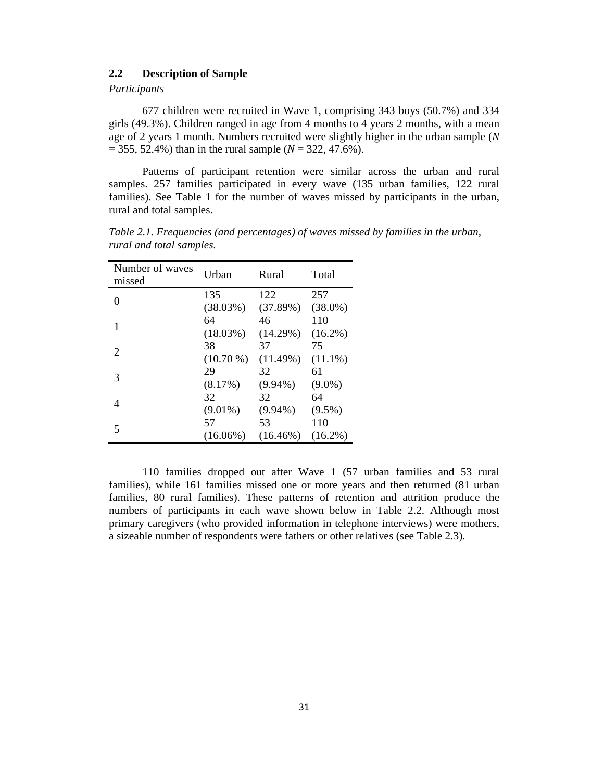# **2.2 Description of Sample**

# *Participants*

677 children were recruited in Wave 1, comprising 343 boys (50.7%) and 334 girls (49.3%). Children ranged in age from 4 months to 4 years 2 months, with a mean age of 2 years 1 month. Numbers recruited were slightly higher in the urban sample (*N*  $= 355, 52.4\%$ ) than in the rural sample ( $N = 322, 47.6\%$ ).

Patterns of participant retention were similar across the urban and rural samples. 257 families participated in every wave (135 urban families, 122 rural families). See Table 1 for the number of waves missed by participants in the urban, rural and total samples.

| Number of waves<br>missed | Urban       | Rural       | Total      |
|---------------------------|-------------|-------------|------------|
| 0                         | 135         | 122         | 257        |
|                           | (38.03%)    | (37.89%)    | $(38.0\%)$ |
|                           | 64          | 46          | 110        |
|                           | (18.03%)    | (14.29%)    | $(16.2\%)$ |
| 2                         | 38          | 37          | 75         |
|                           | $(10.70\%)$ | (11.49%)    | $(11.1\%)$ |
| 3                         | 29          | 32          | 61         |
|                           | (8.17%)     | $(9.94\%)$  | $(9.0\%)$  |
| 4                         | 32          | 32          | 64         |
|                           | $(9.01\%)$  | $(9.94\%)$  | $(9.5\%)$  |
|                           | 57          | 53          | 110        |
| 5                         | $(16.06\%)$ | $(16.46\%)$ | $(16.2\%)$ |

*Table 2.1. Frequencies (and percentages) of waves missed by families in the urban, rural and total samples.* 

110 families dropped out after Wave 1 (57 urban families and 53 rural families), while 161 families missed one or more years and then returned (81 urban families, 80 rural families). These patterns of retention and attrition produce the numbers of participants in each wave shown below in Table 2.2. Although most primary caregivers (who provided information in telephone interviews) were mothers, a sizeable number of respondents were fathers or other relatives (see Table 2.3).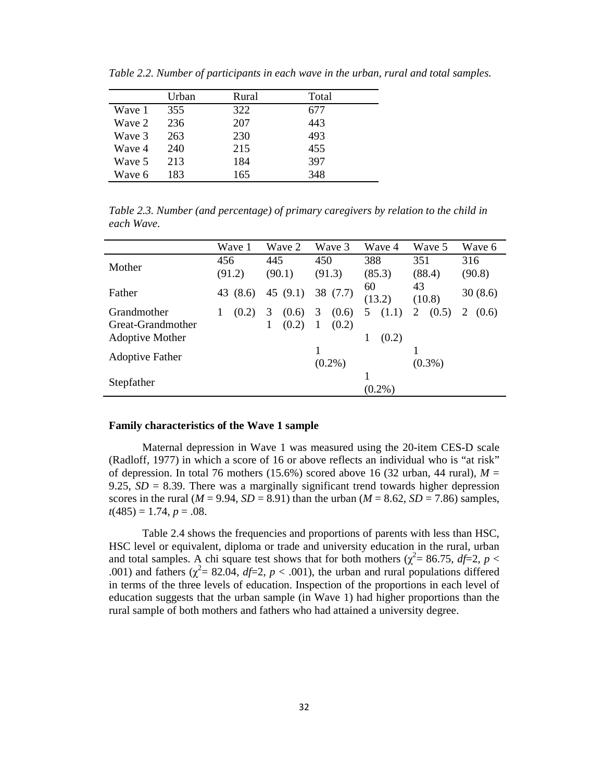|        | Urban | Rural | Total |  |
|--------|-------|-------|-------|--|
| Wave 1 | 355   | 322   | 677   |  |
| Wave 2 | 236   | 207   | 443   |  |
| Wave 3 | 263   | 230   | 493   |  |
| Wave 4 | 240   | 215   | 455   |  |
| Wave 5 | 213   | 184   | 397   |  |
| Wave 6 | 183   | 165   | 348   |  |

*Table 2.2. Number of participants in each wave in the urban, rural and total samples.* 

*Table 2.3. Number (and percentage) of primary caregivers by relation to the child in each Wave.* 

|                        | Wave 1   | Wave 2     | Wave 3      | Wave 4     | Wave 5     | Wave 6     |
|------------------------|----------|------------|-------------|------------|------------|------------|
| Mother                 | 456      | 445        | 450         | 388        | 351        | 316        |
|                        | (91.2)   | (90.1)     | (91.3)      | (85.3)     | (88.4)     | (90.8)     |
| Father                 | 43 (8.6) | 45 $(9.1)$ | 38 (7.7)    | 60         | 43         | 30(8.6)    |
|                        |          |            |             | (13.2)     | (10.8)     |            |
| Grandmother            | (0.2)    | 3<br>(0.6) | 3<br>(0.6)  | (1.1)<br>5 | 2<br>(0.5) | 2<br>(0.6) |
| Great-Grandmother      |          | (0.2)<br>1 | (0.2)<br>-1 |            |            |            |
| <b>Adoptive Mother</b> |          |            |             | 1<br>(0.2) |            |            |
|                        |          |            |             |            |            |            |
| <b>Adoptive Father</b> |          |            | $(0.2\%)$   |            | $(0.3\%)$  |            |
|                        |          |            |             |            |            |            |
| Stepfather             |          |            |             | $(0.2\%)$  |            |            |

#### **Family characteristics of the Wave 1 sample**

Maternal depression in Wave 1 was measured using the 20-item CES-D scale (Radloff, 1977) in which a score of 16 or above reflects an individual who is "at risk" of depression. In total 76 mothers (15.6%) scored above 16 (32 urban, 44 rural),  $M =$ 9.25,  $SD = 8.39$ . There was a marginally significant trend towards higher depression scores in the rural ( $M = 9.94$ ,  $SD = 8.91$ ) than the urban ( $M = 8.62$ ,  $SD = 7.86$ ) samples,  $t(485) = 1.74, p = .08.$ 

Table 2.4 shows the frequencies and proportions of parents with less than HSC, HSC level or equivalent, diploma or trade and university education in the rural, urban and total samples. A chi square test shows that for both mothers ( $\chi^2$  = 86.75, *df* = 2, *p* < .001) and fathers ( $\chi^2$  = 82.04, *df* = 2, *p* < .001), the urban and rural populations differed in terms of the three levels of education. Inspection of the proportions in each level of education suggests that the urban sample (in Wave 1) had higher proportions than the rural sample of both mothers and fathers who had attained a university degree.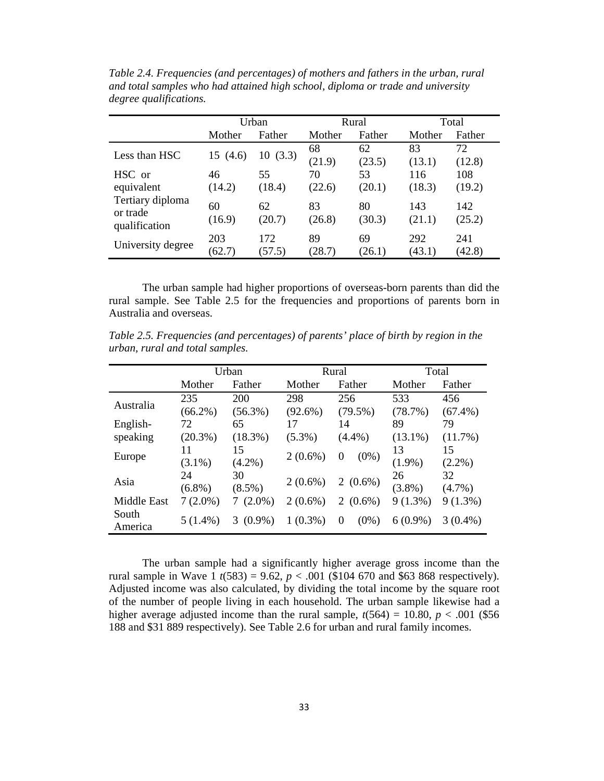|                                               | Urban         |               | Rural        |              | Total         |               |
|-----------------------------------------------|---------------|---------------|--------------|--------------|---------------|---------------|
|                                               | Mother        | Father        | Mother       | Father       | Mother        | Father        |
| Less than HSC                                 | 15 (4.6)      | 10(3.3)       | 68<br>(21.9) | 62<br>(23.5) | 83<br>(13.1)  | 72<br>(12.8)  |
| HSC or                                        | 46            | 55            | 70           | 53           | 116           | 108           |
| equivalent                                    | (14.2)        | (18.4)        | (22.6)       | (20.1)       | (18.3)        | (19.2)        |
| Tertiary diploma<br>or trade<br>qualification | 60<br>(16.9)  | 62<br>(20.7)  | 83<br>(26.8) | 80<br>(30.3) | 143<br>(21.1) | 142<br>(25.2) |
| University degree                             | 203<br>(62.7) | 172<br>(57.5) | 89<br>(28.7) | 69<br>(26.1) | 292<br>(43.1) | 241<br>(42.8) |

*Table 2.4. Frequencies (and percentages) of mothers and fathers in the urban, rural and total samples who had attained high school, diploma or trade and university degree qualifications.* 

The urban sample had higher proportions of overseas-born parents than did the rural sample. See Table 2.5 for the frequencies and proportions of parents born in Australia and overseas.

*Table 2.5. Frequencies (and percentages) of parents' place of birth by region in the urban, rural and total samples.* 

|                    | Urban      |                | Rural      |                     | Total      |            |    |
|--------------------|------------|----------------|------------|---------------------|------------|------------|----|
|                    | Mother     | Father         | Mother     | Father              | Mother     | Father     |    |
| Australia          | 235        | 200            | 298        | 256                 | 533        | 456        |    |
|                    | $(66.2\%)$ | $(56.3\%)$     | $(92.6\%)$ | $(79.5\%)$          | (78.7%)    | $(67.4\%)$ |    |
| English-           | 72         | 65             | 17         | 14                  | 89         | 79         |    |
| speaking           | $(20.3\%)$ | $(18.3\%)$     | $(5.3\%)$  | $(4.4\%)$           | $(13.1\%)$ | (11.7%)    |    |
|                    | 11         | 15             | $2(0.6\%)$ | $(0\%)$<br>0        | 13         | 15         |    |
| Europe             | $(3.1\%)$  | $(4.2\%)$      |            |                     | $(1.9\%)$  | $(2.2\%)$  |    |
| Asia               | 24         | 30             | $2(0.6\%)$ |                     | $2(0.6\%)$ | 26         | 32 |
|                    | $(6.8\%)$  | $(8.5\%)$      |            |                     | $(3.8\%)$  | $(4.7\%)$  |    |
| <b>Middle East</b> | $7(2.0\%)$ | $(2.0\%)$      | $2(0.6\%)$ | 2<br>$(0.6\%)$      | $9(1.3\%)$ | $9(1.3\%)$ |    |
| South<br>America   | $5(1.4\%)$ | $(0.9\%)$<br>3 | $1(0.3\%)$ | $(0\%)$<br>$\Omega$ | $6(0.9\%)$ | $3(0.4\%)$ |    |

The urban sample had a significantly higher average gross income than the rural sample in Wave 1  $t(583) = 9.62$ ,  $p < .001$  (\$104 670 and \$63 868 respectively). Adjusted income was also calculated, by dividing the total income by the square root of the number of people living in each household. The urban sample likewise had a higher average adjusted income than the rural sample,  $t(564) = 10.80$ ,  $p < .001$  (\$56) 188 and \$31 889 respectively). See Table 2.6 for urban and rural family incomes.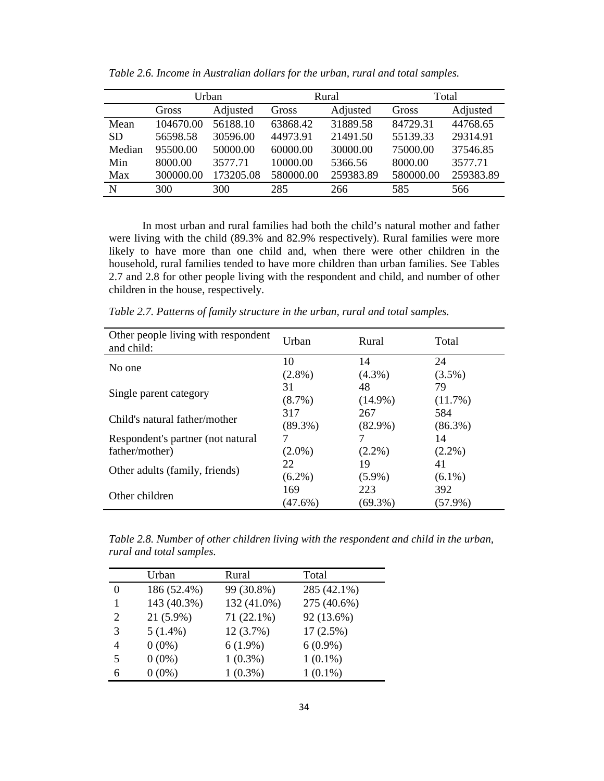|           | Urban     |           | Rural     |           | Total     |           |
|-----------|-----------|-----------|-----------|-----------|-----------|-----------|
|           | Gross     | Adjusted  | Gross     | Adjusted  | Gross     | Adjusted  |
| Mean      | 104670.00 | 56188.10  | 63868.42  | 31889.58  | 84729.31  | 44768.65  |
| <b>SD</b> | 56598.58  | 30596.00  | 44973.91  | 21491.50  | 55139.33  | 29314.91  |
| Median    | 95500.00  | 50000.00  | 60000.00  | 30000.00  | 75000.00  | 37546.85  |
| Min       | 8000.00   | 3577.71   | 10000.00  | 5366.56   | 8000.00   | 3577.71   |
| Max       | 300000.00 | 173205.08 | 580000.00 | 259383.89 | 580000.00 | 259383.89 |
| N         | 300       | 300       | 285       | 266       | 585       | 566       |

*Table 2.6. Income in Australian dollars for the urban, rural and total samples.* 

In most urban and rural families had both the child's natural mother and father were living with the child (89.3% and 82.9% respectively). Rural families were more likely to have more than one child and, when there were other children in the household, rural families tended to have more children than urban families. See Tables 2.7 and 2.8 for other people living with the respondent and child, and number of other children in the house, respectively.

*Table 2.7. Patterns of family structure in the urban, rural and total samples.* 

| Other people living with respondent<br>and child:   | Urban      | Rural      | Total           |
|-----------------------------------------------------|------------|------------|-----------------|
| No one                                              | 10         | 14         | 24              |
|                                                     | $(2.8\%)$  | $(4.3\%)$  | $(3.5\%)$       |
| Single parent category                              | 31         | 48         | 79              |
|                                                     | $(8.7\%)$  | $(14.9\%)$ | (11.7%)         |
| Child's natural father/mother                       | 317        | 267        | 584             |
|                                                     | $(89.3\%)$ | $(82.9\%)$ | $(86.3\%)$      |
| Respondent's partner (not natural<br>father/mother) | $(2.0\%)$  | $(2.2\%)$  | 14<br>$(2.2\%)$ |
| Other adults (family, friends)                      | 22         | 19         | 41              |
|                                                     | $(6.2\%)$  | $(5.9\%)$  | $(6.1\%)$       |
| Other children                                      | 169        | 223        | 392             |
|                                                     | (47.6%)    | $(69.3\%)$ | $(57.9\%)$      |

*Table 2.8. Number of other children living with the respondent and child in the urban, rural and total samples.* 

|              | Urban       | Rural       | Total       |
|--------------|-------------|-------------|-------------|
| $\mathbf{0}$ | 186 (52.4%) | 99 (30.8%)  | 285 (42.1%) |
|              | 143 (40.3%) | 132 (41.0%) | 275 (40.6%) |
| 2            | $21(5.9\%)$ | 71 (22.1%)  | 92 (13.6%)  |
| 3            | $5(1.4\%)$  | 12(3.7%)    | $17(2.5\%)$ |
| 4            | $0(0\%)$    | $6(1.9\%)$  | $6(0.9\%)$  |
| 5            | $0(0\%)$    | $1(0.3\%)$  | $1(0.1\%)$  |
| 6            | $0(0\%)$    | $1(0.3\%)$  | $1(0.1\%)$  |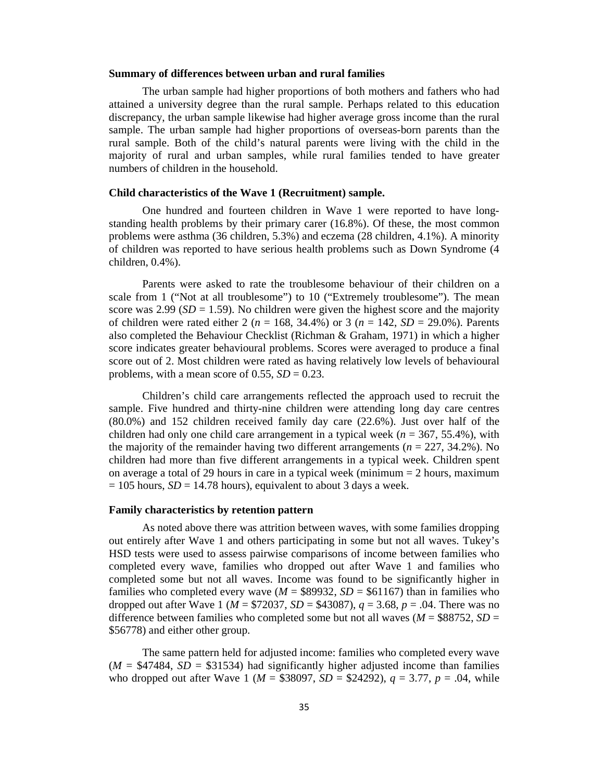## **Summary of differences between urban and rural families**

The urban sample had higher proportions of both mothers and fathers who had attained a university degree than the rural sample. Perhaps related to this education discrepancy, the urban sample likewise had higher average gross income than the rural sample. The urban sample had higher proportions of overseas-born parents than the rural sample. Both of the child's natural parents were living with the child in the majority of rural and urban samples, while rural families tended to have greater numbers of children in the household.

## **Child characteristics of the Wave 1 (Recruitment) sample.**

One hundred and fourteen children in Wave 1 were reported to have longstanding health problems by their primary carer (16.8%). Of these, the most common problems were asthma (36 children, 5.3%) and eczema (28 children, 4.1%). A minority of children was reported to have serious health problems such as Down Syndrome (4 children, 0.4%).

Parents were asked to rate the troublesome behaviour of their children on a scale from 1 ("Not at all troublesome") to 10 ("Extremely troublesome"). The mean score was  $2.99$  (*SD* = 1.59). No children were given the highest score and the majority of children were rated either 2 ( $n = 168, 34.4\%$ ) or 3 ( $n = 142, SD = 29.0\%$ ). Parents also completed the Behaviour Checklist (Richman & Graham, 1971) in which a higher score indicates greater behavioural problems. Scores were averaged to produce a final score out of 2. Most children were rated as having relatively low levels of behavioural problems, with a mean score of 0.55,  $SD = 0.23$ .

Children's child care arrangements reflected the approach used to recruit the sample. Five hundred and thirty-nine children were attending long day care centres (80.0%) and 152 children received family day care (22.6%). Just over half of the children had only one child care arrangement in a typical week ( $n = 367, 55.4\%$ ), with the majority of the remainder having two different arrangements ( $n = 227, 34.2\%$ ). No children had more than five different arrangements in a typical week. Children spent on average a total of 29 hours in care in a typical week (minimum  $= 2$  hours, maximum  $= 105$  hours,  $SD = 14.78$  hours), equivalent to about 3 days a week.

# **Family characteristics by retention pattern**

As noted above there was attrition between waves, with some families dropping out entirely after Wave 1 and others participating in some but not all waves. Tukey's HSD tests were used to assess pairwise comparisons of income between families who completed every wave, families who dropped out after Wave 1 and families who completed some but not all waves. Income was found to be significantly higher in families who completed every wave  $(M = $89932, SD = $61167)$  than in families who dropped out after Wave 1 ( $M = $72037$ ,  $SD = $43087$ ),  $q = 3.68$ ,  $p = .04$ . There was no difference between families who completed some but not all waves ( $M = $88752$ ,  $SD =$ \$56778) and either other group.

The same pattern held for adjusted income: families who completed every wave  $(M = $47484, SD = $31534)$  had significantly higher adjusted income than families who dropped out after Wave 1 ( $M = $38097$ ,  $SD = $24292$ ),  $q = 3.77$ ,  $p = .04$ , while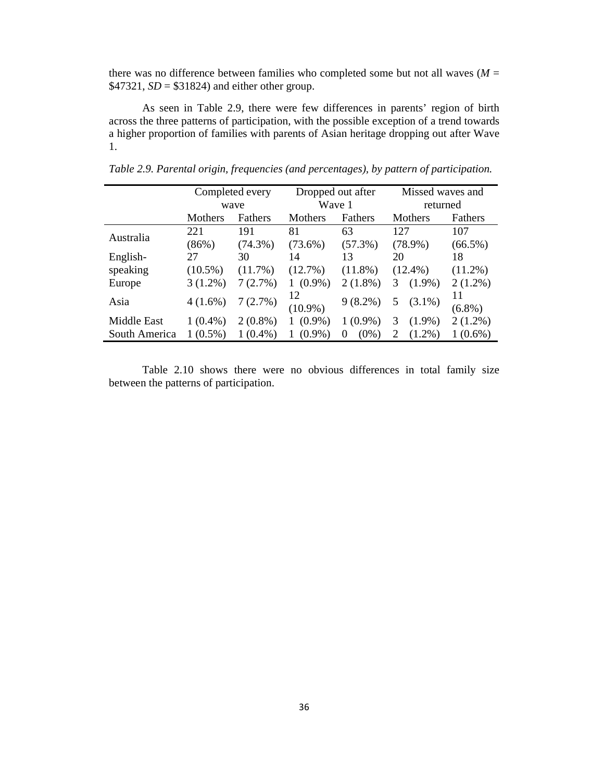there was no difference between families who completed some but not all waves  $(M =$ \$47321,  $SD = $31824$ ) and either other group.

As seen in Table 2.9, there were few differences in parents' region of birth across the three patterns of participation, with the possible exception of a trend towards a higher proportion of families with parents of Asian heritage dropping out after Wave 1.

|               | Completed every |                | Dropped out after |              | Missed waves and |                 |
|---------------|-----------------|----------------|-------------------|--------------|------------------|-----------------|
|               |                 | wave           | Wave 1            |              | returned         |                 |
|               | Mothers         | <b>Fathers</b> | Mothers           | Fathers      | Mothers          | Fathers         |
|               | 221             | 191            | 81                | 63           | 127              | 107             |
| Australia     | (86%)           | $(74.3\%)$     | $(73.6\%)$        | $(57.3\%)$   | $(78.9\%)$       | $(66.5\%)$      |
| English-      | 27              | 30             | 14                | 13           | 20               | 18              |
| speaking      | $(10.5\%)$      | (11.7%)        | (12.7%)           | $(11.8\%)$   | $(12.4\%)$       | $(11.2\%)$      |
| Europe        | $3(1.2\%)$      | 7(2.7%)        | $(0.9\%)$         | $2(1.8\%)$   | $(1.9\%)$<br>3   | $2(1.2\%)$      |
| Asia          | $4(1.6\%)$      | 7(2.7%)        | 12<br>$(10.9\%)$  | $9(8.2\%)$   | $(3.1\%)$<br>5   | 11<br>$(6.8\%)$ |
| Middle East   | $1(0.4\%)$      | $2(0.8\%)$     | $(0.9\%)$<br>1    | $1(0.9\%)$   | $(1.9\%)$<br>3   | $2(1.2\%)$      |
| South America | $(0.5\%)$       | $1(0.4\%)$     | $(0.9\%)$         | $(0\%)$<br>0 | $(1.2\%)$<br>2   | $1(0.6\%)$      |

*Table 2.9. Parental origin, frequencies (and percentages), by pattern of participation.* 

Table 2.10 shows there were no obvious differences in total family size between the patterns of participation.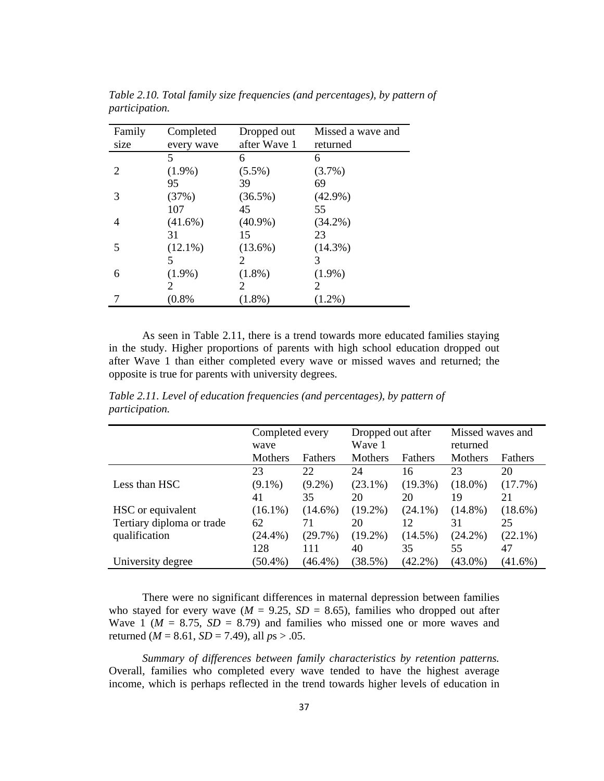| Family | Completed  | Dropped out  | Missed a wave and     |
|--------|------------|--------------|-----------------------|
| size   | every wave | after Wave 1 | returned              |
|        | 5          | 6            | 6                     |
| 2      | $(1.9\%)$  | $(5.5\%)$    | $(3.7\%)$             |
|        | 95         | 39           | 69                    |
| 3      | (37%)      | (36.5%)      | $(42.9\%)$            |
|        | 107        | 45           | 55                    |
| 4      | $(41.6\%)$ | $(40.9\%)$   | $(34.2\%)$            |
|        | 31         | 15           | 23                    |
| 5      | $(12.1\%)$ | $(13.6\%)$   | $(14.3\%)$            |
|        | 5          | 2            | 3                     |
| 6      | $(1.9\%)$  | $(1.8\%)$    | $(1.9\%)$             |
|        | 2          | 2            | $\mathcal{D}_{\cdot}$ |
|        | (0.8%      | $(1.8\%)$    | $(1.2\%)$             |

*Table 2.10. Total family size frequencies (and percentages), by pattern of participation.* 

As seen in Table 2.11, there is a trend towards more educated families staying in the study. Higher proportions of parents with high school education dropped out after Wave 1 than either completed every wave or missed waves and returned; the opposite is true for parents with university degrees.

|                           | Completed every |            | Dropped out after |            | Missed waves and |                |
|---------------------------|-----------------|------------|-------------------|------------|------------------|----------------|
|                           | wave            |            | Wave 1            |            | returned         |                |
|                           | Mothers         | Fathers    | Mothers           | Fathers    | Mothers          | <b>Fathers</b> |
|                           | 23              | 22         | 24                | 16         | 23               | 20             |
| Less than HSC             | $(9.1\%)$       | $(9.2\%)$  | $(23.1\%)$        | $(19.3\%)$ | $(18.0\%)$       | $(17.7\%)$     |
|                           | 41              | 35         | 20                | 20         | 19               | 21             |
| HSC or equivalent         | $(16.1\%)$      | $(14.6\%)$ | $(19.2\%)$        | $(24.1\%)$ | $(14.8\%)$       | $(18.6\%)$     |
| Tertiary diploma or trade | 62              | 71         | 20                | 12         | 31               | 25             |
| qualification             | $(24.4\%)$      | (29.7%)    | $(19.2\%)$        | $(14.5\%)$ | $(24.2\%)$       | $(22.1\%)$     |
|                           | 128             | 111        | 40                | 35         | 55               | 47             |
| University degree         | $(50.4\%)$      | $(46.4\%)$ | (38.5%)           | $(42.2\%)$ | $(43.0\%)$       | $(41.6\%)$     |

*Table 2.11. Level of education frequencies (and percentages), by pattern of participation.* 

There were no significant differences in maternal depression between families who stayed for every wave ( $M = 9.25$ ,  $SD = 8.65$ ), families who dropped out after Wave 1 ( $M = 8.75$ ,  $SD = 8.79$ ) and families who missed one or more waves and returned ( $M = 8.61$ ,  $SD = 7.49$ ), all  $ps > .05$ .

*Summary of differences between family characteristics by retention patterns.* Overall, families who completed every wave tended to have the highest average income, which is perhaps reflected in the trend towards higher levels of education in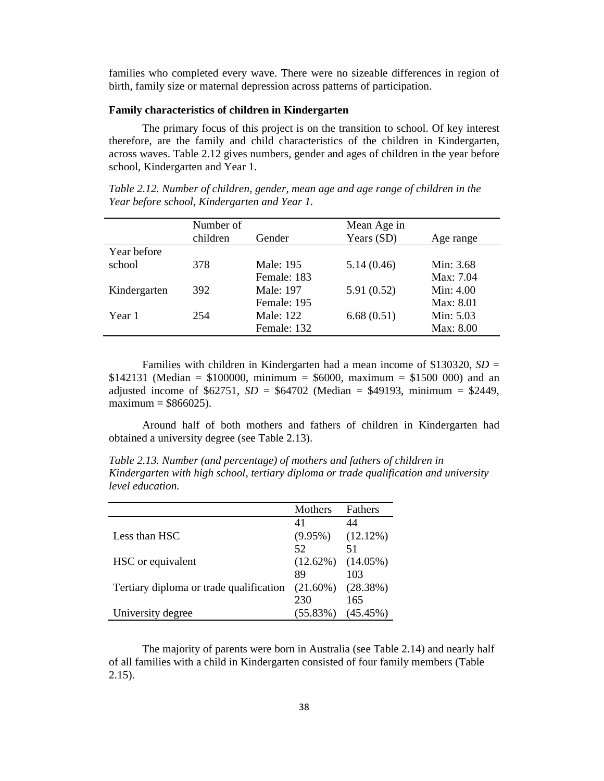families who completed every wave. There were no sizeable differences in region of birth, family size or maternal depression across patterns of participation.

### **Family characteristics of children in Kindergarten**

The primary focus of this project is on the transition to school. Of key interest therefore, are the family and child characteristics of the children in Kindergarten, across waves. Table 2.12 gives numbers, gender and ages of children in the year before school, Kindergarten and Year 1.

*Table 2.12. Number of children, gender, mean age and age range of children in the Year before school, Kindergarten and Year 1.* 

|              | Number of |             | Mean Age in |             |
|--------------|-----------|-------------|-------------|-------------|
|              | children  | Gender      | Years (SD)  | Age range   |
| Year before  |           |             |             |             |
| school       | 378       | Male: 195   | 5.14(0.46)  | Min: 3.68   |
|              |           | Female: 183 |             | Max: 7.04   |
| Kindergarten | 392       | Male: 197   | 5.91(0.52)  | Min: $4.00$ |
|              |           | Female: 195 |             | Max: 8.01   |
| Year 1       | 254       | Male: 122   | 6.68(0.51)  | Min: 5.03   |
|              |           | Female: 132 |             | Max: 8.00   |

Families with children in Kindergarten had a mean income of \$130320, *SD* =  $$142131$  (Median = \$100000, minimum = \$6000, maximum = \$1500 000) and an adjusted income of  $$62751$ ,  $SD = $64702$  (Median = \$49193, minimum = \$2449, maximum  $=$  \$866025).

Around half of both mothers and fathers of children in Kindergarten had obtained a university degree (see Table 2.13).

*Table 2.13. Number (and percentage) of mothers and fathers of children in Kindergarten with high school, tertiary diploma or trade qualification and university level education.* 

|                                         | Mothers     | Fathers     |
|-----------------------------------------|-------------|-------------|
|                                         | 41          | 44          |
| Less than HSC                           | $(9.95\%)$  | (12.12%)    |
|                                         | 52          | 51          |
| HSC or equivalent                       | $(12.62\%)$ | $(14.05\%)$ |
|                                         | 89          | 103         |
| Tertiary diploma or trade qualification | $(21.60\%)$ | (28.38%)    |
|                                         | 230         | 165         |
| University degree                       | $(55.83\%)$ | (45.45%)    |

The majority of parents were born in Australia (see Table 2.14) and nearly half of all families with a child in Kindergarten consisted of four family members (Table 2.15).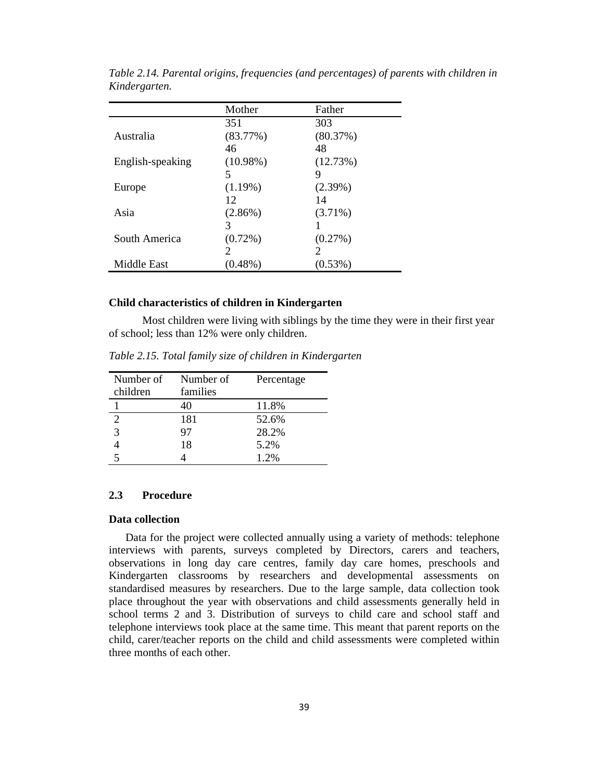|                  | Mother                        | Father                      |
|------------------|-------------------------------|-----------------------------|
|                  | 351                           | 303                         |
| Australia        | (83.77%)                      | (80.37%)                    |
|                  | 46                            | 48                          |
| English-speaking | $(10.98\%)$                   | (12.73%)                    |
|                  | 5                             | 9                           |
| Europe           | $(1.19\%)$                    | $(2.39\%)$                  |
|                  | 12                            | 14                          |
| Asia             | $(2.86\%)$                    | $(3.71\%)$                  |
|                  | 3                             |                             |
| South America    | $(0.72\%)$                    | (0.27%)                     |
|                  | $\mathfrak{D}_{\mathfrak{p}}$ | $\mathcal{D}_{\mathcal{L}}$ |
| Middle East      | $(0.48\%)$                    | (0.53%)                     |

*Table 2.14. Parental origins, frequencies (and percentages) of parents with children in Kindergarten.* 

#### **Child characteristics of children in Kindergarten**

Most children were living with siblings by the time they were in their first year of school; less than 12% were only children.

| children | Number of Number of<br>families | Percentage |
|----------|---------------------------------|------------|
|          | 40                              | 11.8%      |
|          | 181                             | 52.6%      |
|          | 97                              | 28.2%      |
|          | 18                              | 5.2%       |
|          |                                 | 1.2%       |

*Table 2.15. Total family size of children in Kindergarten* 

#### **2.3 Procedure**

#### **Data collection**

Data for the project were collected annually using a variety of methods: telephone interviews with parents, surveys completed by Directors, carers and teachers, observations in long day care centres, family day care homes, preschools and Kindergarten classrooms by researchers and developmental assessments on standardised measures by researchers. Due to the large sample, data collection took place throughout the year with observations and child assessments generally held in school terms 2 and 3. Distribution of surveys to child care and school staff and telephone interviews took place at the same time. This meant that parent reports on the child, carer/teacher reports on the child and child assessments were completed within three months of each other.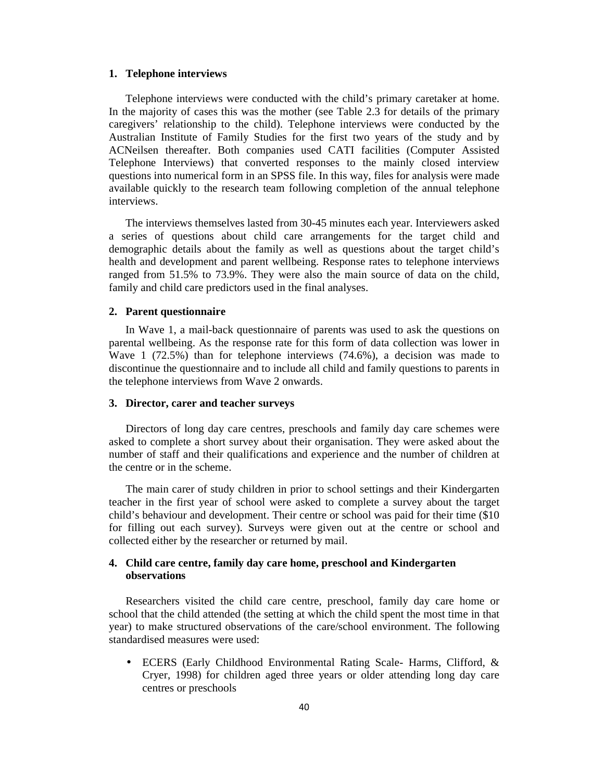#### **1. Telephone interviews**

Telephone interviews were conducted with the child's primary caretaker at home. In the majority of cases this was the mother (see Table 2.3 for details of the primary caregivers' relationship to the child). Telephone interviews were conducted by the Australian Institute of Family Studies for the first two years of the study and by ACNeilsen thereafter. Both companies used CATI facilities (Computer Assisted Telephone Interviews) that converted responses to the mainly closed interview questions into numerical form in an SPSS file. In this way, files for analysis were made available quickly to the research team following completion of the annual telephone interviews.

The interviews themselves lasted from 30-45 minutes each year. Interviewers asked a series of questions about child care arrangements for the target child and demographic details about the family as well as questions about the target child's health and development and parent wellbeing. Response rates to telephone interviews ranged from 51.5% to 73.9%. They were also the main source of data on the child, family and child care predictors used in the final analyses.

#### **2. Parent questionnaire**

In Wave 1, a mail-back questionnaire of parents was used to ask the questions on parental wellbeing. As the response rate for this form of data collection was lower in Wave 1 (72.5%) than for telephone interviews (74.6%), a decision was made to discontinue the questionnaire and to include all child and family questions to parents in the telephone interviews from Wave 2 onwards.

#### **3. Director, carer and teacher surveys**

Directors of long day care centres, preschools and family day care schemes were asked to complete a short survey about their organisation. They were asked about the number of staff and their qualifications and experience and the number of children at the centre or in the scheme.

The main carer of study children in prior to school settings and their Kindergarten teacher in the first year of school were asked to complete a survey about the target child's behaviour and development. Their centre or school was paid for their time (\$10 for filling out each survey). Surveys were given out at the centre or school and collected either by the researcher or returned by mail.

## **4. Child care centre, family day care home, preschool and Kindergarten observations**

Researchers visited the child care centre, preschool, family day care home or school that the child attended (the setting at which the child spent the most time in that year) to make structured observations of the care/school environment. The following standardised measures were used:

• ECERS (Early Childhood Environmental Rating Scale- Harms, Clifford, & Cryer, 1998) for children aged three years or older attending long day care centres or preschools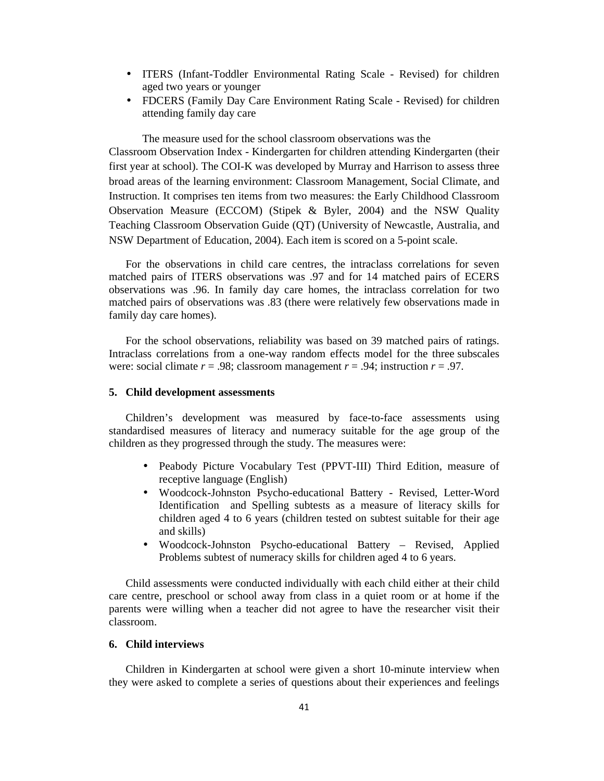- ITERS (Infant-Toddler Environmental Rating Scale Revised) for children aged two years or younger
- FDCERS (Family Day Care Environment Rating Scale Revised) for children attending family day care

The measure used for the school classroom observations was the

Classroom Observation Index - Kindergarten for children attending Kindergarten (their first year at school). The COI-K was developed by Murray and Harrison to assess three broad areas of the learning environment: Classroom Management, Social Climate, and Instruction. It comprises ten items from two measures: the Early Childhood Classroom Observation Measure (ECCOM) (Stipek & Byler, 2004) and the NSW Quality Teaching Classroom Observation Guide (QT) (University of Newcastle, Australia, and NSW Department of Education, 2004). Each item is scored on a 5-point scale.

For the observations in child care centres, the intraclass correlations for seven matched pairs of ITERS observations was .97 and for 14 matched pairs of ECERS observations was .96. In family day care homes, the intraclass correlation for two matched pairs of observations was .83 (there were relatively few observations made in family day care homes).

For the school observations, reliability was based on 39 matched pairs of ratings. Intraclass correlations from a one-way random effects model for the three subscales were: social climate  $r = .98$ ; classroom management  $r = .94$ ; instruction  $r = .97$ .

### **5. Child development assessments**

Children's development was measured by face-to-face assessments using standardised measures of literacy and numeracy suitable for the age group of the children as they progressed through the study. The measures were:

- Peabody Picture Vocabulary Test (PPVT-III) Third Edition, measure of receptive language (English)
- Woodcock-Johnston Psycho-educational Battery Revised, Letter-Word Identification and Spelling subtests as a measure of literacy skills for children aged 4 to 6 years (children tested on subtest suitable for their age and skills)
- Woodcock-Johnston Psycho-educational Battery Revised, Applied Problems subtest of numeracy skills for children aged 4 to 6 years.

Child assessments were conducted individually with each child either at their child care centre, preschool or school away from class in a quiet room or at home if the parents were willing when a teacher did not agree to have the researcher visit their classroom.

#### **6. Child interviews**

Children in Kindergarten at school were given a short 10-minute interview when they were asked to complete a series of questions about their experiences and feelings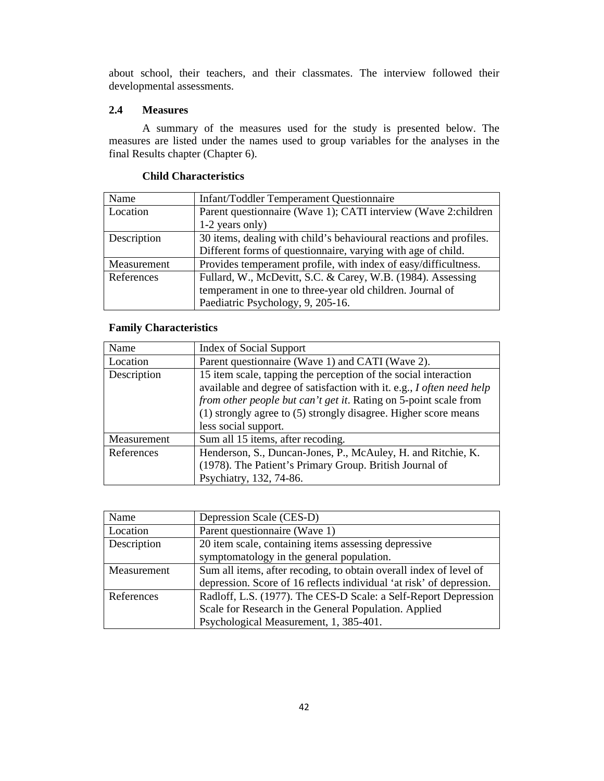about school, their teachers, and their classmates. The interview followed their developmental assessments.

## **2.4 Measures**

A summary of the measures used for the study is presented below. The measures are listed under the names used to group variables for the analyses in the final Results chapter (Chapter 6).

| Name        | Infant/Toddler Temperament Questionnaire                           |
|-------------|--------------------------------------------------------------------|
| Location    | Parent questionnaire (Wave 1); CATI interview (Wave 2: children    |
|             | 1-2 years only)                                                    |
| Description | 30 items, dealing with child's behavioural reactions and profiles. |
|             | Different forms of questionnaire, varying with age of child.       |
| Measurement | Provides temperament profile, with index of easy/difficultness.    |
| References  | Fullard, W., McDevitt, S.C. & Carey, W.B. (1984). Assessing        |
|             | temperament in one to three-year old children. Journal of          |
|             | Paediatric Psychology, 9, 205-16.                                  |

## **Child Characteristics**

## **Family Characteristics**

| Name        | <b>Index of Social Support</b>                                                                                                                                                                                                                                                                          |
|-------------|---------------------------------------------------------------------------------------------------------------------------------------------------------------------------------------------------------------------------------------------------------------------------------------------------------|
| Location    | Parent questionnaire (Wave 1) and CATI (Wave 2).                                                                                                                                                                                                                                                        |
| Description | 15 item scale, tapping the perception of the social interaction<br>available and degree of satisfaction with it. e.g., I often need help<br>from other people but can't get it. Rating on 5-point scale from<br>(1) strongly agree to (5) strongly disagree. Higher score means<br>less social support. |
| Measurement | Sum all 15 items, after recoding.                                                                                                                                                                                                                                                                       |
| References  | Henderson, S., Duncan-Jones, P., McAuley, H. and Ritchie, K.<br>(1978). The Patient's Primary Group. British Journal of<br>Psychiatry, 132, 74-86.                                                                                                                                                      |

| Name        | Depression Scale (CES-D)                                             |
|-------------|----------------------------------------------------------------------|
| Location    | Parent questionnaire (Wave 1)                                        |
| Description | 20 item scale, containing items assessing depressive                 |
|             | symptomatology in the general population.                            |
| Measurement | Sum all items, after recoding, to obtain overall index of level of   |
|             | depression. Score of 16 reflects individual 'at risk' of depression. |
| References  | Radloff, L.S. (1977). The CES-D Scale: a Self-Report Depression      |
|             | Scale for Research in the General Population. Applied                |
|             | Psychological Measurement, 1, 385-401.                               |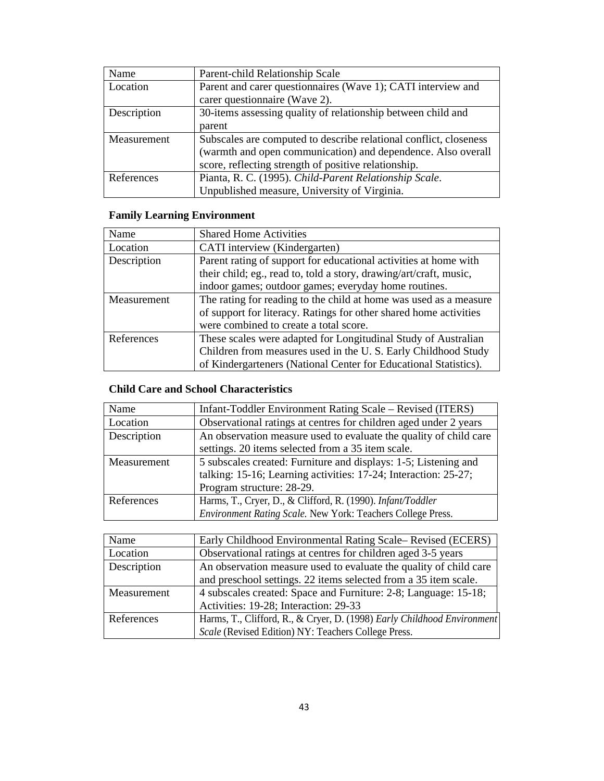| Name        | Parent-child Relationship Scale                                   |
|-------------|-------------------------------------------------------------------|
| Location    | Parent and carer questionnaires (Wave 1); CATI interview and      |
|             | carer questionnaire (Wave 2).                                     |
| Description | 30-items assessing quality of relationship between child and      |
|             | parent                                                            |
| Measurement | Subscales are computed to describe relational conflict, closeness |
|             | (warmth and open communication) and dependence. Also overall      |
|             | score, reflecting strength of positive relationship.              |
| References  | Pianta, R. C. (1995). Child-Parent Relationship Scale.            |
|             | Unpublished measure, University of Virginia.                      |

# **Family Learning Environment**

| Name        | <b>Shared Home Activities</b>                                      |
|-------------|--------------------------------------------------------------------|
| Location    | CATI interview (Kindergarten)                                      |
| Description | Parent rating of support for educational activities at home with   |
|             | their child; eg., read to, told a story, drawing/art/craft, music, |
|             | indoor games; outdoor games; everyday home routines.               |
| Measurement | The rating for reading to the child at home was used as a measure  |
|             | of support for literacy. Ratings for other shared home activities  |
|             | were combined to create a total score.                             |
| References  | These scales were adapted for Longitudinal Study of Australian     |
|             | Children from measures used in the U.S. Early Childhood Study      |
|             | of Kindergarteners (National Center for Educational Statistics).   |

# **Child Care and School Characteristics**

| Name        | Infant-Toddler Environment Rating Scale - Revised (ITERS)         |
|-------------|-------------------------------------------------------------------|
| Location    | Observational ratings at centres for children aged under 2 years  |
| Description | An observation measure used to evaluate the quality of child care |
|             | settings. 20 items selected from a 35 item scale.                 |
| Measurement | 5 subscales created: Furniture and displays: 1-5; Listening and   |
|             | talking: 15-16; Learning activities: 17-24; Interaction: 25-27;   |
|             | Program structure: 28-29.                                         |
| References  | Harms, T., Cryer, D., & Clifford, R. (1990). Infant/Toddler       |
|             | Environment Rating Scale. New York: Teachers College Press.       |

| Name        | Early Childhood Environmental Rating Scale– Revised (ECERS)             |
|-------------|-------------------------------------------------------------------------|
| Location    | Observational ratings at centres for children aged 3-5 years            |
| Description | An observation measure used to evaluate the quality of child care       |
|             | and preschool settings. 22 items selected from a 35 item scale.         |
| Measurement | 4 subscales created: Space and Furniture: 2-8; Language: 15-18;         |
|             | Activities: 19-28; Interaction: 29-33                                   |
| References  | Harms, T., Clifford, R., & Cryer, D. (1998) Early Childhood Environment |
|             | Scale (Revised Edition) NY: Teachers College Press.                     |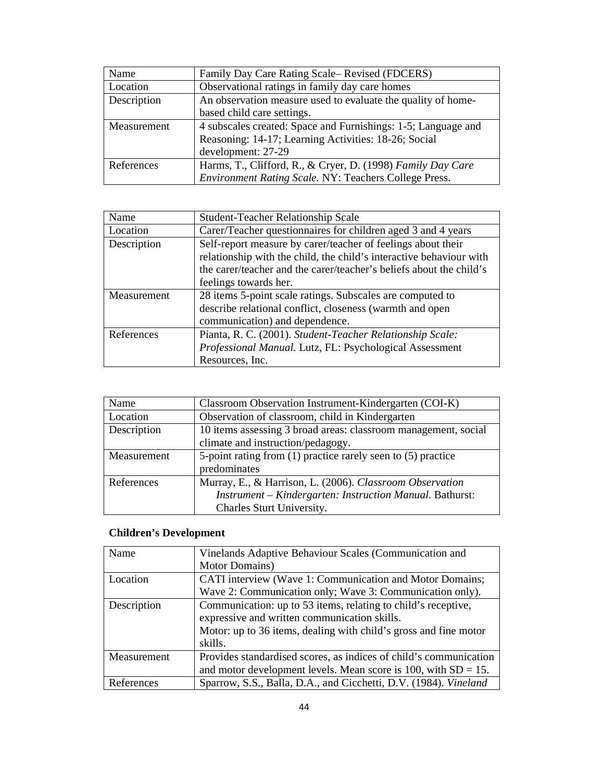| Name        | Family Day Care Rating Scale– Revised (FDCERS)                |
|-------------|---------------------------------------------------------------|
| Location    | Observational ratings in family day care homes                |
| Description | An observation measure used to evaluate the quality of home-  |
|             | based child care settings.                                    |
| Measurement | 4 subscales created: Space and Furnishings: 1-5; Language and |
|             | Reasoning: 14-17; Learning Activities: 18-26; Social          |
|             | development: 27-29                                            |
| References  | Harms, T., Clifford, R., & Cryer, D. (1998) Family Day Care   |
|             | Environment Rating Scale. NY: Teachers College Press.         |

| Name        | <b>Student-Teacher Relationship Scale</b>                           |
|-------------|---------------------------------------------------------------------|
| Location    | Carer/Teacher questionnaires for children aged 3 and 4 years        |
| Description | Self-report measure by carer/teacher of feelings about their        |
|             | relationship with the child, the child's interactive behaviour with |
|             | the carer/teacher and the carer/teacher's beliefs about the child's |
|             | feelings towards her.                                               |
| Measurement | 28 items 5-point scale ratings. Subscales are computed to           |
|             | describe relational conflict, closeness (warmth and open            |
|             | communication) and dependence.                                      |
| References  | Pianta, R. C. (2001). Student-Teacher Relationship Scale:           |
|             | Professional Manual. Lutz, FL: Psychological Assessment             |
|             | Resources, Inc.                                                     |

| Name        | Classroom Observation Instrument-Kindergarten (COI-K)          |
|-------------|----------------------------------------------------------------|
| Location    | Observation of classroom, child in Kindergarten                |
| Description | 10 items assessing 3 broad areas: classroom management, social |
|             | climate and instruction/pedagogy.                              |
| Measurement | 5-point rating from (1) practice rarely seen to (5) practice   |
|             | predominates                                                   |
| References  | Murray, E., & Harrison, L. (2006). Classroom Observation       |
|             | Instrument - Kindergarten: Instruction Manual. Bathurst:       |
|             | Charles Sturt University.                                      |

# **Children's Development**

| Name        | Vinelands Adaptive Behaviour Scales (Communication and            |
|-------------|-------------------------------------------------------------------|
|             | Motor Domains)                                                    |
| Location    | CATI interview (Wave 1: Communication and Motor Domains;          |
|             | Wave 2: Communication only; Wave 3: Communication only).          |
| Description | Communication: up to 53 items, relating to child's receptive,     |
|             | expressive and written communication skills.                      |
|             | Motor: up to 36 items, dealing with child's gross and fine motor  |
|             | skills.                                                           |
| Measurement | Provides standardised scores, as indices of child's communication |
|             | and motor development levels. Mean score is 100, with $SD = 15$ . |
| References  | Sparrow, S.S., Balla, D.A., and Cicchetti, D.V. (1984). Vineland  |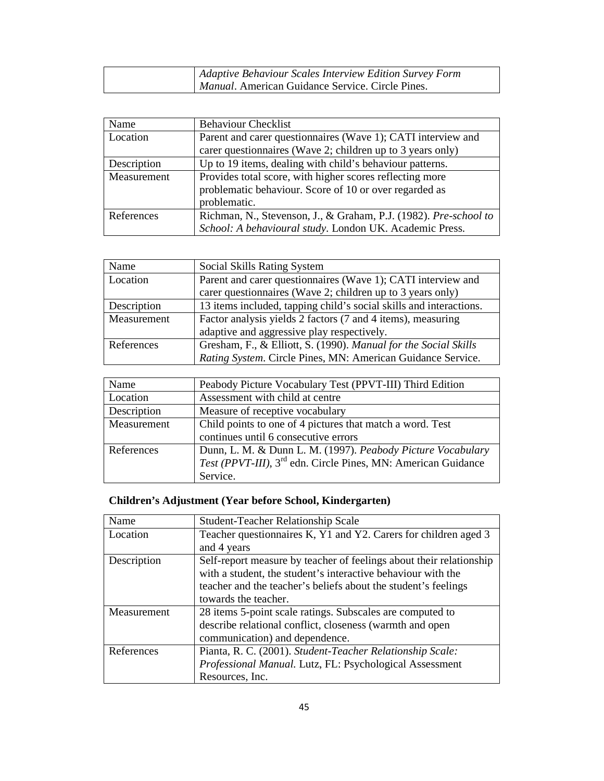| Adaptive Behaviour Scales Interview Edition Survey Form |
|---------------------------------------------------------|
| <i>Manual.</i> American Guidance Service. Circle Pines. |

| Name        | <b>Behaviour Checklist</b>                                       |
|-------------|------------------------------------------------------------------|
| Location    | Parent and carer questionnaires (Wave 1); CATI interview and     |
|             | carer questionnaires (Wave 2; children up to 3 years only)       |
| Description | Up to 19 items, dealing with child's behaviour patterns.         |
| Measurement | Provides total score, with higher scores reflecting more         |
|             | problematic behaviour. Score of 10 or over regarded as           |
|             | problematic.                                                     |
| References  | Richman, N., Stevenson, J., & Graham, P.J. (1982). Pre-school to |
|             | School: A behavioural study. London UK. Academic Press.          |

| Name        | Social Skills Rating System                                        |
|-------------|--------------------------------------------------------------------|
| Location    | Parent and carer questionnaires (Wave 1); CATI interview and       |
|             | carer questionnaires (Wave 2; children up to 3 years only)         |
| Description | 13 items included, tapping child's social skills and interactions. |
| Measurement | Factor analysis yields 2 factors (7 and 4 items), measuring        |
|             | adaptive and aggressive play respectively.                         |
| References  | Gresham, F., & Elliott, S. (1990). Manual for the Social Skills    |
|             | Rating System. Circle Pines, MN: American Guidance Service.        |

| Name        | Peabody Picture Vocabulary Test (PPVT-III) Third Edition                  |
|-------------|---------------------------------------------------------------------------|
| Location    | Assessment with child at centre                                           |
| Description | Measure of receptive vocabulary                                           |
| Measurement | Child points to one of 4 pictures that match a word. Test                 |
|             | continues until 6 consecutive errors                                      |
| References  | Dunn, L. M. & Dunn L. M. (1997). Peabody Picture Vocabulary               |
|             | Test (PPVT-III), 3 <sup>rd</sup> edn. Circle Pines, MN: American Guidance |
|             | Service.                                                                  |

# **Children's Adjustment (Year before School, Kindergarten)**

| Name        | <b>Student-Teacher Relationship Scale</b>                           |
|-------------|---------------------------------------------------------------------|
| Location    | Teacher questionnaires K, Y1 and Y2. Carers for children aged 3     |
|             | and 4 years                                                         |
| Description | Self-report measure by teacher of feelings about their relationship |
|             | with a student, the student's interactive behaviour with the        |
|             | teacher and the teacher's beliefs about the student's feelings      |
|             | towards the teacher.                                                |
| Measurement | 28 items 5-point scale ratings. Subscales are computed to           |
|             | describe relational conflict, closeness (warmth and open            |
|             | communication) and dependence.                                      |
| References  | Pianta, R. C. (2001). Student-Teacher Relationship Scale:           |
|             | Professional Manual. Lutz, FL: Psychological Assessment             |
|             | Resources, Inc.                                                     |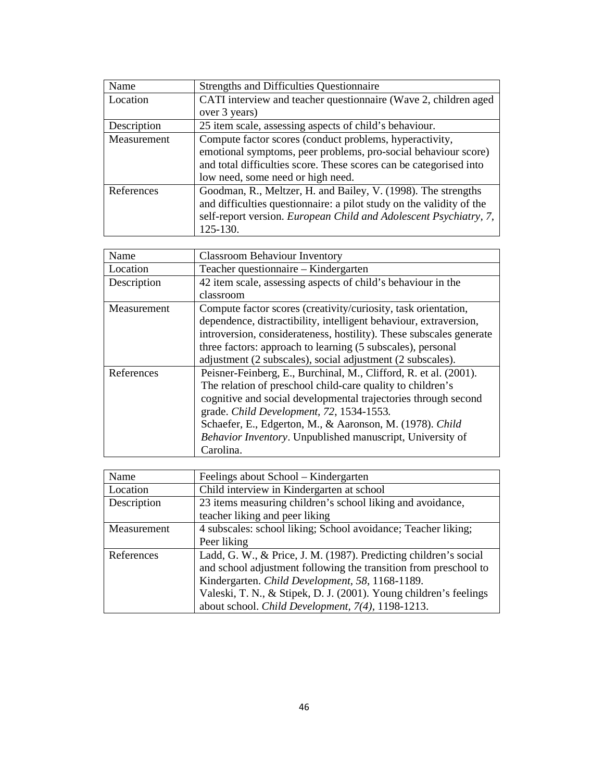| Name        | <b>Strengths and Difficulties Questionnaire</b>                      |
|-------------|----------------------------------------------------------------------|
| Location    | CATI interview and teacher questionnaire (Wave 2, children aged      |
|             | over 3 years)                                                        |
| Description | 25 item scale, assessing aspects of child's behaviour.               |
| Measurement | Compute factor scores (conduct problems, hyperactivity,              |
|             | emotional symptoms, peer problems, pro-social behaviour score)       |
|             | and total difficulties score. These scores can be categorised into   |
|             | low need, some need or high need.                                    |
| References  | Goodman, R., Meltzer, H. and Bailey, V. (1998). The strengths        |
|             | and difficulties questionnaire: a pilot study on the validity of the |
|             | self-report version. European Child and Adolescent Psychiatry, 7,    |
|             | 125-130.                                                             |

| Name        | <b>Classroom Behaviour Inventory</b>                                |
|-------------|---------------------------------------------------------------------|
| Location    | Teacher questionnaire – Kindergarten                                |
| Description | 42 item scale, assessing aspects of child's behaviour in the        |
|             | classroom                                                           |
| Measurement | Compute factor scores (creativity/curiosity, task orientation,      |
|             | dependence, distractibility, intelligent behaviour, extraversion,   |
|             | introversion, considerateness, hostility). These subscales generate |
|             | three factors: approach to learning (5 subscales), personal         |
|             | adjustment (2 subscales), social adjustment (2 subscales).          |
| References  | Peisner-Feinberg, E., Burchinal, M., Clifford, R. et al. (2001).    |
|             | The relation of preschool child-care quality to children's          |
|             | cognitive and social developmental trajectories through second      |
|             | grade. Child Development, 72, 1534-1553.                            |
|             | Schaefer, E., Edgerton, M., & Aaronson, M. (1978). Child            |
|             | Behavior Inventory. Unpublished manuscript, University of           |
|             | Carolina.                                                           |

| Name        | Feelings about School – Kindergarten                              |
|-------------|-------------------------------------------------------------------|
| Location    | Child interview in Kindergarten at school                         |
| Description | 23 items measuring children's school liking and avoidance,        |
|             | teacher liking and peer liking                                    |
| Measurement | 4 subscales: school liking; School avoidance; Teacher liking;     |
|             | Peer liking                                                       |
| References  | Ladd, G. W., & Price, J. M. (1987). Predicting children's social  |
|             | and school adjustment following the transition from preschool to  |
|             | Kindergarten. Child Development, 58, 1168-1189.                   |
|             | Valeski, T. N., & Stipek, D. J. (2001). Young children's feelings |
|             | about school. Child Development, 7(4), 1198-1213.                 |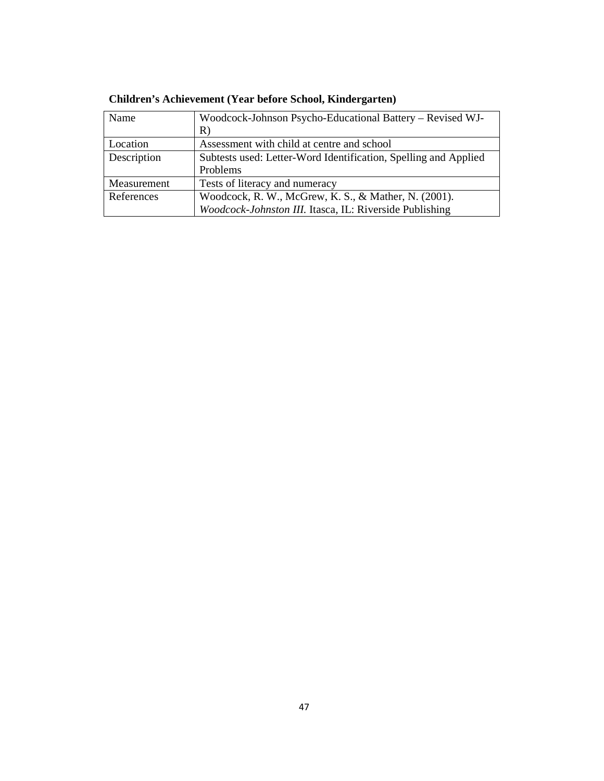| Name        | Woodcock-Johnson Psycho-Educational Battery – Revised WJ-       |
|-------------|-----------------------------------------------------------------|
|             | R)                                                              |
| Location    | Assessment with child at centre and school                      |
| Description | Subtests used: Letter-Word Identification, Spelling and Applied |
|             | Problems                                                        |
| Measurement | Tests of literacy and numeracy                                  |
| References  | Woodcock, R. W., McGrew, K. S., & Mather, N. (2001).            |
|             | Woodcock-Johnston III. Itasca, IL: Riverside Publishing         |

**Children's Achievement (Year before School, Kindergarten)**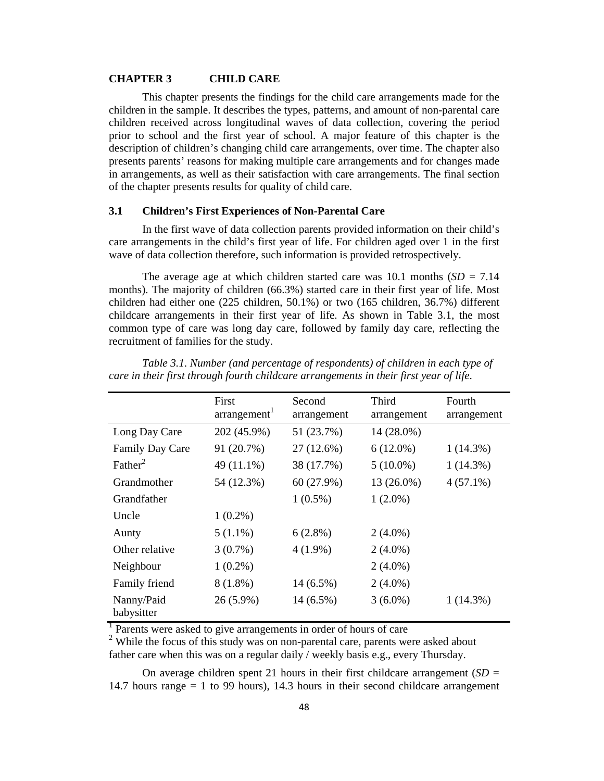#### **CHAPTER 3 CHILD CARE**

This chapter presents the findings for the child care arrangements made for the children in the sample. It describes the types, patterns, and amount of non-parental care children received across longitudinal waves of data collection, covering the period prior to school and the first year of school. A major feature of this chapter is the description of children's changing child care arrangements, over time. The chapter also presents parents' reasons for making multiple care arrangements and for changes made in arrangements, as well as their satisfaction with care arrangements. The final section of the chapter presents results for quality of child care.

## **3.1 Children's First Experiences of Non-Parental Care**

In the first wave of data collection parents provided information on their child's care arrangements in the child's first year of life. For children aged over 1 in the first wave of data collection therefore, such information is provided retrospectively.

The average age at which children started care was 10.1 months  $(SD = 7.14)$ months). The majority of children (66.3%) started care in their first year of life. Most children had either one (225 children, 50.1%) or two (165 children, 36.7%) different childcare arrangements in their first year of life. As shown in Table 3.1, the most common type of care was long day care, followed by family day care, reflecting the recruitment of families for the study.

|                          | First<br>arrangement <sup>1</sup> | Second<br>arrangement | Third<br>arrangement | Fourth<br>arrangement |
|--------------------------|-----------------------------------|-----------------------|----------------------|-----------------------|
| Long Day Care            | 202 (45.9%)                       | 51 (23.7%)            | 14 (28.0%)           |                       |
| Family Day Care          | 91 (20.7%)                        | 27 (12.6%)            | $6(12.0\%)$          | $1(14.3\%)$           |
| Father <sup>2</sup>      | 49 (11.1%)                        | 38 (17.7%)            | $5(10.0\%)$          | 1(14.3%)              |
| Grandmother              | 54 (12.3%)                        | 60 (27.9%)            | 13 (26.0%)           | $4(57.1\%)$           |
| Grandfather              |                                   | $1(0.5\%)$            | $1(2.0\%)$           |                       |
| Uncle                    | $1(0.2\%)$                        |                       |                      |                       |
| Aunty                    | $5(1.1\%)$                        | $6(2.8\%)$            | $2(4.0\%)$           |                       |
| Other relative           | $3(0.7\%)$                        | $4(1.9\%)$            | $2(4.0\%)$           |                       |
| Neighbour                | $1(0.2\%)$                        |                       | $2(4.0\%)$           |                       |
| Family friend            | $8(1.8\%)$                        | $14(6.5\%)$           | $2(4.0\%)$           |                       |
| Nanny/Paid<br>babysitter | 26 (5.9%)                         | 14 (6.5%)             | $3(6.0\%)$           | 1(14.3%)              |

*Table 3.1. Number (and percentage of respondents) of children in each type of care in their first through fourth childcare arrangements in their first year of life.* 

<sup>1</sup> Parents were asked to give arrangements in order of hours of care

<sup>2</sup> While the focus of this study was on non-parental care, parents were asked about father care when this was on a regular daily / weekly basis e.g., every Thursday.

On average children spent 21 hours in their first childcare arrangement  $(SD =$ 14.7 hours range = 1 to 99 hours), 14.3 hours in their second childcare arrangement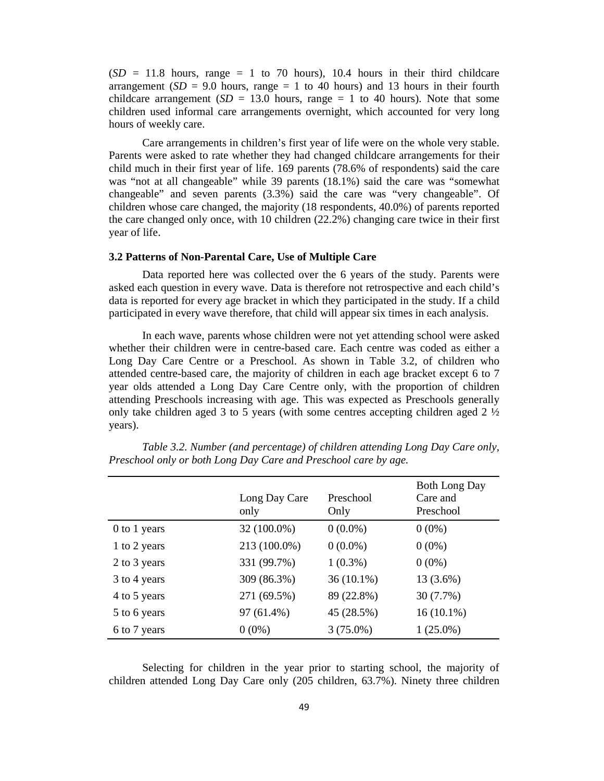$(SD = 11.8$  hours, range  $= 1$  to 70 hours), 10.4 hours in their third childcare arrangement  $(SD = 9.0$  hours, range  $= 1$  to 40 hours) and 13 hours in their fourth childcare arrangement ( $SD = 13.0$  hours, range  $= 1$  to 40 hours). Note that some children used informal care arrangements overnight, which accounted for very long hours of weekly care.

Care arrangements in children's first year of life were on the whole very stable. Parents were asked to rate whether they had changed childcare arrangements for their child much in their first year of life. 169 parents (78.6% of respondents) said the care was "not at all changeable" while 39 parents (18.1%) said the care was "somewhat changeable" and seven parents (3.3%) said the care was "very changeable". Of children whose care changed, the majority (18 respondents, 40.0%) of parents reported the care changed only once, with 10 children (22.2%) changing care twice in their first year of life.

#### **3.2 Patterns of Non-Parental Care, Use of Multiple Care**

Data reported here was collected over the 6 years of the study. Parents were asked each question in every wave. Data is therefore not retrospective and each child's data is reported for every age bracket in which they participated in the study. If a child participated in every wave therefore, that child will appear six times in each analysis.

In each wave, parents whose children were not yet attending school were asked whether their children were in centre-based care. Each centre was coded as either a Long Day Care Centre or a Preschool. As shown in Table 3.2, of children who attended centre-based care, the majority of children in each age bracket except 6 to 7 year olds attended a Long Day Care Centre only, with the proportion of children attending Preschools increasing with age. This was expected as Preschools generally only take children aged 3 to 5 years (with some centres accepting children aged 2 ½ years).

|              | Long Day Care<br>only | Preschool<br>Only | <b>Both Long Day</b><br>Care and<br>Preschool |
|--------------|-----------------------|-------------------|-----------------------------------------------|
| 0 to 1 years | 32 (100.0%)           | $0(0.0\%)$        | $0(0\%)$                                      |
| 1 to 2 years | 213 (100.0%)          | $0(0.0\%)$        | $0(0\%)$                                      |
| 2 to 3 years | 331 (99.7%)           | $1(0.3\%)$        | $0(0\%)$                                      |
| 3 to 4 years | 309 (86.3%)           | $36(10.1\%)$      | $13(3.6\%)$                                   |
| 4 to 5 years | 271 (69.5%)           | 89 (22.8%)        | 30 (7.7%)                                     |
| 5 to 6 years | 97 (61.4%)            | 45 (28.5%)        | $16(10.1\%)$                                  |
| 6 to 7 years | $0(0\%)$              | $3(75.0\%)$       | $1(25.0\%)$                                   |

*Table 3.2. Number (and percentage) of children attending Long Day Care only, Preschool only or both Long Day Care and Preschool care by age.* 

Selecting for children in the year prior to starting school, the majority of children attended Long Day Care only (205 children, 63.7%). Ninety three children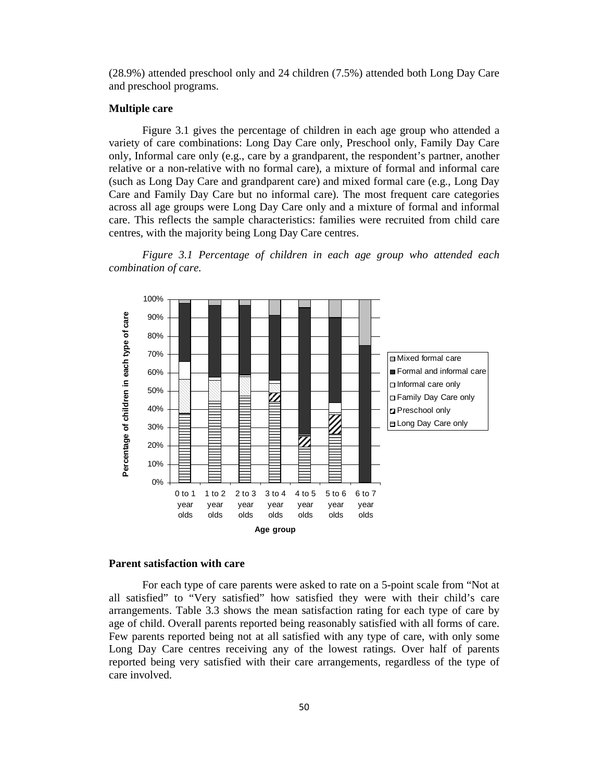(28.9%) attended preschool only and 24 children (7.5%) attended both Long Day Care and preschool programs.

#### **Multiple care**

Figure 3.1 gives the percentage of children in each age group who attended a variety of care combinations: Long Day Care only, Preschool only, Family Day Care only, Informal care only (e.g., care by a grandparent, the respondent's partner, another relative or a non-relative with no formal care), a mixture of formal and informal care (such as Long Day Care and grandparent care) and mixed formal care (e.g., Long Day Care and Family Day Care but no informal care). The most frequent care categories across all age groups were Long Day Care only and a mixture of formal and informal care. This reflects the sample characteristics: families were recruited from child care centres, with the majority being Long Day Care centres.

*Figure 3.1 Percentage of children in each age group who attended each combination of care.* 



#### **Parent satisfaction with care**

For each type of care parents were asked to rate on a 5-point scale from "Not at all satisfied" to "Very satisfied" how satisfied they were with their child's care arrangements. Table 3.3 shows the mean satisfaction rating for each type of care by age of child. Overall parents reported being reasonably satisfied with all forms of care. Few parents reported being not at all satisfied with any type of care, with only some Long Day Care centres receiving any of the lowest ratings. Over half of parents reported being very satisfied with their care arrangements, regardless of the type of care involved.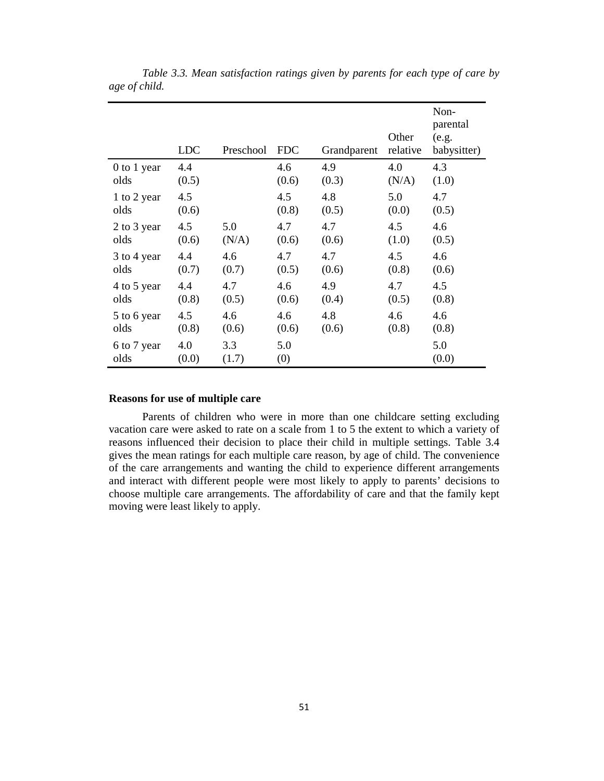|                     | <b>LDC</b>   | Preschool    | <b>FDC</b> | Grandparent | Other<br>relative | Non-<br>parental<br>(e.g.<br>babysitter) |
|---------------------|--------------|--------------|------------|-------------|-------------------|------------------------------------------|
| 0 to 1 year         | 4.4          |              | 4.6        | 4.9         | 4.0               | 4.3                                      |
| olds                | (0.5)        |              | (0.6)      | (0.3)       | (N/A)             | (1.0)                                    |
| 1 to 2 year         | 4.5          |              | 4.5        | 4.8         | 5.0               | 4.7                                      |
| olds                | (0.6)        |              | (0.8)      | (0.5)       | (0.0)             | (0.5)                                    |
| 2 to 3 year         | 4.5          | 5.0          | 4.7        | 4.7         | 4.5               | 4.6                                      |
| olds                | (0.6)        | (N/A)        | (0.6)      | (0.6)       | (1.0)             | (0.5)                                    |
| 3 to 4 year         | 4.4          | 4.6          | 4.7        | 4.7         | 4.5               | 4.6                                      |
| olds                | (0.7)        | (0.7)        | (0.5)      | (0.6)       | (0.8)             | (0.6)                                    |
| 4 to 5 year         | 4.4          | 4.7          | 4.6        | 4.9         | 4.7               | 4.5                                      |
| olds                | (0.8)        | (0.5)        | (0.6)      | (0.4)       | (0.5)             | (0.8)                                    |
| 5 to 6 year         | 4.5          | 4.6          | 4.6        | 4.8         | 4.6               | 4.6                                      |
| olds                | (0.8)        | (0.6)        | (0.6)      | (0.6)       | (0.8)             | (0.8)                                    |
| 6 to 7 year<br>olds | 4.0<br>(0.0) | 3.3<br>(1.7) | 5.0<br>(0) |             |                   | 5.0<br>(0.0)                             |

*Table 3.3. Mean satisfaction ratings given by parents for each type of care by age of child.* 

#### **Reasons for use of multiple care**

Parents of children who were in more than one childcare setting excluding vacation care were asked to rate on a scale from 1 to 5 the extent to which a variety of reasons influenced their decision to place their child in multiple settings. Table 3.4 gives the mean ratings for each multiple care reason, by age of child. The convenience of the care arrangements and wanting the child to experience different arrangements and interact with different people were most likely to apply to parents' decisions to choose multiple care arrangements. The affordability of care and that the family kept moving were least likely to apply.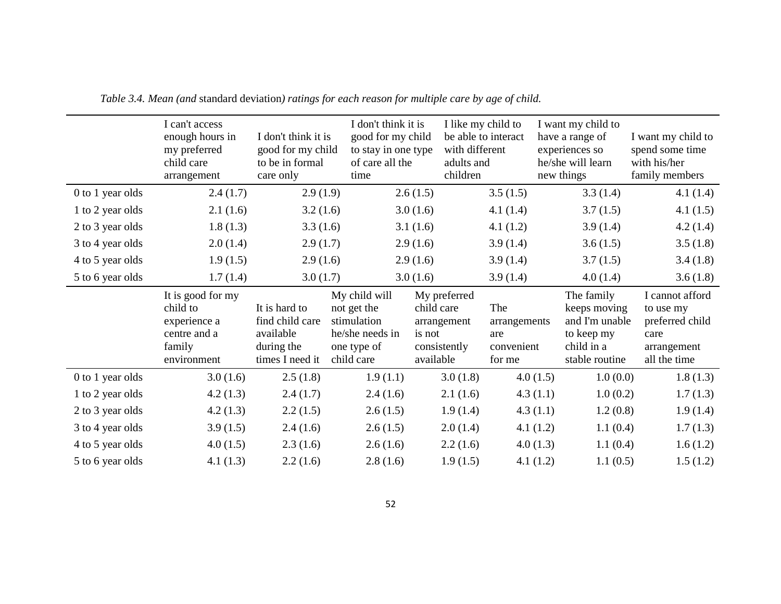|                  | I can't access<br>enough hours in<br>my preferred<br>child care<br>arrangement         | I don't think it is<br>good for my child<br>to be in formal<br>care only       | I don't think it is<br>good for my child<br>to stay in one type<br>of care all the<br>time  | with different<br>adults and<br>children                                         | I like my child to<br>be able to interact          | I want my child to<br>have a range of<br>experiences so<br>he/she will learn<br>new things | I want my child to<br>spend some time<br>with his/her<br>family members                |
|------------------|----------------------------------------------------------------------------------------|--------------------------------------------------------------------------------|---------------------------------------------------------------------------------------------|----------------------------------------------------------------------------------|----------------------------------------------------|--------------------------------------------------------------------------------------------|----------------------------------------------------------------------------------------|
| 0 to 1 year olds | 2.4(1.7)                                                                               | 2.9(1.9)                                                                       |                                                                                             | 2.6(1.5)                                                                         | 3.5(1.5)                                           | 3.3(1.4)                                                                                   | 4.1(1.4)                                                                               |
| 1 to 2 year olds | 2.1(1.6)                                                                               | 3.2(1.6)                                                                       |                                                                                             | 3.0(1.6)                                                                         | 4.1 $(1.4)$                                        | 3.7(1.5)                                                                                   | 4.1(1.5)                                                                               |
| 2 to 3 year olds | 1.8(1.3)                                                                               | 3.3(1.6)                                                                       |                                                                                             | 3.1(1.6)                                                                         | 4.1(1.2)                                           | 3.9(1.4)                                                                                   | 4.2(1.4)                                                                               |
| 3 to 4 year olds | 2.0(1.4)                                                                               | 2.9(1.7)                                                                       |                                                                                             | 2.9(1.6)                                                                         | 3.9(1.4)                                           | 3.6(1.5)                                                                                   | 3.5(1.8)                                                                               |
| 4 to 5 year olds | 1.9(1.5)                                                                               | 2.9(1.6)                                                                       |                                                                                             | 2.9(1.6)                                                                         | 3.9(1.4)                                           | 3.7(1.5)                                                                                   | 3.4(1.8)                                                                               |
| 5 to 6 year olds | 1.7(1.4)                                                                               | 3.0(1.7)                                                                       |                                                                                             | 3.0(1.6)                                                                         | 3.9(1.4)                                           | 4.0(1.4)                                                                                   | 3.6(1.8)                                                                               |
|                  |                                                                                        |                                                                                |                                                                                             |                                                                                  |                                                    |                                                                                            |                                                                                        |
|                  | It is good for my<br>child to<br>experience a<br>centre and a<br>family<br>environment | It is hard to<br>find child care<br>available<br>during the<br>times I need it | My child will<br>not get the<br>stimulation<br>he/she needs in<br>one type of<br>child care | My preferred<br>child care<br>arrangement<br>is not<br>consistently<br>available | The<br>arrangements<br>are<br>convenient<br>for me | The family<br>keeps moving<br>and I'm unable<br>to keep my<br>child in a<br>stable routine | I cannot afford<br>to use my<br>preferred child<br>care<br>arrangement<br>all the time |
| 0 to 1 year olds | 3.0(1.6)                                                                               | 2.5(1.8)                                                                       | 1.9(1.1)                                                                                    | 3.0(1.8)                                                                         | 4.0(1.5)                                           | 1.0(0.0)                                                                                   | 1.8(1.3)                                                                               |
| 1 to 2 year olds | 4.2(1.3)                                                                               | 2.4(1.7)                                                                       | 2.4(1.6)                                                                                    | 2.1(1.6)                                                                         | 4.3(1.1)                                           | 1.0(0.2)                                                                                   | 1.7(1.3)                                                                               |
| 2 to 3 year olds | 4.2(1.3)                                                                               | 2.2(1.5)                                                                       | 2.6(1.5)                                                                                    | 1.9(1.4)                                                                         | 4.3(1.1)                                           | 1.2(0.8)                                                                                   | 1.9(1.4)                                                                               |
| 3 to 4 year olds | 3.9(1.5)                                                                               | 2.4(1.6)                                                                       | 2.6(1.5)                                                                                    | 2.0(1.4)                                                                         | 4.1(1.2)                                           | 1.1(0.4)                                                                                   | 1.7(1.3)                                                                               |
| 4 to 5 year olds | 4.0(1.5)                                                                               | 2.3(1.6)                                                                       | 2.6(1.6)                                                                                    | 2.2(1.6)                                                                         | 4.0(1.3)                                           | 1.1(0.4)                                                                                   | 1.6(1.2)                                                                               |

*Table 3.4. Mean (and* standard deviation*) ratings for each reason for multiple care by age of child.*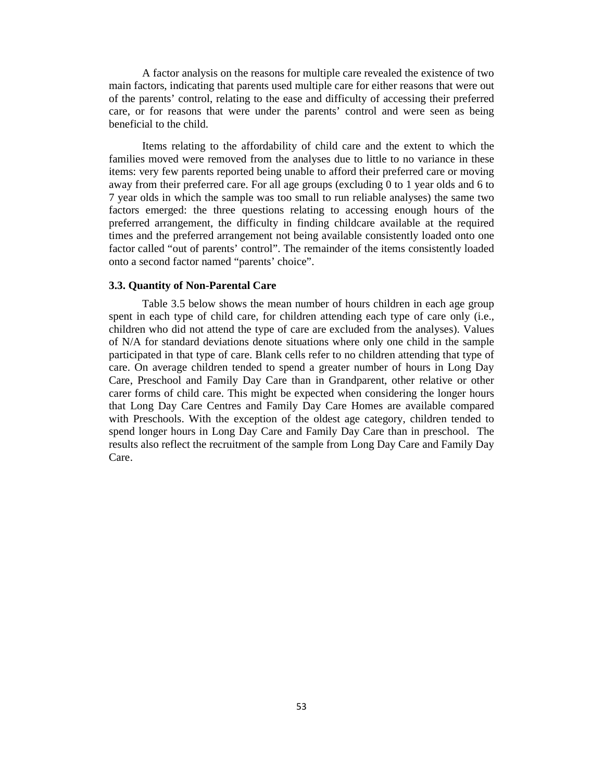A factor analysis on the reasons for multiple care revealed the existence of two main factors, indicating that parents used multiple care for either reasons that were out of the parents' control, relating to the ease and difficulty of accessing their preferred care, or for reasons that were under the parents' control and were seen as being beneficial to the child.

Items relating to the affordability of child care and the extent to which the families moved were removed from the analyses due to little to no variance in these items: very few parents reported being unable to afford their preferred care or moving away from their preferred care. For all age groups (excluding 0 to 1 year olds and 6 to 7 year olds in which the sample was too small to run reliable analyses) the same two factors emerged: the three questions relating to accessing enough hours of the preferred arrangement, the difficulty in finding childcare available at the required times and the preferred arrangement not being available consistently loaded onto one factor called "out of parents' control". The remainder of the items consistently loaded onto a second factor named "parents' choice".

#### **3.3. Quantity of Non-Parental Care**

Table 3.5 below shows the mean number of hours children in each age group spent in each type of child care, for children attending each type of care only (i.e., children who did not attend the type of care are excluded from the analyses). Values of N/A for standard deviations denote situations where only one child in the sample participated in that type of care. Blank cells refer to no children attending that type of care. On average children tended to spend a greater number of hours in Long Day Care, Preschool and Family Day Care than in Grandparent, other relative or other carer forms of child care. This might be expected when considering the longer hours that Long Day Care Centres and Family Day Care Homes are available compared with Preschools. With the exception of the oldest age category, children tended to spend longer hours in Long Day Care and Family Day Care than in preschool. The results also reflect the recruitment of the sample from Long Day Care and Family Day Care.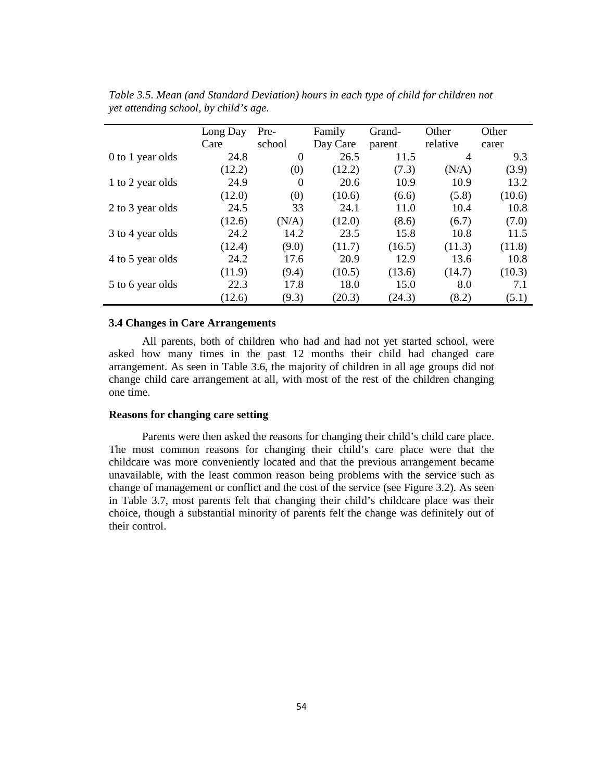|                  | Long Day<br>Care | Pre-<br>school   | Family<br>Day Care | Grand-<br>parent | Other<br>relative | Other<br>carer |
|------------------|------------------|------------------|--------------------|------------------|-------------------|----------------|
| 0 to 1 year olds | 24.8             | $\boldsymbol{0}$ | 26.5               | 11.5             | $\overline{4}$    | 9.3            |
|                  | (12.2)           | (0)              | (12.2)             | (7.3)            | (N/A)             | (3.9)          |
| 1 to 2 year olds | 24.9             | $\overline{0}$   | 20.6               | 10.9             | 10.9              | 13.2           |
|                  | (12.0)           | (0)              | (10.6)             | (6.6)            | (5.8)             | (10.6)         |
| 2 to 3 year olds | 24.5             | 33               | 24.1               | 11.0             | 10.4              | 10.8           |
|                  | (12.6)           | (N/A)            | (12.0)             | (8.6)            | (6.7)             | (7.0)          |
| 3 to 4 year olds | 24.2             | 14.2             | 23.5               | 15.8             | 10.8              | 11.5           |
|                  | (12.4)           | (9.0)            | (11.7)             | (16.5)           | (11.3)            | (11.8)         |
| 4 to 5 year olds | 24.2             | 17.6             | 20.9               | 12.9             | 13.6              | 10.8           |
|                  | (11.9)           | (9.4)            | (10.5)             | (13.6)           | (14.7)            | (10.3)         |
| 5 to 6 year olds | 22.3             | 17.8             | 18.0               | 15.0             | 8.0               | 7.1            |
|                  | 12.6)            | (9.3)            | (20.3)             | (24.3)           | (8.2)             | (5.1)          |

*Table 3.5. Mean (and Standard Deviation) hours in each type of child for children not yet attending school, by child's age.* 

#### **3.4 Changes in Care Arrangements**

All parents, both of children who had and had not yet started school, were asked how many times in the past 12 months their child had changed care arrangement. As seen in Table 3.6, the majority of children in all age groups did not change child care arrangement at all, with most of the rest of the children changing one time.

#### **Reasons for changing care setting**

Parents were then asked the reasons for changing their child's child care place. The most common reasons for changing their child's care place were that the childcare was more conveniently located and that the previous arrangement became unavailable, with the least common reason being problems with the service such as change of management or conflict and the cost of the service (see Figure 3.2). As seen in Table 3.7, most parents felt that changing their child's childcare place was their choice, though a substantial minority of parents felt the change was definitely out of their control.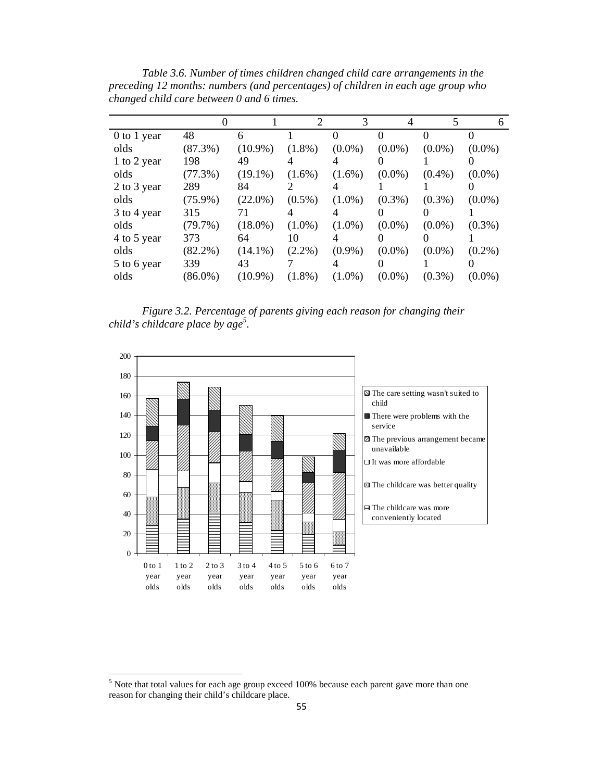|             |            |            | 2         | 3         | 4         |           | 6         |
|-------------|------------|------------|-----------|-----------|-----------|-----------|-----------|
| 0 to 1 year | 48         | 6          |           |           |           | 0         |           |
| olds        | $(87.3\%)$ | $(10.9\%)$ | $(1.8\%)$ | $(0.0\%)$ | $(0.0\%)$ | $(0.0\%)$ | $(0.0\%)$ |
| 1 to 2 year | 198        | 49         |           | 4         |           |           |           |
| olds        | $(77.3\%)$ | $(19.1\%)$ | $(1.6\%)$ | $(1.6\%)$ | $(0.0\%)$ | $(0.4\%)$ | $(0.0\%)$ |
| 2 to 3 year | 289        | 84         |           | 4         |           |           |           |
| olds        | $(75.9\%)$ | $(22.0\%)$ | $(0.5\%)$ | $(1.0\%)$ | $(0.3\%)$ | $(0.3\%)$ | $(0.0\%)$ |
| 3 to 4 year | 315        | 71         | 4         | 4         |           |           |           |
| olds        | $(79.7\%)$ | $(18.0\%)$ | $(1.0\%)$ | $(1.0\%)$ | $(0.0\%)$ | $(0.0\%)$ | $(0.3\%)$ |
| 4 to 5 year | 373        | 64         | 10        | 4         |           |           |           |
| olds        | $(82.2\%)$ | $(14.1\%)$ | $(2.2\%)$ | $(0.9\%)$ | $(0.0\%)$ | $(0.0\%)$ | $(0.2\%)$ |
| 5 to 6 year | 339        | 43         |           | 4         |           |           |           |
| olds        | $(86.0\%)$ | $(10.9\%)$ | $(1.8\%)$ | $(1.0\%)$ | $(0.0\%)$ | $(0.3\%)$ | $(0.0\%)$ |

*Table 3.6. Number of times children changed child care arrangements in the preceding 12 months: numbers (and percentages) of children in each age group who changed child care between 0 and 6 times.* 

*Figure 3.2. Percentage of parents giving each reason for changing their child's childcare place by age<sup>5</sup> .* 



l

 $<sup>5</sup>$  Note that total values for each age group exceed 100% because each parent gave more than one</sup> reason for changing their child's childcare place.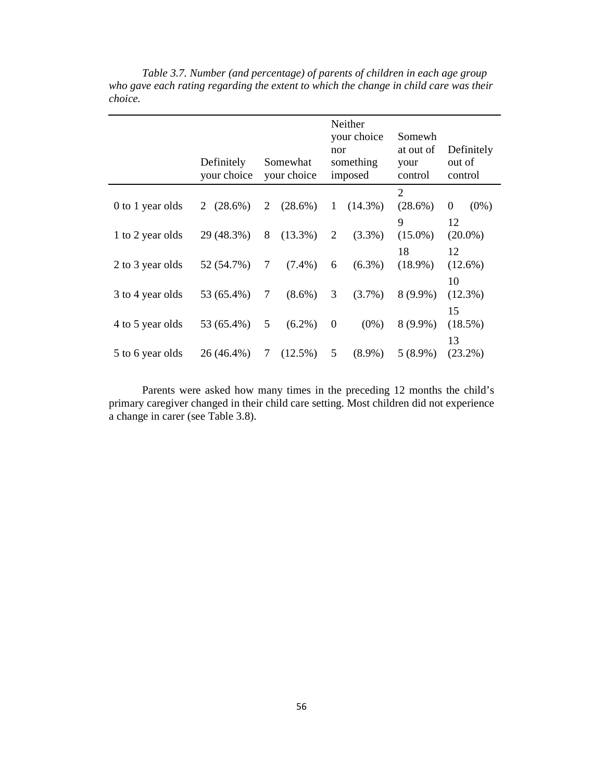|                  | Definitely<br>your choice |   | Somewhat<br>your choice | nor              | Neither<br>your choice<br>something<br>imposed | Somewh<br>at out of<br>your<br>control | out of   | Definitely<br>control |
|------------------|---------------------------|---|-------------------------|------------------|------------------------------------------------|----------------------------------------|----------|-----------------------|
| 0 to 1 year olds | $(28.6\%)$<br>2           | 2 | $(28.6\%)$              | 1                | $(14.3\%)$                                     | 2<br>$(28.6\%)$                        | $\theta$ | $(0\%)$               |
| 1 to 2 year olds | 29 (48.3%)                | 8 | $(13.3\%)$              | 2                | $(3.3\%)$                                      | 9<br>$(15.0\%)$                        | 12       | $(20.0\%)$            |
| 2 to 3 year olds | 52 (54.7%)                | 7 | $(7.4\%)$               | 6                | $(6.3\%)$                                      | 18<br>$(18.9\%)$                       | 12       | $(12.6\%)$            |
| 3 to 4 year olds | 53 (65.4%)                | 7 | $(8.6\%)$               | 3                | $(3.7\%)$                                      | $8(9.9\%)$                             | 10       | $(12.3\%)$            |
| 4 to 5 year olds | 53 (65.4%)                | 5 | $(6.2\%)$               | $\boldsymbol{0}$ | $(0\%)$                                        | $8(9.9\%)$                             | 15       | $(18.5\%)$            |
| 5 to 6 year olds | 26 (46.4%)                | 7 | $(12.5\%)$              | 5                | $(8.9\%)$                                      | $5(8.9\%)$                             | 13       | $(23.2\%)$            |

*Table 3.7. Number (and percentage) of parents of children in each age group*  who gave each rating regarding the extent to which the change in child care was their *choice.* 

Parents were asked how many times in the preceding 12 months the child's primary caregiver changed in their child care setting. Most children did not experience a change in carer (see Table 3.8).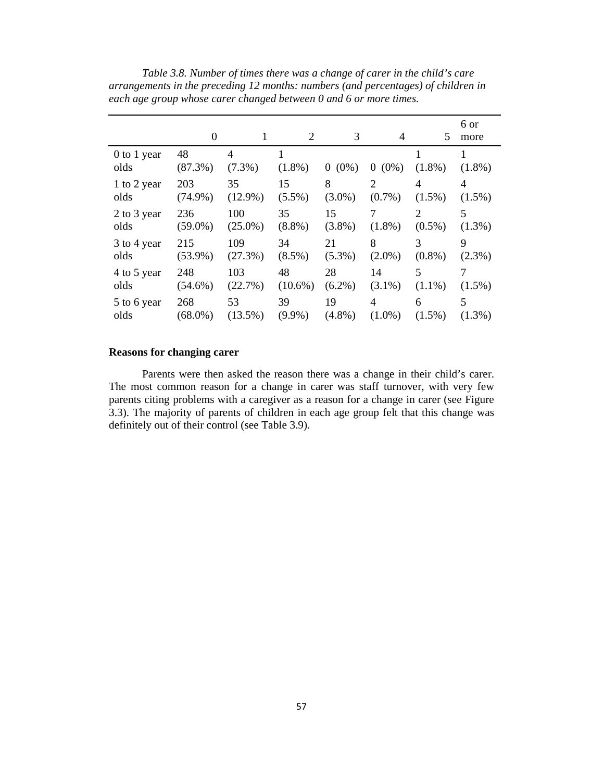|                     | 0                |                | 2              | 3         | 4            | 5              | 6 or<br>more |
|---------------------|------------------|----------------|----------------|-----------|--------------|----------------|--------------|
| 0 to 1 year<br>olds | 48<br>$(87.3\%)$ | 4<br>$(7.3\%)$ | 1<br>$(1.8\%)$ | $0(0\%)$  | $(0\%)$<br>0 | 1<br>$(1.8\%)$ | $(1.8\%)$    |
| 1 to 2 year         | 203              | 35             | 15             | 8         | 2            | 4              | 4            |
| olds                | $(74.9\%)$       | $(12.9\%)$     | $(5.5\%)$      | $(3.0\%)$ | $(0.7\%)$    | $(1.5\%)$      | $(1.5\%)$    |
| 2 to 3 year         | 236              | 100            | 35             | 15        | 7            | 2              | 5            |
| olds                | $(59.0\%)$       | $(25.0\%)$     | $(8.8\%)$      | $(3.8\%)$ | $(1.8\%)$    | $(0.5\%)$      | $(1.3\%)$    |
| 3 to 4 year         | 215              | 109            | 34             | 21        | 8            | 3              | 9            |
| olds                | $(53.9\%)$       | (27.3%)        | $(8.5\%)$      | $(5.3\%)$ | $(2.0\%)$    | $(0.8\%)$      | $(2.3\%)$    |
| 4 to 5 year         | 248              | 103            | 48             | 28        | 14           | 5              | 7            |
| olds                | $(54.6\%)$       | (22.7%)        | $(10.6\%)$     | $(6.2\%)$ | $(3.1\%)$    | $(1.1\%)$      | $(1.5\%)$    |
| 5 to 6 year         | 268              | 53             | 39             | 19        | 4            | 6              | 5            |
| olds                | $(68.0\%)$       | $(13.5\%)$     | $(9.9\%)$      | $(4.8\%)$ | $(1.0\%)$    | $(1.5\%)$      | $(1.3\%)$    |

*Table 3.8. Number of times there was a change of carer in the child's care arrangements in the preceding 12 months: numbers (and percentages) of children in each age group whose carer changed between 0 and 6 or more times.* 

## **Reasons for changing carer**

Parents were then asked the reason there was a change in their child's carer. The most common reason for a change in carer was staff turnover, with very few parents citing problems with a caregiver as a reason for a change in carer (see Figure 3.3). The majority of parents of children in each age group felt that this change was definitely out of their control (see Table 3.9).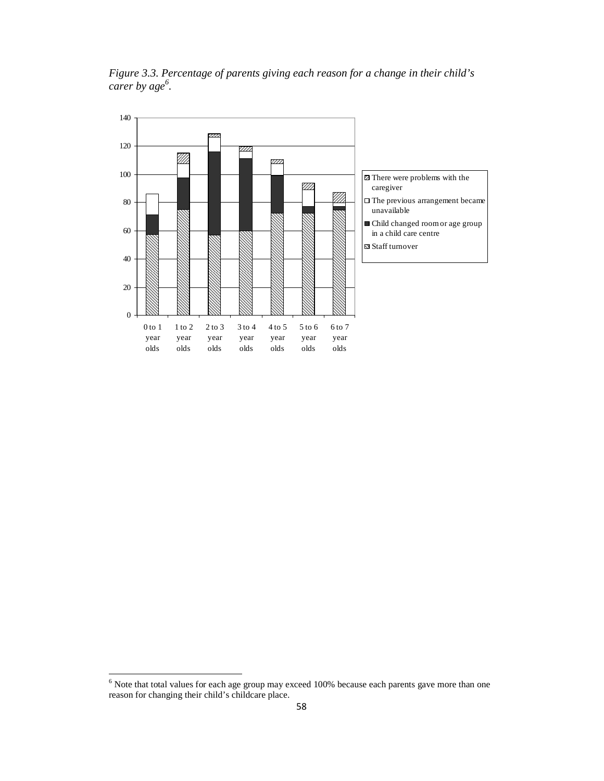*Figure 3.3. Percentage of parents giving each reason for a change in their child's carer by age<sup>6</sup> .* 



<sup>&</sup>lt;sup>6</sup><br>Note that total values for each age group may exceed 100% because each parents gave more than one reason for changing their child's childcare place.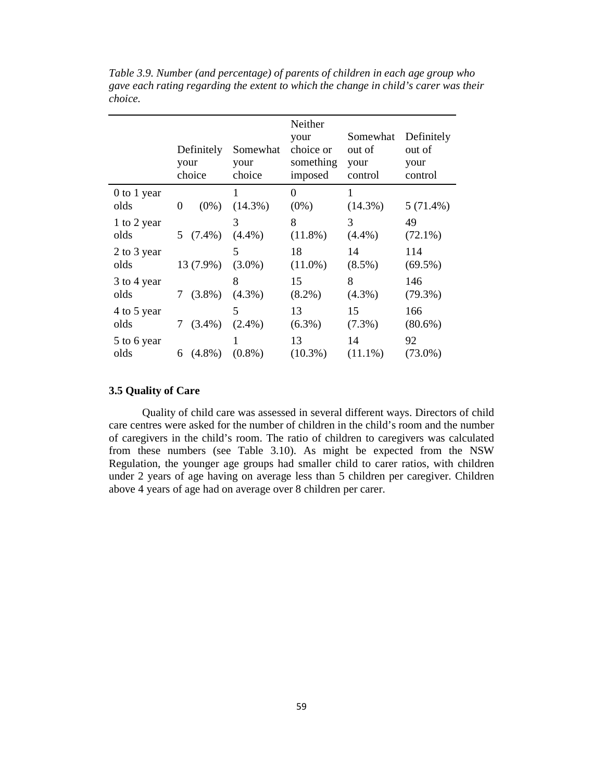|                     | Definitely<br>your<br>choice | Somewhat<br>your<br>choice | Neither<br>your<br>choice or<br>something<br>imposed | Somewhat<br>out of<br>your<br>control | Definitely<br>out of<br>your<br>control |
|---------------------|------------------------------|----------------------------|------------------------------------------------------|---------------------------------------|-----------------------------------------|
| 0 to 1 year<br>olds | $(0\%)$<br>0                 | $(14.3\%)$                 | $\Omega$<br>$(0\%)$                                  | 1<br>$(14.3\%)$                       | $5(71.4\%)$                             |
| 1 to 2 year         | $5(7.4\%)$                   | 3                          | 8                                                    | 3                                     | 49                                      |
| olds                |                              | $(4.4\%)$                  | $(11.8\%)$                                           | $(4.4\%)$                             | $(72.1\%)$                              |
| 2 to 3 year         | 13 (7.9%)                    | 5                          | 18                                                   | 14                                    | 114                                     |
| olds                |                              | $(3.0\%)$                  | $(11.0\%)$                                           | $(8.5\%)$                             | $(69.5\%)$                              |
| 3 to 4 year         | $(3.8\%)$                    | 8                          | 15                                                   | 8                                     | 146                                     |
| olds                | 7                            | $(4.3\%)$                  | $(8.2\%)$                                            | $(4.3\%)$                             | $(79.3\%)$                              |
| 4 to 5 year         | $(3.4\%)$                    | 5                          | 13                                                   | 15                                    | 166                                     |
| olds                | 7                            | $(2.4\%)$                  | $(6.3\%)$                                            | $(7.3\%)$                             | $(80.6\%)$                              |
| 5 to 6 year         | $(4.8\%)$                    | $(0.8\%)$                  | 13                                                   | 14                                    | 92                                      |
| olds                | 6                            |                            | $(10.3\%)$                                           | $(11.1\%)$                            | $(73.0\%)$                              |

*Table 3.9. Number (and percentage) of parents of children in each age group who gave each rating regarding the extent to which the change in child's carer was their choice.* 

## **3.5 Quality of Care**

Quality of child care was assessed in several different ways. Directors of child care centres were asked for the number of children in the child's room and the number of caregivers in the child's room. The ratio of children to caregivers was calculated from these numbers (see Table 3.10). As might be expected from the NSW Regulation, the younger age groups had smaller child to carer ratios, with children under 2 years of age having on average less than 5 children per caregiver. Children above 4 years of age had on average over 8 children per carer.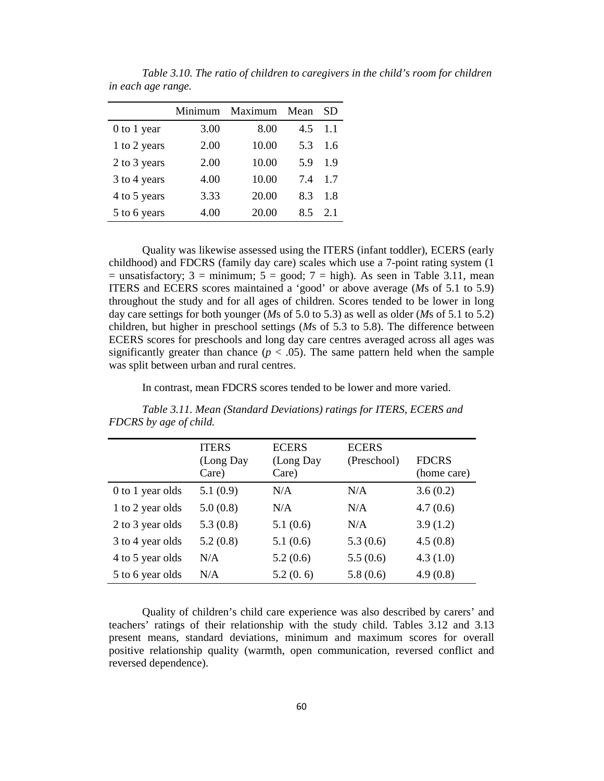|              | Minimum | Maximum | Mean | SD  |
|--------------|---------|---------|------|-----|
| 0 to 1 year  | 3.00    | 8.00    | 4.5  | 1.1 |
| 1 to 2 years | 2.00    | 10.00   | 5.3  | 1.6 |
| 2 to 3 years | 2.00    | 10.00   | 5.9  | 1.9 |
| 3 to 4 years | 4.00    | 10.00   | 7.4  | 1.7 |
| 4 to 5 years | 3.33    | 20.00   | 8.3  | 1.8 |
| 5 to 6 years | 4.00    | 20.00   | 8.5  | 2.1 |

*Table 3.10. The ratio of children to caregivers in the child's room for children in each age range.* 

Quality was likewise assessed using the ITERS (infant toddler), ECERS (early childhood) and FDCRS (family day care) scales which use a 7-point rating system (1  $=$  unsatisfactory; 3 = minimum; 5 = good; 7 = high). As seen in Table 3.11, mean ITERS and ECERS scores maintained a 'good' or above average (*M*s of 5.1 to 5.9) throughout the study and for all ages of children. Scores tended to be lower in long day care settings for both younger (*M*s of 5.0 to 5.3) as well as older (*M*s of 5.1 to 5.2) children, but higher in preschool settings (*M*s of 5.3 to 5.8). The difference between ECERS scores for preschools and long day care centres averaged across all ages was significantly greater than chance  $(p < .05)$ . The same pattern held when the sample was split between urban and rural centres.

In contrast, mean FDCRS scores tended to be lower and more varied.

|                  | <b>ITERS</b><br>(Long Day<br>Care) | <b>ECERS</b><br>(Long Day<br>Care) | <b>ECERS</b><br>(Preschool) | <b>FDCRS</b><br>(home care) |
|------------------|------------------------------------|------------------------------------|-----------------------------|-----------------------------|
| 0 to 1 year olds | 5.1(0.9)                           | N/A                                | N/A                         | 3.6(0.2)                    |
| 1 to 2 year olds | 5.0(0.8)                           | N/A                                | N/A                         | 4.7(0.6)                    |
| 2 to 3 year olds | 5.3(0.8)                           | 5.1(0.6)                           | N/A                         | 3.9(1.2)                    |
| 3 to 4 year olds | 5.2(0.8)                           | 5.1(0.6)                           | 5.3(0.6)                    | 4.5(0.8)                    |
| 4 to 5 year olds | N/A                                | 5.2(0.6)                           | 5.5(0.6)                    | 4.3(1.0)                    |
| 5 to 6 year olds | N/A                                | 5.2(0.6)                           | 5.8(0.6)                    | 4.9(0.8)                    |

*Table 3.11. Mean (Standard Deviations) ratings for ITERS, ECERS and FDCRS by age of child.* 

Quality of children's child care experience was also described by carers' and teachers' ratings of their relationship with the study child. Tables 3.12 and 3.13 present means, standard deviations, minimum and maximum scores for overall positive relationship quality (warmth, open communication, reversed conflict and reversed dependence).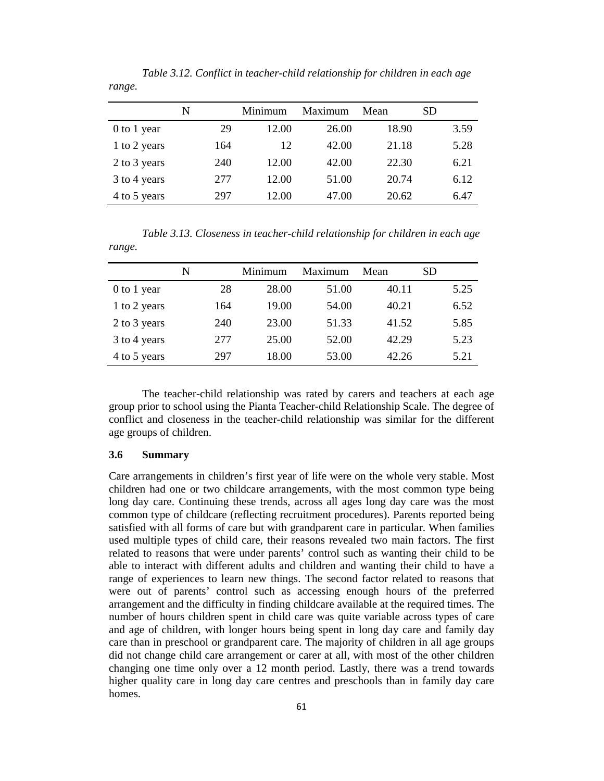|              | N   | Minimum | Maximum | Mean  | SD   |
|--------------|-----|---------|---------|-------|------|
| 0 to 1 year  | 29  | 12.00   | 26.00   | 18.90 | 3.59 |
| 1 to 2 years | 164 | 12      | 42.00   | 21.18 | 5.28 |
| 2 to 3 years | 240 | 12.00   | 42.00   | 22.30 | 6.21 |
| 3 to 4 years | 277 | 12.00   | 51.00   | 20.74 | 6.12 |
| 4 to 5 years | 297 | 12.00   | 47.00   | 20.62 | 6.47 |

*Table 3.12. Conflict in teacher-child relationship for children in each age range.* 

*Table 3.13. Closeness in teacher-child relationship for children in each age range.* 

|              | N   | Minimum | Maximum | Mean  | SD   |
|--------------|-----|---------|---------|-------|------|
| 0 to 1 year  | 28  | 28.00   | 51.00   | 40.11 | 5.25 |
| 1 to 2 years | 164 | 19.00   | 54.00   | 40.21 | 6.52 |
| 2 to 3 years | 240 | 23.00   | 51.33   | 41.52 | 5.85 |
| 3 to 4 years | 277 | 25.00   | 52.00   | 42.29 | 5.23 |
| 4 to 5 years | 297 | 18.00   | 53.00   | 42.26 | 5.21 |

The teacher-child relationship was rated by carers and teachers at each age group prior to school using the Pianta Teacher-child Relationship Scale. The degree of conflict and closeness in the teacher-child relationship was similar for the different age groups of children.

## **3.6 Summary**

Care arrangements in children's first year of life were on the whole very stable. Most children had one or two childcare arrangements, with the most common type being long day care. Continuing these trends, across all ages long day care was the most common type of childcare (reflecting recruitment procedures). Parents reported being satisfied with all forms of care but with grandparent care in particular. When families used multiple types of child care, their reasons revealed two main factors. The first related to reasons that were under parents' control such as wanting their child to be able to interact with different adults and children and wanting their child to have a range of experiences to learn new things. The second factor related to reasons that were out of parents' control such as accessing enough hours of the preferred arrangement and the difficulty in finding childcare available at the required times. The number of hours children spent in child care was quite variable across types of care and age of children, with longer hours being spent in long day care and family day care than in preschool or grandparent care. The majority of children in all age groups did not change child care arrangement or carer at all, with most of the other children changing one time only over a 12 month period. Lastly, there was a trend towards higher quality care in long day care centres and preschools than in family day care homes.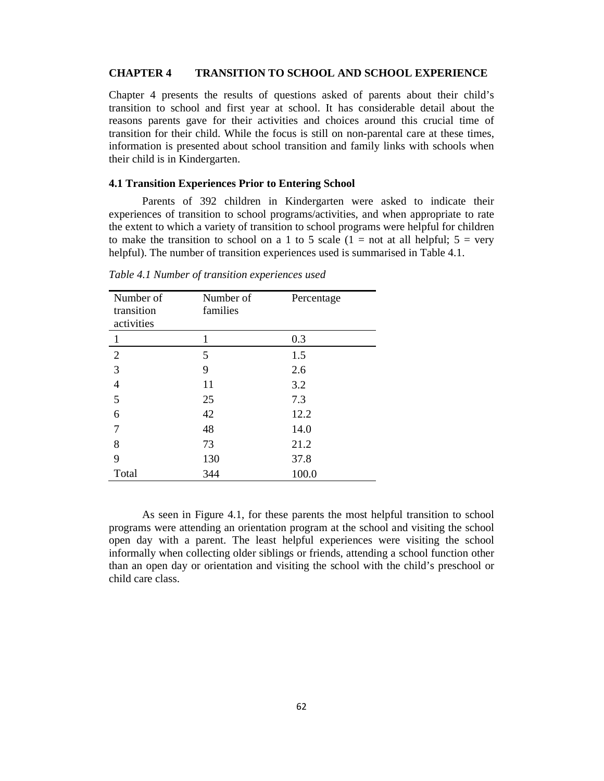#### **CHAPTER 4 TRANSITION TO SCHOOL AND SCHOOL EXPERIENCE**

Chapter 4 presents the results of questions asked of parents about their child's transition to school and first year at school. It has considerable detail about the reasons parents gave for their activities and choices around this crucial time of transition for their child. While the focus is still on non-parental care at these times, information is presented about school transition and family links with schools when their child is in Kindergarten.

#### **4.1 Transition Experiences Prior to Entering School**

Parents of 392 children in Kindergarten were asked to indicate their experiences of transition to school programs/activities, and when appropriate to rate the extent to which a variety of transition to school programs were helpful for children to make the transition to school on a 1 to 5 scale  $(1 = not at all helpful; 5 = very$ helpful). The number of transition experiences used is summarised in Table 4.1.

| Number of<br>transition<br>activities | Number of<br>families | Percentage |
|---------------------------------------|-----------------------|------------|
| 1                                     | 1                     | 0.3        |
| $\overline{2}$                        | 5                     | 1.5        |
| 3                                     | 9                     | 2.6        |
| $\overline{4}$                        | 11                    | 3.2        |
| 5                                     | 25                    | 7.3        |
| 6                                     | 42                    | 12.2       |
| 7                                     | 48                    | 14.0       |
| 8                                     | 73                    | 21.2       |
| 9                                     | 130                   | 37.8       |
| Total                                 | 344                   | 100.0      |

*Table 4.1 Number of transition experiences used* 

As seen in Figure 4.1, for these parents the most helpful transition to school programs were attending an orientation program at the school and visiting the school open day with a parent. The least helpful experiences were visiting the school informally when collecting older siblings or friends, attending a school function other than an open day or orientation and visiting the school with the child's preschool or child care class.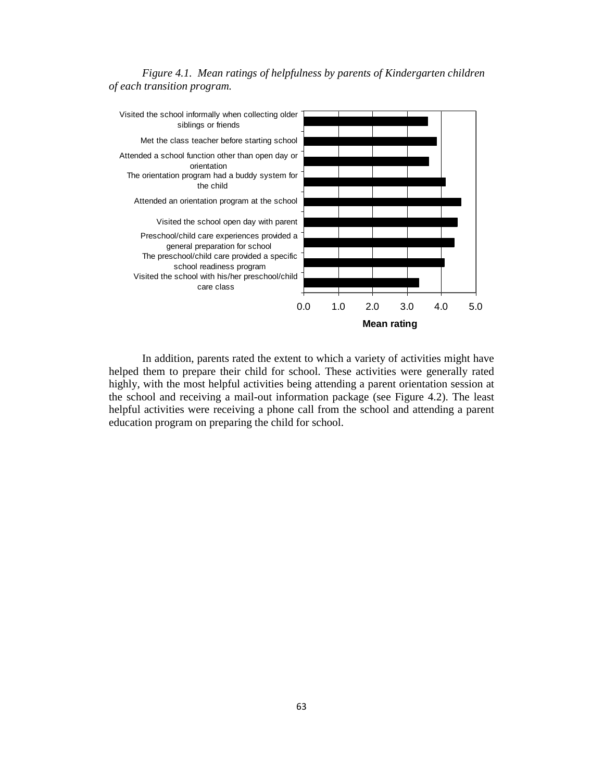



In addition, parents rated the extent to which a variety of activities might have helped them to prepare their child for school. These activities were generally rated highly, with the most helpful activities being attending a parent orientation session at the school and receiving a mail-out information package (see Figure 4.2). The least helpful activities were receiving a phone call from the school and attending a parent education program on preparing the child for school.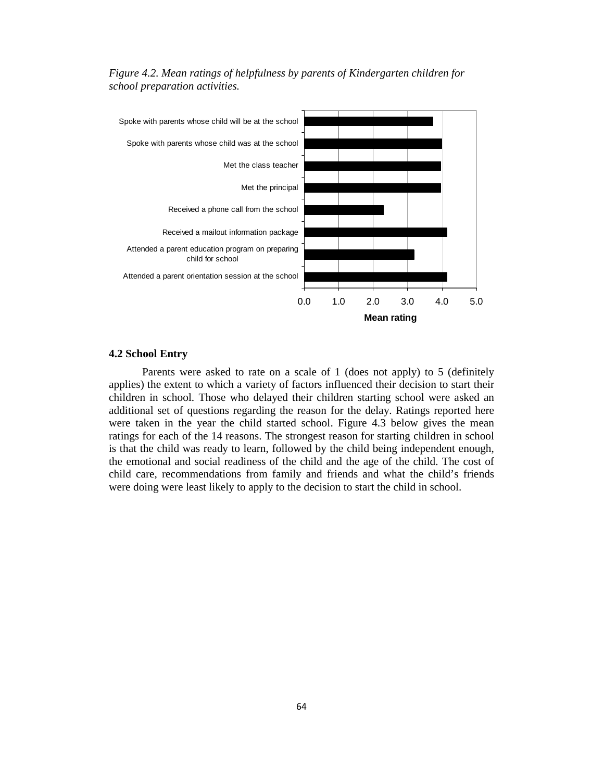

*Figure 4.2. Mean ratings of helpfulness by parents of Kindergarten children for school preparation activities.* 

#### **4.2 School Entry**

Parents were asked to rate on a scale of 1 (does not apply) to 5 (definitely applies) the extent to which a variety of factors influenced their decision to start their children in school. Those who delayed their children starting school were asked an additional set of questions regarding the reason for the delay. Ratings reported here were taken in the year the child started school. Figure 4.3 below gives the mean ratings for each of the 14 reasons. The strongest reason for starting children in school is that the child was ready to learn, followed by the child being independent enough, the emotional and social readiness of the child and the age of the child. The cost of child care, recommendations from family and friends and what the child's friends were doing were least likely to apply to the decision to start the child in school.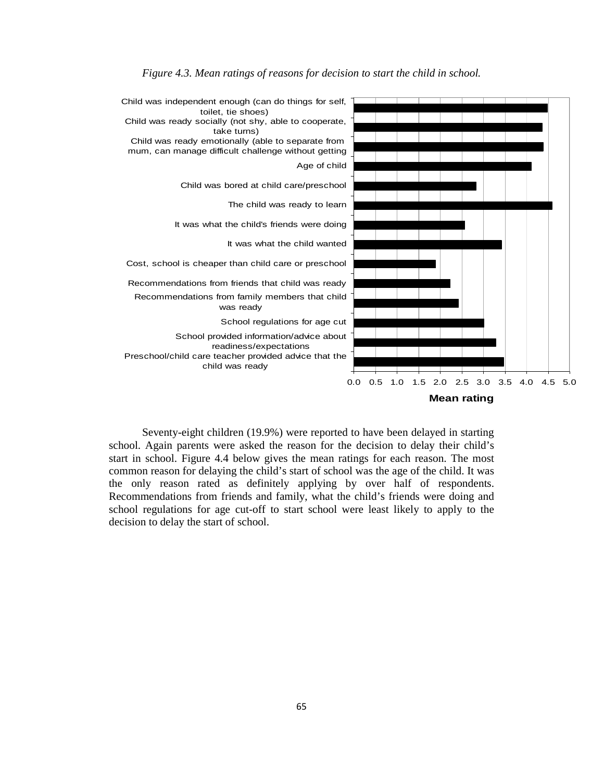

*Figure 4.3. Mean ratings of reasons for decision to start the child in school.* 

Seventy-eight children (19.9%) were reported to have been delayed in starting school. Again parents were asked the reason for the decision to delay their child's start in school. Figure 4.4 below gives the mean ratings for each reason. The most common reason for delaying the child's start of school was the age of the child. It was the only reason rated as definitely applying by over half of respondents. Recommendations from friends and family, what the child's friends were doing and school regulations for age cut-off to start school were least likely to apply to the decision to delay the start of school.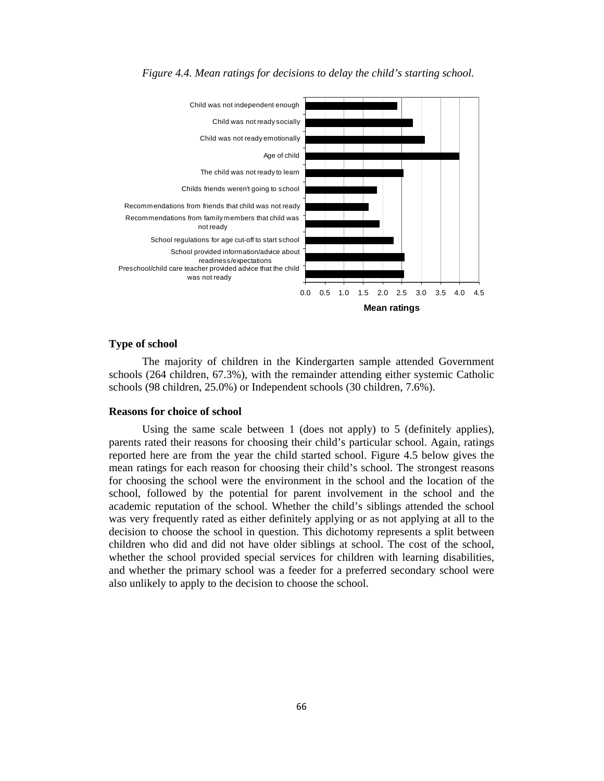

*Figure 4.4. Mean ratings for decisions to delay the child's starting school.* 

### **Type of school**

The majority of children in the Kindergarten sample attended Government schools (264 children, 67.3%), with the remainder attending either systemic Catholic schools (98 children, 25.0%) or Independent schools (30 children, 7.6%).

#### **Reasons for choice of school**

Using the same scale between 1 (does not apply) to 5 (definitely applies), parents rated their reasons for choosing their child's particular school. Again, ratings reported here are from the year the child started school. Figure 4.5 below gives the mean ratings for each reason for choosing their child's school. The strongest reasons for choosing the school were the environment in the school and the location of the school, followed by the potential for parent involvement in the school and the academic reputation of the school. Whether the child's siblings attended the school was very frequently rated as either definitely applying or as not applying at all to the decision to choose the school in question. This dichotomy represents a split between children who did and did not have older siblings at school. The cost of the school, whether the school provided special services for children with learning disabilities, and whether the primary school was a feeder for a preferred secondary school were also unlikely to apply to the decision to choose the school.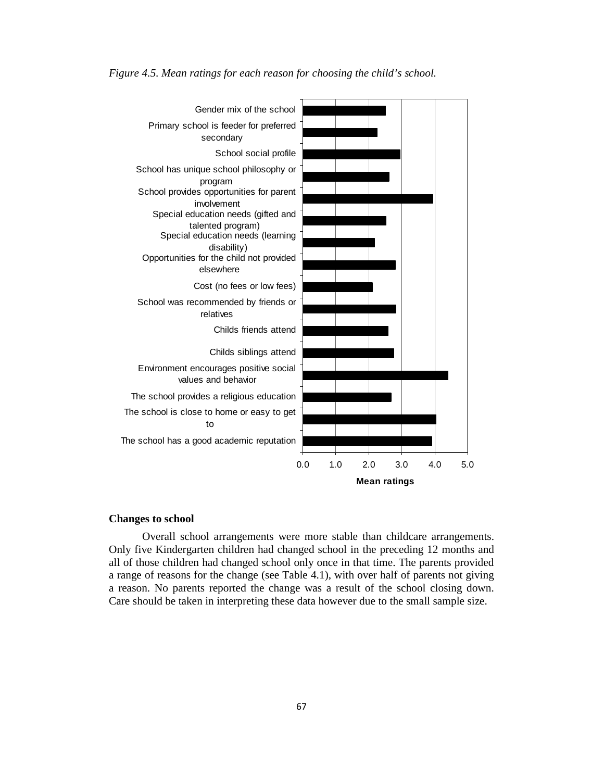

*Figure 4.5. Mean ratings for each reason for choosing the child's school.* 

#### **Changes to school**

Overall school arrangements were more stable than childcare arrangements. Only five Kindergarten children had changed school in the preceding 12 months and all of those children had changed school only once in that time. The parents provided a range of reasons for the change (see Table 4.1), with over half of parents not giving a reason. No parents reported the change was a result of the school closing down. Care should be taken in interpreting these data however due to the small sample size.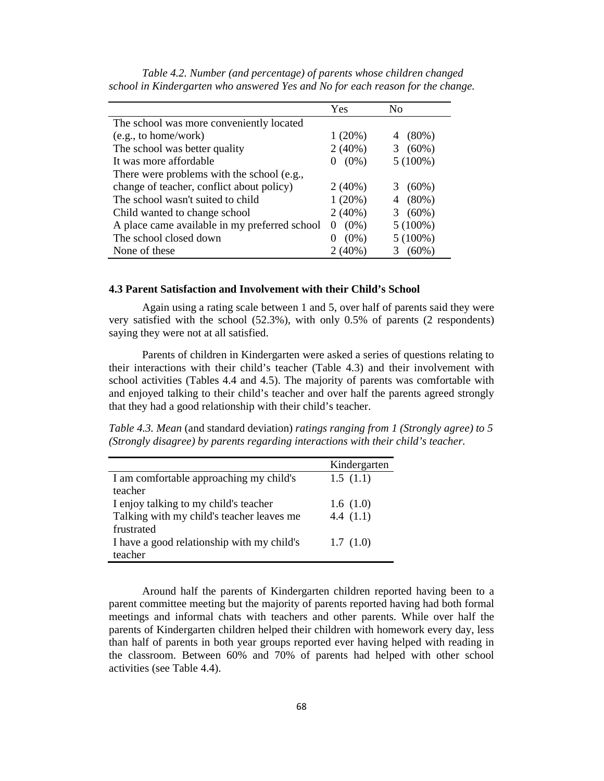|                                               | Yes                 | Nο            |
|-----------------------------------------------|---------------------|---------------|
| The school was more conveniently located      |                     |               |
| (e.g., to home/work)                          | 1(20%)              | $(80\%)$<br>4 |
| The school was better quality                 | $2(40\%)$           | $(60\%)$<br>3 |
| It was more affordable                        | $(0\%)$<br>$\theta$ | $5(100\%)$    |
| There were problems with the school (e.g.,    |                     |               |
| change of teacher, conflict about policy)     | $2(40\%)$           | $(60\%)$<br>3 |
| The school wasn't suited to child             | 1(20%)              | $(80\%)$<br>4 |
| Child wanted to change school                 | $2(40\%)$           | $(60\%)$<br>3 |
| A place came available in my preferred school | $(0\%)$<br>$\theta$ | $5(100\%)$    |
| The school closed down                        | $(0\%)$             | $5(100\%)$    |
| None of these                                 | $2(40\%)$           | $(60\%)$      |

*Table 4.2. Number (and percentage) of parents whose children changed school in Kindergarten who answered Yes and No for each reason for the change.* 

#### **4.3 Parent Satisfaction and Involvement with their Child's School**

Again using a rating scale between 1 and 5, over half of parents said they were very satisfied with the school (52.3%), with only 0.5% of parents (2 respondents) saying they were not at all satisfied.

Parents of children in Kindergarten were asked a series of questions relating to their interactions with their child's teacher (Table 4.3) and their involvement with school activities (Tables 4.4 and 4.5). The majority of parents was comfortable with and enjoyed talking to their child's teacher and over half the parents agreed strongly that they had a good relationship with their child's teacher.

*Table 4.3. Mean* (and standard deviation) *ratings ranging from 1 (Strongly agree) to 5 (Strongly disagree) by parents regarding interactions with their child's teacher.* 

|                                            | Kindergarten |
|--------------------------------------------|--------------|
| I am comfortable approaching my child's    | 1.5(1.1)     |
| teacher                                    |              |
| I enjoy talking to my child's teacher      | 1.6(1.0)     |
| Talking with my child's teacher leaves me  | 4.4 $(1.1)$  |
| frustrated                                 |              |
| I have a good relationship with my child's | 1.7(1.0)     |
| teacher                                    |              |

Around half the parents of Kindergarten children reported having been to a parent committee meeting but the majority of parents reported having had both formal meetings and informal chats with teachers and other parents. While over half the parents of Kindergarten children helped their children with homework every day, less than half of parents in both year groups reported ever having helped with reading in the classroom. Between 60% and 70% of parents had helped with other school activities (see Table 4.4).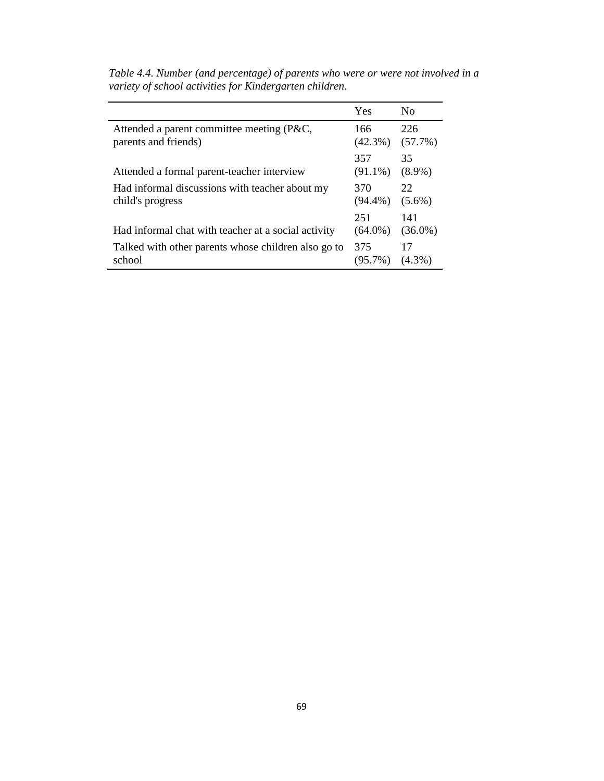|                                                                    | Yes               | N <sub>0</sub>    |
|--------------------------------------------------------------------|-------------------|-------------------|
| Attended a parent committee meeting (P&C,<br>parents and friends)  | 166<br>$(42.3\%)$ | 226<br>$(57.7\%)$ |
| Attended a formal parent-teacher interview                         | 357<br>$(91.1\%)$ | 35<br>$(8.9\%)$   |
| Had informal discussions with teacher about my<br>child's progress | 370<br>$(94.4\%)$ | 22<br>$(5.6\%)$   |
| Had informal chat with teacher at a social activity                | 251<br>$(64.0\%)$ | 141<br>$(36.0\%)$ |
| Talked with other parents whose children also go to<br>school      | 375<br>$(95.7\%)$ | 17<br>$(4.3\%)$   |

*Table 4.4. Number (and percentage) of parents who were or were not involved in a variety of school activities for Kindergarten children.*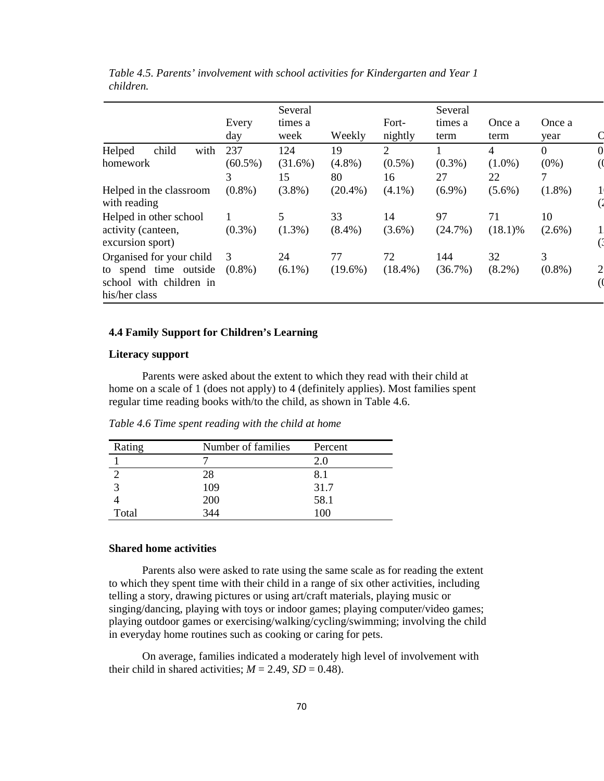|                                                                   |              | Several         |            |                  | Several         |                |                |  |
|-------------------------------------------------------------------|--------------|-----------------|------------|------------------|-----------------|----------------|----------------|--|
|                                                                   | Every<br>day | times a<br>week | Weekly     | Fort-<br>nightly | times a<br>term | Once a<br>term | Once a<br>year |  |
| child<br>Helped<br>with                                           | 237          | 124             | 19         | $\overline{2}$   |                 | 4              | $\Omega$       |  |
| homework                                                          | $(60.5\%)$   | $(31.6\%)$      | $(4.8\%)$  | $(0.5\%)$        | $(0.3\%)$       | $(1.0\%)$      | $(0\%)$        |  |
|                                                                   | 3            | 15              | 80         | 16               | 27              | 22             | 7              |  |
| Helped in the classroom<br>with reading                           | $(0.8\%)$    | $(3.8\%)$       | $(20.4\%)$ | $(4.1\%)$        | $(6.9\%)$       | $(5.6\%)$      | $(1.8\%)$      |  |
| Helped in other school                                            |              | 5               | 33         | 14               | 97              | 71             | 10             |  |
| activity (canteen,<br>excursion sport)                            | $(0.3\%)$    | $(1.3\%)$       | $(8.4\%)$  | $(3.6\%)$        | (24.7%)         | $(18.1)\%$     | $(2.6\%)$      |  |
| Organised for your child                                          | -3           | 24              | 77         | 72               | 144             | 32             | 3              |  |
| to spend time outside<br>school with children in<br>his/her class | $(0.8\%)$    | $(6.1\%)$       | $(19.6\%)$ | $(18.4\%)$       | $(36.7\%)$      | $(8.2\%)$      | $(0.8\%)$      |  |

*Table 4.5. Parents' involvement with school activities for Kindergarten and Year 1 children.* 

## **4.4 Family Support for Children's Learning**

### **Literacy support**

Parents were asked about the extent to which they read with their child at home on a scale of 1 (does not apply) to 4 (definitely applies). Most families spent regular time reading books with/to the child, as shown in Table 4.6.

| Rating | Number of families | Percent |
|--------|--------------------|---------|
|        |                    |         |
|        |                    |         |
|        | ng                 | 31 C    |

*Table 4.6 Time spent reading with the child at home*

4 200 58.1 Total 344 100

## **Shared home activities**

Parents also were asked to rate using the same scale as for reading the extent to which they spent time with their child in a range of six other activities, including telling a story, drawing pictures or using art/craft materials, playing music or singing/dancing, playing with toys or indoor games; playing computer/video games; playing outdoor games or exercising/walking/cycling/swimming; involving the child in everyday home routines such as cooking or caring for pets.

On average, families indicated a moderately high level of involvement with their child in shared activities;  $M = 2.49$ ,  $SD = 0.48$ ).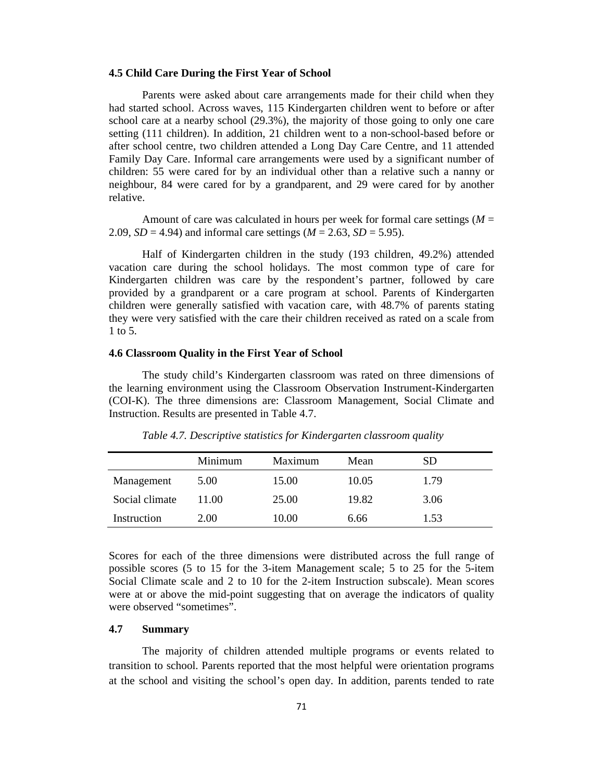#### **4.5 Child Care During the First Year of School**

Parents were asked about care arrangements made for their child when they had started school. Across waves, 115 Kindergarten children went to before or after school care at a nearby school (29.3%), the majority of those going to only one care setting (111 children). In addition, 21 children went to a non-school-based before or after school centre, two children attended a Long Day Care Centre, and 11 attended Family Day Care. Informal care arrangements were used by a significant number of children: 55 were cared for by an individual other than a relative such a nanny or neighbour, 84 were cared for by a grandparent, and 29 were cared for by another relative.

Amount of care was calculated in hours per week for formal care settings (*M* = 2.09, *SD* = 4.94) and informal care settings ( $M = 2.63$ , *SD* = 5.95).

Half of Kindergarten children in the study (193 children, 49.2%) attended vacation care during the school holidays. The most common type of care for Kindergarten children was care by the respondent's partner, followed by care provided by a grandparent or a care program at school. Parents of Kindergarten children were generally satisfied with vacation care, with 48.7% of parents stating they were very satisfied with the care their children received as rated on a scale from 1 to 5.

#### **4.6 Classroom Quality in the First Year of School**

The study child's Kindergarten classroom was rated on three dimensions of the learning environment using the Classroom Observation Instrument-Kindergarten (COI-K). The three dimensions are: Classroom Management, Social Climate and Instruction. Results are presented in Table 4.7.

|                | Minimum | Maximum | Mean  | <b>SD</b> |  |
|----------------|---------|---------|-------|-----------|--|
| Management     | 5.00    | 15.00   | 10.05 | 1.79      |  |
| Social climate | 11.00   | 25.00   | 19.82 | 3.06      |  |
| Instruction    | 2.00    | 10.00   | 6.66  | 1.53      |  |

*Table 4.7. Descriptive statistics for Kindergarten classroom quality* 

Scores for each of the three dimensions were distributed across the full range of possible scores (5 to 15 for the 3-item Management scale; 5 to 25 for the 5-item Social Climate scale and 2 to 10 for the 2-item Instruction subscale). Mean scores were at or above the mid-point suggesting that on average the indicators of quality were observed "sometimes".

## **4.7 Summary**

The majority of children attended multiple programs or events related to transition to school. Parents reported that the most helpful were orientation programs at the school and visiting the school's open day. In addition, parents tended to rate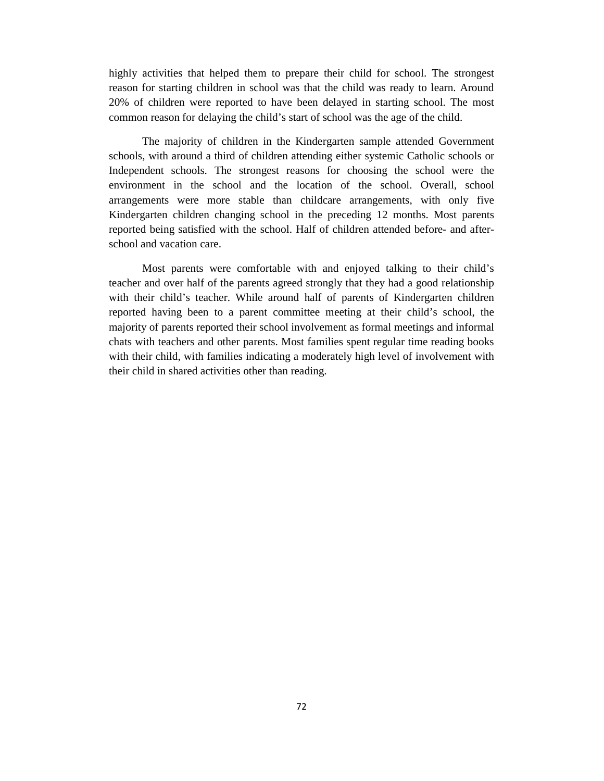highly activities that helped them to prepare their child for school. The strongest reason for starting children in school was that the child was ready to learn. Around 20% of children were reported to have been delayed in starting school. The most common reason for delaying the child's start of school was the age of the child.

The majority of children in the Kindergarten sample attended Government schools, with around a third of children attending either systemic Catholic schools or Independent schools. The strongest reasons for choosing the school were the environment in the school and the location of the school. Overall, school arrangements were more stable than childcare arrangements, with only five Kindergarten children changing school in the preceding 12 months. Most parents reported being satisfied with the school. Half of children attended before- and afterschool and vacation care.

Most parents were comfortable with and enjoyed talking to their child's teacher and over half of the parents agreed strongly that they had a good relationship with their child's teacher. While around half of parents of Kindergarten children reported having been to a parent committee meeting at their child's school, the majority of parents reported their school involvement as formal meetings and informal chats with teachers and other parents. Most families spent regular time reading books with their child, with families indicating a moderately high level of involvement with their child in shared activities other than reading.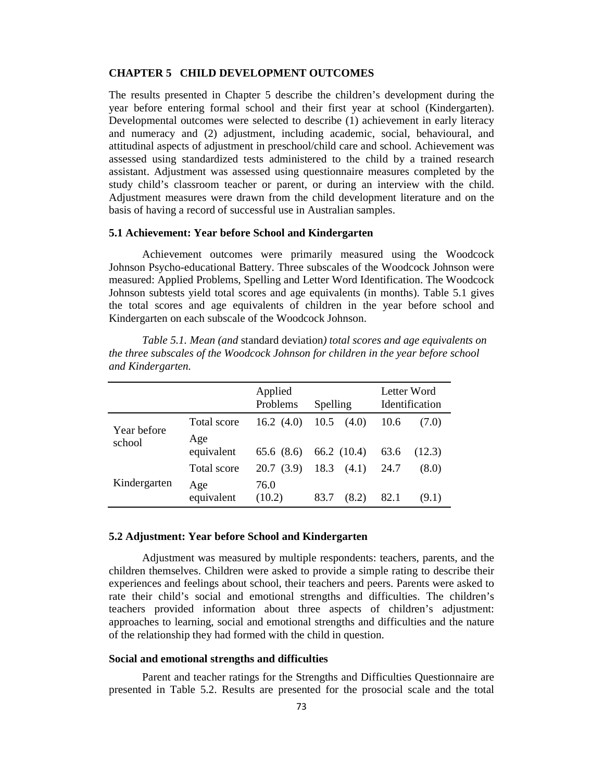#### **CHAPTER 5 CHILD DEVELOPMENT OUTCOMES**

The results presented in Chapter 5 describe the children's development during the year before entering formal school and their first year at school (Kindergarten). Developmental outcomes were selected to describe (1) achievement in early literacy and numeracy and (2) adjustment, including academic, social, behavioural, and attitudinal aspects of adjustment in preschool/child care and school. Achievement was assessed using standardized tests administered to the child by a trained research assistant. Adjustment was assessed using questionnaire measures completed by the study child's classroom teacher or parent, or during an interview with the child. Adjustment measures were drawn from the child development literature and on the basis of having a record of successful use in Australian samples.

# **5.1 Achievement: Year before School and Kindergarten**

Achievement outcomes were primarily measured using the Woodcock Johnson Psycho-educational Battery. Three subscales of the Woodcock Johnson were measured: Applied Problems, Spelling and Letter Word Identification. The Woodcock Johnson subtests yield total scores and age equivalents (in months). Table 5.1 gives the total scores and age equivalents of children in the year before school and Kindergarten on each subscale of the Woodcock Johnson.

|                       |                   | Applied<br>Problems | Spelling           | Letter Word<br>Identification |
|-----------------------|-------------------|---------------------|--------------------|-------------------------------|
| Year before<br>school | Total score       | 16.2 $(4.0)$        | $10.5 \quad (4.0)$ | 10.6<br>(7.0)                 |
|                       | Age<br>equivalent | 65.6 (8.6)          | 66.2 $(10.4)$      | 63.6<br>(12.3)                |
| Kindergarten          | Total score       | 20.7(3.9)           | $18.3 \quad (4.1)$ | 24.7<br>(8.0)                 |
|                       | Age<br>equivalent | 76.0<br>(10.2)      | 83.7<br>(8.2)      | 82.1<br>(9.1)                 |

*Table 5.1. Mean (and* standard deviation*) total scores and age equivalents on the three subscales of the Woodcock Johnson for children in the year before school and Kindergarten.* 

#### **5.2 Adjustment: Year before School and Kindergarten**

Adjustment was measured by multiple respondents: teachers, parents, and the children themselves. Children were asked to provide a simple rating to describe their experiences and feelings about school, their teachers and peers. Parents were asked to rate their child's social and emotional strengths and difficulties. The children's teachers provided information about three aspects of children's adjustment: approaches to learning, social and emotional strengths and difficulties and the nature of the relationship they had formed with the child in question.

#### **Social and emotional strengths and difficulties**

Parent and teacher ratings for the Strengths and Difficulties Questionnaire are presented in Table 5.2. Results are presented for the prosocial scale and the total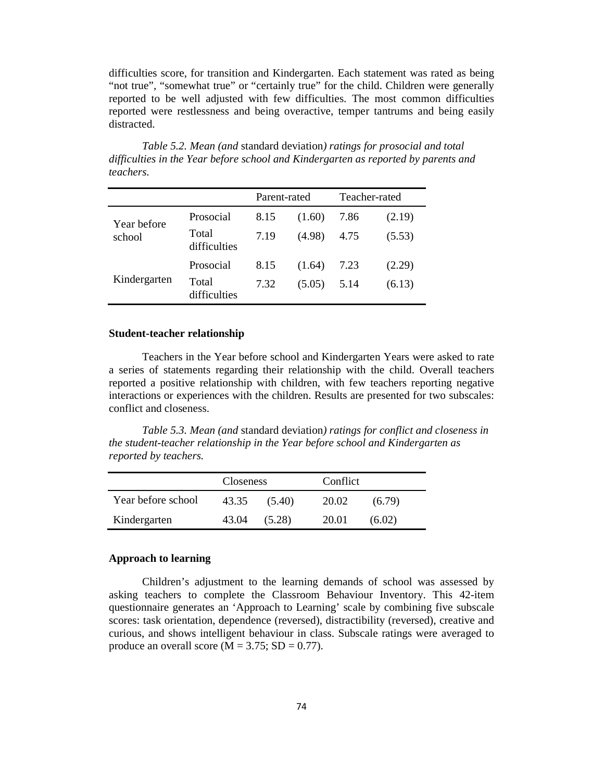difficulties score, for transition and Kindergarten. Each statement was rated as being "not true", "somewhat true" or "certainly true" for the child. Children were generally reported to be well adjusted with few difficulties. The most common difficulties reported were restlessness and being overactive, temper tantrums and being easily distracted.

|                       |                       | Parent-rated |        | Teacher-rated |        |
|-----------------------|-----------------------|--------------|--------|---------------|--------|
| Year before<br>school | Prosocial             | 8.15         | (1.60) | 7.86          | (2.19) |
|                       | Total<br>difficulties | 7.19         | (4.98) | 4.75          | (5.53) |
| Kindergarten          | Prosocial             | 8.15         | (1.64) | 7.23          | (2.29) |
|                       | Total<br>difficulties | 7.32         | (5.05) | 5.14          | (6.13) |

*Table 5.2. Mean (and* standard deviation*) ratings for prosocial and total difficulties in the Year before school and Kindergarten as reported by parents and teachers.* 

#### **Student-teacher relationship**

Teachers in the Year before school and Kindergarten Years were asked to rate a series of statements regarding their relationship with the child. Overall teachers reported a positive relationship with children, with few teachers reporting negative interactions or experiences with the children. Results are presented for two subscales: conflict and closeness.

*Table 5.3. Mean (and* standard deviation*) ratings for conflict and closeness in the student-teacher relationship in the Year before school and Kindergarten as reported by teachers.* 

|                    | <b>Closeness</b> |        | Conflict |        |
|--------------------|------------------|--------|----------|--------|
| Year before school | 43.35            | (5.40) | 20.02    | (6.79) |
| Kindergarten       | 43.04            | (5.28) | 20.01    | (6.02) |

# **Approach to learning**

Children's adjustment to the learning demands of school was assessed by asking teachers to complete the Classroom Behaviour Inventory. This 42-item questionnaire generates an 'Approach to Learning' scale by combining five subscale scores: task orientation, dependence (reversed), distractibility (reversed), creative and curious, and shows intelligent behaviour in class. Subscale ratings were averaged to produce an overall score ( $M = 3.75$ ; SD = 0.77).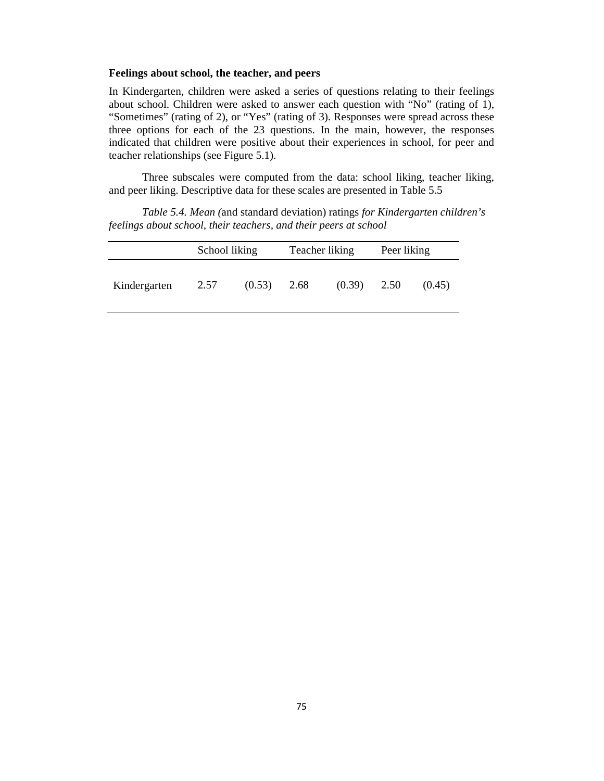#### **Feelings about school, the teacher, and peers**

In Kindergarten, children were asked a series of questions relating to their feelings about school. Children were asked to answer each question with "No" (rating of 1), "Sometimes" (rating of 2), or "Yes" (rating of 3). Responses were spread across these three options for each of the 23 questions. In the main, however, the responses indicated that children were positive about their experiences in school, for peer and teacher relationships (see Figure 5.1).

Three subscales were computed from the data: school liking, teacher liking, and peer liking. Descriptive data for these scales are presented in Table 5.5

*Table 5.4. Mean (*and standard deviation) ratings *for Kindergarten children's feelings about school, their teachers, and their peers at school* 

|              | School liking |        | Teacher liking |        | Peer liking |        |
|--------------|---------------|--------|----------------|--------|-------------|--------|
| Kindergarten | 2.57          | (0.53) | 2.68           | (0.39) | 2.50        | (0.45) |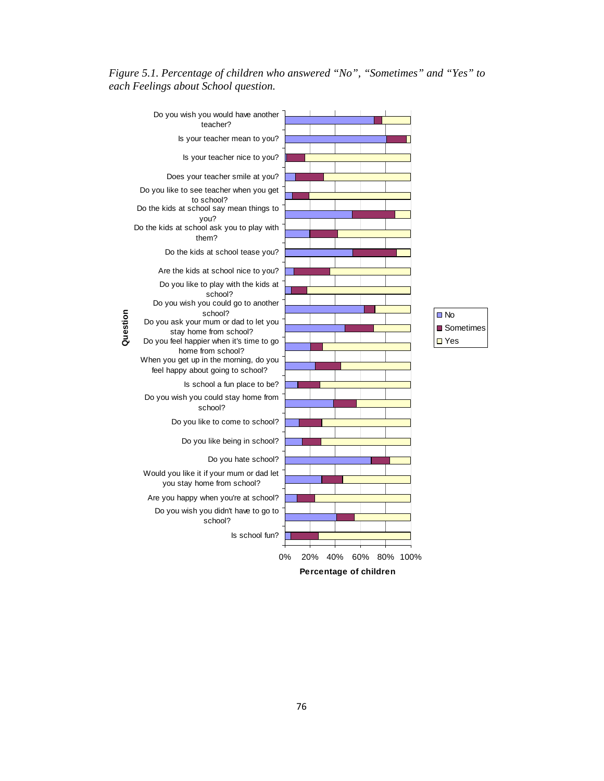*Figure 5.1. Percentage of children who answered "No", "Sometimes" and "Yes" to each Feelings about School question.* 

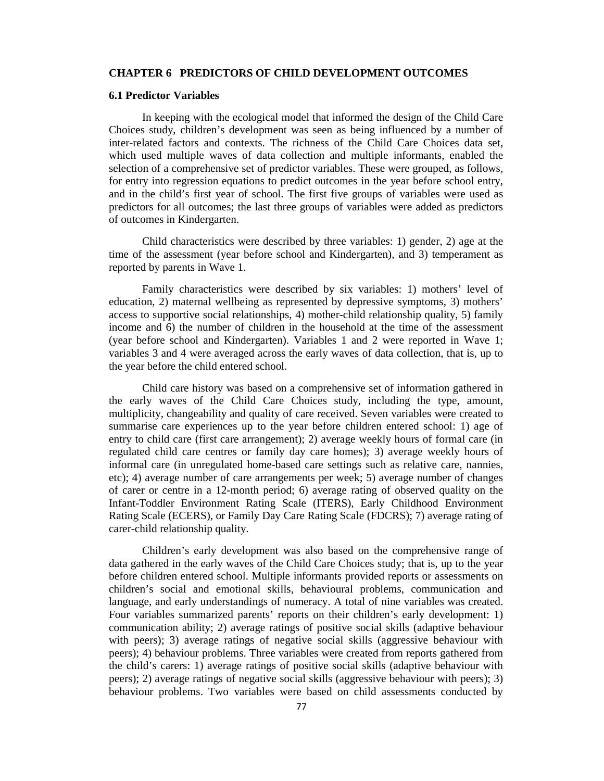#### **CHAPTER 6 PREDICTORS OF CHILD DEVELOPMENT OUTCOMES**

### **6.1 Predictor Variables**

In keeping with the ecological model that informed the design of the Child Care Choices study, children's development was seen as being influenced by a number of inter-related factors and contexts. The richness of the Child Care Choices data set, which used multiple waves of data collection and multiple informants, enabled the selection of a comprehensive set of predictor variables. These were grouped, as follows, for entry into regression equations to predict outcomes in the year before school entry, and in the child's first year of school. The first five groups of variables were used as predictors for all outcomes; the last three groups of variables were added as predictors of outcomes in Kindergarten.

Child characteristics were described by three variables: 1) gender, 2) age at the time of the assessment (year before school and Kindergarten), and 3) temperament as reported by parents in Wave 1.

Family characteristics were described by six variables: 1) mothers' level of education, 2) maternal wellbeing as represented by depressive symptoms, 3) mothers' access to supportive social relationships, 4) mother-child relationship quality, 5) family income and 6) the number of children in the household at the time of the assessment (year before school and Kindergarten). Variables 1 and 2 were reported in Wave 1; variables 3 and 4 were averaged across the early waves of data collection, that is, up to the year before the child entered school.

Child care history was based on a comprehensive set of information gathered in the early waves of the Child Care Choices study, including the type, amount, multiplicity, changeability and quality of care received. Seven variables were created to summarise care experiences up to the year before children entered school: 1) age of entry to child care (first care arrangement); 2) average weekly hours of formal care (in regulated child care centres or family day care homes); 3) average weekly hours of informal care (in unregulated home-based care settings such as relative care, nannies, etc); 4) average number of care arrangements per week; 5) average number of changes of carer or centre in a 12-month period; 6) average rating of observed quality on the Infant-Toddler Environment Rating Scale (ITERS), Early Childhood Environment Rating Scale (ECERS), or Family Day Care Rating Scale (FDCRS); 7) average rating of carer-child relationship quality.

Children's early development was also based on the comprehensive range of data gathered in the early waves of the Child Care Choices study; that is, up to the year before children entered school. Multiple informants provided reports or assessments on children's social and emotional skills, behavioural problems, communication and language, and early understandings of numeracy. A total of nine variables was created. Four variables summarized parents' reports on their children's early development: 1) communication ability; 2) average ratings of positive social skills (adaptive behaviour with peers); 3) average ratings of negative social skills (aggressive behaviour with peers); 4) behaviour problems. Three variables were created from reports gathered from the child's carers: 1) average ratings of positive social skills (adaptive behaviour with peers); 2) average ratings of negative social skills (aggressive behaviour with peers); 3) behaviour problems. Two variables were based on child assessments conducted by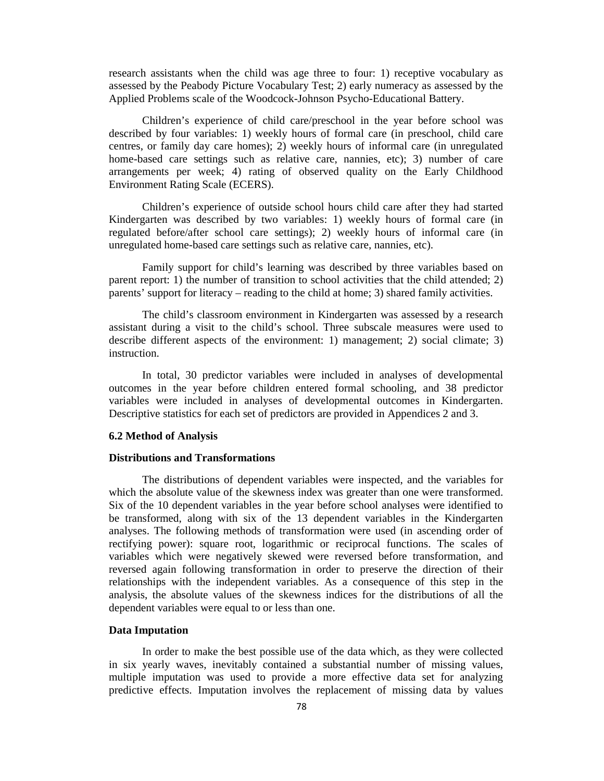research assistants when the child was age three to four: 1) receptive vocabulary as assessed by the Peabody Picture Vocabulary Test; 2) early numeracy as assessed by the Applied Problems scale of the Woodcock-Johnson Psycho-Educational Battery.

Children's experience of child care/preschool in the year before school was described by four variables: 1) weekly hours of formal care (in preschool, child care centres, or family day care homes); 2) weekly hours of informal care (in unregulated home-based care settings such as relative care, nannies, etc); 3) number of care arrangements per week; 4) rating of observed quality on the Early Childhood Environment Rating Scale (ECERS).

Children's experience of outside school hours child care after they had started Kindergarten was described by two variables: 1) weekly hours of formal care (in regulated before/after school care settings); 2) weekly hours of informal care (in unregulated home-based care settings such as relative care, nannies, etc).

Family support for child's learning was described by three variables based on parent report: 1) the number of transition to school activities that the child attended; 2) parents' support for literacy – reading to the child at home; 3) shared family activities.

The child's classroom environment in Kindergarten was assessed by a research assistant during a visit to the child's school. Three subscale measures were used to describe different aspects of the environment: 1) management; 2) social climate; 3) instruction.

In total, 30 predictor variables were included in analyses of developmental outcomes in the year before children entered formal schooling, and 38 predictor variables were included in analyses of developmental outcomes in Kindergarten. Descriptive statistics for each set of predictors are provided in Appendices 2 and 3.

#### **6.2 Method of Analysis**

#### **Distributions and Transformations**

The distributions of dependent variables were inspected, and the variables for which the absolute value of the skewness index was greater than one were transformed. Six of the 10 dependent variables in the year before school analyses were identified to be transformed, along with six of the 13 dependent variables in the Kindergarten analyses. The following methods of transformation were used (in ascending order of rectifying power): square root, logarithmic or reciprocal functions. The scales of variables which were negatively skewed were reversed before transformation, and reversed again following transformation in order to preserve the direction of their relationships with the independent variables. As a consequence of this step in the analysis, the absolute values of the skewness indices for the distributions of all the dependent variables were equal to or less than one.

#### **Data Imputation**

In order to make the best possible use of the data which, as they were collected in six yearly waves, inevitably contained a substantial number of missing values, multiple imputation was used to provide a more effective data set for analyzing predictive effects. Imputation involves the replacement of missing data by values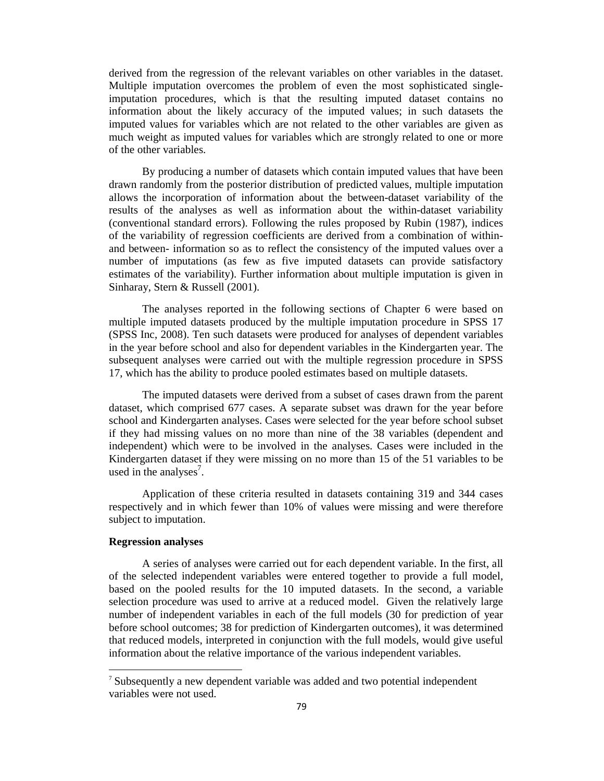derived from the regression of the relevant variables on other variables in the dataset. Multiple imputation overcomes the problem of even the most sophisticated singleimputation procedures, which is that the resulting imputed dataset contains no information about the likely accuracy of the imputed values; in such datasets the imputed values for variables which are not related to the other variables are given as much weight as imputed values for variables which are strongly related to one or more of the other variables.

By producing a number of datasets which contain imputed values that have been drawn randomly from the posterior distribution of predicted values, multiple imputation allows the incorporation of information about the between-dataset variability of the results of the analyses as well as information about the within-dataset variability (conventional standard errors). Following the rules proposed by Rubin (1987), indices of the variability of regression coefficients are derived from a combination of withinand between- information so as to reflect the consistency of the imputed values over a number of imputations (as few as five imputed datasets can provide satisfactory estimates of the variability). Further information about multiple imputation is given in Sinharay, Stern & Russell (2001).

The analyses reported in the following sections of Chapter 6 were based on multiple imputed datasets produced by the multiple imputation procedure in SPSS 17 (SPSS Inc, 2008). Ten such datasets were produced for analyses of dependent variables in the year before school and also for dependent variables in the Kindergarten year. The subsequent analyses were carried out with the multiple regression procedure in SPSS 17, which has the ability to produce pooled estimates based on multiple datasets.

The imputed datasets were derived from a subset of cases drawn from the parent dataset, which comprised 677 cases. A separate subset was drawn for the year before school and Kindergarten analyses. Cases were selected for the year before school subset if they had missing values on no more than nine of the 38 variables (dependent and independent) which were to be involved in the analyses. Cases were included in the Kindergarten dataset if they were missing on no more than 15 of the 51 variables to be used in the analyses<sup>7</sup>.

Application of these criteria resulted in datasets containing 319 and 344 cases respectively and in which fewer than 10% of values were missing and were therefore subject to imputation.

# **Regression analyses**

 $\overline{a}$ 

A series of analyses were carried out for each dependent variable. In the first, all of the selected independent variables were entered together to provide a full model, based on the pooled results for the 10 imputed datasets. In the second, a variable selection procedure was used to arrive at a reduced model. Given the relatively large number of independent variables in each of the full models (30 for prediction of year before school outcomes; 38 for prediction of Kindergarten outcomes), it was determined that reduced models, interpreted in conjunction with the full models, would give useful information about the relative importance of the various independent variables.

<sup>7</sup> Subsequently a new dependent variable was added and two potential independent variables were not used.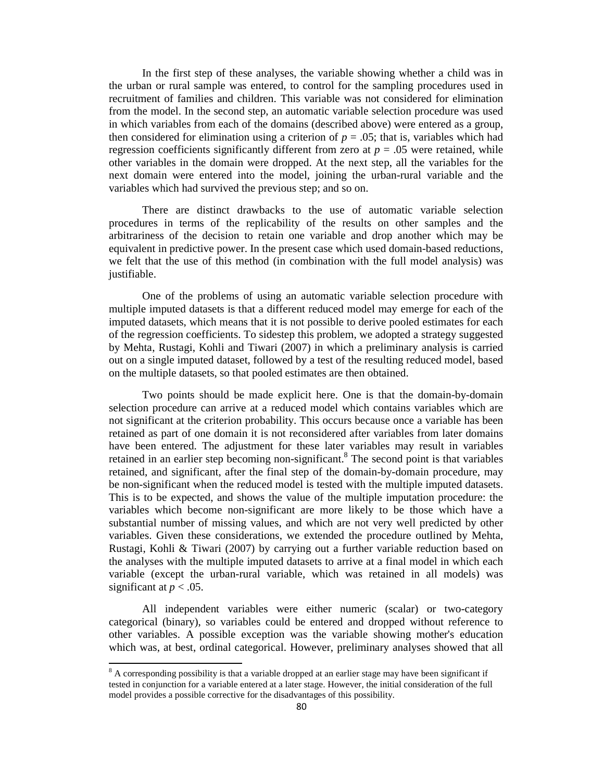In the first step of these analyses, the variable showing whether a child was in the urban or rural sample was entered, to control for the sampling procedures used in recruitment of families and children. This variable was not considered for elimination from the model. In the second step, an automatic variable selection procedure was used in which variables from each of the domains (described above) were entered as a group, then considered for elimination using a criterion of  $p = 0.05$ ; that is, variables which had regression coefficients significantly different from zero at  $p = 0.05$  were retained, while other variables in the domain were dropped. At the next step, all the variables for the next domain were entered into the model, joining the urban-rural variable and the variables which had survived the previous step; and so on.

There are distinct drawbacks to the use of automatic variable selection procedures in terms of the replicability of the results on other samples and the arbitrariness of the decision to retain one variable and drop another which may be equivalent in predictive power. In the present case which used domain-based reductions, we felt that the use of this method (in combination with the full model analysis) was justifiable.

One of the problems of using an automatic variable selection procedure with multiple imputed datasets is that a different reduced model may emerge for each of the imputed datasets, which means that it is not possible to derive pooled estimates for each of the regression coefficients. To sidestep this problem, we adopted a strategy suggested by Mehta, Rustagi, Kohli and Tiwari (2007) in which a preliminary analysis is carried out on a single imputed dataset, followed by a test of the resulting reduced model, based on the multiple datasets, so that pooled estimates are then obtained.

Two points should be made explicit here. One is that the domain-by-domain selection procedure can arrive at a reduced model which contains variables which are not significant at the criterion probability. This occurs because once a variable has been retained as part of one domain it is not reconsidered after variables from later domains have been entered. The adjustment for these later variables may result in variables retained in an earlier step becoming non-significant.<sup>8</sup> The second point is that variables retained, and significant, after the final step of the domain-by-domain procedure, may be non-significant when the reduced model is tested with the multiple imputed datasets. This is to be expected, and shows the value of the multiple imputation procedure: the variables which become non-significant are more likely to be those which have a substantial number of missing values, and which are not very well predicted by other variables. Given these considerations, we extended the procedure outlined by Mehta, Rustagi, Kohli & Tiwari (2007) by carrying out a further variable reduction based on the analyses with the multiple imputed datasets to arrive at a final model in which each variable (except the urban-rural variable, which was retained in all models) was significant at  $p < .05$ .

All independent variables were either numeric (scalar) or two-category categorical (binary), so variables could be entered and dropped without reference to other variables. A possible exception was the variable showing mother's education which was, at best, ordinal categorical. However, preliminary analyses showed that all

<sup>&</sup>lt;sup>8</sup> A corresponding possibility is that a variable dropped at an earlier stage may have been significant if tested in conjunction for a variable entered at a later stage. However, the initial consideration of the full model provides a possible corrective for the disadvantages of this possibility.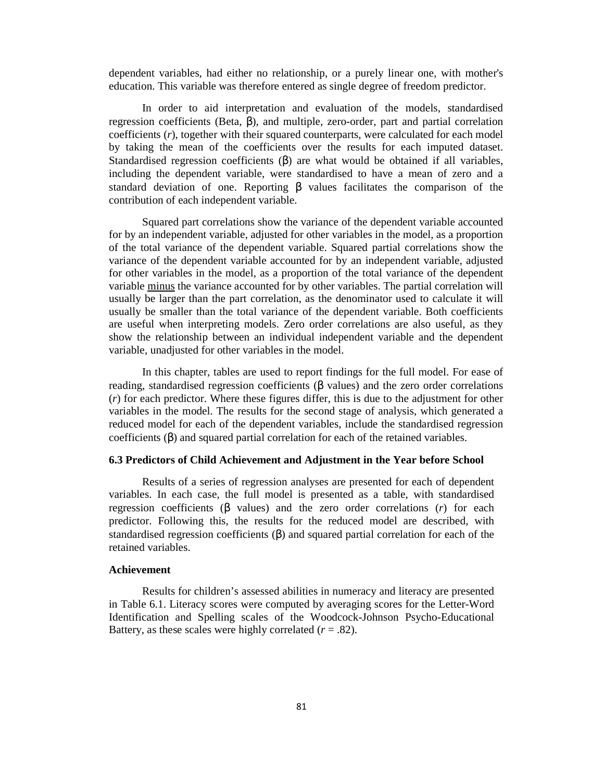dependent variables, had either no relationship, or a purely linear one, with mother's education. This variable was therefore entered as single degree of freedom predictor.

In order to aid interpretation and evaluation of the models, standardised regression coefficients (Beta, β), and multiple, zero-order, part and partial correlation coefficients (*r*), together with their squared counterparts, were calculated for each model by taking the mean of the coefficients over the results for each imputed dataset. Standardised regression coefficients  $(\beta)$  are what would be obtained if all variables, including the dependent variable, were standardised to have a mean of zero and a standard deviation of one. Reporting β values facilitates the comparison of the contribution of each independent variable.

Squared part correlations show the variance of the dependent variable accounted for by an independent variable, adjusted for other variables in the model, as a proportion of the total variance of the dependent variable. Squared partial correlations show the variance of the dependent variable accounted for by an independent variable, adjusted for other variables in the model, as a proportion of the total variance of the dependent variable minus the variance accounted for by other variables. The partial correlation will usually be larger than the part correlation, as the denominator used to calculate it will usually be smaller than the total variance of the dependent variable. Both coefficients are useful when interpreting models. Zero order correlations are also useful, as they show the relationship between an individual independent variable and the dependent variable, unadjusted for other variables in the model.

In this chapter, tables are used to report findings for the full model. For ease of reading, standardised regression coefficients (β values) and the zero order correlations (*r*) for each predictor. Where these figures differ, this is due to the adjustment for other variables in the model. The results for the second stage of analysis, which generated a reduced model for each of the dependent variables, include the standardised regression coefficients (β) and squared partial correlation for each of the retained variables.

#### **6.3 Predictors of Child Achievement and Adjustment in the Year before School**

Results of a series of regression analyses are presented for each of dependent variables. In each case, the full model is presented as a table, with standardised regression coefficients (β values) and the zero order correlations (*r*) for each predictor. Following this, the results for the reduced model are described, with standardised regression coefficients  $(\beta)$  and squared partial correlation for each of the retained variables.

#### **Achievement**

Results for children's assessed abilities in numeracy and literacy are presented in Table 6.1. Literacy scores were computed by averaging scores for the Letter-Word Identification and Spelling scales of the Woodcock-Johnson Psycho-Educational Battery, as these scales were highly correlated  $(r = .82)$ .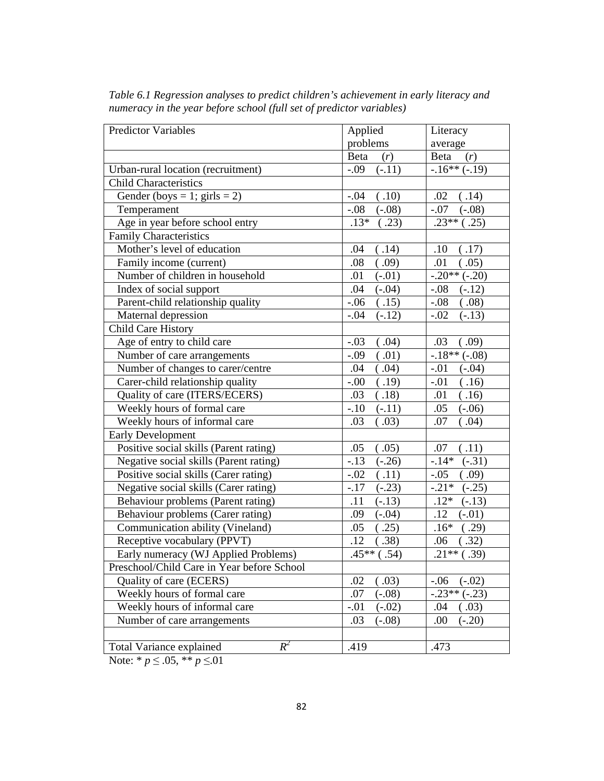| Applied<br>Literacy<br>problems<br>average<br>Beta<br>(r)<br>Beta<br>(r)<br>$-.16**(-.19)$<br>$-.09$<br>Urban-rural location (recruitment)<br>$(-.11)$<br><b>Child Characteristics</b><br>Gender (boys = 1; girls = 2)<br>(.10)<br>(.14)<br>$-.04$<br>.02<br>Temperament<br>$-.08$<br>$(-.08)$<br>$-.07$<br>$(-.08)$<br>Age in year before school entry<br>$.23**$<br>$.13*$<br>(.23)<br>(.25)<br><b>Family Characteristics</b><br>Mother's level of education<br>(.14)<br>(.17)<br>.04<br>.10<br>Family income (current)<br>(.09)<br>.01<br>.08<br>(.05)<br>Number of children in household<br>$-.20**$<br>$(-.20)$<br>.01<br>$(-.01)$ |
|-----------------------------------------------------------------------------------------------------------------------------------------------------------------------------------------------------------------------------------------------------------------------------------------------------------------------------------------------------------------------------------------------------------------------------------------------------------------------------------------------------------------------------------------------------------------------------------------------------------------------------------------|
|                                                                                                                                                                                                                                                                                                                                                                                                                                                                                                                                                                                                                                         |
|                                                                                                                                                                                                                                                                                                                                                                                                                                                                                                                                                                                                                                         |
|                                                                                                                                                                                                                                                                                                                                                                                                                                                                                                                                                                                                                                         |
|                                                                                                                                                                                                                                                                                                                                                                                                                                                                                                                                                                                                                                         |
|                                                                                                                                                                                                                                                                                                                                                                                                                                                                                                                                                                                                                                         |
|                                                                                                                                                                                                                                                                                                                                                                                                                                                                                                                                                                                                                                         |
|                                                                                                                                                                                                                                                                                                                                                                                                                                                                                                                                                                                                                                         |
|                                                                                                                                                                                                                                                                                                                                                                                                                                                                                                                                                                                                                                         |
|                                                                                                                                                                                                                                                                                                                                                                                                                                                                                                                                                                                                                                         |
|                                                                                                                                                                                                                                                                                                                                                                                                                                                                                                                                                                                                                                         |
|                                                                                                                                                                                                                                                                                                                                                                                                                                                                                                                                                                                                                                         |
| Index of social support<br>.04<br>$(-.04)$<br>$-.08$<br>$(-.12)$                                                                                                                                                                                                                                                                                                                                                                                                                                                                                                                                                                        |
| Parent-child relationship quality<br>(.15)<br>$-.06$<br>$-.08$<br>(.08)                                                                                                                                                                                                                                                                                                                                                                                                                                                                                                                                                                 |
| Maternal depression<br>$(-.12)$<br>$-.04$<br>$-.02$<br>$(-.13)$                                                                                                                                                                                                                                                                                                                                                                                                                                                                                                                                                                         |
| <b>Child Care History</b>                                                                                                                                                                                                                                                                                                                                                                                                                                                                                                                                                                                                               |
| Age of entry to child care<br>$-.03$<br>(.04)<br>.03<br>(0.09)                                                                                                                                                                                                                                                                                                                                                                                                                                                                                                                                                                          |
| $-18** (-08)$<br>(.01)<br>Number of care arrangements<br>$-.09$                                                                                                                                                                                                                                                                                                                                                                                                                                                                                                                                                                         |
| Number of changes to carer/centre<br>(.04)<br>.04<br>$-.01$<br>$(-.04)$                                                                                                                                                                                                                                                                                                                                                                                                                                                                                                                                                                 |
| Carer-child relationship quality<br>(.19)<br>$-.01$<br>(.16)<br>$-.00$                                                                                                                                                                                                                                                                                                                                                                                                                                                                                                                                                                  |
| Quality of care (ITERS/ECERS)<br>(.18)<br>.01<br>(.16)<br>.03                                                                                                                                                                                                                                                                                                                                                                                                                                                                                                                                                                           |
| Weekly hours of formal care<br>$-.10$<br>$(-.11)$<br>.05<br>$(-.06)$                                                                                                                                                                                                                                                                                                                                                                                                                                                                                                                                                                    |
| Weekly hours of informal care<br>.03<br>(.03)<br>.07<br>(.04)                                                                                                                                                                                                                                                                                                                                                                                                                                                                                                                                                                           |
| <b>Early Development</b>                                                                                                                                                                                                                                                                                                                                                                                                                                                                                                                                                                                                                |
| Positive social skills (Parent rating)<br>(.05)<br>(.11)<br>.05<br>.07                                                                                                                                                                                                                                                                                                                                                                                                                                                                                                                                                                  |
| $-.13$<br>$-.14*$<br>Negative social skills (Parent rating)<br>$(-.26)$<br>$(-.31)$                                                                                                                                                                                                                                                                                                                                                                                                                                                                                                                                                     |
| Positive social skills (Carer rating)<br>$-.02$<br>(.11)<br>$-.05$<br>.09)                                                                                                                                                                                                                                                                                                                                                                                                                                                                                                                                                              |
| Negative social skills (Carer rating)<br>$-.21*$<br>$(-.25)$<br>$-.17$<br>$(-.23)$                                                                                                                                                                                                                                                                                                                                                                                                                                                                                                                                                      |
| Behaviour problems (Parent rating)<br>$.12*$<br>.11<br>$(-.13)$<br>$(-.13)$                                                                                                                                                                                                                                                                                                                                                                                                                                                                                                                                                             |
| Behaviour problems (Carer rating)<br>$(-.04)$<br>.12<br>$(-.01)$<br>.09                                                                                                                                                                                                                                                                                                                                                                                                                                                                                                                                                                 |
| Communication ability (Vineland)<br>(.25)<br>.05<br>$.16*$<br>(.29)                                                                                                                                                                                                                                                                                                                                                                                                                                                                                                                                                                     |
| Receptive vocabulary (PPVT)<br>(.38)<br>.12<br>(.32)<br>.06                                                                                                                                                                                                                                                                                                                                                                                                                                                                                                                                                                             |
| $.45**$<br>$\sqrt{2}1**$ (.39)<br>Early numeracy (WJ Applied Problems)<br>(.54)                                                                                                                                                                                                                                                                                                                                                                                                                                                                                                                                                         |
| Preschool/Child Care in Year before School                                                                                                                                                                                                                                                                                                                                                                                                                                                                                                                                                                                              |
| Quality of care (ECERS)<br>(.03)<br>$-.06$<br>.02<br>$(-.02)$                                                                                                                                                                                                                                                                                                                                                                                                                                                                                                                                                                           |
| $-.23**(-.23)$<br>Weekly hours of formal care<br>.07<br>$(-.08)$                                                                                                                                                                                                                                                                                                                                                                                                                                                                                                                                                                        |
| Weekly hours of informal care<br>$(-.02)$<br>.04<br>$-.01$<br>.03)                                                                                                                                                                                                                                                                                                                                                                                                                                                                                                                                                                      |
| Number of care arrangements<br>$(-.08)$<br>.00<br>$(-.20)$<br>.03                                                                                                                                                                                                                                                                                                                                                                                                                                                                                                                                                                       |
|                                                                                                                                                                                                                                                                                                                                                                                                                                                                                                                                                                                                                                         |
| $R^2$<br>.419<br>.473<br><b>Total Variance explained</b>                                                                                                                                                                                                                                                                                                                                                                                                                                                                                                                                                                                |

*Table 6.1 Regression analyses to predict children's achievement in early literacy and numeracy in the year before school (full set of predictor variables)*

Note: \* *p* ≤ .05, \*\* *p* ≤.01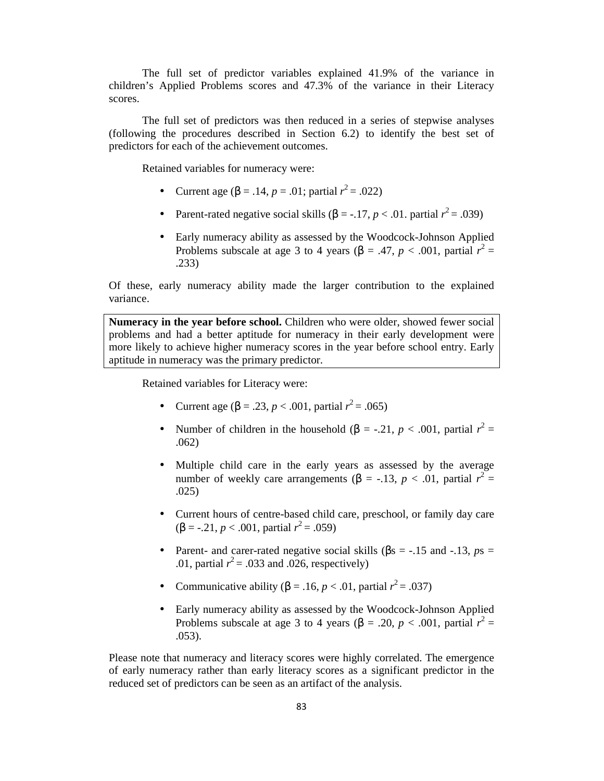The full set of predictor variables explained 41.9% of the variance in children's Applied Problems scores and 47.3% of the variance in their Literacy scores.

The full set of predictors was then reduced in a series of stepwise analyses (following the procedures described in Section 6.2) to identify the best set of predictors for each of the achievement outcomes.

Retained variables for numeracy were:

- Current age (β = .14, *p* = .01; partial  $r^2$  = .022)
- Parent-rated negative social skills  $(\beta = -17, p < .01$ . partial  $r^2 = .039$ )
- Early numeracy ability as assessed by the Woodcock-Johnson Applied Problems subscale at age 3 to 4 years ( $\beta$  = .47, *p* < .001, partial  $r^2$  = .233)

Of these, early numeracy ability made the larger contribution to the explained variance.

**Numeracy in the year before school.** Children who were older, showed fewer social problems and had a better aptitude for numeracy in their early development were more likely to achieve higher numeracy scores in the year before school entry. Early aptitude in numeracy was the primary predictor.

Retained variables for Literacy were:

- Current age (β = .23, *p* < .001, partial  $r^2$  = .065)
- Number of children in the household ( $\beta$  = -.21, *p* < .001, partial  $r^2$  = .062)
- Multiple child care in the early years as assessed by the average number of weekly care arrangements ( $\beta$  = -.13, *p* < .01, partial  $r^2$  = .025)
- Current hours of centre-based child care, preschool, or family day care  $(\beta = -.21, p < .001,$  partial  $r^2 = .059)$
- Parent- and carer-rated negative social skills ( $\beta$ s = -.15 and -.13, *ps* = .01, partial  $r^2$  = .033 and .026, respectively)
- Communicative ability ( $\beta = .16$ ,  $p < .01$ , partial  $r^2 = .037$ )
- Early numeracy ability as assessed by the Woodcock-Johnson Applied Problems subscale at age 3 to 4 years ( $\beta$  = .20, *p* < .001, partial  $r^2$  = .053).

Please note that numeracy and literacy scores were highly correlated. The emergence of early numeracy rather than early literacy scores as a significant predictor in the reduced set of predictors can be seen as an artifact of the analysis.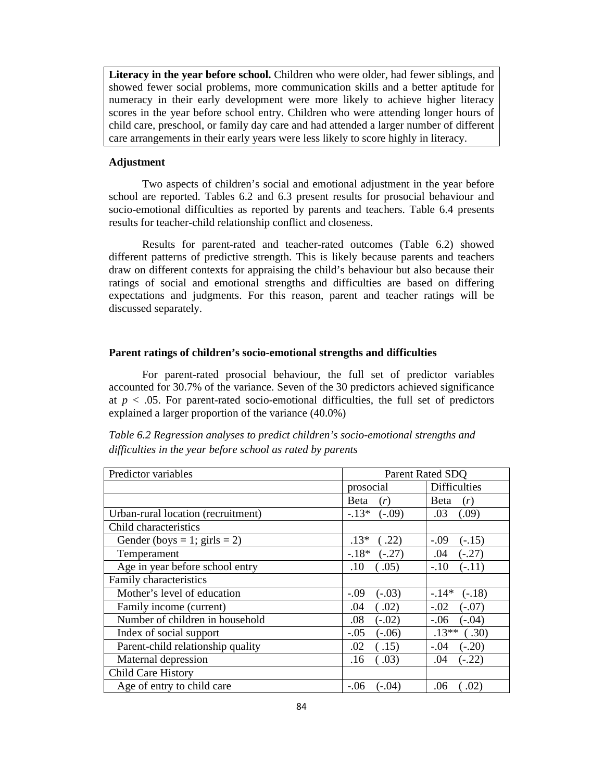**Literacy in the year before school.** Children who were older, had fewer siblings, and showed fewer social problems, more communication skills and a better aptitude for numeracy in their early development were more likely to achieve higher literacy scores in the year before school entry. Children who were attending longer hours of child care, preschool, or family day care and had attended a larger number of different care arrangements in their early years were less likely to score highly in literacy.

### **Adjustment**

Two aspects of children's social and emotional adjustment in the year before school are reported. Tables 6.2 and 6.3 present results for prosocial behaviour and socio-emotional difficulties as reported by parents and teachers. Table 6.4 presents results for teacher-child relationship conflict and closeness.

Results for parent-rated and teacher-rated outcomes (Table 6.2) showed different patterns of predictive strength. This is likely because parents and teachers draw on different contexts for appraising the child's behaviour but also because their ratings of social and emotional strengths and difficulties are based on differing expectations and judgments. For this reason, parent and teacher ratings will be discussed separately.

### **Parent ratings of children's socio-emotional strengths and difficulties**

For parent-rated prosocial behaviour, the full set of predictor variables accounted for 30.7% of the variance. Seven of the 30 predictors achieved significance at  $p < .05$ . For parent-rated socio-emotional difficulties, the full set of predictors explained a larger proportion of the variance (40.0%)

| Predictor variables                |                    | Parent Rated SDO    |
|------------------------------------|--------------------|---------------------|
|                                    | prosocial          | <b>Difficulties</b> |
|                                    | Beta<br>(r)        | Beta<br>(r)         |
| Urban-rural location (recruitment) | $-13*$<br>$(-.09)$ | .03<br>(.09)        |
| Child characteristics              |                    |                     |
| Gender (boys = 1; girls = 2)       | $.13*$<br>(.22)    | $-.09$<br>$(-.15)$  |
| Temperament                        | $-18*$<br>$(-.27)$ | .04<br>$(-.27)$     |
| Age in year before school entry    | (.05)<br>.10       | $-.10$<br>$(-.11)$  |
| Family characteristics             |                    |                     |
| Mother's level of education        | $-.09$<br>$(-.03)$ | $-14*$<br>$(-.18)$  |
| Family income (current)            | (.02)<br>.04       | $-.02$<br>$(-.07)$  |
| Number of children in household    | .08<br>$(-.02)$    | $-.06$<br>$(-.04)$  |
| Index of social support            | $-.05$<br>$(-.06)$ | $.13**$<br>(.30)    |
| Parent-child relationship quality  | (15)<br>.02        | $-.04$<br>$(-.20)$  |
| Maternal depression                | .03)<br>.16        | $(-.22)$<br>.04     |
| <b>Child Care History</b>          |                    |                     |
| Age of entry to child care         | $-.06$<br>(-.04)   | .06<br>.02)         |

*Table 6.2 Regression analyses to predict children's socio-emotional strengths and difficulties in the year before school as rated by parents*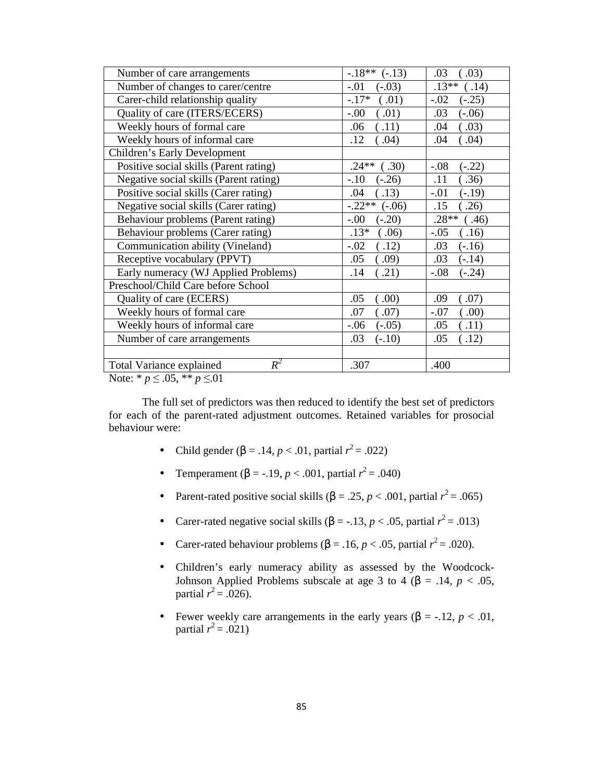| Number of care arrangements              | $-.18**$<br>$(-.13)$ | .03<br>.03)        |
|------------------------------------------|----------------------|--------------------|
| Number of changes to carer/centre        | $-.01$<br>$(-.03)$   | $.13**$<br>.14)    |
| Carer-child relationship quality         | $-.17*$<br>(.01)     | $-.02$<br>$(-.25)$ |
| Quality of care (ITERS/ECERS)            | $-.00$<br>(.01)      | .03<br>$(-.06)$    |
| Weekly hours of formal care              | .11)<br>.06          | .03)<br>.04        |
| Weekly hours of informal care            | .12<br>.04)          | .04)<br>.04        |
| Children's Early Development             |                      |                    |
| Positive social skills (Parent rating)   | $.24**$<br>.30)      | $-.08$<br>$(-.22)$ |
| Negative social skills (Parent rating)   | $-.10$<br>$(-.26)$   | .11<br>.36)        |
| Positive social skills (Carer rating)    | .13)<br>.04          | $-.01$<br>$(-.19)$ |
| Negative social skills (Carer rating)    | $-.22**$<br>$(-.06)$ | .15<br>.26)        |
| Behaviour problems (Parent rating)       | $-.00$<br>$(-.20)$   | $.28**$<br>(0.46)  |
| Behaviour problems (Carer rating)        | $.13*$<br>.06)       | $-.05$<br>.16)     |
| Communication ability (Vineland)         | $-.02$<br>(.12)      | .03<br>$(-.16)$    |
| Receptive vocabulary (PPVT)              | .05<br>.09)          | .03<br>$(-.14)$    |
| Early numeracy (WJ Applied Problems)     | .21)<br>.14          | $(-.24)$<br>$-.08$ |
| Preschool/Child Care before School       |                      |                    |
| Quality of care (ECERS)                  | .05<br>.00)          | .09<br>.07)        |
| Weekly hours of formal care              | (.07)<br>.07         | $-.07$<br>.00)     |
| Weekly hours of informal care            | $-.06$<br>$(-.05)$   | .05<br>.11)        |
| Number of care arrangements              | .03<br>$(-.10)$      | .05<br>.12)        |
|                                          |                      |                    |
| $R^2$<br><b>Total Variance explained</b> | .307                 | .400               |

Note: \* *p* ≤ .05, \*\* *p* ≤.01

The full set of predictors was then reduced to identify the best set of predictors for each of the parent-rated adjustment outcomes. Retained variables for prosocial behaviour were:

- Child gender (β = .14, *p* < .01, partial  $r^2$  = .022)
- Temperament (β = -.19, *p* < .001, partial  $r^2$  = .040)
- Parent-rated positive social skills  $(\beta = .25, p < .001,$  partial  $r^2 = .065)$
- Carer-rated negative social skills  $(\beta = -13, p < .05,$  partial  $r^2 = .013$ )
- Carer-rated behaviour problems ( $β = .16, p < .05$ , partial  $r^2 = .020$ ).
- Children's early numeracy ability as assessed by the Woodcock-Johnson Applied Problems subscale at age 3 to 4 ( $\beta$  = .14, *p* < .05, partial  $r^2 = .026$ ).
- Fewer weekly care arrangements in the early years ( $\beta$  = -.12, *p* < .01, partial  $r^2 = .021$ )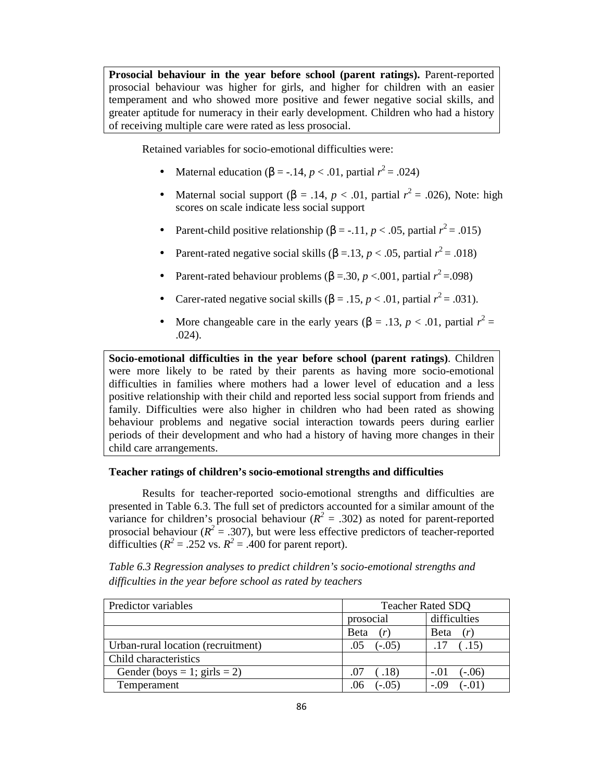**Prosocial behaviour in the year before school (parent ratings).** Parent-reported prosocial behaviour was higher for girls, and higher for children with an easier temperament and who showed more positive and fewer negative social skills, and greater aptitude for numeracy in their early development. Children who had a history of receiving multiple care were rated as less prosocial.

Retained variables for socio-emotional difficulties were:

- Maternal education (β = -.14, *p* < .01, partial  $r^2$  = .024)
- Maternal social support ( $\beta = .14$ ,  $p < .01$ , partial  $r^2 = .026$ ), Note: high scores on scale indicate less social support
- Parent-child positive relationship ( $\beta$  = -.11, *p* < .05, partial  $r^2$  = .015)
- Parent-rated negative social skills  $(\beta = 13, p < .05,$  partial  $r^2 = .018$ )
- Parent-rated behaviour problems ( $\beta = 0.30$ ,  $p < 0.001$ , partial  $r^2 = 0.098$ )
- Carer-rated negative social skills  $(β = .15, p < .01,$  partial  $r^2 = .031$ ).
- More changeable care in the early years  $(\beta = .13, p < .01,$  partial  $r^2 =$ .024).

**Socio-emotional difficulties in the year before school (parent ratings)**. Children were more likely to be rated by their parents as having more socio-emotional difficulties in families where mothers had a lower level of education and a less positive relationship with their child and reported less social support from friends and family. Difficulties were also higher in children who had been rated as showing behaviour problems and negative social interaction towards peers during earlier periods of their development and who had a history of having more changes in their child care arrangements.

### **Teacher ratings of children's socio-emotional strengths and difficulties**

Results for teacher-reported socio-emotional strengths and difficulties are presented in Table 6.3. The full set of predictors accounted for a similar amount of the variance for children's prosocial behaviour ( $R^2 = .302$ ) as noted for parent-reported prosocial behaviour ( $R^2 = .307$ ), but were less effective predictors of teacher-reported difficulties ( $R^2 = .252$  vs.  $R^2 = .400$  for parent report).

*Table 6.3 Regression analyses to predict children's socio-emotional strengths and difficulties in the year before school as rated by teachers* 

| Predictor variables                | <b>Teacher Rated SDQ</b> |                    |  |
|------------------------------------|--------------------------|--------------------|--|
|                                    | prosocial                | difficulties       |  |
|                                    | Beta                     | Beta<br>(r)        |  |
| Urban-rural location (recruitment) | $(-.05)$<br>.05          | (.15)<br>.17       |  |
| Child characteristics              |                          |                    |  |
| Gender (boys = 1; girls = 2)       | (.18)<br>.07             | $(-.06)$<br>$-.01$ |  |
| Temperament                        | $(-.05)$                 | $-.09$<br>$, -.01$ |  |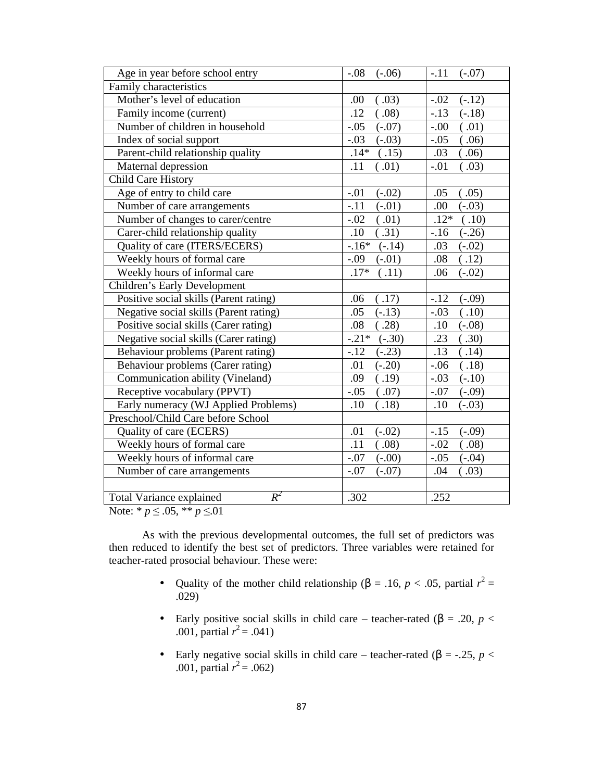| Age in year before school entry                                                                                                        | $-.08$<br>$(-.06)$   | $-.11$<br>$(-.07)$ |
|----------------------------------------------------------------------------------------------------------------------------------------|----------------------|--------------------|
| Family characteristics                                                                                                                 |                      |                    |
| Mother's level of education                                                                                                            | (.03)<br>.00.        | $(-.12)$<br>$-.02$ |
| Family income (current)                                                                                                                | .12<br>(.08)         | $-.13$<br>$(-.18)$ |
| Number of children in household                                                                                                        | $(-.07)$<br>$-.05$   | $-.00$<br>(.01)    |
| Index of social support                                                                                                                | $-.03$<br>$(-.03)$   | $-.05$<br>(.06)    |
| Parent-child relationship quality                                                                                                      | $.14*$<br>(.15)      | .03<br>(.06)       |
| Maternal depression                                                                                                                    | .11<br>(.01)         | $-.01$<br>(.03)    |
| <b>Child Care History</b>                                                                                                              |                      |                    |
| Age of entry to child care                                                                                                             | $(-.02)$<br>$-.01$   | .05<br>(.05)       |
| Number of care arrangements                                                                                                            | $-.11$<br>$(-.01)$   | .00<br>$(-.03)$    |
| Number of changes to carer/centre                                                                                                      | $-.02$<br>(.01)      | $.12*$<br>(.10)    |
| Carer-child relationship quality                                                                                                       | .10<br>(.31)         | $(-.26)$<br>$-16$  |
| Quality of care (ITERS/ECERS)                                                                                                          | $-.16*$<br>$(-.14)$  | .03<br>$(-.02)$    |
| Weekly hours of formal care                                                                                                            | $-.09$<br>$(-.01)$   | .08<br>(.12)       |
| Weekly hours of informal care                                                                                                          | $.17*$<br>(.11)      | .06<br>$(-.02)$    |
| Children's Early Development                                                                                                           |                      |                    |
| Positive social skills (Parent rating)                                                                                                 | (.17)<br>.06         | $(-.09)$<br>$-.12$ |
| Negative social skills (Parent rating)                                                                                                 | $(-.13)$<br>.05      | $-.03$<br>(.10)    |
| Positive social skills (Carer rating)                                                                                                  | (.28)<br>.08         | .10<br>$(-.08)$    |
| Negative social skills (Carer rating)                                                                                                  | $-0.21*$<br>$(-.30)$ | .23<br>(.30)       |
| Behaviour problems (Parent rating)                                                                                                     | $(-.23)$<br>$-.12$   | .13<br>(.14)       |
| Behaviour problems (Carer rating)                                                                                                      | .01<br>$(-.20)$      | $-.06$<br>(.18)    |
| Communication ability (Vineland)                                                                                                       | (.19)<br>.09         | $(-.10)$<br>$-.03$ |
| Receptive vocabulary (PPVT)                                                                                                            | (.07)<br>$-.05$      | $-.07$<br>$(-.09)$ |
| Early numeracy (WJ Applied Problems)                                                                                                   | .10<br>(.18)         | .10<br>$(-.03)$    |
| Preschool/Child Care before School                                                                                                     |                      |                    |
| Quality of care (ECERS)                                                                                                                | $(-.02)$<br>.01      | $-.15$<br>$(-.09)$ |
| Weekly hours of formal care                                                                                                            | .11<br>(.08)         | $-.02$<br>(.08)    |
| Weekly hours of informal care                                                                                                          | $(-.00)$<br>$-.07$   | $-.05$<br>$(-.04)$ |
| Number of care arrangements                                                                                                            | $-.07$<br>$(-.07)$   | (.03)<br>.04       |
|                                                                                                                                        |                      |                    |
| $R^2$<br><b>Total Variance explained</b><br>$\mathbf{a}$ $\mathbf{b}$ $\mathbf{c}$ $\mathbf{c}$ $\mathbf{c}$ $\mathbf{d}$ $\mathbf{c}$ | .302                 | .252               |

Note: \* *p* ≤ .05, \*\* *p* ≤.01

As with the previous developmental outcomes, the full set of predictors was then reduced to identify the best set of predictors. Three variables were retained for teacher-rated prosocial behaviour. These were:

- Quality of the mother child relationship (β = .16, *p* < .05, partial  $r^2$  = .029)
- Early positive social skills in child care teacher-rated (β = .20, *p* < .001, partial  $r^2 = .041$ )
- Early negative social skills in child care teacher-rated ( $\beta$  = -.25, *p* < .001, partial  $r^2 = .062$ )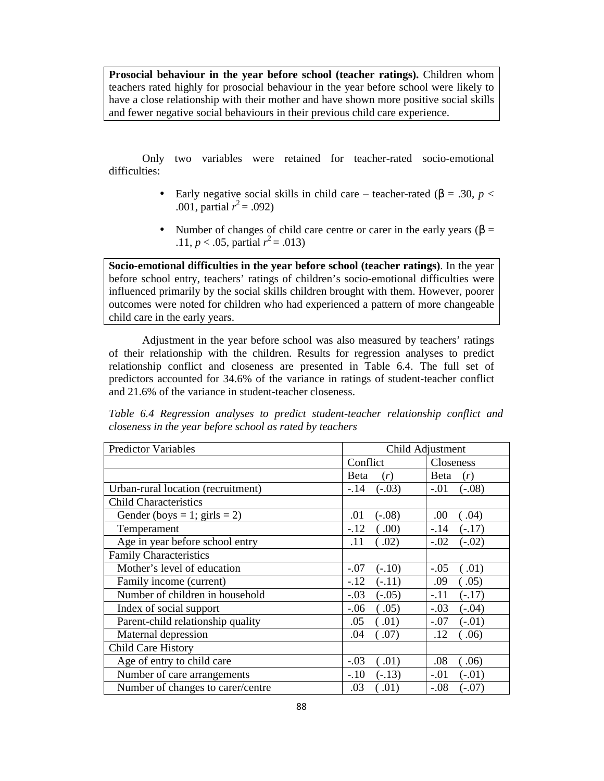**Prosocial behaviour in the year before school (teacher ratings).** Children whom teachers rated highly for prosocial behaviour in the year before school were likely to have a close relationship with their mother and have shown more positive social skills and fewer negative social behaviours in their previous child care experience.

Only two variables were retained for teacher-rated socio-emotional difficulties:

- Early negative social skills in child care teacher-rated ( $\beta$  = .30, *p* < .001, partial  $r^2 = .092$ )
- Number of changes of child care centre or carer in the early years ( $\beta$  = .11,  $p < .05$ , partial  $r^2 = .013$ )

**Socio-emotional difficulties in the year before school (teacher ratings)**. In the year before school entry, teachers' ratings of children's socio-emotional difficulties were influenced primarily by the social skills children brought with them. However, poorer outcomes were noted for children who had experienced a pattern of more changeable child care in the early years.

Adjustment in the year before school was also measured by teachers' ratings of their relationship with the children. Results for regression analyses to predict relationship conflict and closeness are presented in Table 6.4. The full set of predictors accounted for 34.6% of the variance in ratings of student-teacher conflict and 21.6% of the variance in student-teacher closeness.

| Table 6.4 Regression analyses to predict student-teacher relationship conflict and |  |  |  |
|------------------------------------------------------------------------------------|--|--|--|
| closeness in the year before school as rated by teachers                           |  |  |  |

| <b>Predictor Variables</b>         | Child Adjustment    |                    |
|------------------------------------|---------------------|--------------------|
|                                    | Conflict            | Closeness          |
|                                    | <b>B</b> eta<br>(r) | Beta<br>(r)        |
| Urban-rural location (recruitment) | $-14$<br>$(-.03)$   | $-.01$<br>$(-.08)$ |
| <b>Child Characteristics</b>       |                     |                    |
| Gender (boys = 1; girls = 2)       | $(-.08)$<br>.01     | (.04)<br>.00       |
| Temperament                        | $-.12$<br>(.00)     | $-.14$<br>$(-.17)$ |
| Age in year before school entry    | (.02)<br>.11        | $-.02$<br>$(-.02)$ |
| <b>Family Characteristics</b>      |                     |                    |
| Mother's level of education        | $-.07$<br>$(-.10)$  | $-.05$<br>(.01)    |
| Family income (current)            | $-.12$<br>$(-.11)$  | .09<br>(.05)       |
| Number of children in household    | $-.03$<br>$(-.05)$  | $-.11$<br>$(-.17)$ |
| Index of social support            | $-.06$<br>(.05)     | $-.03$<br>$(-.04)$ |
| Parent-child relationship quality  | .05<br>(.01)        | $(-.01)$<br>$-.07$ |
| Maternal depression                | .04<br>(.07)        | .12<br>.06)        |
| <b>Child Care History</b>          |                     |                    |
| Age of entry to child care         | $-.03$<br>.01)      | .08<br>.06)        |
| Number of care arrangements        | $-.10$<br>$(-.13)$  | $-.01$<br>$(-.01)$ |
| Number of changes to carer/centre  | (.01)<br>.03        | $-.08$<br>$(-.07)$ |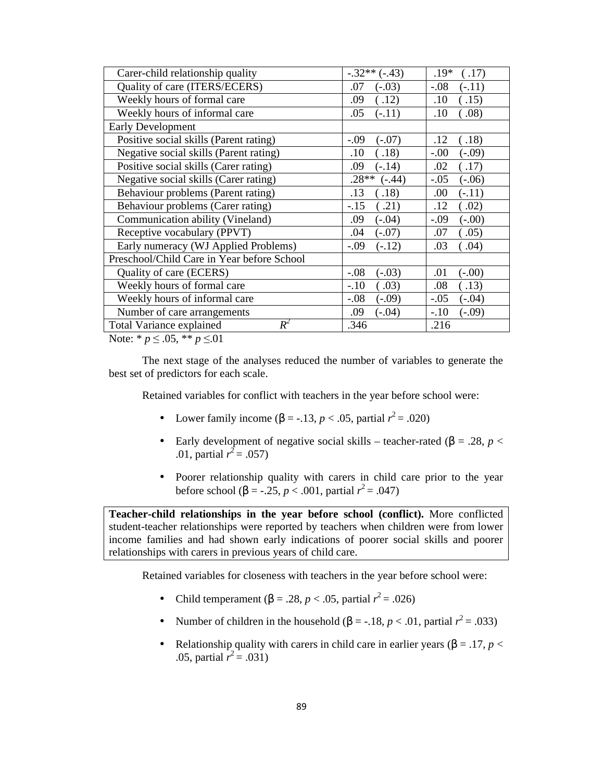| $-.32**(-.43)$      | $.19*$<br>.17) |
|---------------------|----------------|
| .07                 | $-0.08$        |
| $(-.03)$            | $(-.11)$       |
| .09                 | .10            |
| (.12)               | .15)           |
| .05                 | .08)           |
| $(-.11)$            | .10            |
|                     |                |
| $-.09$              | .12            |
| $(-.07)$            | .18)           |
| $\left( .18\right)$ | $-.00$         |
| .10                 | $(-.09)$       |
| .09                 | .02            |
| $(-.14)$            | .17)           |
| $.28**$             | $-.05$         |
| $(-.44)$            | $(-.06)$       |
| .13                 | .00            |
| .18)                | $(-.11)$       |
| $-.15$              | .12            |
| .21)                | .02)           |
| .09                 | $-.09$         |
| $(-.04)$            | $(-.00)$       |
| .04                 | .05)           |
| $(-.07)$            | .07            |
| $-.09$              | .04)           |
| $(-.12)$            | .03            |
|                     |                |
| $(-.03)$            | $(-.00)$       |
| $-.08$              | .01            |
| $-.10$              | .13)           |
| (.03)               | .08            |
| $-.08$              | $-.05$         |
| $(-.09)$            | $(-.04)$       |
| .09                 | $-.10$         |
| $(-.04)$            | $(-.09)$       |
| .346                | .216           |
|                     |                |

Note: \* *p* ≤ .05, \*\* *p* ≤.01

The next stage of the analyses reduced the number of variables to generate the best set of predictors for each scale.

Retained variables for conflict with teachers in the year before school were:

- Lower family income ( $\beta = -13$ , *p* < .05, partial *r*<sup>2</sup> = .020)
- Early development of negative social skills teacher-rated ( $\beta$  = .28, *p* < .01, partial  $r^2 = .057$ )
- Poorer relationship quality with carers in child care prior to the year before school (β = -.25, *p* < .001, partial  $r^2$  = .047)

**Teacher-child relationships in the year before school (conflict).** More conflicted student-teacher relationships were reported by teachers when children were from lower income families and had shown early indications of poorer social skills and poorer relationships with carers in previous years of child care.

Retained variables for closeness with teachers in the year before school were:

- Child temperament (β = .28, *p* < .05, partial  $r^2$  = .026)
- Number of children in the household  $(\beta = -18, p < .01,$  partial  $r^2 = .033)$
- Relationship quality with carers in child care in earlier years ( $\beta = .17$ ,  $p <$ .05, partial  $r^2 = .031$ )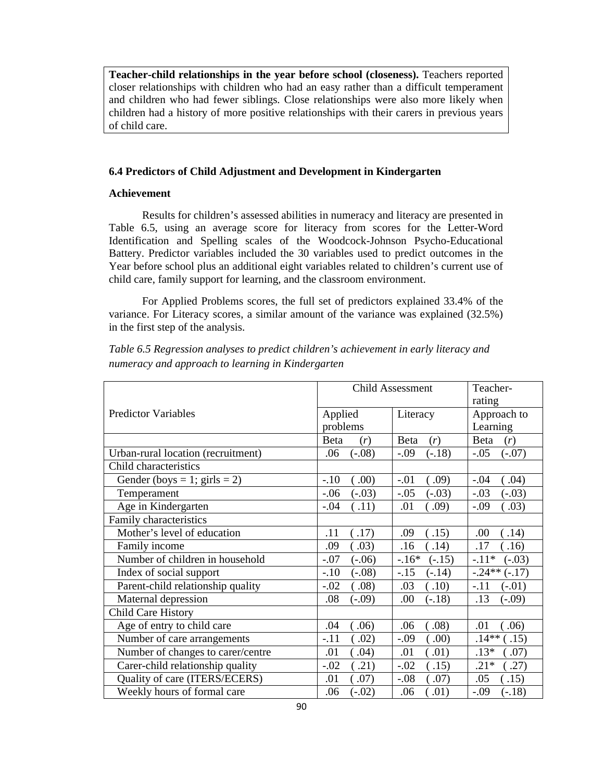**Teacher-child relationships in the year before school (closeness).** Teachers reported closer relationships with children who had an easy rather than a difficult temperament and children who had fewer siblings. Close relationships were also more likely when children had a history of more positive relationships with their carers in previous years of child care.

### **6.4 Predictors of Child Adjustment and Development in Kindergarten**

#### **Achievement**

Results for children's assessed abilities in numeracy and literacy are presented in Table 6.5, using an average score for literacy from scores for the Letter-Word Identification and Spelling scales of the Woodcock-Johnson Psycho-Educational Battery. Predictor variables included the 30 variables used to predict outcomes in the Year before school plus an additional eight variables related to children's current use of child care, family support for learning, and the classroom environment.

For Applied Problems scores, the full set of predictors explained 33.4% of the variance. For Literacy scores, a similar amount of the variance was explained (32.5%) in the first step of the analysis.

*Table 6.5 Regression analyses to predict children's achievement in early literacy and numeracy and approach to learning in Kindergarten* 

|                                    | <b>Child Assessment</b> |          | Teacher-    |
|------------------------------------|-------------------------|----------|-------------|
|                                    |                         |          | rating      |
| <b>Predictor Variables</b>         | Applied                 | Literacy | Approach to |
|                                    | problems                |          | Learning    |
|                                    | <b>B</b> eta            | Beta     | Beta        |
|                                    | (r)                     | (r)      | (r)         |
| Urban-rural location (recruitment) | $(-.08)$                | $-.09$   | $-.05$      |
|                                    | .06                     | $(-.18)$ | $(-.07)$    |
| Child characteristics              |                         |          |             |
| Gender (boys = 1; girls = 2)       | (0.00)                  | $-.01$   | (.04)       |
|                                    | $-.10$                  | (0.09)   | $-.04$      |
| Temperament                        | $-.06$                  | $-.05$   | $-.03$      |
|                                    | $(-.03)$                | $(-.03)$ | $(-.03)$    |
| Age in Kindergarten                | $-.04$                  | .01      | $-.09$      |
|                                    | (.11)                   | (.09)    | (.03)       |
| Family characteristics             |                         |          |             |
| Mother's level of education        | .11                     | .09      | .00         |
|                                    | .17)                    | (.15)    | .14)        |
| Family income                      | .09                     | .16      | .17         |
|                                    | .03)                    | .14)     | .16)        |
| Number of children in household    | $-.07$                  | $-.16*$  | $-.11*$     |
|                                    | $(-.06)$                | $(-.15)$ | $(-.03)$    |
| Index of social support            | $-.10$                  | $-.15$   | $-.24**$    |
|                                    | $(-.08)$                | $(-.14)$ | $(-.17)$    |
| Parent-child relationship quality  | $-.02$                  | .03      | $-.11$      |
|                                    | $\left( .08\right)$     | .10)     | $(-.01)$    |
| Maternal depression                | .08                     | .00      | .13         |
|                                    | $(-.09)$                | $(-.18)$ | $(-.09)$    |
| Child Care History                 |                         |          |             |
| Age of entry to child care         | .06)                    | .08)     | .01         |
|                                    | .04                     | .06      | .06)        |
| Number of care arrangements        | $-.11$                  | .00)     | $.14**$     |
|                                    | .02)                    | $-.09$   | .15)        |
| Number of changes to carer/centre  | (.04)                   | (.01)    | $.13*$      |
|                                    | .01                     | .01      | (0.07)      |
| Carer-child relationship quality   | .21)                    | $-.02$   | .27)        |
|                                    | $-.02$                  | .15)     | $.21*$      |
| Quality of care (ITERS/ECERS)      | .01                     | $-.08$   | .05         |
|                                    | .07)                    | .07)     | .15)        |
| Weekly hours of formal care        | .06                     | .01)     | $-.09$      |
|                                    | $(-.02)$                | .06      | $(-.18)$    |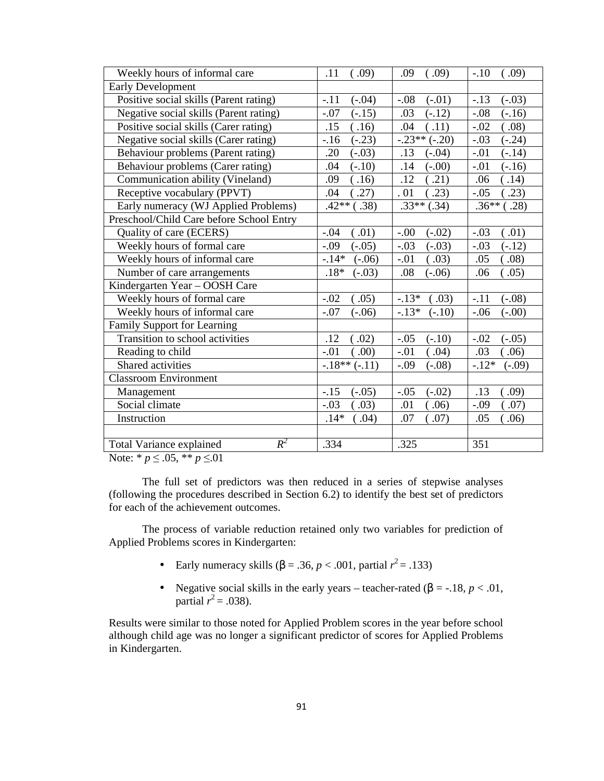| Weekly hours of informal care            | .11               | .09                       | $-.10$              |
|------------------------------------------|-------------------|---------------------------|---------------------|
|                                          | (.09)             | (.09)                     | (.09)               |
| Early Development                        |                   |                           |                     |
| Positive social skills (Parent rating)   | $(-.04)$          | $-.08$                    | $(-.03)$            |
|                                          | $-.11$            | $(-.01)$                  | $-.13$              |
| Negative social skills (Parent rating)   | $-.07$            | $(-.12)$                  | $(-.16)$            |
|                                          | $(-.15)$          | .03                       | $-.08$              |
| Positive social skills (Carer rating)    | .15               | (.11)                     | $-.02$              |
|                                          | (.16)             | .04                       | (.08)               |
| Negative social skills (Carer rating)    | $(-.23)$<br>$-16$ | $-.23**(-.20)$            | $-.03$<br>$(-.24)$  |
| Behaviour problems (Parent rating)       | .20               | .13                       | $-.01$              |
|                                          | $(-.03)$          | $(-.04)$                  | $(-.14)$            |
| Behaviour problems (Carer rating)        | $(-.10)$          | .14                       | $-.01$              |
|                                          | .04               | $(-.00)$                  | $(-.16)$            |
| Communication ability (Vineland)         | .09               | .12                       | .14)                |
|                                          | .16)              | .21)                      | .06                 |
| Receptive vocabulary (PPVT)              | .27)              | .23)                      | $-.05$              |
|                                          | .04               | .01                       | .23)                |
| Early numeracy (WJ Applied Problems)     | $.42**$<br>.38)   | $\overline{.33}$ ** (.34) | $.36**$<br>.28)     |
| Preschool/Child Care before School Entry |                   |                           |                     |
| Quality of care (ECERS)                  | .01)              | $-.00$                    | $-.03$              |
|                                          | $-.04$            | $(-.02)$                  | (.01)               |
| Weekly hours of formal care              | $-0.09$           | $-.03$                    | $-.03$              |
|                                          | $(-.05)$          | $(-.03)$                  | $(-.12)$            |
| Weekly hours of informal care            | $-.14*$           | (.03)                     | .05                 |
|                                          | $(-.06)$          | $-.01$                    | .08)                |
| Number of care arrangements              | $.18*$            | .08                       | .06                 |
|                                          | $(-.03)$          | $(-.06)$                  | (.05)               |
| Kindergarten Year - OOSH Care            |                   |                           |                     |
| Weekly hours of formal care              | $-.02$            | $-.13*$                   | $-.11$              |
|                                          | (.05)             | (.03)                     | $(-.08)$            |
| Weekly hours of informal care            | $-.07$            | $-.13*$                   | $-.06$              |
|                                          | $(-.06)$          | $(-.10)$                  | $(-.00)$            |
| <b>Family Support for Learning</b>       |                   |                           |                     |
| Transition to school activities          | .12               | $-.05$                    | $-.02$              |
|                                          | (.02)             | $(-.10)$                  | $(-.05)$            |
| Reading to child                         | $-.01$            | $-.01$                    | .03                 |
|                                          | (0.00)            | (.04)                     | .06)                |
| Shared activities                        | $-.18**(-.11)$    | $-.09$<br>$(-.08)$        | $-.12*$<br>$(-.09)$ |
| <b>Classroom Environment</b>             |                   |                           |                     |
| Management                               | $-.15$            | $-.05$                    | .13                 |
|                                          | $(-.05)$          | $(-.02)$                  | .09)                |
| Social climate                           | $-.03$            | .01                       | .07)                |
|                                          | .03)              | .06)                      | $-.09$              |
| Instruction                              | $.14*$            | .07)                      | .05                 |
|                                          | (.04)             | .07                       | .06)                |
|                                          |                   |                           |                     |
| $R^2$<br>Total Variance explained        | .334              | .325                      | 351                 |

Note: \*  $p \le 0.05$ , \*\*  $p \le 0.01$ 

The full set of predictors was then reduced in a series of stepwise analyses (following the procedures described in Section 6.2) to identify the best set of predictors for each of the achievement outcomes.

The process of variable reduction retained only two variables for prediction of Applied Problems scores in Kindergarten:

- Early numeracy skills ( $\beta = .36$ ,  $p < .001$ , partial  $r^2 = .133$ )
- Negative social skills in the early years teacher-rated  $(\beta = -18, p < .01,$ partial  $r^2 = .038$ ).

Results were similar to those noted for Applied Problem scores in the year before school although child age was no longer a significant predictor of scores for Applied Problems in Kindergarten.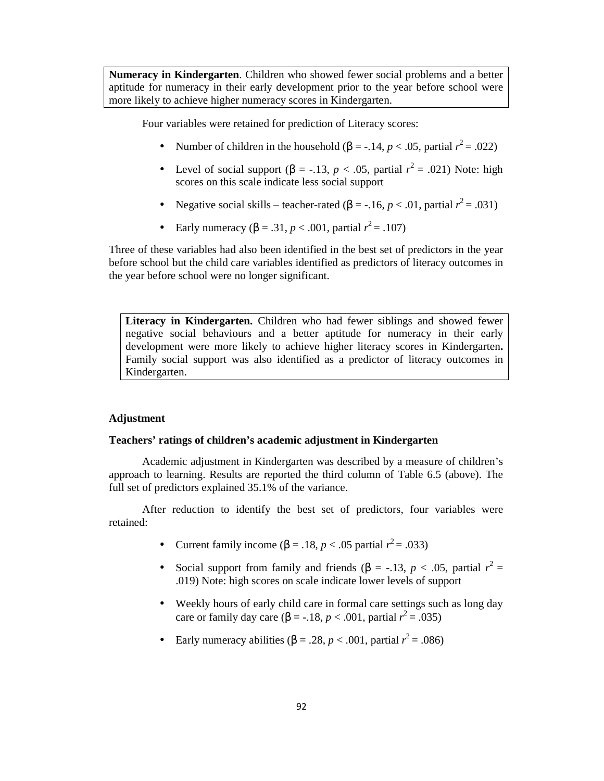**Numeracy in Kindergarten**. Children who showed fewer social problems and a better aptitude for numeracy in their early development prior to the year before school were more likely to achieve higher numeracy scores in Kindergarten.

Four variables were retained for prediction of Literacy scores:

- Number of children in the household  $(\beta = -0.14, p < 0.05,$  partial  $r^2 = 0.022$ )
- Level of social support ( $\beta$  = -.13, *p* < .05, partial  $r^2$  = .021) Note: high scores on this scale indicate less social support
- Negative social skills teacher-rated  $(\beta = -.16, p < .01,$  partial  $r^2 = .031$ )
- Early numeracy ( $\beta = .31, p < .001$ , partial  $r^2 = .107$ )

Three of these variables had also been identified in the best set of predictors in the year before school but the child care variables identified as predictors of literacy outcomes in the year before school were no longer significant.

**Literacy in Kindergarten.** Children who had fewer siblings and showed fewer negative social behaviours and a better aptitude for numeracy in their early development were more likely to achieve higher literacy scores in Kindergarten**.**  Family social support was also identified as a predictor of literacy outcomes in Kindergarten.

# **Adjustment**

### **Teachers' ratings of children's academic adjustment in Kindergarten**

Academic adjustment in Kindergarten was described by a measure of children's approach to learning. Results are reported the third column of Table 6.5 (above). The full set of predictors explained 35.1% of the variance.

After reduction to identify the best set of predictors, four variables were retained:

- Current family income ( $\beta = .18$ , *p* < .05 partial *r*<sup>2</sup> = .033)
- Social support from family and friends  $(\beta = -13, p < .05,$  partial  $r^2 =$ .019) Note: high scores on scale indicate lower levels of support
- Weekly hours of early child care in formal care settings such as long day care or family day care (β = -.18, *p* < .001, partial  $r^2$  = .035)
- Early numeracy abilities ( $\beta = .28$ ,  $p < .001$ , partial  $r^2 = .086$ )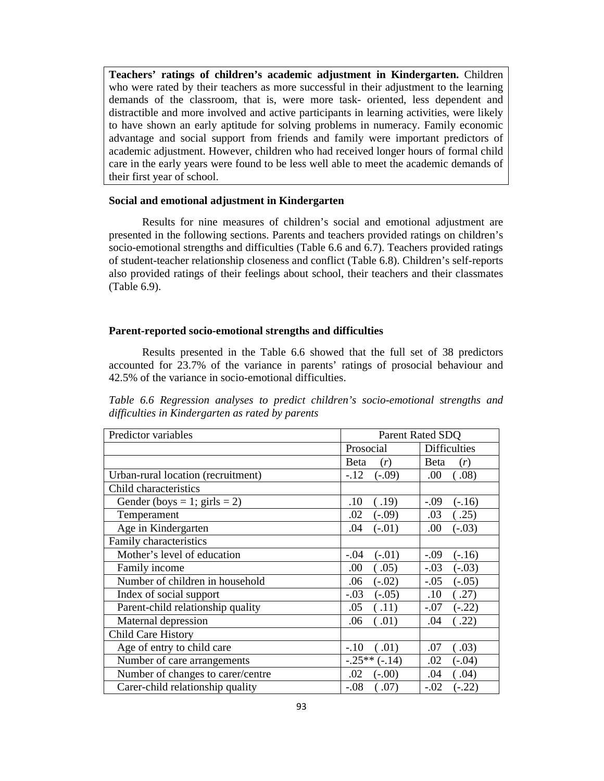**Teachers' ratings of children's academic adjustment in Kindergarten.** Children who were rated by their teachers as more successful in their adjustment to the learning demands of the classroom, that is, were more task- oriented, less dependent and distractible and more involved and active participants in learning activities, were likely to have shown an early aptitude for solving problems in numeracy. Family economic advantage and social support from friends and family were important predictors of academic adjustment. However, children who had received longer hours of formal child care in the early years were found to be less well able to meet the academic demands of their first year of school.

### **Social and emotional adjustment in Kindergarten**

Results for nine measures of children's social and emotional adjustment are presented in the following sections. Parents and teachers provided ratings on children's socio-emotional strengths and difficulties (Table 6.6 and 6.7). Teachers provided ratings of student-teacher relationship closeness and conflict (Table 6.8). Children's self-reports also provided ratings of their feelings about school, their teachers and their classmates (Table 6.9).

#### **Parent-reported socio-emotional strengths and difficulties**

Results presented in the Table 6.6 showed that the full set of 38 predictors accounted for 23.7% of the variance in parents' ratings of prosocial behaviour and 42.5% of the variance in socio-emotional difficulties.

*Table 6.6 Regression analyses to predict children's socio-emotional strengths and difficulties in Kindergarten as rated by parents* 

| Predictor variables                |                               | Parent Rated SDQ    |  |  |
|------------------------------------|-------------------------------|---------------------|--|--|
|                                    | Prosocial                     | <b>Difficulties</b> |  |  |
|                                    | Beta<br>(r)                   | <b>B</b> eta<br>(r) |  |  |
| Urban-rural location (recruitment) | $-.12$<br>$(-.09)$            | .00.<br>(.08)       |  |  |
| Child characteristics              |                               |                     |  |  |
| Gender (boys = 1; girls = 2)       | .10<br>(.19)                  | $-.09$<br>$(-.16)$  |  |  |
| Temperament                        | .02<br>$(-.09)$               | .03<br>(.25)        |  |  |
| Age in Kindergarten                | .04<br>$(-.01)$               | .00<br>$(-.03)$     |  |  |
| Family characteristics             |                               |                     |  |  |
| Mother's level of education        | $-.04$<br>$(-.01)$            | $-.09$<br>$(-.16)$  |  |  |
| Family income                      | .00<br>(.05)                  | $-.03$<br>$(-.03)$  |  |  |
| Number of children in household    | $(-.02)$<br>.06               | $-.05$<br>$(-.05)$  |  |  |
| Index of social support            | $-.03$<br>$(-.05)$            | .10<br>(.27)        |  |  |
| Parent-child relationship quality  | .05<br>(.11)                  | $-.07$<br>$(-.22)$  |  |  |
| Maternal depression                | .06<br>(.01)                  | .22)<br>.04         |  |  |
| <b>Child Care History</b>          |                               |                     |  |  |
| Age of entry to child care         | $-.10$<br>(.01)               | (.03)<br>.07        |  |  |
| Number of care arrangements        | $-.25**(-.14)$                | .02<br>$(-.04)$     |  |  |
| Number of changes to carer/centre  | .02<br>$(-.00)$               | (0.04)<br>.04       |  |  |
| Carer-child relationship quality   | $-.08$<br>$\left( .07\right)$ | $-.02$<br>$(-.22)$  |  |  |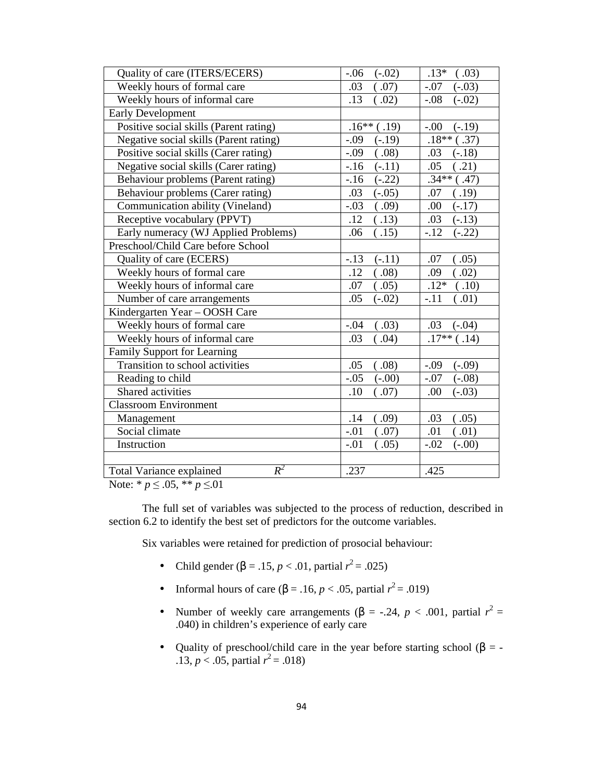| Quality of care (ITERS/ECERS)          | $-.06$<br>$(-.02)$ | $.13*$<br>(.03)    |
|----------------------------------------|--------------------|--------------------|
| Weekly hours of formal care            | .03<br>(.07)       | $-.07$<br>$(-.03)$ |
| Weekly hours of informal care          | .13<br>.02)        | $-.08$<br>$(-.02)$ |
| <b>Early Development</b>               |                    |                    |
| Positive social skills (Parent rating) | $.16**$<br>(.19)   | $-.00$<br>$(-.19)$ |
| Negative social skills (Parent rating) | $-.09$<br>$(-.19)$ | $.18**$<br>(.37)   |
| Positive social skills (Carer rating)  | $-.09$<br>.08)     | .03<br>$(-.18)$    |
| Negative social skills (Carer rating)  | $-16$<br>$(-.11)$  | .05<br>.21)        |
| Behaviour problems (Parent rating)     | $(-.22)$<br>$-16$  | $.34**$<br>(.47)   |
| Behaviour problems (Carer rating)      | .03<br>$(-.05)$    | .07<br>(.19)       |
| Communication ability (Vineland)       | $-.03$<br>.09)     | .00<br>$(-.17)$    |
| Receptive vocabulary (PPVT)            | .12<br>(.13)       | .03<br>$(-.13)$    |
| Early numeracy (WJ Applied Problems)   | .06<br>(.15)       | $-.12$<br>$(-.22)$ |
| Preschool/Child Care before School     |                    |                    |
| Quality of care (ECERS)                | $-.13$<br>$(-.11)$ | (.05)<br>.07       |
| Weekly hours of formal care            | .08)<br>.12        | .02)<br>.09        |
| Weekly hours of informal care          | .07<br>(.05)       | $.12*$<br>(.10)    |
| Number of care arrangements            | .05<br>$(-.02)$    | $-.11$<br>(.01)    |
| Kindergarten Year - OOSH Care          |                    |                    |
| Weekly hours of formal care            | (.03)<br>$-.04$    | .03<br>$(-.04)$    |
| Weekly hours of informal care          | .03<br>(.04)       | $.17**$<br>(.14)   |
| Family Support for Learning            |                    |                    |
| Transition to school activities        | .05<br>(.08)       | $-.09$<br>$(-.09)$ |
| Reading to child                       | $-.05$<br>$(-.00)$ | $(-.08)$<br>$-.07$ |
| Shared activities                      | .10<br>(.07)       | .00<br>$(-.03)$    |
| <b>Classroom Environment</b>           |                    |                    |
| Management                             | .14<br>(0.09)      | (.05)<br>.03       |
| Social climate                         | $-.01$<br>.07)     | .01<br>(.01)       |
| Instruction                            | .05)<br>$-.01$     | (.00)<br>$-.02$    |
|                                        |                    |                    |
| $R^2$<br>Total Variance explained      | .237               | .425               |

Note: \* *p* ≤ .05, \*\* *p* ≤.01

The full set of variables was subjected to the process of reduction, described in section 6.2 to identify the best set of predictors for the outcome variables.

Six variables were retained for prediction of prosocial behaviour:

- Child gender (β = .15, *p* < .01, partial  $r^2$  = .025)
- Informal hours of care ( $\beta$  = .16, *p* < .05, partial *r*<sup>2</sup> = .019)
- Number of weekly care arrangements ( $\beta$  = -.24, *p* < .001, partial  $r^2$  = .040) in children's experience of early care
- Quality of preschool/child care in the year before starting school ( $\beta$  = -.13,  $p < .05$ , partial  $r^2 = .018$ )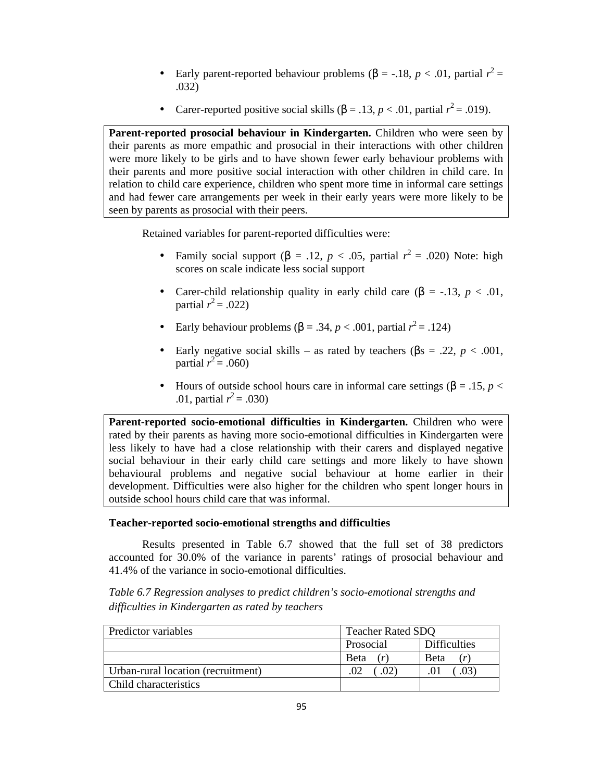- Early parent-reported behaviour problems (β = -.18, *p* < .01, partial  $r^2$  = .032)
- Carer-reported positive social skills  $(β = .13, p < .01,$  partial  $r^2 = .019$ ).

**Parent-reported prosocial behaviour in Kindergarten.** Children who were seen by their parents as more empathic and prosocial in their interactions with other children were more likely to be girls and to have shown fewer early behaviour problems with their parents and more positive social interaction with other children in child care. In relation to child care experience, children who spent more time in informal care settings and had fewer care arrangements per week in their early years were more likely to be seen by parents as prosocial with their peers.

Retained variables for parent-reported difficulties were:

- Family social support ( $\beta$  = .12, *p* < .05, partial  $r^2$  = .020) Note: high scores on scale indicate less social support
- Carer-child relationship quality in early child care  $(β = -.13, p < .01, )$ partial  $r^2 = .022$ )
- Early behaviour problems ( $β = .34$ ,  $p < .001$ , partial  $r^2 = .124$ )
- Early negative social skills as rated by teachers ( $\beta$ s = .22, *p* < .001, partial  $r^2 = .060$ )
- Hours of outside school hours care in informal care settings (β = .15, *p* < .01, partial  $r^2 = .030$ )

Parent-reported socio-emotional difficulties in Kindergarten. Children who were rated by their parents as having more socio-emotional difficulties in Kindergarten were less likely to have had a close relationship with their carers and displayed negative social behaviour in their early child care settings and more likely to have shown behavioural problems and negative social behaviour at home earlier in their development. Difficulties were also higher for the children who spent longer hours in outside school hours child care that was informal.

# **Teacher-reported socio-emotional strengths and difficulties**

Results presented in Table 6.7 showed that the full set of 38 predictors accounted for 30.0% of the variance in parents' ratings of prosocial behaviour and 41.4% of the variance in socio-emotional difficulties.

*Table 6.7 Regression analyses to predict children's socio-emotional strengths and difficulties in Kindergarten as rated by teachers* 

| Predictor variables                | <b>Teacher Rated SDQ</b> |                     |  |
|------------------------------------|--------------------------|---------------------|--|
|                                    | Prosocial                | <b>Difficulties</b> |  |
|                                    | Beta                     | <b>B</b> eta        |  |
| Urban-rural location (recruitment) |                          |                     |  |
| <b>Child characteristics</b>       |                          |                     |  |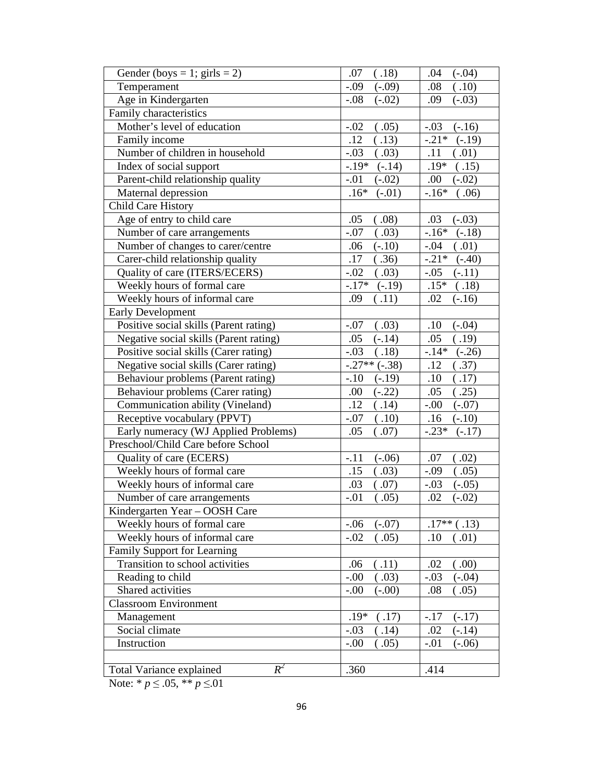| Gender (boys = 1; girls = 2)           | (.18)<br>.07        | $(-.04)$<br>.04     |
|----------------------------------------|---------------------|---------------------|
| Temperament                            | $-.09$<br>$(-.09)$  | (.10)<br>.08        |
| Age in Kindergarten                    | $-.08$<br>$(-.02)$  | .09<br>$(-.03)$     |
| Family characteristics                 |                     |                     |
| Mother's level of education            | (.05)<br>$-.02$     | $(-.16)$<br>$-.03$  |
| Family income                          | .12<br>(.13)        | $-.21*$<br>$(-.19)$ |
| Number of children in household        | $-.03$<br>(.03)     | .11<br>(.01)        |
| Index of social support                | $-.19*$<br>$(-.14)$ | $.19*$<br>(.15)     |
| Parent-child relationship quality      | $-.01$<br>$(-.02)$  | .00.<br>$(-.02)$    |
| Maternal depression                    | $.16*$<br>$(-.01)$  | $-.16*$<br>.06)     |
| <b>Child Care History</b>              |                     |                     |
| Age of entry to child care             | .05<br>.08)         | .03<br>$(-.03)$     |
| Number of care arrangements            | $-.07$<br>(.03)     | $-.16*$<br>$(-.18)$ |
| Number of changes to carer/centre      | $(-.10)$<br>.06     | $-.04$<br>.01)      |
| Carer-child relationship quality       | .17<br>(.36)        | $-.21*$<br>$(-.40)$ |
| Quality of care (ITERS/ECERS)          | $-.02$<br>(.03)     | $-.05$<br>$(-.11)$  |
| Weekly hours of formal care            | $-.17*$<br>$(-.19)$ | $.15*$<br>(.18)     |
| Weekly hours of informal care          | .11)<br>.09         | .02<br>$(-.16)$     |
| <b>Early Development</b>               |                     |                     |
| Positive social skills (Parent rating) | (.03)<br>$-.07$     | $(-.04)$<br>.10     |
| Negative social skills (Parent rating) | .05<br>$(-.14)$     | .05<br>(.19)        |
| Positive social skills (Carer rating)  | $-.03$<br>.18)      | $-.14*$<br>$(-.26)$ |
| Negative social skills (Carer rating)  | $-.27**(-.38)$      | .12<br>(.37)        |
| Behaviour problems (Parent rating)     | $-.10$<br>$(-.19)$  | (.17)<br>.10        |
| Behaviour problems (Carer rating)      | .00<br>$(-.22)$     | (.25)<br>.05        |
| Communication ability (Vineland)       | .12<br>(.14)        | $-0.00$<br>$(-.07)$ |
| Receptive vocabulary (PPVT)            | $-.07$<br>(.10)     | .16<br>$(-.10)$     |
| Early numeracy (WJ Applied Problems)   | .05<br>(.07)        | $-.23*$<br>$(-.17)$ |
| Preschool/Child Care before School     |                     |                     |
| Quality of care (ECERS)                | $(-.06)$<br>$-.11$  | (.02)<br>.07        |
| Weekly hours of formal care            | (.03)<br>.15        | (.05)<br>$-.09$     |
| Weekly hours of informal care          | .03<br>.07)         | $-.03$<br>$(-.05)$  |
| Number of care arrangements            | $-.01$<br>(.05)     | .02<br>$(-.02)$     |
| Kindergarten Year - OOSH Care          |                     |                     |
| Weekly hours of formal care            | $-.06$<br>$(-.07)$  | $.17**$<br>.13)     |
| Weekly hours of informal care          | $-.02$<br>(.05)     | .10<br>(.01)        |
| Family Support for Learning            |                     |                     |
| Transition to school activities        | (.11)<br>.06        | (0.00)<br>.02       |
| Reading to child                       | $-.00$<br>.03)      | $(-.04)$<br>$-.03$  |
| Shared activities                      | $-.00$<br>$(-.00)$  | .08<br>(.05)        |
| <b>Classroom Environment</b>           |                     |                     |
| Management                             | $.19*$<br>(.17)     | $-.17$<br>$(-.17)$  |
| Social climate                         | $-.03$<br>.14)      | .02<br>$(-.14)$     |
| Instruction                            | $-.00$<br>.05)      | $-.01$<br>$(-.06)$  |
|                                        |                     |                     |
| $R^2$<br>Total Variance explained      | .360                | .414                |

Note:  $* p \le 0.05$ ,  $* p \le 0.01$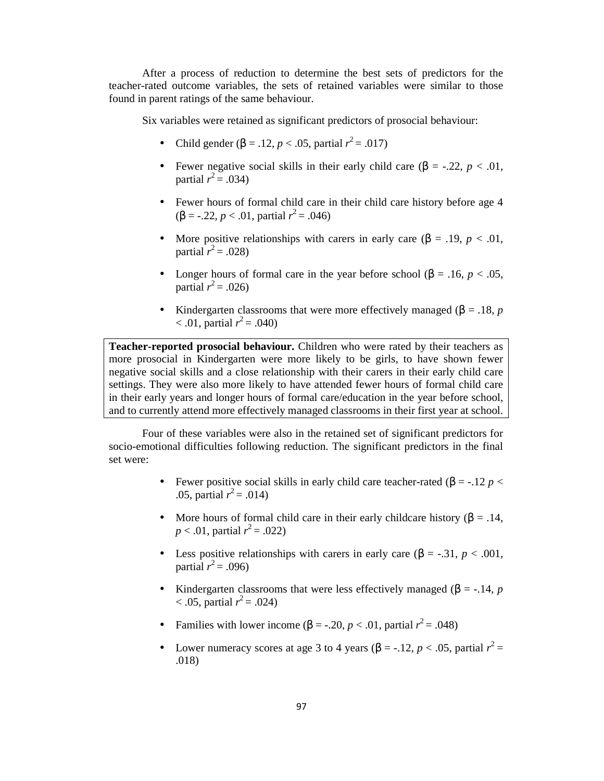After a process of reduction to determine the best sets of predictors for the teacher-rated outcome variables, the sets of retained variables were similar to those found in parent ratings of the same behaviour.

Six variables were retained as significant predictors of prosocial behaviour:

- Child gender (β = .12, *p* < .05, partial  $r^2$  = .017)
- Fewer negative social skills in their early child care  $(\beta = -0.22, p < 0.01)$ , partial  $r^2 = .034$ )
- Fewer hours of formal child care in their child care history before age 4 (β = -.22, *p* < .01, partial  $r^2$  = .046)
- More positive relationships with carers in early care  $(\beta = .19, p < .01,$ partial  $r^2$  = .028)
- Longer hours of formal care in the year before school ( $\beta = .16$ ,  $p < .05$ , partial  $r^2 = .026$ )
- Kindergarten classrooms that were more effectively managed ( $\beta = 0.18$ , *p*  $< .01$ , partial  $r^2 = .040$ )

**Teacher-reported prosocial behaviour.** Children who were rated by their teachers as more prosocial in Kindergarten were more likely to be girls, to have shown fewer negative social skills and a close relationship with their carers in their early child care settings. They were also more likely to have attended fewer hours of formal child care in their early years and longer hours of formal care/education in the year before school, and to currently attend more effectively managed classrooms in their first year at school.

Four of these variables were also in the retained set of significant predictors for socio-emotional difficulties following reduction. The significant predictors in the final set were:

- Fewer positive social skills in early child care teacher-rated ( $\beta$  = -.12 *p* < .05, partial  $r^2 = .014$ )
- More hours of formal child care in their early childcare history ( $\beta = .14$ , *p* < .01, partial  $r^2 = .022$ )
- Less positive relationships with carers in early care  $(\beta = -0.31, p < 0.001,$ partial  $r^2$  = .096)
- Kindergarten classrooms that were less effectively managed ( $\beta$  = -.14, *p*  $< .05$ , partial  $r^2 = .024$ )
- Families with lower income ( $\beta$  = -.20, *p* < .01, partial  $r^2$  = .048)
- Lower numeracy scores at age 3 to 4 years ( $\beta$  = -.12, *p* < .05, partial  $r^2$  = .018)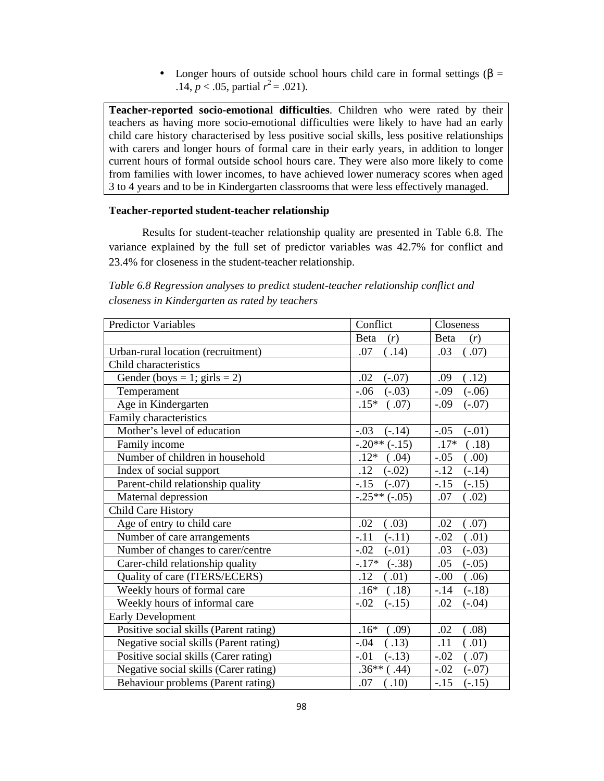• Longer hours of outside school hours child care in formal settings ( $\beta$  = .14,  $p < .05$ , partial  $r^2 = .021$ ).

**Teacher-reported socio-emotional difficulties**. Children who were rated by their teachers as having more socio-emotional difficulties were likely to have had an early child care history characterised by less positive social skills, less positive relationships with carers and longer hours of formal care in their early years, in addition to longer current hours of formal outside school hours care. They were also more likely to come from families with lower incomes, to have achieved lower numeracy scores when aged 3 to 4 years and to be in Kindergarten classrooms that were less effectively managed.

### **Teacher-reported student-teacher relationship**

Results for student-teacher relationship quality are presented in Table 6.8. The variance explained by the full set of predictor variables was 42.7% for conflict and 23.4% for closeness in the student-teacher relationship.

| <b>Predictor Variables</b>             | Conflict                      | Closeness          |
|----------------------------------------|-------------------------------|--------------------|
|                                        | Beta<br>(r)                   | Beta<br>(r)        |
| Urban-rural location (recruitment)     | .07<br>(.14)                  | (.07)<br>.03       |
| Child characteristics                  |                               |                    |
| Gender (boys = 1; girls = 2)           | .02<br>$(-.07)$               | (.12)<br>.09       |
| Temperament                            | $-.06$<br>$(-.03)$            | $(-.06)$<br>$-.09$ |
| Age in Kindergarten                    | $.15*$<br>(.07)               | $(-.07)$<br>$-.09$ |
| Family characteristics                 |                               |                    |
| Mother's level of education            | $-.03$<br>$(-.14)$            | $(-.01)$<br>$-.05$ |
| Family income                          | $-.20**(-.15)$                | $.17*$<br>.18)     |
| Number of children in household        | $.12*$<br>(.04)               | (0.00)<br>$-.05$   |
| Index of social support                | $(-.02)$<br>.12               | $-.12$<br>$(-.14)$ |
| Parent-child relationship quality      | $-.15$<br>$(-.07)$            | $-.15$<br>$(-.15)$ |
| Maternal depression                    | $-0.25**(-0.05)$              | .07<br>(.02)       |
| Child Care History                     |                               |                    |
| Age of entry to child care             | .02<br>(.03)                  | .02<br>(.07)       |
| Number of care arrangements            | $-.11$<br>$(-.11)$            | $-.02$<br>(.01)    |
| Number of changes to carer/centre      | $-.02$<br>$(-.01)$            | .03<br>$(-.03)$    |
| Carer-child relationship quality       | $-.17*$<br>$(-.38)$           | .05<br>$(-.05)$    |
| Quality of care (ITERS/ECERS)          | .12<br>.01)                   | $-.00$<br>(.06)    |
| Weekly hours of formal care            | $.16*$<br>$\left( .18\right)$ | $(-.18)$<br>$-.14$ |
| Weekly hours of informal care          | $-.02$<br>$(-.15)$            | .02<br>$(-.04)$    |
| <b>Early Development</b>               |                               |                    |
| Positive social skills (Parent rating) | $.16*$<br>$\left( .09\right)$ | (.08)<br>.02       |
| Negative social skills (Parent rating) | $-.04$<br>(.13)               | .11<br>(.01)       |
| Positive social skills (Carer rating)  | $-.01$<br>$(-.13)$            | (.07)<br>$-.02$    |
| Negative social skills (Carer rating)  | $.36**$<br>(.44)              | $-.02$<br>$(-.07)$ |
| Behaviour problems (Parent rating)     | (.10)<br>.07                  | $(-.15)$<br>$-15$  |

*Table 6.8 Regression analyses to predict student-teacher relationship conflict and closeness in Kindergarten as rated by teachers*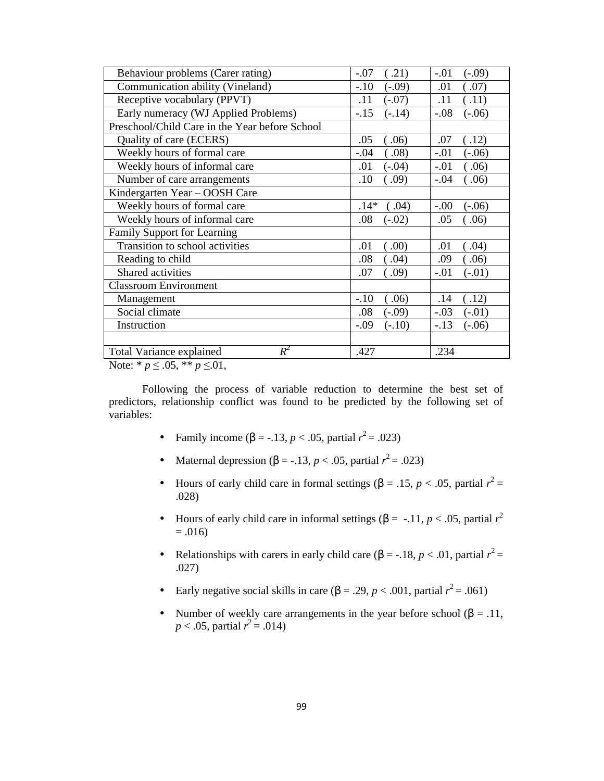| Behaviour problems (Carer rating)              | .21)<br>$-.07$     | $(-.09)$<br>$-.01$         |
|------------------------------------------------|--------------------|----------------------------|
| Communication ability (Vineland)               | $-.10$<br>$(-.09)$ | .01<br>(.07)               |
| Receptive vocabulary (PPVT)                    | .11<br>$(-.07)$    | .11<br>(.11)               |
| Early numeracy (WJ Applied Problems)           | $-.15$<br>$(-.14)$ | $-.08$<br>$(-.06)$         |
| Preschool/Child Care in the Year before School |                    |                            |
| Quality of care (ECERS)                        | .05<br>.06)        | $\left( .12\right)$<br>.07 |
| Weekly hours of formal care                    | $-.04$<br>.08)     | $-.01$<br>$(-.06)$         |
| Weekly hours of informal care                  | .01<br>$(-.04)$    | (.06)<br>$-.01$            |
| Number of care arrangements                    | .10<br>.09)        | $-.04$<br>06)              |
| Kindergarten Year – OOSH Care                  |                    |                            |
| Weekly hours of formal care                    | $.14*$<br>0.04)    | $-.00$<br>$(-.06)$         |
| Weekly hours of informal care                  | .08<br>$(-.02)$    | .05<br>(0.06)              |
| Family Support for Learning                    |                    |                            |
| Transition to school activities                | .01<br>.00)        | .04)<br>.01                |
| Reading to child                               | .08<br>.04)        | .09<br>(.06)               |
| Shared activities                              | .07<br>(.09)       | $-.01$<br>$(-.01)$         |
| <b>Classroom Environment</b>                   |                    |                            |
| Management                                     | $-.10$<br>(.06)    | .14<br>(.12)               |
| Social climate                                 | .08<br>$(-.09)$    | $-.03$<br>$(-.01)$         |
| Instruction                                    | $-.09$<br>$(-.10)$ | $-.13$<br>$(-.06)$         |
|                                                |                    |                            |
| $R^2$<br><b>Total Variance explained</b>       | .427               | .234                       |

Note: \* *p* ≤ .05, \*\* *p* ≤.01,

Following the process of variable reduction to determine the best set of predictors, relationship conflict was found to be predicted by the following set of variables:

- Family income (β = -.13, *p* < .05, partial  $r^2$  = .023)
- Maternal depression ( $\beta$  = -.13, *p* < .05, partial  $r^2$  = .023)
- Hours of early child care in formal settings ( $\beta = .15$ ,  $p < .05$ , partial  $r^2 =$ .028)
- Hours of early child care in informal settings ( $\beta = -11$ ,  $p < .05$ , partial  $r^2$  $= .016$
- Relationships with carers in early child care  $(\beta = -18, p < .01,$  partial  $r^2 =$ .027)
- Early negative social skills in care  $(β = .29, p < .001,$  partial  $r^2 = .061)$
- Number of weekly care arrangements in the year before school ( $\beta = .11$ ,  $p < .05$ , partial  $r^2 = .014$ )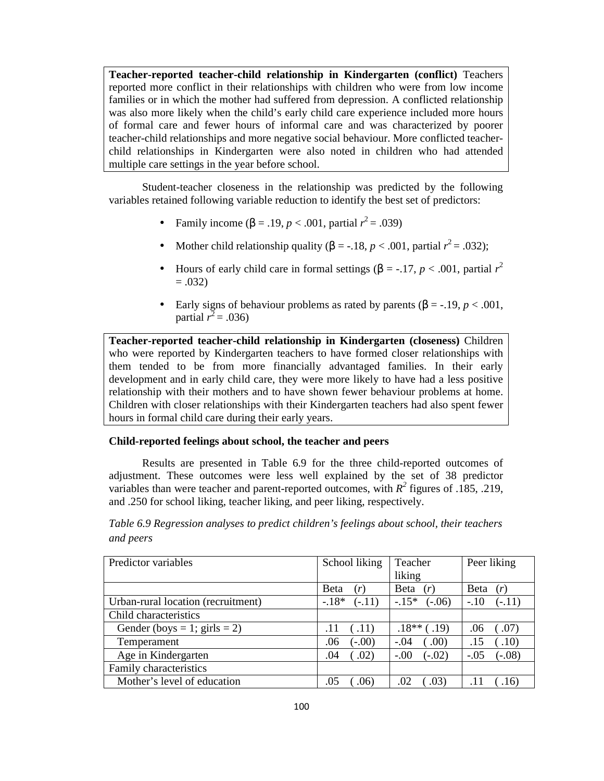**Teacher-reported teacher-child relationship in Kindergarten (conflict)** Teachers reported more conflict in their relationships with children who were from low income families or in which the mother had suffered from depression. A conflicted relationship was also more likely when the child's early child care experience included more hours of formal care and fewer hours of informal care and was characterized by poorer teacher-child relationships and more negative social behaviour. More conflicted teacherchild relationships in Kindergarten were also noted in children who had attended multiple care settings in the year before school.

Student-teacher closeness in the relationship was predicted by the following variables retained following variable reduction to identify the best set of predictors:

- Family income (β = .19, *p* < .001, partial  $r^2$  = .039)
- Mother child relationship quality ( $\beta = -18$ ,  $p < .001$ , partial  $r^2 = .032$ );
- Hours of early child care in formal settings ( $β = -.17, p < .001$ , partial  $r^2$  $= .032$
- Early signs of behaviour problems as rated by parents  $(\beta = -19, p < .001,$ partial  $r^2$  = .036)

**Teacher-reported teacher-child relationship in Kindergarten (closeness)** Children who were reported by Kindergarten teachers to have formed closer relationships with them tended to be from more financially advantaged families. In their early development and in early child care, they were more likely to have had a less positive relationship with their mothers and to have shown fewer behaviour problems at home. Children with closer relationships with their Kindergarten teachers had also spent fewer hours in formal child care during their early years.

### **Child-reported feelings about school, the teacher and peers**

Results are presented in Table 6.9 for the three child-reported outcomes of adjustment. These outcomes were less well explained by the set of 38 predictor variables than were teacher and parent-reported outcomes, with  $R^2$  figures of .185, .219, and .250 for school liking, teacher liking, and peer liking, respectively.

*Table 6.9 Regression analyses to predict children's feelings about school, their teachers and peers* 

| Predictor variables                | School liking              | Teacher<br>liking   | Peer liking         |
|------------------------------------|----------------------------|---------------------|---------------------|
|                                    | <b>B</b> eta<br>(r)        | <b>B</b> eta<br>(r) | <b>B</b> eta<br>(r) |
| Urban-rural location (recruitment) | $-.18*$<br>$(-.11)$        | $-.15*$<br>$(-.06)$ | $-.10$<br>$(-.11)$  |
| Child characteristics              |                            |                     |                     |
| Gender (boys = 1; girls = 2)       | (.11)<br>.11               | $.18**$ (.19)       | .06<br>.07)         |
| Temperament                        | $(-.00)$<br>.06            | $-.04$<br>(0.00)    | (.10)<br>.15        |
| Age in Kindergarten                | $\left( .02\right)$<br>.04 | $(-.02)$<br>$-0.00$ | $(-.08)$<br>$-.05$  |
| Family characteristics             |                            |                     |                     |
| Mother's level of education        | .05<br>.06)                | .03)<br>.02         | .16                 |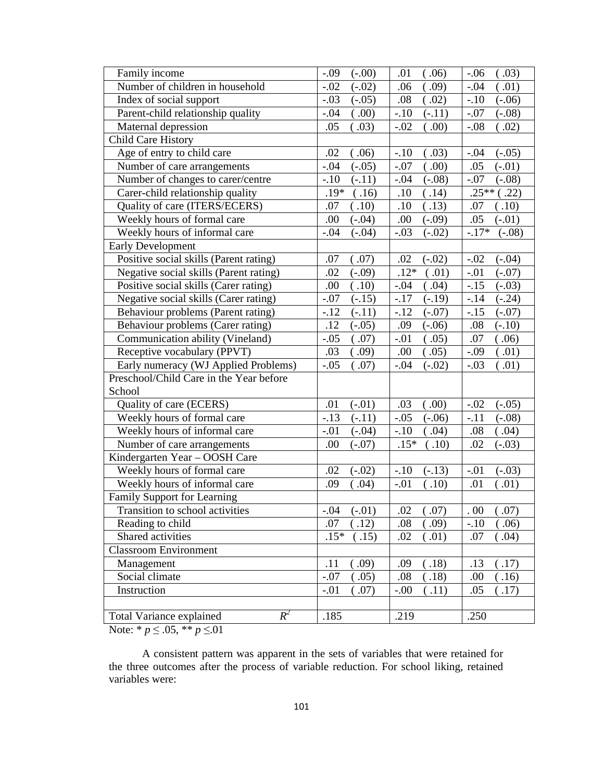| Family income                            | $-.09$   | .01      | $-.06$   |
|------------------------------------------|----------|----------|----------|
|                                          | $(-.00)$ | (.06)    | (.03)    |
| Number of children in household          | $-.02$   | .09)     | (.01)    |
|                                          | $(-.02)$ | .06      | $-.04$   |
| Index of social support                  | $-.03$   | .08      | $(-.06)$ |
|                                          | $(-.05)$ | (.02)    | $-.10$   |
| Parent-child relationship quality        | .00)     | $-.10$   | $-.07$   |
|                                          | $-.04$   | $(-.11)$ | $(-.08)$ |
| Maternal depression                      | (.03)    | .00)     | $-.08$   |
|                                          | .05      | $-.02$   | (.02)    |
| <b>Child Care History</b>                |          |          |          |
| Age of entry to child care               | .02      | $-.10$   | $-.04$   |
|                                          | (.06)    | .03)     | $(-.05)$ |
| Number of care arrangements              | $-.04$   | .00)     | .05      |
|                                          | $(-.05)$ | $-.07$   | $(-.01)$ |
| Number of changes to carer/centre        | $-.10$   | $(-.08)$ | $-.07$   |
|                                          | $(-.11)$ | $-.04$   | $(-.08)$ |
| Carer-child relationship quality         | .19*     | .10      | $.25**$  |
|                                          | (.16)    | (.14)    | (.22)    |
| Quality of care (ITERS/ECERS)            | .10)     | (.13)    | .07      |
|                                          | .07      | .10      | .10)     |
| Weekly hours of formal care              | .00      | .00      | .05      |
|                                          | $(-.04)$ | $(-.09)$ | $(-.01)$ |
| Weekly hours of informal care            | $(-.04)$ | $-.03$   | $-.17*$  |
|                                          | $-.04$   | $(-.02)$ | $(-.08)$ |
| <b>Early Development</b>                 |          |          |          |
| Positive social skills (Parent rating)   | .07      | .02      | $-.02$   |
|                                          | (.07)    | $(-.02)$ | $(-.04)$ |
| Negative social skills (Parent rating)   | .02      | $.12*$   | $-.01$   |
|                                          | $(-.09)$ | (.01)    | $(-.07)$ |
| Positive social skills (Carer rating)    | .00      | .04)     | $-.15$   |
|                                          | (.10)    | $-.04$   | $(-.03)$ |
| Negative social skills (Carer rating)    | $-.07$   | $-.17$   | $(-.24)$ |
|                                          | $(-.15)$ | $(-.19)$ | $-.14$   |
| Behaviour problems (Parent rating)       | $-.12$   | $-.12$   | $-.15$   |
|                                          | $(-.11)$ | $(-.07)$ | $(-.07)$ |
| Behaviour problems (Carer rating)        | .12      | .09      | $(-.10)$ |
|                                          | $(-.05)$ | $(-.06)$ | .08      |
| Communication ability (Vineland)         | $-.05$   | $-.01$   | .07      |
|                                          | (.07)    | .05)     | .06)     |
| Receptive vocabulary (PPVT)              | .03      | .00.     | (.01)    |
|                                          | (.09)    | (.05)    | $-.09$   |
| Early numeracy (WJ Applied Problems)     | $-.05$   | $-.04$   | (.01)    |
|                                          | (.07)    | $(-.02)$ | $-.03$   |
| Preschool/Child Care in the Year before  |          |          |          |
| School                                   |          |          |          |
| Quality of care (ECERS)                  | .01      | .03      | $(-.05)$ |
|                                          | $(-.01)$ | .00)     | $-.02$   |
| Weekly hours of formal care              | $-.13$   | $-.05$   | $-.11$   |
|                                          | $(-.11)$ | $(-.06)$ | $(-.08)$ |
| Weekly hours of informal care            | $-.01$   | $-.10$   | .08      |
|                                          | $(-.04)$ | .04)     | .04)     |
| Number of care arrangements              | .00      | $.15*$   | .02      |
|                                          | $(-.07)$ | (.10)    | $(-.03)$ |
| Kindergarten Year - OOSH Care            |          |          |          |
| Weekly hours of formal care              | .02      | $-.10$   | $-.01$   |
|                                          | $(-.02)$ | $(-.13)$ | $(-.03)$ |
| Weekly hours of informal care            | .09      | $-.01$   | .01      |
|                                          | (.04)    | .10)     | (.01)    |
| Family Support for Learning              |          |          |          |
| Transition to school activities          | $-.04$   | .02      | .00      |
|                                          | $(-.01)$ | .07)     | .07)     |
| Reading to child                         | .07      | .08      | $-.10$   |
|                                          | (.12)    | .09)     | (.06)    |
| Shared activities                        | $.15*$   | .02      | .04)     |
|                                          | .15)     | .01)     | .07      |
| <b>Classroom Environment</b>             |          |          |          |
| Management                               | .11      | .18)     | (.17)    |
|                                          | .09)     | .09      | .13      |
| Social climate                           | $-.07$   | (.18)    | .00.     |
|                                          | (.05)    | .08      | (.16)    |
| Instruction                              | $-.01$   | .11)     | .05      |
|                                          | .07)     | $-.00$   | (.17)    |
|                                          |          |          |          |
| $R^2$<br><b>Total Variance explained</b> | .185     | .219     | .250     |

Note:  $* p \leq .05$ ,  $* p \leq .01$ 

A consistent pattern was apparent in the sets of variables that were retained for the three outcomes after the process of variable reduction. For school liking, retained variables were: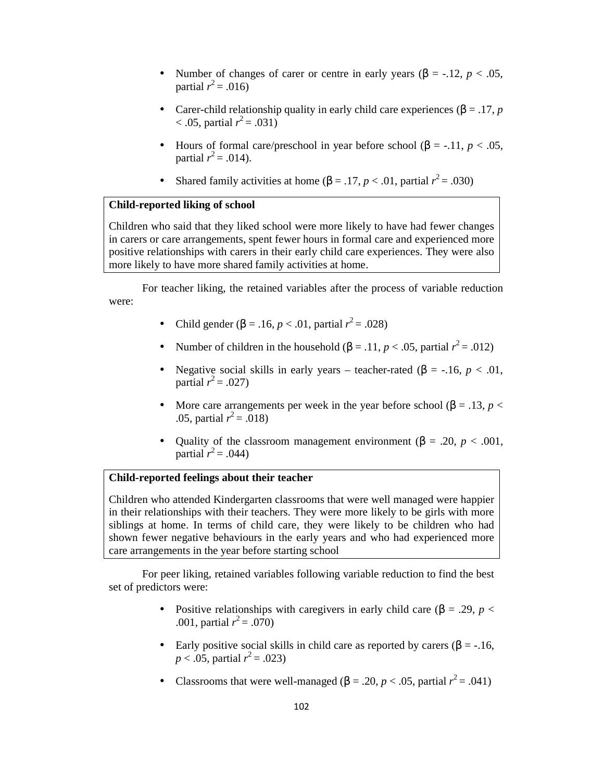- Number of changes of carer or centre in early years (β = -.12, *p* < .05, partial  $r^2 = .016$ )
- Carer-child relationship quality in early child care experiences ( $β = .17, p$  $< .05$ , partial  $r^2 = .031$ )
- Hours of formal care/preschool in year before school  $(\beta = -11, p < 0.05)$ , partial  $r^2 = .014$ ).
- Shared family activities at home  $(β = .17, p < .01,$  partial  $r^2 = .030)$

### **Child-reported liking of school**

Children who said that they liked school were more likely to have had fewer changes in carers or care arrangements, spent fewer hours in formal care and experienced more positive relationships with carers in their early child care experiences. They were also more likely to have more shared family activities at home.

For teacher liking, the retained variables after the process of variable reduction were:

- Child gender (β = .16, *p* < .01, partial  $r^2$  = .028)
- Number of children in the household  $(\beta = .11, p < .05,$  partial  $r^2 = .012$ )
- Negative social skills in early years teacher-rated  $(\beta = -16, p < 0.01)$ , partial  $r^2 = .027$ )
- More care arrangements per week in the year before school ( $\beta = .13$ ,  $p <$ .05, partial  $r^2 = .018$ )
- Quality of the classroom management environment (β = .20, *p* < .001, partial  $r^2 = .044$ )

# **Child-reported feelings about their teacher**

Children who attended Kindergarten classrooms that were well managed were happier in their relationships with their teachers. They were more likely to be girls with more siblings at home. In terms of child care, they were likely to be children who had shown fewer negative behaviours in the early years and who had experienced more care arrangements in the year before starting school

For peer liking, retained variables following variable reduction to find the best set of predictors were:

- Positive relationships with caregivers in early child care ( $\beta = .29$ ,  $p <$ .001, partial  $r^2 = .070$ )
- Early positive social skills in child care as reported by carers ( $\beta$  = -.16,  $p < .05$ , partial  $r^2 = .023$ )
- Classrooms that were well-managed ( $\beta = .20$ ,  $p < .05$ , partial  $r^2 = .041$ )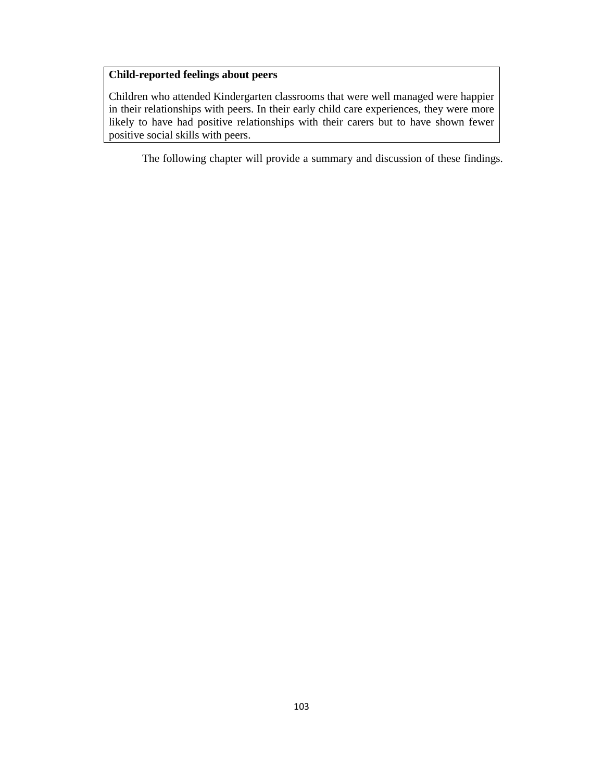# **Child-reported feelings about peers**

Children who attended Kindergarten classrooms that were well managed were happier in their relationships with peers. In their early child care experiences, they were more likely to have had positive relationships with their carers but to have shown fewer positive social skills with peers.

The following chapter will provide a summary and discussion of these findings.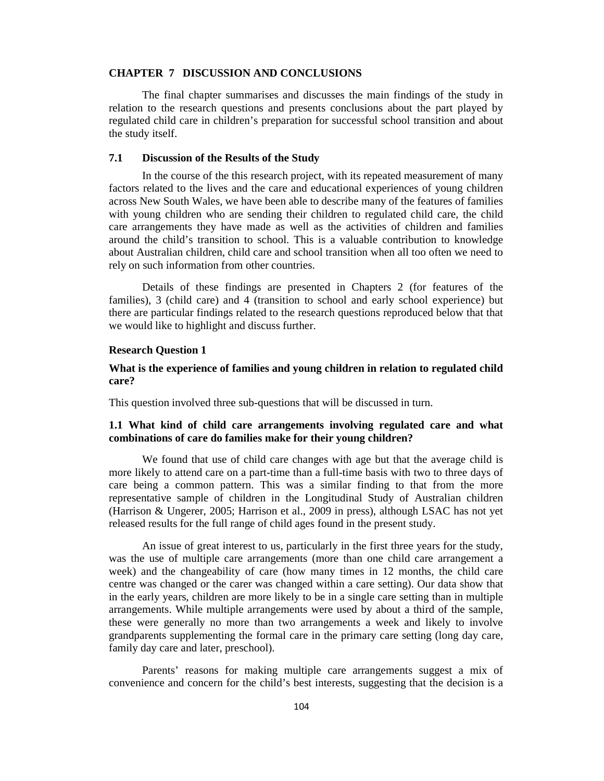#### **CHAPTER 7 DISCUSSION AND CONCLUSIONS**

The final chapter summarises and discusses the main findings of the study in relation to the research questions and presents conclusions about the part played by regulated child care in children's preparation for successful school transition and about the study itself.

### **7.1 Discussion of the Results of the Study**

In the course of the this research project, with its repeated measurement of many factors related to the lives and the care and educational experiences of young children across New South Wales, we have been able to describe many of the features of families with young children who are sending their children to regulated child care, the child care arrangements they have made as well as the activities of children and families around the child's transition to school. This is a valuable contribution to knowledge about Australian children, child care and school transition when all too often we need to rely on such information from other countries.

Details of these findings are presented in Chapters 2 (for features of the families), 3 (child care) and 4 (transition to school and early school experience) but there are particular findings related to the research questions reproduced below that that we would like to highlight and discuss further.

#### **Research Question 1**

# **What is the experience of families and young children in relation to regulated child care?**

This question involved three sub-questions that will be discussed in turn.

### **1.1 What kind of child care arrangements involving regulated care and what combinations of care do families make for their young children?**

We found that use of child care changes with age but that the average child is more likely to attend care on a part-time than a full-time basis with two to three days of care being a common pattern. This was a similar finding to that from the more representative sample of children in the Longitudinal Study of Australian children (Harrison & Ungerer, 2005; Harrison et al., 2009 in press), although LSAC has not yet released results for the full range of child ages found in the present study.

An issue of great interest to us, particularly in the first three years for the study, was the use of multiple care arrangements (more than one child care arrangement a week) and the changeability of care (how many times in 12 months, the child care centre was changed or the carer was changed within a care setting). Our data show that in the early years, children are more likely to be in a single care setting than in multiple arrangements. While multiple arrangements were used by about a third of the sample, these were generally no more than two arrangements a week and likely to involve grandparents supplementing the formal care in the primary care setting (long day care, family day care and later, preschool).

Parents' reasons for making multiple care arrangements suggest a mix of convenience and concern for the child's best interests, suggesting that the decision is a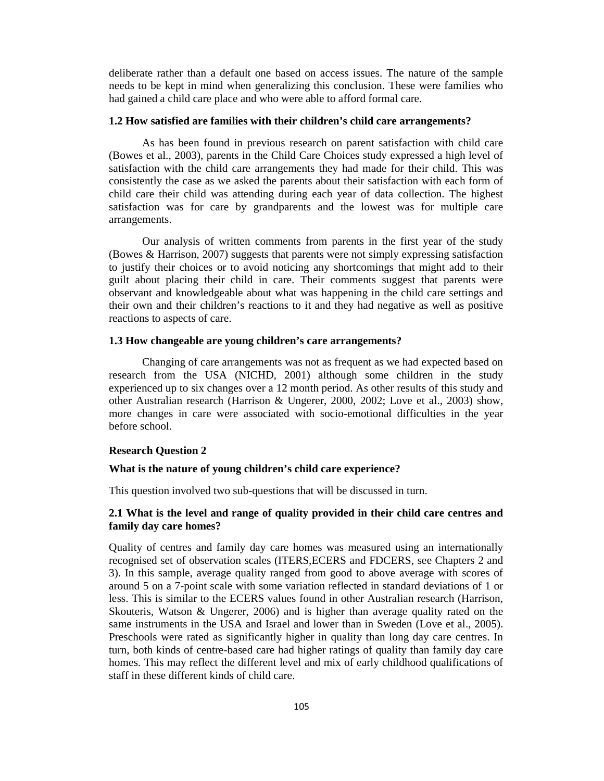deliberate rather than a default one based on access issues. The nature of the sample needs to be kept in mind when generalizing this conclusion. These were families who had gained a child care place and who were able to afford formal care.

### **1.2 How satisfied are families with their children's child care arrangements?**

As has been found in previous research on parent satisfaction with child care (Bowes et al., 2003), parents in the Child Care Choices study expressed a high level of satisfaction with the child care arrangements they had made for their child. This was consistently the case as we asked the parents about their satisfaction with each form of child care their child was attending during each year of data collection. The highest satisfaction was for care by grandparents and the lowest was for multiple care arrangements.

Our analysis of written comments from parents in the first year of the study (Bowes & Harrison, 2007) suggests that parents were not simply expressing satisfaction to justify their choices or to avoid noticing any shortcomings that might add to their guilt about placing their child in care. Their comments suggest that parents were observant and knowledgeable about what was happening in the child care settings and their own and their children's reactions to it and they had negative as well as positive reactions to aspects of care.

### **1.3 How changeable are young children's care arrangements?**

Changing of care arrangements was not as frequent as we had expected based on research from the USA (NICHD, 2001) although some children in the study experienced up to six changes over a 12 month period. As other results of this study and other Australian research (Harrison & Ungerer, 2000, 2002; Love et al., 2003) show, more changes in care were associated with socio-emotional difficulties in the year before school.

#### **Research Question 2**

#### **What is the nature of young children's child care experience?**

This question involved two sub-questions that will be discussed in turn.

### **2.1 What is the level and range of quality provided in their child care centres and family day care homes?**

Quality of centres and family day care homes was measured using an internationally recognised set of observation scales (ITERS,ECERS and FDCERS, see Chapters 2 and 3). In this sample, average quality ranged from good to above average with scores of around 5 on a 7-point scale with some variation reflected in standard deviations of 1 or less. This is similar to the ECERS values found in other Australian research (Harrison, Skouteris, Watson & Ungerer, 2006) and is higher than average quality rated on the same instruments in the USA and Israel and lower than in Sweden (Love et al., 2005). Preschools were rated as significantly higher in quality than long day care centres. In turn, both kinds of centre-based care had higher ratings of quality than family day care homes. This may reflect the different level and mix of early childhood qualifications of staff in these different kinds of child care.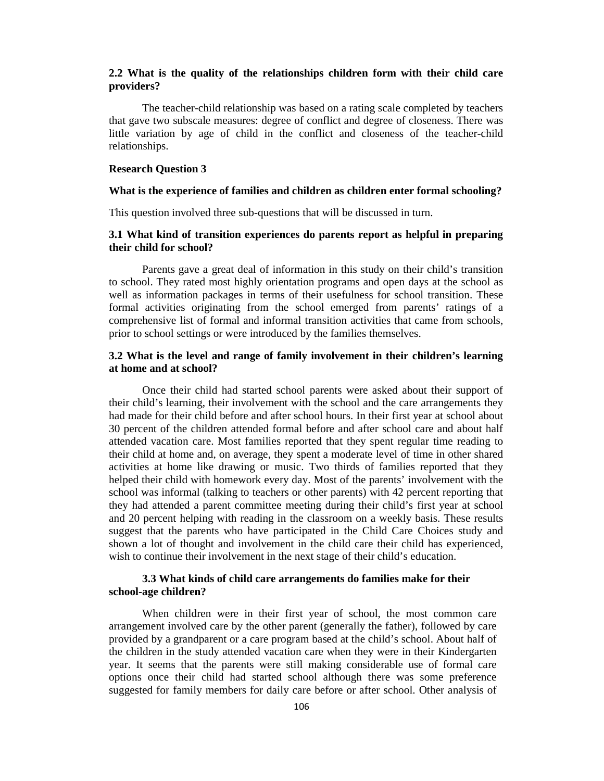# **2.2 What is the quality of the relationships children form with their child care providers?**

The teacher-child relationship was based on a rating scale completed by teachers that gave two subscale measures: degree of conflict and degree of closeness. There was little variation by age of child in the conflict and closeness of the teacher-child relationships.

#### **Research Question 3**

### **What is the experience of families and children as children enter formal schooling?**

This question involved three sub-questions that will be discussed in turn.

### **3.1 What kind of transition experiences do parents report as helpful in preparing their child for school?**

Parents gave a great deal of information in this study on their child's transition to school. They rated most highly orientation programs and open days at the school as well as information packages in terms of their usefulness for school transition. These formal activities originating from the school emerged from parents' ratings of a comprehensive list of formal and informal transition activities that came from schools, prior to school settings or were introduced by the families themselves.

### **3.2 What is the level and range of family involvement in their children's learning at home and at school?**

Once their child had started school parents were asked about their support of their child's learning, their involvement with the school and the care arrangements they had made for their child before and after school hours. In their first year at school about 30 percent of the children attended formal before and after school care and about half attended vacation care. Most families reported that they spent regular time reading to their child at home and, on average, they spent a moderate level of time in other shared activities at home like drawing or music. Two thirds of families reported that they helped their child with homework every day. Most of the parents' involvement with the school was informal (talking to teachers or other parents) with 42 percent reporting that they had attended a parent committee meeting during their child's first year at school and 20 percent helping with reading in the classroom on a weekly basis. These results suggest that the parents who have participated in the Child Care Choices study and shown a lot of thought and involvement in the child care their child has experienced, wish to continue their involvement in the next stage of their child's education.

### **3.3 What kinds of child care arrangements do families make for their school-age children?**

When children were in their first year of school, the most common care arrangement involved care by the other parent (generally the father), followed by care provided by a grandparent or a care program based at the child's school. About half of the children in the study attended vacation care when they were in their Kindergarten year. It seems that the parents were still making considerable use of formal care options once their child had started school although there was some preference suggested for family members for daily care before or after school. Other analysis of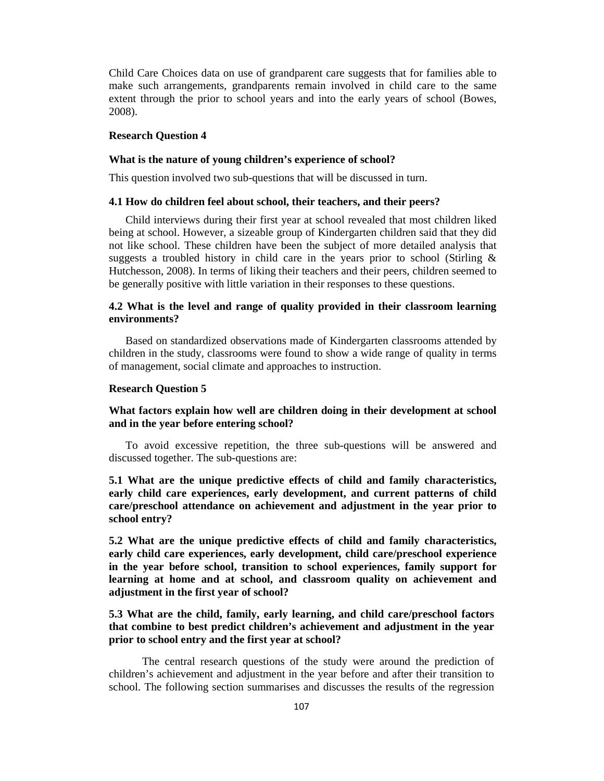Child Care Choices data on use of grandparent care suggests that for families able to make such arrangements, grandparents remain involved in child care to the same extent through the prior to school years and into the early years of school (Bowes, 2008).

#### **Research Question 4**

#### **What is the nature of young children's experience of school?**

This question involved two sub-questions that will be discussed in turn.

#### **4.1 How do children feel about school, their teachers, and their peers?**

 Child interviews during their first year at school revealed that most children liked being at school. However, a sizeable group of Kindergarten children said that they did not like school. These children have been the subject of more detailed analysis that suggests a troubled history in child care in the years prior to school (Stirling  $\&$ Hutchesson, 2008). In terms of liking their teachers and their peers, children seemed to be generally positive with little variation in their responses to these questions.

### **4.2 What is the level and range of quality provided in their classroom learning environments?**

 Based on standardized observations made of Kindergarten classrooms attended by children in the study, classrooms were found to show a wide range of quality in terms of management, social climate and approaches to instruction.

#### **Research Question 5**

# **What factors explain how well are children doing in their development at school and in the year before entering school?**

 To avoid excessive repetition, the three sub-questions will be answered and discussed together. The sub-questions are:

**5.1 What are the unique predictive effects of child and family characteristics, early child care experiences, early development, and current patterns of child care/preschool attendance on achievement and adjustment in the year prior to school entry?** 

**5.2 What are the unique predictive effects of child and family characteristics, early child care experiences, early development, child care/preschool experience in the year before school, transition to school experiences, family support for learning at home and at school, and classroom quality on achievement and adjustment in the first year of school?** 

# **5.3 What are the child, family, early learning, and child care/preschool factors that combine to best predict children's achievement and adjustment in the year prior to school entry and the first year at school?**

The central research questions of the study were around the prediction of children's achievement and adjustment in the year before and after their transition to school. The following section summarises and discusses the results of the regression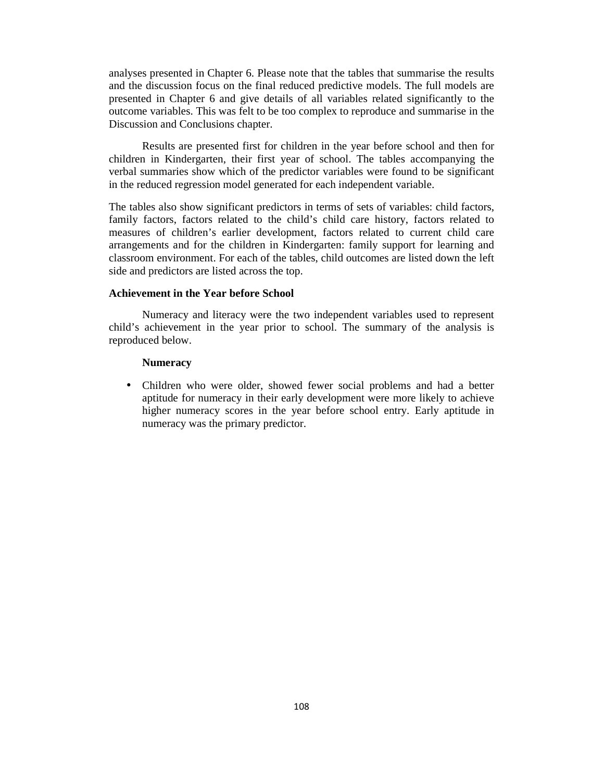analyses presented in Chapter 6. Please note that the tables that summarise the results and the discussion focus on the final reduced predictive models. The full models are presented in Chapter 6 and give details of all variables related significantly to the outcome variables. This was felt to be too complex to reproduce and summarise in the Discussion and Conclusions chapter.

Results are presented first for children in the year before school and then for children in Kindergarten, their first year of school. The tables accompanying the verbal summaries show which of the predictor variables were found to be significant in the reduced regression model generated for each independent variable.

The tables also show significant predictors in terms of sets of variables: child factors, family factors, factors related to the child's child care history, factors related to measures of children's earlier development, factors related to current child care arrangements and for the children in Kindergarten: family support for learning and classroom environment. For each of the tables, child outcomes are listed down the left side and predictors are listed across the top.

### **Achievement in the Year before School**

Numeracy and literacy were the two independent variables used to represent child's achievement in the year prior to school. The summary of the analysis is reproduced below.

### **Numeracy**

• Children who were older, showed fewer social problems and had a better aptitude for numeracy in their early development were more likely to achieve higher numeracy scores in the year before school entry. Early aptitude in numeracy was the primary predictor.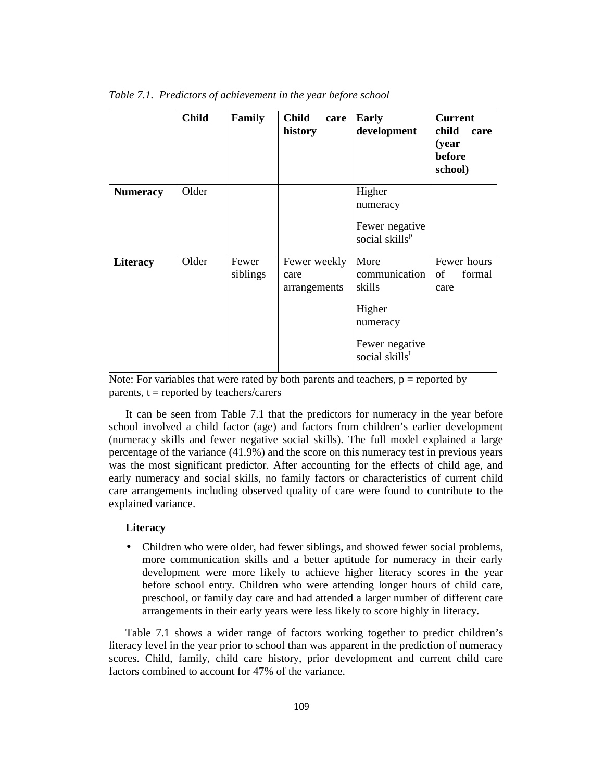|                 | <b>Child</b> | Family            | <b>Child</b><br>care<br>history      | <b>Early</b><br>development                                                                           | <b>Current</b><br>child<br>care<br>(year<br>before<br>school) |
|-----------------|--------------|-------------------|--------------------------------------|-------------------------------------------------------------------------------------------------------|---------------------------------------------------------------|
| <b>Numeracy</b> | Older        |                   |                                      | Higher<br>numeracy<br>Fewer negative<br>social skills <sup>p</sup>                                    |                                                               |
| <b>Literacy</b> | Older        | Fewer<br>siblings | Fewer weekly<br>care<br>arrangements | More<br>communication<br>skills<br>Higher<br>numeracy<br>Fewer negative<br>social skills <sup>t</sup> | Fewer hours<br>of<br>formal<br>care                           |

*Table 7.1. Predictors of achievement in the year before school* 

Note: For variables that were rated by both parents and teachers,  $p =$  reported by parents,  $t =$  reported by teachers/carers

It can be seen from Table 7.1 that the predictors for numeracy in the year before school involved a child factor (age) and factors from children's earlier development (numeracy skills and fewer negative social skills). The full model explained a large percentage of the variance (41.9%) and the score on this numeracy test in previous years was the most significant predictor. After accounting for the effects of child age, and early numeracy and social skills, no family factors or characteristics of current child care arrangements including observed quality of care were found to contribute to the explained variance.

#### **Literacy**

• Children who were older, had fewer siblings, and showed fewer social problems, more communication skills and a better aptitude for numeracy in their early development were more likely to achieve higher literacy scores in the year before school entry. Children who were attending longer hours of child care, preschool, or family day care and had attended a larger number of different care arrangements in their early years were less likely to score highly in literacy.

Table 7.1 shows a wider range of factors working together to predict children's literacy level in the year prior to school than was apparent in the prediction of numeracy scores. Child, family, child care history, prior development and current child care factors combined to account for 47% of the variance.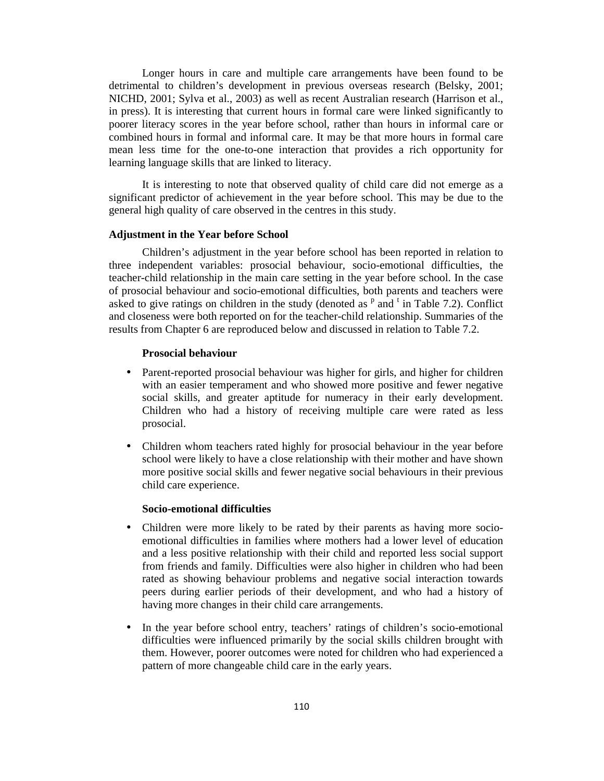Longer hours in care and multiple care arrangements have been found to be detrimental to children's development in previous overseas research (Belsky, 2001; NICHD, 2001; Sylva et al., 2003) as well as recent Australian research (Harrison et al., in press). It is interesting that current hours in formal care were linked significantly to poorer literacy scores in the year before school, rather than hours in informal care or combined hours in formal and informal care. It may be that more hours in formal care mean less time for the one-to-one interaction that provides a rich opportunity for learning language skills that are linked to literacy.

It is interesting to note that observed quality of child care did not emerge as a significant predictor of achievement in the year before school. This may be due to the general high quality of care observed in the centres in this study.

#### **Adjustment in the Year before School**

Children's adjustment in the year before school has been reported in relation to three independent variables: prosocial behaviour, socio-emotional difficulties, the teacher-child relationship in the main care setting in the year before school. In the case of prosocial behaviour and socio-emotional difficulties, both parents and teachers were asked to give ratings on children in the study (denoted as  $P$  and  $t$  in Table 7.2). Conflict and closeness were both reported on for the teacher-child relationship. Summaries of the results from Chapter 6 are reproduced below and discussed in relation to Table 7.2.

#### **Prosocial behaviour**

- Parent-reported prosocial behaviour was higher for girls, and higher for children with an easier temperament and who showed more positive and fewer negative social skills, and greater aptitude for numeracy in their early development. Children who had a history of receiving multiple care were rated as less prosocial.
- Children whom teachers rated highly for prosocial behaviour in the year before school were likely to have a close relationship with their mother and have shown more positive social skills and fewer negative social behaviours in their previous child care experience.

#### **Socio-emotional difficulties**

- Children were more likely to be rated by their parents as having more socioemotional difficulties in families where mothers had a lower level of education and a less positive relationship with their child and reported less social support from friends and family. Difficulties were also higher in children who had been rated as showing behaviour problems and negative social interaction towards peers during earlier periods of their development, and who had a history of having more changes in their child care arrangements.
- In the year before school entry, teachers' ratings of children's socio-emotional difficulties were influenced primarily by the social skills children brought with them. However, poorer outcomes were noted for children who had experienced a pattern of more changeable child care in the early years.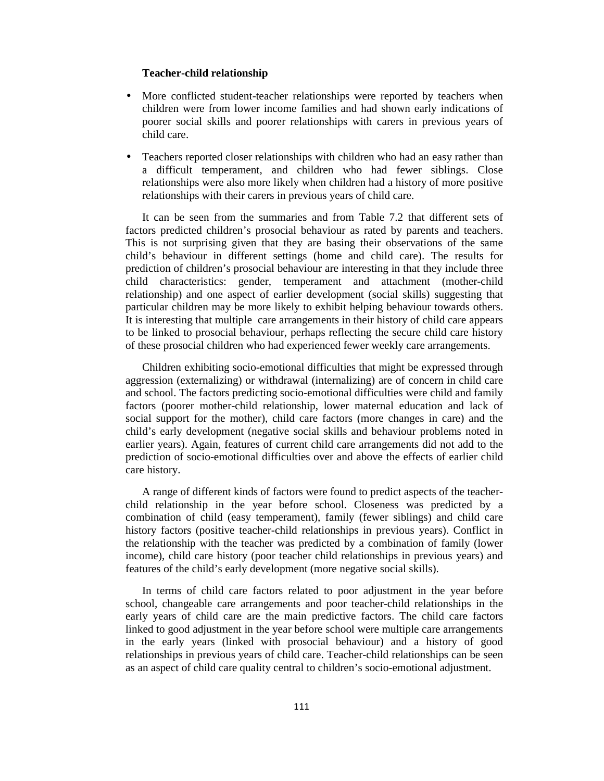#### **Teacher-child relationship**

- More conflicted student-teacher relationships were reported by teachers when children were from lower income families and had shown early indications of poorer social skills and poorer relationships with carers in previous years of child care.
- Teachers reported closer relationships with children who had an easy rather than a difficult temperament, and children who had fewer siblings. Close relationships were also more likely when children had a history of more positive relationships with their carers in previous years of child care.

It can be seen from the summaries and from Table 7.2 that different sets of factors predicted children's prosocial behaviour as rated by parents and teachers. This is not surprising given that they are basing their observations of the same child's behaviour in different settings (home and child care). The results for prediction of children's prosocial behaviour are interesting in that they include three child characteristics: gender, temperament and attachment (mother-child relationship) and one aspect of earlier development (social skills) suggesting that particular children may be more likely to exhibit helping behaviour towards others. It is interesting that multiple care arrangements in their history of child care appears to be linked to prosocial behaviour, perhaps reflecting the secure child care history of these prosocial children who had experienced fewer weekly care arrangements.

Children exhibiting socio-emotional difficulties that might be expressed through aggression (externalizing) or withdrawal (internalizing) are of concern in child care and school. The factors predicting socio-emotional difficulties were child and family factors (poorer mother-child relationship, lower maternal education and lack of social support for the mother), child care factors (more changes in care) and the child's early development (negative social skills and behaviour problems noted in earlier years). Again, features of current child care arrangements did not add to the prediction of socio-emotional difficulties over and above the effects of earlier child care history.

A range of different kinds of factors were found to predict aspects of the teacherchild relationship in the year before school. Closeness was predicted by a combination of child (easy temperament), family (fewer siblings) and child care history factors (positive teacher-child relationships in previous years). Conflict in the relationship with the teacher was predicted by a combination of family (lower income), child care history (poor teacher child relationships in previous years) and features of the child's early development (more negative social skills).

In terms of child care factors related to poor adjustment in the year before school, changeable care arrangements and poor teacher-child relationships in the early years of child care are the main predictive factors. The child care factors linked to good adjustment in the year before school were multiple care arrangements in the early years (linked with prosocial behaviour) and a history of good relationships in previous years of child care. Teacher-child relationships can be seen as an aspect of child care quality central to children's socio-emotional adjustment.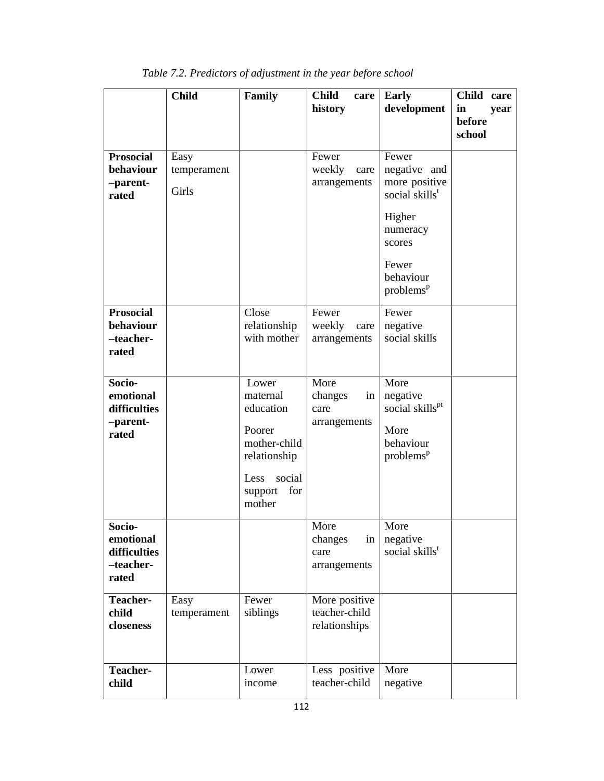|                                                           | <b>Child</b>                 | Family                                                                                                                 | <b>Child</b><br>care<br>history                 | <b>Early</b><br>development                                                                                                                         | Child care<br>in<br>year<br>before<br>school |
|-----------------------------------------------------------|------------------------------|------------------------------------------------------------------------------------------------------------------------|-------------------------------------------------|-----------------------------------------------------------------------------------------------------------------------------------------------------|----------------------------------------------|
| <b>Prosocial</b><br>behaviour<br>-parent-<br>rated        | Easy<br>temperament<br>Girls |                                                                                                                        | Fewer<br>weekly<br>care<br>arrangements         | Fewer<br>negative and<br>more positive<br>social skills <sup>t</sup><br>Higher<br>numeracy<br>scores<br>Fewer<br>behaviour<br>problems <sup>p</sup> |                                              |
| <b>Prosocial</b><br>behaviour<br>-teacher-<br>rated       |                              | Close<br>relationship<br>with mother                                                                                   | Fewer<br>weekly<br>care<br>arrangements         | Fewer<br>negative<br>social skills                                                                                                                  |                                              |
| Socio-<br>emotional<br>difficulties<br>-parent-<br>rated  |                              | Lower<br>maternal<br>education<br>Poorer<br>mother-child<br>relationship<br>social<br>Less<br>for<br>support<br>mother | More<br>changes<br>in<br>care<br>arrangements   | More<br>negative<br>social skills <sup>pt</sup><br>More<br>behaviour<br>problems <sup>p</sup>                                                       |                                              |
| Socio-<br>emotional<br>difficulties<br>-teacher-<br>rated |                              |                                                                                                                        | More<br>changes<br>in<br>care<br>arrangements   | More<br>negative<br>social skills <sup>t</sup>                                                                                                      |                                              |
| Teacher-<br>child<br>closeness                            | Easy<br>temperament          | Fewer<br>siblings                                                                                                      | More positive<br>teacher-child<br>relationships |                                                                                                                                                     |                                              |
| Teacher-<br>child                                         |                              | Lower<br>income                                                                                                        | Less positive<br>teacher-child                  | More<br>negative                                                                                                                                    |                                              |

*Table 7.2. Predictors of adjustment in the year before school*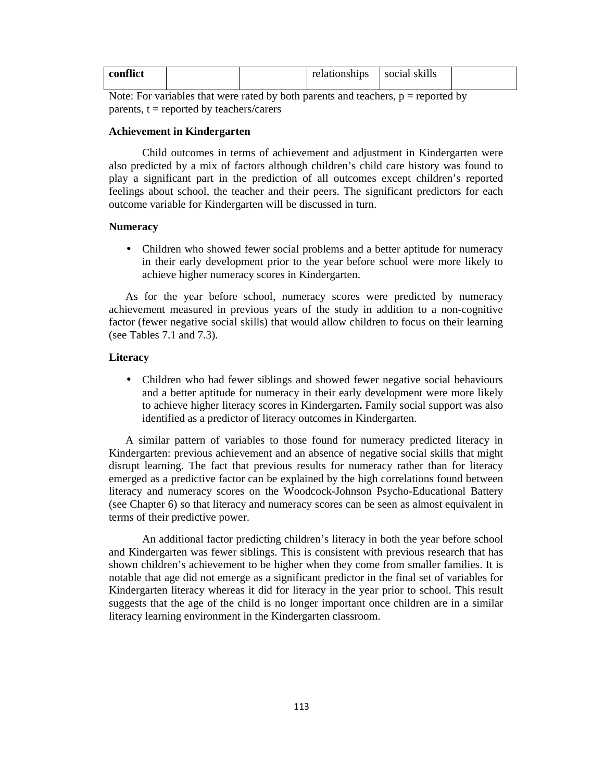| conflict |  | relationships | social skills |  |
|----------|--|---------------|---------------|--|
|          |  |               |               |  |

Note: For variables that were rated by both parents and teachers,  $p =$  reported by parents,  $t =$  reported by teachers/carers

### **Achievement in Kindergarten**

Child outcomes in terms of achievement and adjustment in Kindergarten were also predicted by a mix of factors although children's child care history was found to play a significant part in the prediction of all outcomes except children's reported feelings about school, the teacher and their peers. The significant predictors for each outcome variable for Kindergarten will be discussed in turn.

## **Numeracy**

• Children who showed fewer social problems and a better aptitude for numeracy in their early development prior to the year before school were more likely to achieve higher numeracy scores in Kindergarten.

As for the year before school, numeracy scores were predicted by numeracy achievement measured in previous years of the study in addition to a non-cognitive factor (fewer negative social skills) that would allow children to focus on their learning (see Tables 7.1 and 7.3).

### **Literacy**

• Children who had fewer siblings and showed fewer negative social behaviours and a better aptitude for numeracy in their early development were more likely to achieve higher literacy scores in Kindergarten**.** Family social support was also identified as a predictor of literacy outcomes in Kindergarten.

A similar pattern of variables to those found for numeracy predicted literacy in Kindergarten: previous achievement and an absence of negative social skills that might disrupt learning. The fact that previous results for numeracy rather than for literacy emerged as a predictive factor can be explained by the high correlations found between literacy and numeracy scores on the Woodcock-Johnson Psycho-Educational Battery (see Chapter 6) so that literacy and numeracy scores can be seen as almost equivalent in terms of their predictive power.

An additional factor predicting children's literacy in both the year before school and Kindergarten was fewer siblings. This is consistent with previous research that has shown children's achievement to be higher when they come from smaller families. It is notable that age did not emerge as a significant predictor in the final set of variables for Kindergarten literacy whereas it did for literacy in the year prior to school. This result suggests that the age of the child is no longer important once children are in a similar literacy learning environment in the Kindergarten classroom.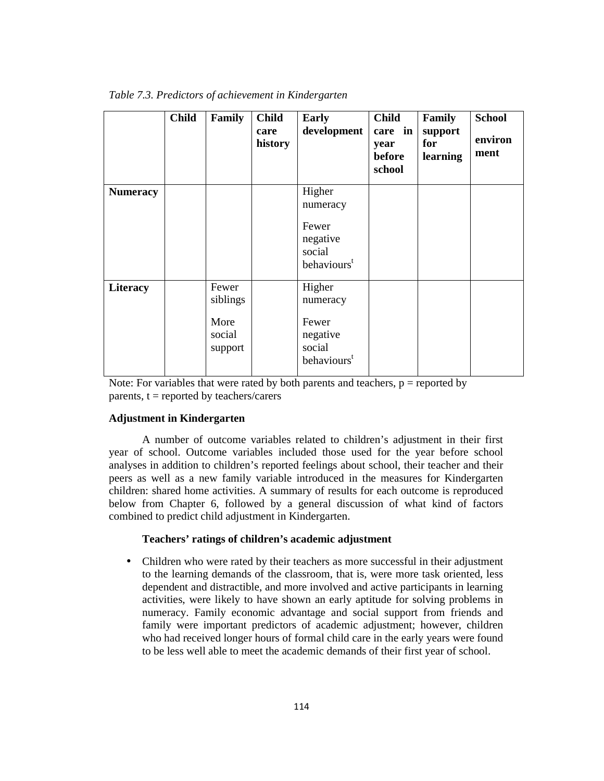|                 | <b>Child</b> | Family                    | <b>Child</b><br>care<br>history | Early<br>development                                   | <b>Child</b><br>care in<br>year<br>before<br>school | Family<br>support<br>for<br>learning | <b>School</b><br>environ<br>ment |
|-----------------|--------------|---------------------------|---------------------------------|--------------------------------------------------------|-----------------------------------------------------|--------------------------------------|----------------------------------|
| <b>Numeracy</b> |              |                           |                                 | Higher<br>numeracy<br>Fewer                            |                                                     |                                      |                                  |
|                 |              |                           |                                 | negative<br>social<br>behaviours <sup>t</sup>          |                                                     |                                      |                                  |
| Literacy        |              | Fewer<br>siblings         |                                 | Higher<br>numeracy                                     |                                                     |                                      |                                  |
|                 |              | More<br>social<br>support |                                 | Fewer<br>negative<br>social<br>behaviours <sup>t</sup> |                                                     |                                      |                                  |

*Table 7.3. Predictors of achievement in Kindergarten* 

Note: For variables that were rated by both parents and teachers,  $p =$  reported by parents,  $t =$  reported by teachers/carers

#### **Adjustment in Kindergarten**

A number of outcome variables related to children's adjustment in their first year of school. Outcome variables included those used for the year before school analyses in addition to children's reported feelings about school, their teacher and their peers as well as a new family variable introduced in the measures for Kindergarten children: shared home activities. A summary of results for each outcome is reproduced below from Chapter 6, followed by a general discussion of what kind of factors combined to predict child adjustment in Kindergarten.

#### **Teachers' ratings of children's academic adjustment**

• Children who were rated by their teachers as more successful in their adjustment to the learning demands of the classroom, that is, were more task oriented, less dependent and distractible, and more involved and active participants in learning activities, were likely to have shown an early aptitude for solving problems in numeracy. Family economic advantage and social support from friends and family were important predictors of academic adjustment; however, children who had received longer hours of formal child care in the early years were found to be less well able to meet the academic demands of their first year of school.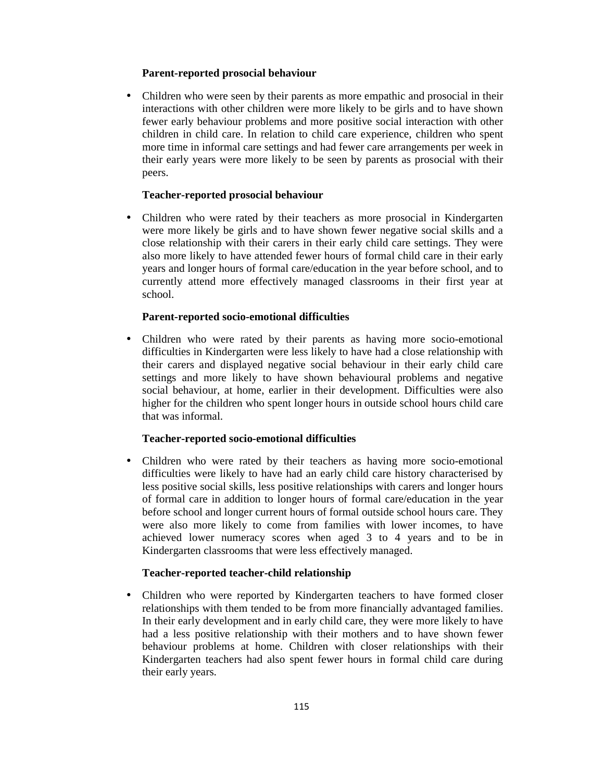## **Parent-reported prosocial behaviour**

• Children who were seen by their parents as more empathic and prosocial in their interactions with other children were more likely to be girls and to have shown fewer early behaviour problems and more positive social interaction with other children in child care. In relation to child care experience, children who spent more time in informal care settings and had fewer care arrangements per week in their early years were more likely to be seen by parents as prosocial with their peers.

## **Teacher-reported prosocial behaviour**

• Children who were rated by their teachers as more prosocial in Kindergarten were more likely be girls and to have shown fewer negative social skills and a close relationship with their carers in their early child care settings. They were also more likely to have attended fewer hours of formal child care in their early years and longer hours of formal care/education in the year before school, and to currently attend more effectively managed classrooms in their first year at school.

## **Parent-reported socio-emotional difficulties**

• Children who were rated by their parents as having more socio-emotional difficulties in Kindergarten were less likely to have had a close relationship with their carers and displayed negative social behaviour in their early child care settings and more likely to have shown behavioural problems and negative social behaviour, at home, earlier in their development. Difficulties were also higher for the children who spent longer hours in outside school hours child care that was informal.

## **Teacher-reported socio-emotional difficulties**

• Children who were rated by their teachers as having more socio-emotional difficulties were likely to have had an early child care history characterised by less positive social skills, less positive relationships with carers and longer hours of formal care in addition to longer hours of formal care/education in the year before school and longer current hours of formal outside school hours care. They were also more likely to come from families with lower incomes, to have achieved lower numeracy scores when aged 3 to 4 years and to be in Kindergarten classrooms that were less effectively managed.

### **Teacher-reported teacher-child relationship**

• Children who were reported by Kindergarten teachers to have formed closer relationships with them tended to be from more financially advantaged families. In their early development and in early child care, they were more likely to have had a less positive relationship with their mothers and to have shown fewer behaviour problems at home. Children with closer relationships with their Kindergarten teachers had also spent fewer hours in formal child care during their early years.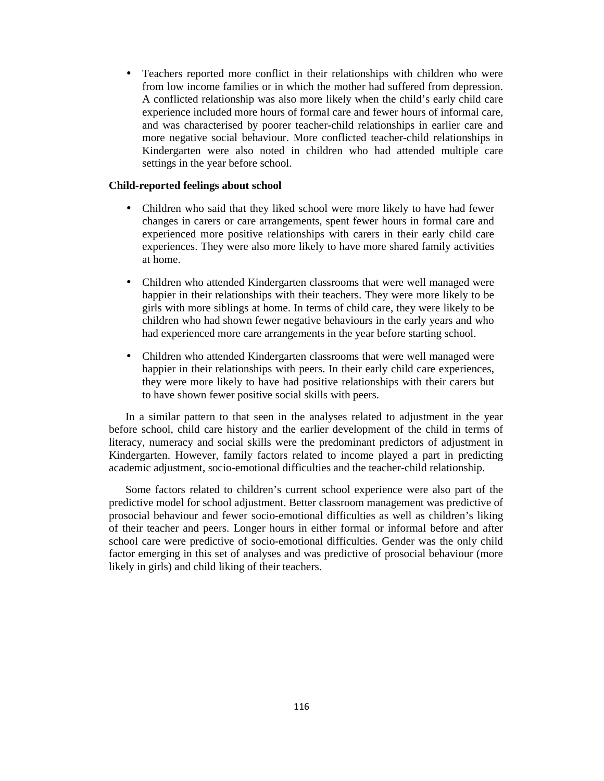• Teachers reported more conflict in their relationships with children who were from low income families or in which the mother had suffered from depression. A conflicted relationship was also more likely when the child's early child care experience included more hours of formal care and fewer hours of informal care, and was characterised by poorer teacher-child relationships in earlier care and more negative social behaviour. More conflicted teacher-child relationships in Kindergarten were also noted in children who had attended multiple care settings in the year before school.

#### **Child-reported feelings about school**

- Children who said that they liked school were more likely to have had fewer changes in carers or care arrangements, spent fewer hours in formal care and experienced more positive relationships with carers in their early child care experiences. They were also more likely to have more shared family activities at home.
- Children who attended Kindergarten classrooms that were well managed were happier in their relationships with their teachers. They were more likely to be girls with more siblings at home. In terms of child care, they were likely to be children who had shown fewer negative behaviours in the early years and who had experienced more care arrangements in the year before starting school.
- Children who attended Kindergarten classrooms that were well managed were happier in their relationships with peers. In their early child care experiences, they were more likely to have had positive relationships with their carers but to have shown fewer positive social skills with peers.

In a similar pattern to that seen in the analyses related to adjustment in the year before school, child care history and the earlier development of the child in terms of literacy, numeracy and social skills were the predominant predictors of adjustment in Kindergarten. However, family factors related to income played a part in predicting academic adjustment, socio-emotional difficulties and the teacher-child relationship.

Some factors related to children's current school experience were also part of the predictive model for school adjustment. Better classroom management was predictive of prosocial behaviour and fewer socio-emotional difficulties as well as children's liking of their teacher and peers. Longer hours in either formal or informal before and after school care were predictive of socio-emotional difficulties. Gender was the only child factor emerging in this set of analyses and was predictive of prosocial behaviour (more likely in girls) and child liking of their teachers.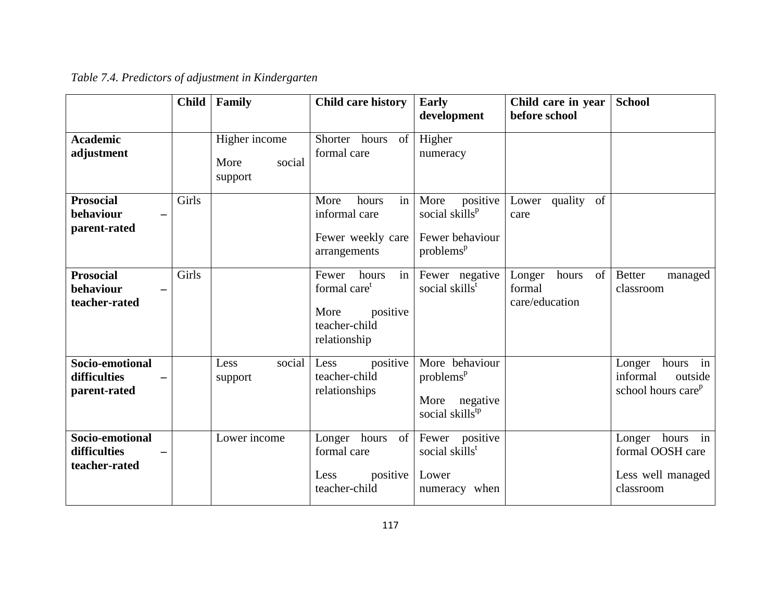|                                                  | <b>Child</b> | Family                                     | <b>Child care history</b>                                                                             | <b>Early</b><br>development                                                                | Child care in year<br>before school               | <b>School</b>                                                               |
|--------------------------------------------------|--------------|--------------------------------------------|-------------------------------------------------------------------------------------------------------|--------------------------------------------------------------------------------------------|---------------------------------------------------|-----------------------------------------------------------------------------|
| <b>Academic</b><br>adjustment                    |              | Higher income<br>More<br>social<br>support | Shorter hours<br>of<br>formal care                                                                    | Higher<br>numeracy                                                                         |                                                   |                                                                             |
| <b>Prosocial</b><br>behaviour<br>parent-rated    | Girls        |                                            | in<br>More<br>hours<br>informal care<br>Fewer weekly care<br>arrangements                             | positive<br>More<br>social skills <sup>p</sup><br>Fewer behaviour<br>problems <sup>p</sup> | Lower quality of<br>care                          |                                                                             |
| <b>Prosocial</b><br>behaviour<br>teacher-rated   | Girls        |                                            | in<br>hours<br>Fewer<br>formal care <sup>t</sup><br>More<br>positive<br>teacher-child<br>relationship | Fewer negative<br>social skills <sup>t</sup>                                               | Longer<br>hours<br>of<br>formal<br>care/education | <b>Better</b><br>managed<br>classroom                                       |
| Socio-emotional<br>difficulties<br>parent-rated  |              | Less<br>social<br>support                  | positive<br>Less<br>teacher-child<br>relationships                                                    | More behaviour<br>problems <sup>p</sup><br>negative<br>More<br>social skills <sup>tp</sup> |                                                   | Longer<br>hours in<br>informal<br>outside<br>school hours care <sup>p</sup> |
| Socio-emotional<br>difficulties<br>teacher-rated |              | Lower income                               | Longer hours<br>of<br>formal care<br>positive<br>Less<br>teacher-child                                | Fewer positive<br>social skills <sup>t</sup><br>Lower<br>numeracy when                     |                                                   | Longer hours in<br>formal OOSH care<br>Less well managed<br>classroom       |

*Table 7.4. Predictors of adjustment in Kindergarten*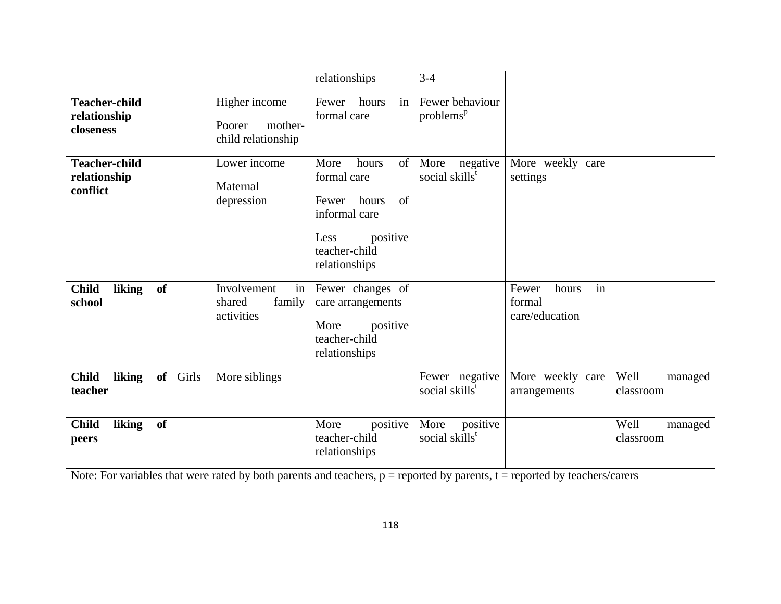|                                                   |       |                                                          | relationships                                                                                                                     | $3-4$                                          |                                                  |                              |
|---------------------------------------------------|-------|----------------------------------------------------------|-----------------------------------------------------------------------------------------------------------------------------------|------------------------------------------------|--------------------------------------------------|------------------------------|
| <b>Teacher-child</b><br>relationship<br>closeness |       | Higher income<br>Poorer<br>mother-<br>child relationship | in<br>Fewer<br>hours<br>formal care                                                                                               | Fewer behaviour<br>problems <sup>p</sup>       |                                                  |                              |
| <b>Teacher-child</b><br>relationship<br>conflict  |       | Lower income<br>Maternal<br>depression                   | hours<br>More<br>of<br>formal care<br>hours<br>of<br>Fewer<br>informal care<br>positive<br>Less<br>teacher-child<br>relationships | More<br>negative<br>social skills <sup>t</sup> | More weekly care<br>settings                     |                              |
| of<br><b>Child</b><br>liking<br>school            |       | Involvement<br>in<br>shared<br>family<br>activities      | Fewer changes of<br>care arrangements<br>More<br>positive<br>teacher-child<br>relationships                                       |                                                | in<br>Fewer<br>hours<br>formal<br>care/education |                              |
| <b>Child</b><br>liking<br>of<br>teacher           | Girls | More siblings                                            |                                                                                                                                   | Fewer negative<br>social skills <sup>t</sup>   | More weekly care<br>arrangements                 | Well<br>managed<br>classroom |
| <b>Child</b><br>of<br>liking<br>peers             |       |                                                          | positive<br>More<br>teacher-child<br>relationships                                                                                | positive<br>More<br>social skills <sup>t</sup> |                                                  | Well<br>managed<br>classroom |

Note: For variables that were rated by both parents and teachers,  $p =$  reported by parents,  $t =$  reported by teachers/carers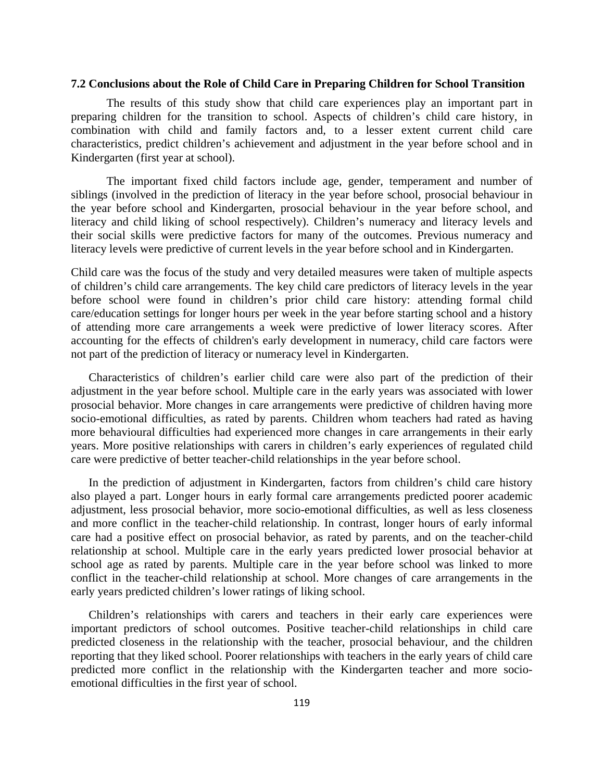#### **7.2 Conclusions about the Role of Child Care in Preparing Children for School Transition**

The results of this study show that child care experiences play an important part in preparing children for the transition to school. Aspects of children's child care history, in combination with child and family factors and, to a lesser extent current child care characteristics, predict children's achievement and adjustment in the year before school and in Kindergarten (first year at school).

The important fixed child factors include age, gender, temperament and number of siblings (involved in the prediction of literacy in the year before school, prosocial behaviour in the year before school and Kindergarten, prosocial behaviour in the year before school, and literacy and child liking of school respectively). Children's numeracy and literacy levels and their social skills were predictive factors for many of the outcomes. Previous numeracy and literacy levels were predictive of current levels in the year before school and in Kindergarten.

Child care was the focus of the study and very detailed measures were taken of multiple aspects of children's child care arrangements. The key child care predictors of literacy levels in the year before school were found in children's prior child care history: attending formal child care/education settings for longer hours per week in the year before starting school and a history of attending more care arrangements a week were predictive of lower literacy scores. After accounting for the effects of children's early development in numeracy, child care factors were not part of the prediction of literacy or numeracy level in Kindergarten.

Characteristics of children's earlier child care were also part of the prediction of their adjustment in the year before school. Multiple care in the early years was associated with lower prosocial behavior. More changes in care arrangements were predictive of children having more socio-emotional difficulties, as rated by parents. Children whom teachers had rated as having more behavioural difficulties had experienced more changes in care arrangements in their early years. More positive relationships with carers in children's early experiences of regulated child care were predictive of better teacher-child relationships in the year before school.

In the prediction of adjustment in Kindergarten, factors from children's child care history also played a part. Longer hours in early formal care arrangements predicted poorer academic adjustment, less prosocial behavior, more socio-emotional difficulties, as well as less closeness and more conflict in the teacher-child relationship. In contrast, longer hours of early informal care had a positive effect on prosocial behavior, as rated by parents, and on the teacher-child relationship at school. Multiple care in the early years predicted lower prosocial behavior at school age as rated by parents. Multiple care in the year before school was linked to more conflict in the teacher-child relationship at school. More changes of care arrangements in the early years predicted children's lower ratings of liking school.

Children's relationships with carers and teachers in their early care experiences were important predictors of school outcomes. Positive teacher-child relationships in child care predicted closeness in the relationship with the teacher, prosocial behaviour, and the children reporting that they liked school. Poorer relationships with teachers in the early years of child care predicted more conflict in the relationship with the Kindergarten teacher and more socioemotional difficulties in the first year of school.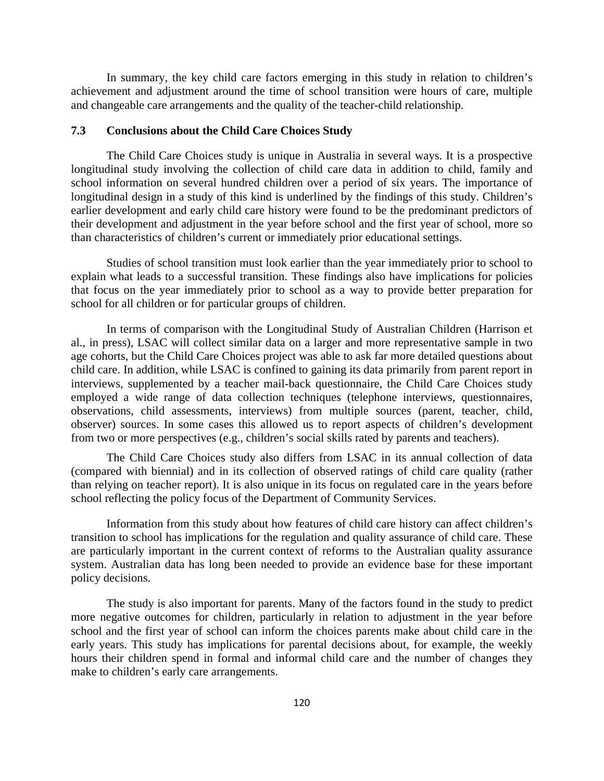In summary, the key child care factors emerging in this study in relation to children's achievement and adjustment around the time of school transition were hours of care, multiple and changeable care arrangements and the quality of the teacher-child relationship.

## **7.3 Conclusions about the Child Care Choices Study**

The Child Care Choices study is unique in Australia in several ways. It is a prospective longitudinal study involving the collection of child care data in addition to child, family and school information on several hundred children over a period of six years. The importance of longitudinal design in a study of this kind is underlined by the findings of this study. Children's earlier development and early child care history were found to be the predominant predictors of their development and adjustment in the year before school and the first year of school, more so than characteristics of children's current or immediately prior educational settings.

Studies of school transition must look earlier than the year immediately prior to school to explain what leads to a successful transition. These findings also have implications for policies that focus on the year immediately prior to school as a way to provide better preparation for school for all children or for particular groups of children.

In terms of comparison with the Longitudinal Study of Australian Children (Harrison et al., in press), LSAC will collect similar data on a larger and more representative sample in two age cohorts, but the Child Care Choices project was able to ask far more detailed questions about child care. In addition, while LSAC is confined to gaining its data primarily from parent report in interviews, supplemented by a teacher mail-back questionnaire, the Child Care Choices study employed a wide range of data collection techniques (telephone interviews, questionnaires, observations, child assessments, interviews) from multiple sources (parent, teacher, child, observer) sources. In some cases this allowed us to report aspects of children's development from two or more perspectives (e.g., children's social skills rated by parents and teachers).

The Child Care Choices study also differs from LSAC in its annual collection of data (compared with biennial) and in its collection of observed ratings of child care quality (rather than relying on teacher report). It is also unique in its focus on regulated care in the years before school reflecting the policy focus of the Department of Community Services.

Information from this study about how features of child care history can affect children's transition to school has implications for the regulation and quality assurance of child care. These are particularly important in the current context of reforms to the Australian quality assurance system. Australian data has long been needed to provide an evidence base for these important policy decisions.

The study is also important for parents. Many of the factors found in the study to predict more negative outcomes for children, particularly in relation to adjustment in the year before school and the first year of school can inform the choices parents make about child care in the early years. This study has implications for parental decisions about, for example, the weekly hours their children spend in formal and informal child care and the number of changes they make to children's early care arrangements.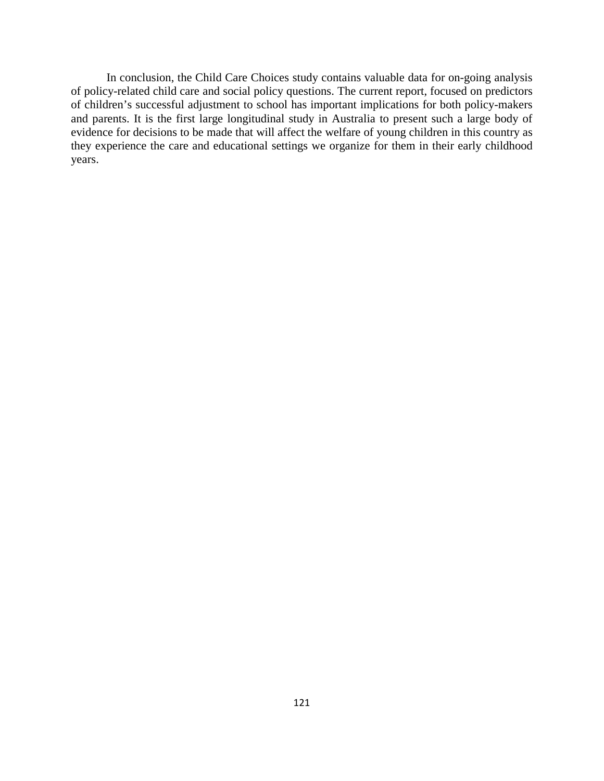In conclusion, the Child Care Choices study contains valuable data for on-going analysis of policy-related child care and social policy questions. The current report, focused on predictors of children's successful adjustment to school has important implications for both policy-makers and parents. It is the first large longitudinal study in Australia to present such a large body of evidence for decisions to be made that will affect the welfare of young children in this country as they experience the care and educational settings we organize for them in their early childhood years.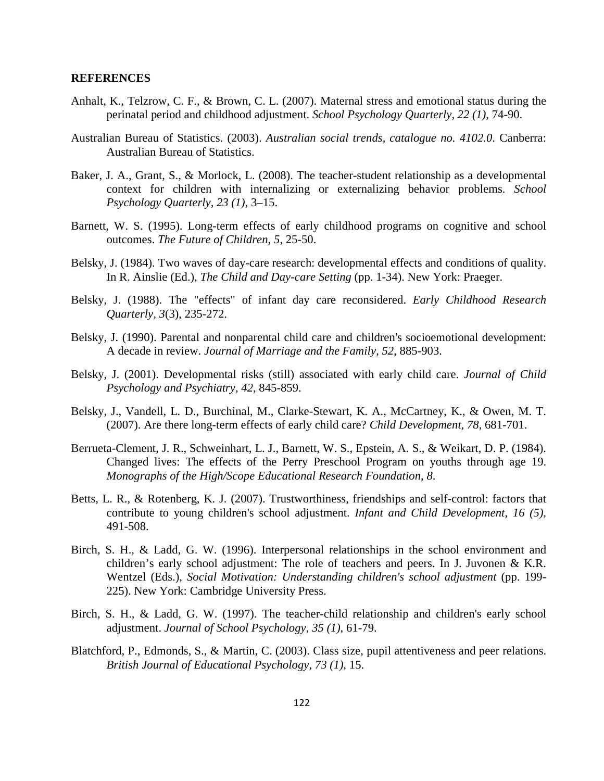## **REFERENCES**

- Anhalt, K., Telzrow, C. F., & Brown, C. L. (2007). Maternal stress and emotional status during the perinatal period and childhood adjustment. *School Psychology Quarterly, 22 (1)*, 74-90.
- Australian Bureau of Statistics. (2003). *Australian social trends, catalogue no. 4102.0*. Canberra: Australian Bureau of Statistics.
- Baker, J. A., Grant, S., & Morlock, L. (2008). The teacher-student relationship as a developmental context for children with internalizing or externalizing behavior problems. *School Psychology Quarterly, 23 (1)*, 3–15.
- Barnett, W. S. (1995). Long-term effects of early childhood programs on cognitive and school outcomes. *The Future of Children, 5*, 25-50.
- Belsky, J. (1984). Two waves of day-care research: developmental effects and conditions of quality. In R. Ainslie (Ed.), *The Child and Day-care Setting* (pp. 1-34). New York: Praeger.
- Belsky, J. (1988). The "effects" of infant day care reconsidered. *Early Childhood Research Quarterly, 3*(3), 235-272.
- Belsky, J. (1990). Parental and nonparental child care and children's socioemotional development: A decade in review. *Journal of Marriage and the Family, 52*, 885-903.
- Belsky, J. (2001). Developmental risks (still) associated with early child care. *Journal of Child Psychology and Psychiatry, 42*, 845-859.
- Belsky, J., Vandell, L. D., Burchinal, M., Clarke-Stewart, K. A., McCartney, K., & Owen, M. T. (2007). Are there long-term effects of early child care? *Child Development, 78*, 681-701.
- Berrueta-Clement, J. R., Schweinhart, L. J., Barnett, W. S., Epstein, A. S., & Weikart, D. P. (1984). Changed lives: The effects of the Perry Preschool Program on youths through age 19. *Monographs of the High/Scope Educational Research Foundation, 8*.
- Betts, L. R., & Rotenberg, K. J. (2007). Trustworthiness, friendships and self-control: factors that contribute to young children's school adjustment. *Infant and Child Development, 16 (5)*, 491-508.
- Birch, S. H., & Ladd, G. W. (1996). Interpersonal relationships in the school environment and children's early school adjustment: The role of teachers and peers. In J. Juvonen & K.R. Wentzel (Eds.), *Social Motivation: Understanding children's school adjustment* (pp. 199- 225). New York: Cambridge University Press.
- Birch, S. H., & Ladd, G. W. (1997). The teacher-child relationship and children's early school adjustment. *Journal of School Psychology, 35 (1)*, 61-79.
- Blatchford, P., Edmonds, S., & Martin, C. (2003). Class size, pupil attentiveness and peer relations. *British Journal of Educational Psychology, 73 (1)*, 15.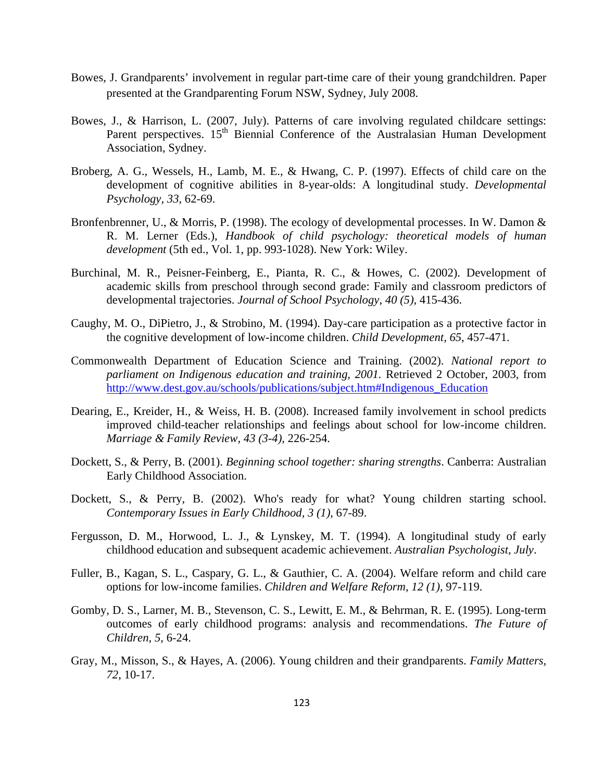- Bowes, J. Grandparents' involvement in regular part-time care of their young grandchildren. Paper presented at the Grandparenting Forum NSW, Sydney, July 2008.
- Bowes, J., & Harrison, L. (2007, July). Patterns of care involving regulated childcare settings: Parent perspectives. 15<sup>th</sup> Biennial Conference of the Australasian Human Development Association, Sydney.
- Broberg, A. G., Wessels, H., Lamb, M. E., & Hwang, C. P. (1997). Effects of child care on the development of cognitive abilities in 8-year-olds: A longitudinal study. *Developmental Psychology, 33*, 62-69.
- Bronfenbrenner, U., & Morris, P. (1998). The ecology of developmental processes. In W. Damon & R. M. Lerner (Eds.), *Handbook of child psychology: theoretical models of human development* (5th ed., Vol. 1, pp. 993-1028). New York: Wiley.
- Burchinal, M. R., Peisner-Feinberg, E., Pianta, R. C., & Howes, C. (2002). Development of academic skills from preschool through second grade: Family and classroom predictors of developmental trajectories. *Journal of School Psychology, 40 (5)*, 415-436.
- Caughy, M. O., DiPietro, J., & Strobino, M. (1994). Day-care participation as a protective factor in the cognitive development of low-income children. *Child Development, 65*, 457-471.
- Commonwealth Department of Education Science and Training. (2002). *National report to parliament on Indigenous education and training, 2001.* Retrieved 2 October, 2003, from http://www.dest.gov.au/schools/publications/subject.htm#Indigenous\_Education
- Dearing, E., Kreider, H., & Weiss, H. B. (2008). Increased family involvement in school predicts improved child-teacher relationships and feelings about school for low-income children. *Marriage & Family Review, 43 (3-4),* 226-254.
- Dockett, S., & Perry, B. (2001). *Beginning school together: sharing strengths*. Canberra: Australian Early Childhood Association.
- Dockett, S., & Perry, B. (2002). Who's ready for what? Young children starting school. *Contemporary Issues in Early Childhood, 3 (1)*, 67-89.
- Fergusson, D. M., Horwood, L. J., & Lynskey, M. T. (1994). A longitudinal study of early childhood education and subsequent academic achievement. *Australian Psychologist, July*.
- Fuller, B., Kagan, S. L., Caspary, G. L., & Gauthier, C. A. (2004). Welfare reform and child care options for low-income families. *Children and Welfare Reform, 12 (1)*, 97-119.
- Gomby, D. S., Larner, M. B., Stevenson, C. S., Lewitt, E. M., & Behrman, R. E. (1995). Long-term outcomes of early childhood programs: analysis and recommendations. *The Future of Children, 5*, 6-24.
- Gray, M., Misson, S., & Hayes, A. (2006). Young children and their grandparents. *Family Matters, 72*, 10-17.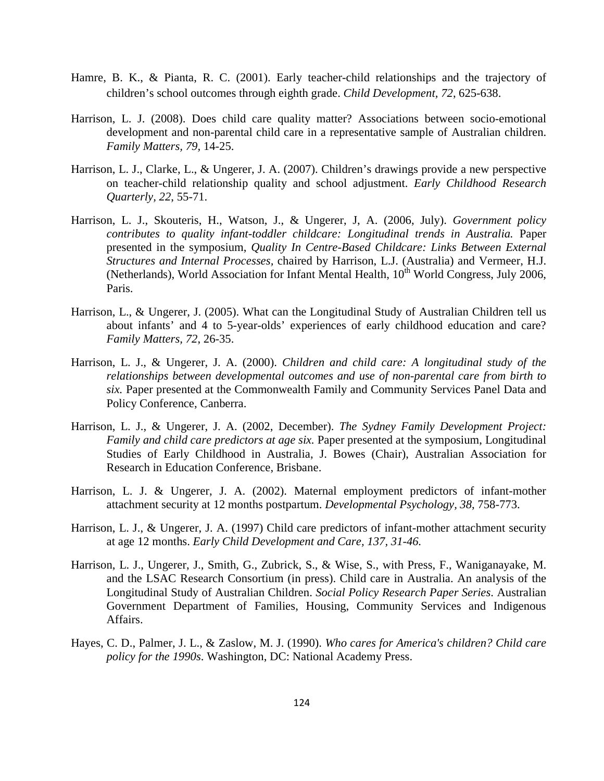- Hamre, B. K., & Pianta, R. C. (2001). Early teacher-child relationships and the trajectory of children's school outcomes through eighth grade. *Child Development, 72*, 625-638.
- Harrison, L. J. (2008). Does child care quality matter? Associations between socio-emotional development and non-parental child care in a representative sample of Australian children. *Family Matters, 79,* 14-25.
- Harrison, L. J., Clarke, L., & Ungerer, J. A. (2007). Children's drawings provide a new perspective on teacher-child relationship quality and school adjustment. *Early Childhood Research Quarterly, 22*, 55-71.
- Harrison, L. J., Skouteris, H., Watson, J., & Ungerer, J, A. (2006, July). *Government policy contributes to quality infant-toddler childcare: Longitudinal trends in Australia.* Paper presented in the symposium, *Quality In Centre-Based Childcare: Links Between External Structures and Internal Processes,* chaired by Harrison, L.J. (Australia) and Vermeer, H.J. (Netherlands), World Association for Infant Mental Health,  $10^{th}$  World Congress, July 2006, Paris.
- Harrison, L., & Ungerer, J. (2005). What can the Longitudinal Study of Australian Children tell us about infants' and 4 to 5-year-olds' experiences of early childhood education and care? *Family Matters, 72*, 26-35.
- Harrison, L. J., & Ungerer, J. A. (2000). *Children and child care: A longitudinal study of the relationships between developmental outcomes and use of non-parental care from birth to six.* Paper presented at the Commonwealth Family and Community Services Panel Data and Policy Conference, Canberra.
- Harrison, L. J., & Ungerer, J. A. (2002, December). *The Sydney Family Development Project: Family and child care predictors at age six.* Paper presented at the symposium, Longitudinal Studies of Early Childhood in Australia, J. Bowes (Chair), Australian Association for Research in Education Conference, Brisbane.
- Harrison, L. J. & Ungerer, J. A. (2002). Maternal employment predictors of infant-mother attachment security at 12 months postpartum. *Developmental Psychology, 38*, 758-773.
- Harrison, L. J., & Ungerer, J. A. (1997) Child care predictors of infant-mother attachment security at age 12 months. *Early Child Development and Care, 137, 31-46.*
- Harrison, L. J., Ungerer, J., Smith, G., Zubrick, S., & Wise, S., with Press, F., Waniganayake, M. and the LSAC Research Consortium (in press). Child care in Australia. An analysis of the Longitudinal Study of Australian Children. *Social Policy Research Paper Series*. Australian Government Department of Families, Housing, Community Services and Indigenous Affairs.
- Hayes, C. D., Palmer, J. L., & Zaslow, M. J. (1990). *Who cares for America's children? Child care policy for the 1990s*. Washington, DC: National Academy Press.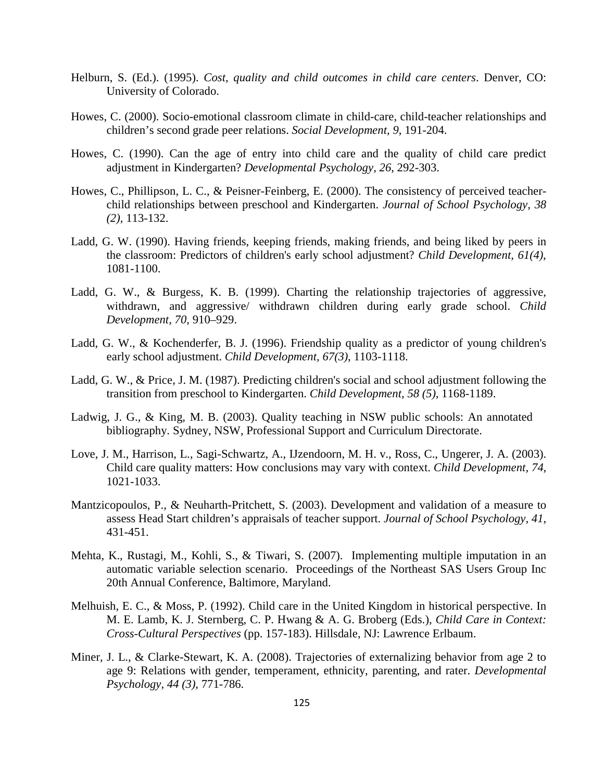- Helburn, S. (Ed.). (1995). *Cost, quality and child outcomes in child care centers*. Denver, CO: University of Colorado.
- Howes, C. (2000). Socio-emotional classroom climate in child-care, child-teacher relationships and children's second grade peer relations. *Social Development, 9*, 191-204.
- Howes, C. (1990). Can the age of entry into child care and the quality of child care predict adjustment in Kindergarten? *Developmental Psychology, 26*, 292-303.
- Howes, C., Phillipson, L. C., & Peisner-Feinberg, E. (2000). The consistency of perceived teacherchild relationships between preschool and Kindergarten. *Journal of School Psychology, 38 (2)*, 113-132.
- Ladd, G. W. (1990). Having friends, keeping friends, making friends, and being liked by peers in the classroom: Predictors of children's early school adjustment? *Child Development, 61(4)*, 1081-1100.
- Ladd, G. W., & Burgess, K. B. (1999). Charting the relationship trajectories of aggressive, withdrawn, and aggressive/ withdrawn children during early grade school. *Child Development, 70*, 910–929.
- Ladd, G. W., & Kochenderfer, B. J. (1996). Friendship quality as a predictor of young children's early school adjustment. *Child Development, 67(3)*, 1103-1118.
- Ladd, G. W., & Price, J. M. (1987). Predicting children's social and school adjustment following the transition from preschool to Kindergarten. *Child Development, 58 (5)*, 1168-1189.
- Ladwig, J. G., & King, M. B. (2003). Quality teaching in NSW public schools: An annotated bibliography. Sydney, NSW, Professional Support and Curriculum Directorate.
- Love, J. M., Harrison, L., Sagi-Schwartz, A., IJzendoorn, M. H. v., Ross, C., Ungerer, J. A. (2003). Child care quality matters: How conclusions may vary with context. *Child Development, 74*, 1021-1033.
- Mantzicopoulos, P., & Neuharth-Pritchett, S. (2003). Development and validation of a measure to assess Head Start children's appraisals of teacher support. *Journal of School Psychology, 41*, 431-451.
- Mehta, K., Rustagi, M., Kohli, S., & Tiwari, S. (2007). Implementing multiple imputation in an automatic variable selection scenario. Proceedings of the Northeast SAS Users Group Inc 20th Annual Conference, Baltimore, Maryland.
- Melhuish, E. C., & Moss, P. (1992). Child care in the United Kingdom in historical perspective. In M. E. Lamb, K. J. Sternberg, C. P. Hwang & A. G. Broberg (Eds.), *Child Care in Context: Cross-Cultural Perspectives* (pp. 157-183). Hillsdale, NJ: Lawrence Erlbaum.
- Miner, J. L., & Clarke-Stewart, K. A. (2008). Trajectories of externalizing behavior from age 2 to age 9: Relations with gender, temperament, ethnicity, parenting, and rater. *Developmental Psychology, 44 (3)*, 771-786.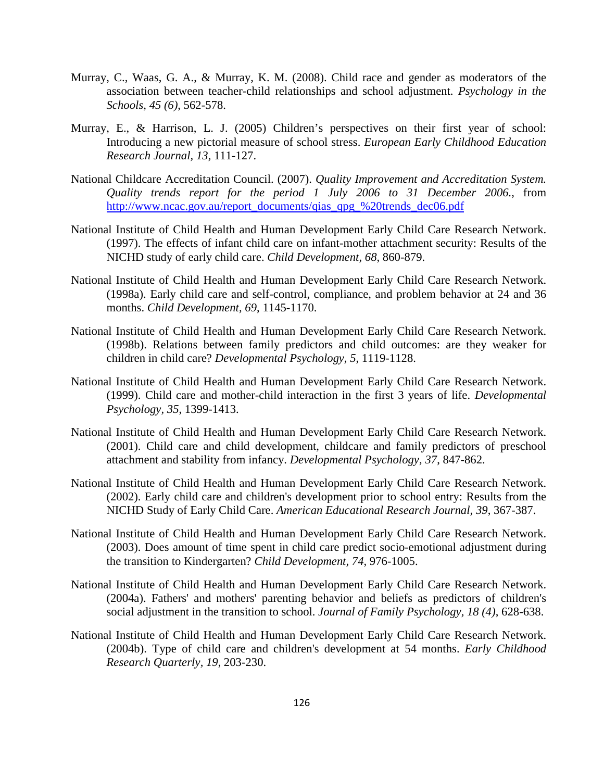- Murray, C., Waas, G. A., & Murray, K. M. (2008). Child race and gender as moderators of the association between teacher-child relationships and school adjustment. *Psychology in the Schools, 45 (6)*, 562-578.
- Murray, E., & Harrison, L. J. (2005) Children's perspectives on their first year of school: Introducing a new pictorial measure of school stress. *European Early Childhood Education Research Journal, 13,* 111-127.
- National Childcare Accreditation Council. (2007). *Quality Improvement and Accreditation System. Quality trends report for the period 1 July 2006 to 31 December 2006.*, from http://www.ncac.gov.au/report\_documents/qias\_qpg\_%20trends\_dec06.pdf
- National Institute of Child Health and Human Development Early Child Care Research Network. (1997). The effects of infant child care on infant-mother attachment security: Results of the NICHD study of early child care. *Child Development, 68*, 860-879.
- National Institute of Child Health and Human Development Early Child Care Research Network. (1998a). Early child care and self-control, compliance, and problem behavior at 24 and 36 months. *Child Development, 69*, 1145-1170.
- National Institute of Child Health and Human Development Early Child Care Research Network. (1998b). Relations between family predictors and child outcomes: are they weaker for children in child care? *Developmental Psychology, 5*, 1119-1128.
- National Institute of Child Health and Human Development Early Child Care Research Network. (1999). Child care and mother-child interaction in the first 3 years of life. *Developmental Psychology, 35*, 1399-1413.
- National Institute of Child Health and Human Development Early Child Care Research Network. (2001). Child care and child development, childcare and family predictors of preschool attachment and stability from infancy. *Developmental Psychology, 37*, 847-862.
- National Institute of Child Health and Human Development Early Child Care Research Network. (2002). Early child care and children's development prior to school entry: Results from the NICHD Study of Early Child Care. *American Educational Research Journal, 39*, 367-387.
- National Institute of Child Health and Human Development Early Child Care Research Network. (2003). Does amount of time spent in child care predict socio-emotional adjustment during the transition to Kindergarten? *Child Development, 74*, 976-1005.
- National Institute of Child Health and Human Development Early Child Care Research Network. (2004a). Fathers' and mothers' parenting behavior and beliefs as predictors of children's social adjustment in the transition to school. *Journal of Family Psychology, 18 (4)*, 628-638.
- National Institute of Child Health and Human Development Early Child Care Research Network. (2004b). Type of child care and children's development at 54 months. *Early Childhood Research Quarterly, 19*, 203-230.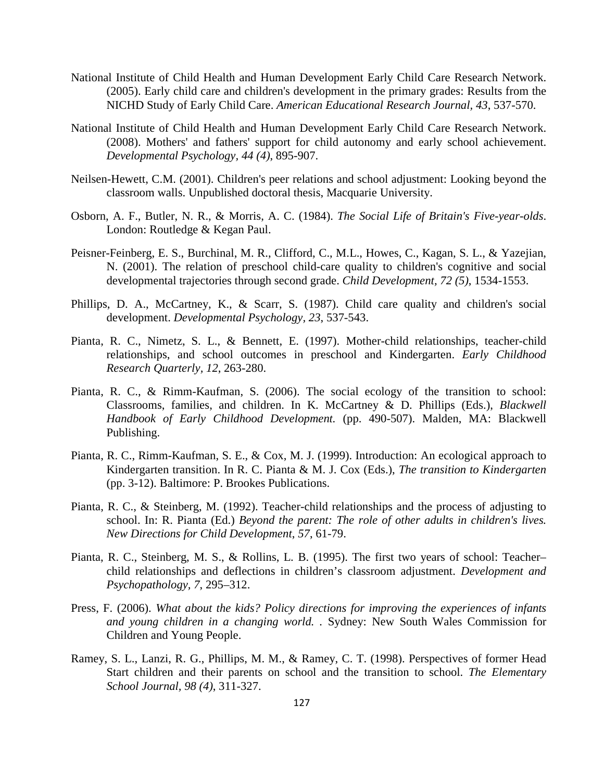- National Institute of Child Health and Human Development Early Child Care Research Network. (2005). Early child care and children's development in the primary grades: Results from the NICHD Study of Early Child Care. *American Educational Research Journal, 43*, 537-570.
- National Institute of Child Health and Human Development Early Child Care Research Network. (2008). Mothers' and fathers' support for child autonomy and early school achievement. *Developmental Psychology, 44 (4)*, 895-907.
- Neilsen-Hewett, C.M. (2001). Children's peer relations and school adjustment: Looking beyond the classroom walls. Unpublished doctoral thesis, Macquarie University.
- Osborn, A. F., Butler, N. R., & Morris, A. C. (1984). *The Social Life of Britain's Five-year-olds*. London: Routledge & Kegan Paul.
- Peisner-Feinberg, E. S., Burchinal, M. R., Clifford, C., M.L., Howes, C., Kagan, S. L., & Yazejian, N. (2001). The relation of preschool child-care quality to children's cognitive and social developmental trajectories through second grade. *Child Development, 72 (5)*, 1534-1553.
- Phillips, D. A., McCartney, K., & Scarr, S. (1987). Child care quality and children's social development. *Developmental Psychology, 23*, 537-543.
- Pianta, R. C., Nimetz, S. L., & Bennett, E. (1997). Mother-child relationships, teacher-child relationships, and school outcomes in preschool and Kindergarten. *Early Childhood Research Quarterly, 12*, 263-280.
- Pianta, R. C., & Rimm-Kaufman, S. (2006). The social ecology of the transition to school: Classrooms, families, and children. In K. McCartney & D. Phillips (Eds.), *Blackwell Handbook of Early Childhood Development.* (pp. 490-507). Malden, MA: Blackwell Publishing.
- Pianta, R. C., Rimm-Kaufman, S. E., & Cox, M. J. (1999). Introduction: An ecological approach to Kindergarten transition. In R. C. Pianta & M. J. Cox (Eds.), *The transition to Kindergarten* (pp. 3-12). Baltimore: P. Brookes Publications.
- Pianta, R. C., & Steinberg, M. (1992). Teacher-child relationships and the process of adjusting to school. In: R. Pianta (Ed.) *Beyond the parent: The role of other adults in children's lives. New Directions for Child Development*, *57*, 61-79.
- Pianta, R. C., Steinberg, M. S., & Rollins, L. B. (1995). The first two years of school: Teacher– child relationships and deflections in children's classroom adjustment. *Development and Psychopathology, 7*, 295–312.
- Press, F. (2006). *What about the kids? Policy directions for improving the experiences of infants and young children in a changing world. .* Sydney: New South Wales Commission for Children and Young People.
- Ramey, S. L., Lanzi, R. G., Phillips, M. M., & Ramey, C. T. (1998). Perspectives of former Head Start children and their parents on school and the transition to school. *The Elementary School Journal, 98 (4)*, 311-327.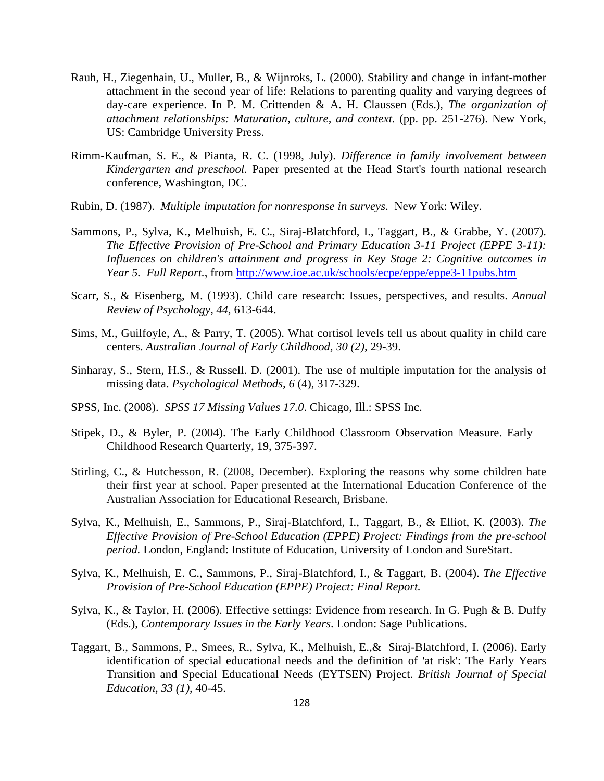- Rauh, H., Ziegenhain, U., Muller, B., & Wijnroks, L. (2000). Stability and change in infant-mother attachment in the second year of life: Relations to parenting quality and varying degrees of day-care experience. In P. M. Crittenden & A. H. Claussen (Eds.), *The organization of attachment relationships: Maturation, culture, and context.* (pp. pp. 251-276). New York, US: Cambridge University Press.
- Rimm-Kaufman, S. E., & Pianta, R. C. (1998, July). *Difference in family involvement between Kindergarten and preschool.* Paper presented at the Head Start's fourth national research conference, Washington, DC.
- Rubin, D. (1987). *Multiple imputation for nonresponse in surveys*. New York: Wiley.
- Sammons, P., Sylva, K., Melhuish, E. C., Siraj-Blatchford, I., Taggart, B., & Grabbe, Y. (2007). *The Effective Provision of Pre-School and Primary Education 3-11 Project (EPPE 3-11): Influences on children's attainment and progress in Key Stage 2: Cognitive outcomes in Year 5. Full Report.*, from http://www.ioe.ac.uk/schools/ecpe/eppe/eppe3-11pubs.htm
- Scarr, S., & Eisenberg, M. (1993). Child care research: Issues, perspectives, and results. *Annual Review of Psychology, 44*, 613-644.
- Sims, M., Guilfoyle, A., & Parry, T. (2005). What cortisol levels tell us about quality in child care centers. *Australian Journal of Early Childhood, 30 (2)*, 29-39.
- Sinharay, S., Stern, H.S., & Russell. D. (2001). The use of multiple imputation for the analysis of missing data. *Psychological Methods, 6* (4), 317-329.
- SPSS, Inc. (2008). *SPSS 17 Missing Values 17.0*. Chicago, Ill.: SPSS Inc.
- Stipek, D., & Byler, P. (2004). The Early Childhood Classroom Observation Measure. Early Childhood Research Quarterly, 19, 375-397.
- Stirling, C., & Hutchesson, R. (2008, December). Exploring the reasons why some children hate their first year at school. Paper presented at the International Education Conference of the Australian Association for Educational Research, Brisbane.
- Sylva, K., Melhuish, E., Sammons, P., Siraj-Blatchford, I., Taggart, B., & Elliot, K. (2003). *The Effective Provision of Pre-School Education (EPPE) Project: Findings from the pre-school period.* London, England: Institute of Education, University of London and SureStart.
- Sylva, K., Melhuish, E. C., Sammons, P., Siraj-Blatchford, I., & Taggart, B. (2004). *The Effective Provision of Pre-School Education (EPPE) Project: Final Report.*
- Sylva, K., & Taylor, H. (2006). Effective settings: Evidence from research. In G. Pugh & B. Duffy (Eds.), *Contemporary Issues in the Early Years*. London: Sage Publications.
- Taggart, B., Sammons, P., Smees, R., Sylva, K., Melhuish, E.,& Siraj-Blatchford, I. (2006). Early identification of special educational needs and the definition of 'at risk': The Early Years Transition and Special Educational Needs (EYTSEN) Project. *British Journal of Special Education, 33 (1)*, 40-45.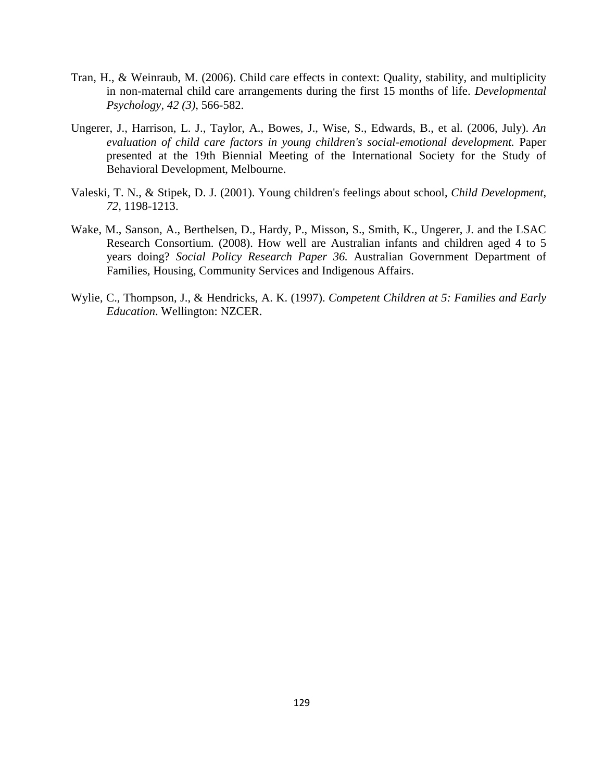- Tran, H., & Weinraub, M. (2006). Child care effects in context: Quality, stability, and multiplicity in non-maternal child care arrangements during the first 15 months of life. *Developmental Psychology, 42 (3)*, 566-582.
- Ungerer, J., Harrison, L. J., Taylor, A., Bowes, J., Wise, S., Edwards, B., et al. (2006, July). *An evaluation of child care factors in young children's social-emotional development.* Paper presented at the 19th Biennial Meeting of the International Society for the Study of Behavioral Development, Melbourne.
- Valeski, T. N., & Stipek, D. J. (2001). Young children's feelings about school, *Child Development*, *72*, 1198-1213.
- Wake, M., Sanson, A., Berthelsen, D., Hardy, P., Misson, S., Smith, K., Ungerer, J. and the LSAC Research Consortium. (2008). How well are Australian infants and children aged 4 to 5 years doing? *Social Policy Research Paper 36.* Australian Government Department of Families, Housing, Community Services and Indigenous Affairs.
- Wylie, C., Thompson, J., & Hendricks, A. K. (1997). *Competent Children at 5: Families and Early Education*. Wellington: NZCER.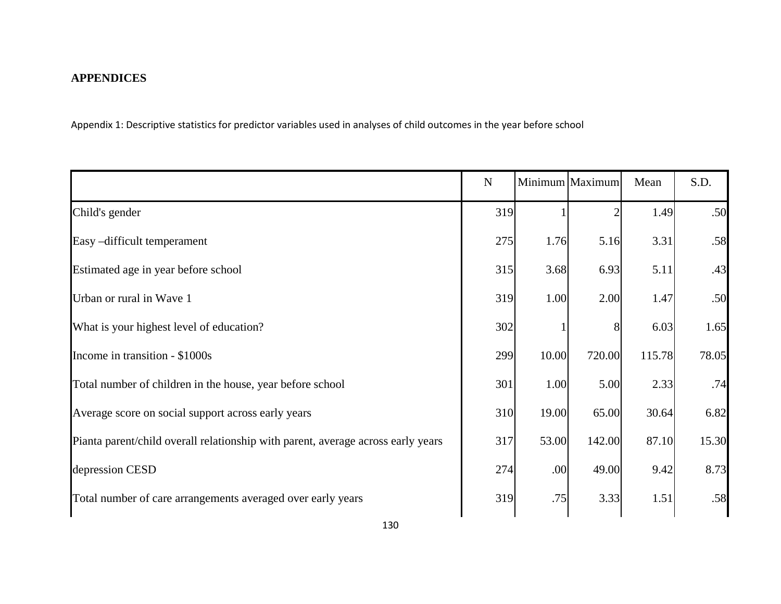# **APPENDICES**

Appendix 1: Descriptive statistics for predictor variables used in analyses of child outcomes in the year before school

|                                                                                  | ${\bf N}$ |       | Minimum Maximum | Mean   | S.D.  |
|----------------------------------------------------------------------------------|-----------|-------|-----------------|--------|-------|
| Child's gender                                                                   | 319       |       |                 | 1.49   | .50   |
| Easy-difficult temperament                                                       | 275       | 1.76  | 5.16            | 3.31   | .58   |
| Estimated age in year before school                                              | 315       | 3.68  | 6.93            | 5.11   | .43   |
| Urban or rural in Wave 1                                                         | 319       | 1.00  | 2.00            | 1.47   | .50   |
| What is your highest level of education?                                         | 302       |       |                 | 6.03   | 1.65  |
| Income in transition - \$1000s                                                   | 299       | 10.00 | 720.00          | 115.78 | 78.05 |
| Total number of children in the house, year before school                        | 301       | 1.00  | 5.00            | 2.33   | .74   |
| Average score on social support across early years                               | 310       | 19.00 | 65.00           | 30.64  | 6.82  |
| Pianta parent/child overall relationship with parent, average across early years | 317       | 53.00 | 142.00          | 87.10  | 15.30 |
| depression CESD                                                                  | 274       | .00   | 49.00           | 9.42   | 8.73  |
| Total number of care arrangements averaged over early years                      | 319       | .75   | 3.33            | 1.51   | .58   |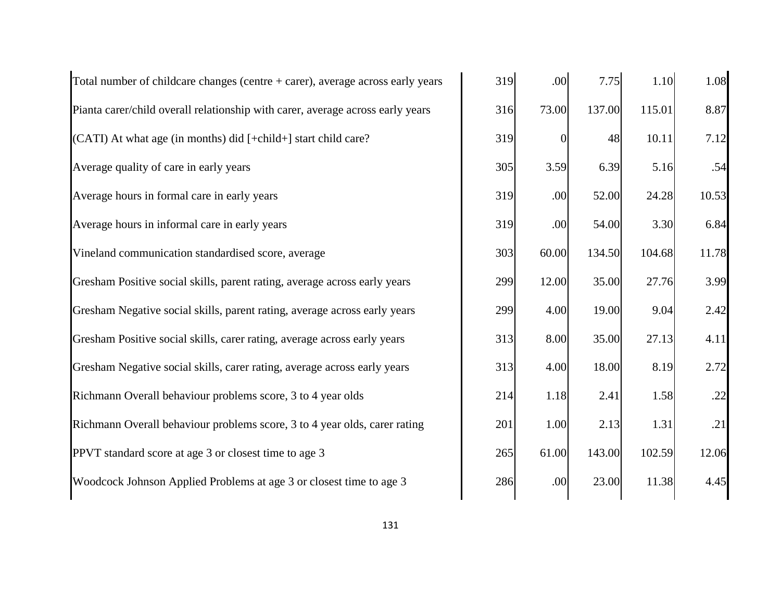| Total number of childcare changes (centre $+$ carer), average across early years | 319 | .00      | 7.75   | 1.10   | 1.08  |
|----------------------------------------------------------------------------------|-----|----------|--------|--------|-------|
| Pianta carer/child overall relationship with carer, average across early years   | 316 | 73.00    | 137.00 | 115.01 | 8.87  |
| (CATI) At what age (in months) did [+child+] start child care?                   | 319 | $\Omega$ | 48     | 10.11  | 7.12  |
| Average quality of care in early years                                           | 305 | 3.59     | 6.39   | 5.16   | .54   |
| Average hours in formal care in early years                                      | 319 | .00      | 52.00  | 24.28  | 10.53 |
| Average hours in informal care in early years                                    | 319 | .00      | 54.00  | 3.30   | 6.84  |
| Vineland communication standardised score, average                               | 303 | 60.00    | 134.50 | 104.68 | 11.78 |
| Gresham Positive social skills, parent rating, average across early years        | 299 | 12.00    | 35.00  | 27.76  | 3.99  |
| Gresham Negative social skills, parent rating, average across early years        | 299 | 4.00     | 19.00  | 9.04   | 2.42  |
| Gresham Positive social skills, carer rating, average across early years         | 313 | 8.00     | 35.00  | 27.13  | 4.11  |
| Gresham Negative social skills, carer rating, average across early years         | 313 | 4.00     | 18.00  | 8.19   | 2.72  |
| Richmann Overall behaviour problems score, 3 to 4 year olds                      | 214 | 1.18     | 2.41   | 1.58   | .22   |
| Richmann Overall behaviour problems score, 3 to 4 year olds, carer rating        | 201 | 1.00     | 2.13   | 1.31   | .21   |
| PPVT standard score at age 3 or closest time to age 3                            | 265 | 61.00    | 143.00 | 102.59 | 12.06 |
| Woodcock Johnson Applied Problems at age 3 or closest time to age 3              | 286 | .00      | 23.00  | 11.38  | 4.45  |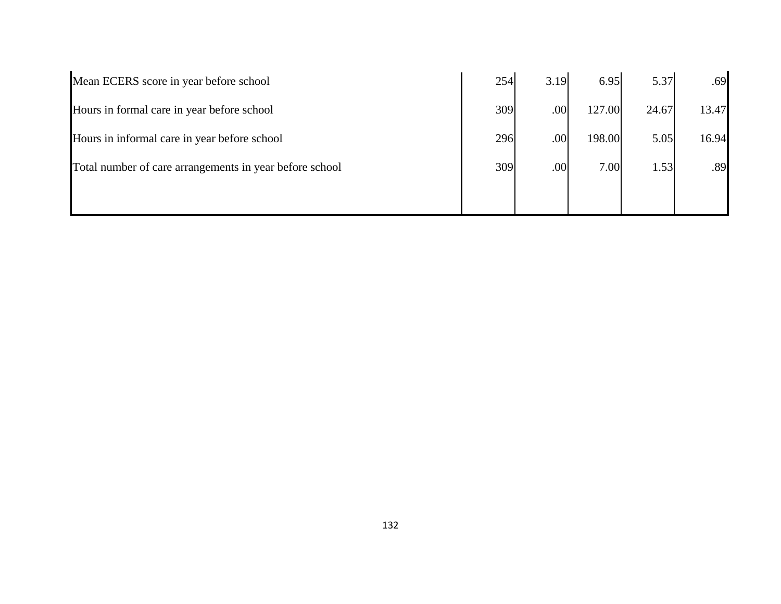| Mean ECERS score in year before school                  | 254 | 3.19 | 6.95   | 5.37  | .69   |
|---------------------------------------------------------|-----|------|--------|-------|-------|
| Hours in formal care in year before school              | 309 | .00  | 127.00 | 24.67 | 13.47 |
| Hours in informal care in year before school            | 296 | .00  | 198.00 | 5.05  | 16.94 |
| Total number of care arrangements in year before school | 309 | .00  | 7.00   | 1.53  | .89   |
|                                                         |     |      |        |       |       |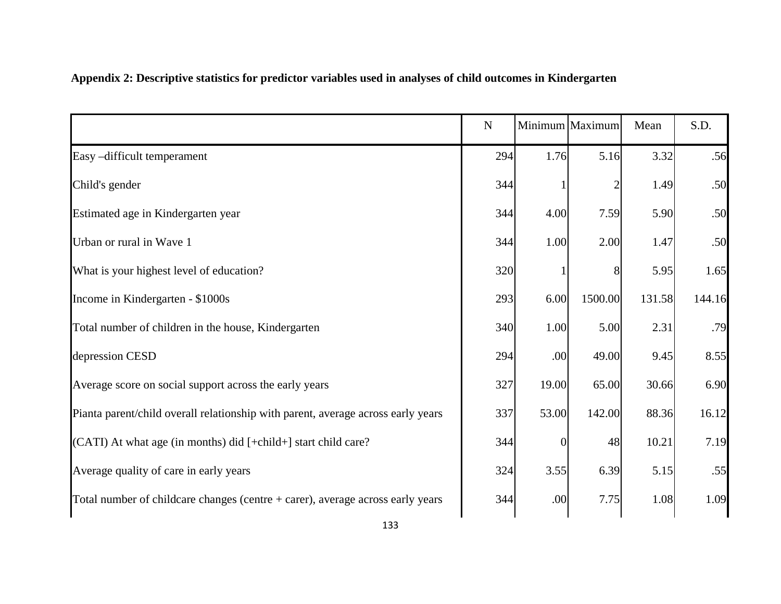|                                                                                  | ${\bf N}$ |          | Minimum Maximum | Mean   | S.D.   |
|----------------------------------------------------------------------------------|-----------|----------|-----------------|--------|--------|
| Easy-difficult temperament                                                       | 294       | 1.76     | 5.16            | 3.32   | .56    |
| Child's gender                                                                   | 344       |          |                 | 1.49   | .50    |
| Estimated age in Kindergarten year                                               | 344       | 4.00     | 7.59            | 5.90   | .50    |
| Urban or rural in Wave 1                                                         | 344       | 1.00     | 2.00            | 1.47   | .50    |
| What is your highest level of education?                                         | 320       |          | 8               | 5.95   | 1.65   |
| Income in Kindergarten - \$1000s                                                 | 293       | 6.00     | 1500.00         | 131.58 | 144.16 |
| Total number of children in the house, Kindergarten                              | 340       | 1.00     | 5.00            | 2.31   | .79    |
| depression CESD                                                                  | 294       | .00      | 49.00           | 9.45   | 8.55   |
| Average score on social support across the early years                           | 327       | 19.00    | 65.00           | 30.66  | 6.90   |
| Pianta parent/child overall relationship with parent, average across early years | 337       | 53.00    | 142.00          | 88.36  | 16.12  |
| (CATI) At what age (in months) did [+child+] start child care?                   | 344       | $\Omega$ | 48              | 10.21  | 7.19   |
| Average quality of care in early years                                           | 324       | 3.55     | 6.39            | 5.15   | .55    |
| Total number of childcare changes (centre $+$ carer), average across early years | 344       | .00      | 7.75            | 1.08   | 1.09   |

# **Appendix 2: Descriptive statistics for predictor variables used in analyses of child outcomes in Kindergarten**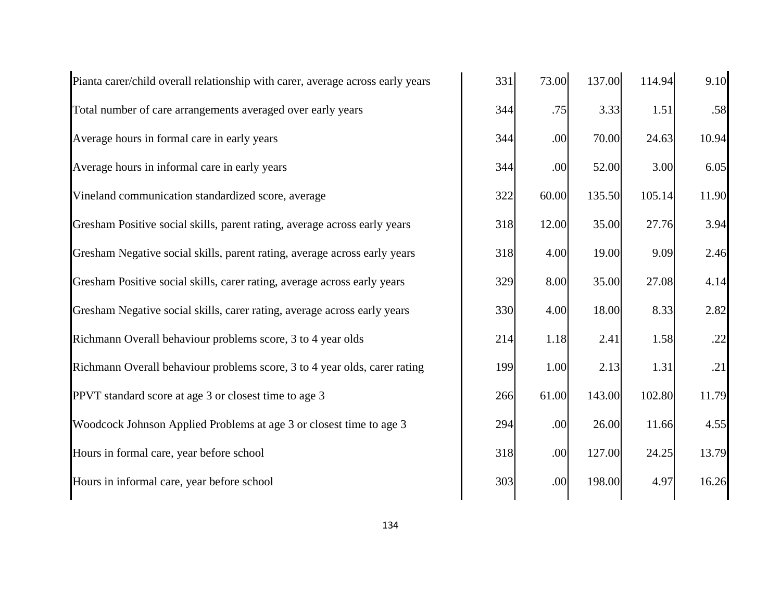| Pianta carer/child overall relationship with carer, average across early years | 331 | 73.00 | 137.00 | 114.94 | 9.10  |
|--------------------------------------------------------------------------------|-----|-------|--------|--------|-------|
| Total number of care arrangements averaged over early years                    | 344 | .75   | 3.33   | 1.51   | .58   |
| Average hours in formal care in early years                                    | 344 | .00   | 70.00  | 24.63  | 10.94 |
| Average hours in informal care in early years                                  | 344 | .00   | 52.00  | 3.00   | 6.05  |
| Vineland communication standardized score, average                             | 322 | 60.00 | 135.50 | 105.14 | 11.90 |
| Gresham Positive social skills, parent rating, average across early years      | 318 | 12.00 | 35.00  | 27.76  | 3.94  |
| Gresham Negative social skills, parent rating, average across early years      | 318 | 4.00  | 19.00  | 9.09   | 2.46  |
| Gresham Positive social skills, carer rating, average across early years       | 329 | 8.00  | 35.00  | 27.08  | 4.14  |
| Gresham Negative social skills, carer rating, average across early years       | 330 | 4.00  | 18.00  | 8.33   | 2.82  |
| Richmann Overall behaviour problems score, 3 to 4 year olds                    | 214 | 1.18  | 2.41   | 1.58   | .22   |
| Richmann Overall behaviour problems score, 3 to 4 year olds, carer rating      | 199 | 1.00  | 2.13   | 1.31   | .21   |
| PPVT standard score at age 3 or closest time to age 3                          | 266 | 61.00 | 143.00 | 102.80 | 11.79 |
| Woodcock Johnson Applied Problems at age 3 or closest time to age 3            | 294 | .00   | 26.00  | 11.66  | 4.55  |
| Hours in formal care, year before school                                       | 318 | .00   | 127.00 | 24.25  | 13.79 |
| Hours in informal care, year before school                                     | 303 | .00   | 198.00 | 4.97   | 16.26 |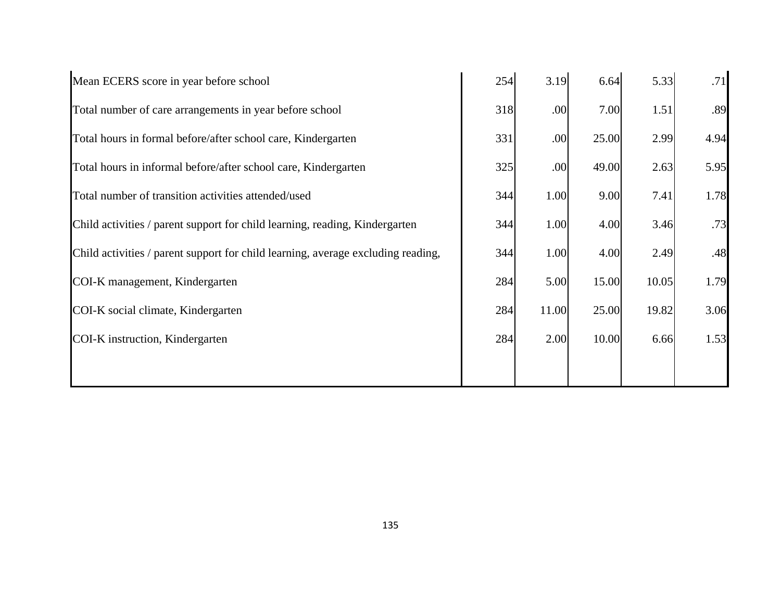| Mean ECERS score in year before school                                           | 254 | 3.19  | 6.64  | 5.33  | .71  |
|----------------------------------------------------------------------------------|-----|-------|-------|-------|------|
| Total number of care arrangements in year before school                          | 318 | .00   | 7.00  | 1.51  | .89  |
| Total hours in formal before/after school care, Kindergarten                     | 331 | .00   | 25.00 | 2.99  | 4.94 |
| Total hours in informal before/after school care, Kindergarten                   | 325 | .00   | 49.00 | 2.63  | 5.95 |
| Total number of transition activities attended/used                              | 344 | 1.00  | 9.00  | 7.41  | 1.78 |
| Child activities / parent support for child learning, reading, Kindergarten      | 344 | 1.00  | 4.00  | 3.46  | .73  |
| Child activities / parent support for child learning, average excluding reading, | 344 | 1.00  | 4.00  | 2.49  | .48  |
| COI-K management, Kindergarten                                                   | 284 | 5.00  | 15.00 | 10.05 | 1.79 |
| COI-K social climate, Kindergarten                                               | 284 | 11.00 | 25.00 | 19.82 | 3.06 |
| COI-K instruction, Kindergarten                                                  | 284 | 2.00  | 10.00 | 6.66  | 1.53 |
|                                                                                  |     |       |       |       |      |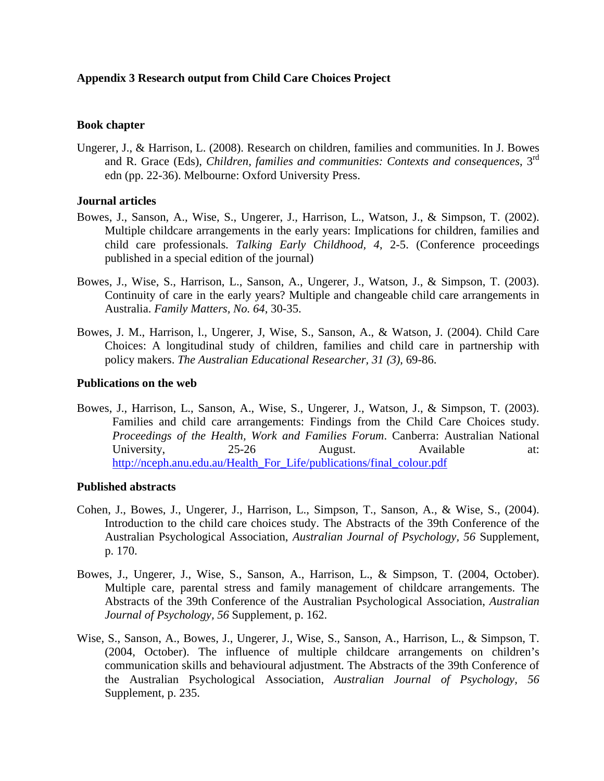## **Appendix 3 Research output from Child Care Choices Project**

## **Book chapter**

Ungerer, J., & Harrison, L. (2008). Research on children, families and communities. In J. Bowes and R. Grace (Eds), *Children, families and communities: Contexts and consequences*, 3rd edn (pp. 22-36). Melbourne: Oxford University Press.

## **Journal articles**

- Bowes, J., Sanson, A., Wise, S., Ungerer, J., Harrison, L., Watson, J., & Simpson, T. (2002). Multiple childcare arrangements in the early years: Implications for children, families and child care professionals. *Talking Early Childhood, 4*, 2-5. (Conference proceedings published in a special edition of the journal)
- Bowes, J., Wise, S., Harrison, L., Sanson, A., Ungerer, J., Watson, J., & Simpson, T. (2003). Continuity of care in the early years? Multiple and changeable child care arrangements in Australia. *Family Matters, No. 64*, 30-35.
- Bowes, J. M., Harrison, l., Ungerer, J, Wise, S., Sanson, A., & Watson, J. (2004). Child Care Choices: A longitudinal study of children, families and child care in partnership with policy makers. *The Australian Educational Researcher, 31 (3),* 69-86.

## **Publications on the web**

Bowes, J., Harrison, L., Sanson, A., Wise, S., Ungerer, J., Watson, J., & Simpson, T. (2003). Families and child care arrangements: Findings from the Child Care Choices study. *Proceedings of the Health, Work and Families Forum*. Canberra: Australian National University, 25-26 August. Available at: http://nceph.anu.edu.au/Health\_For\_Life/publications/final\_colour.pdf

## **Published abstracts**

- Cohen, J., Bowes, J., Ungerer, J., Harrison, L., Simpson, T., Sanson, A., & Wise, S., (2004). Introduction to the child care choices study. The Abstracts of the 39th Conference of the Australian Psychological Association, *Australian Journal of Psychology, 56* Supplement, p. 170.
- Bowes, J., Ungerer, J., Wise, S., Sanson, A., Harrison, L., & Simpson, T. (2004, October). Multiple care, parental stress and family management of childcare arrangements. The Abstracts of the 39th Conference of the Australian Psychological Association, *Australian Journal of Psychology, 56* Supplement, p. 162.
- Wise, S., Sanson, A., Bowes, J., Ungerer, J., Wise, S., Sanson, A., Harrison, L., & Simpson, T. (2004, October). The influence of multiple childcare arrangements on children's communication skills and behavioural adjustment. The Abstracts of the 39th Conference of the Australian Psychological Association, *Australian Journal of Psychology, 56*  Supplement, p. 235.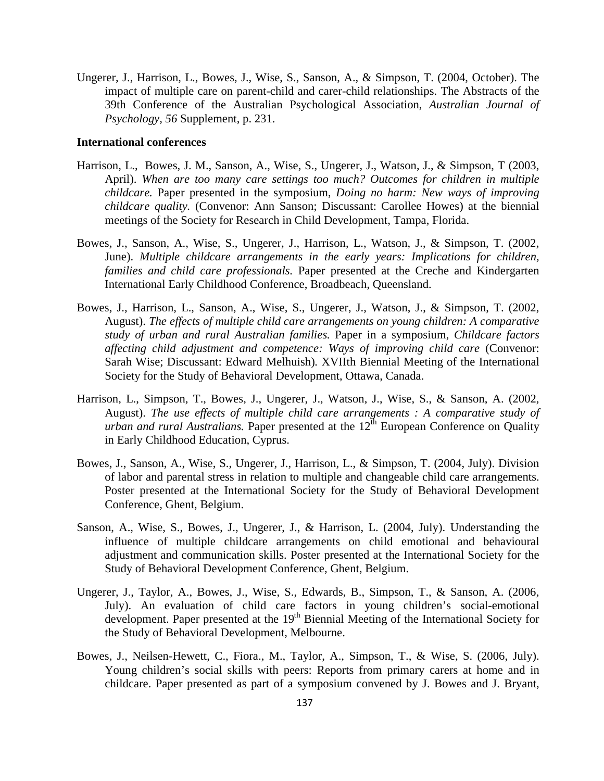Ungerer, J., Harrison, L., Bowes, J., Wise, S., Sanson, A., & Simpson, T. (2004, October). The impact of multiple care on parent-child and carer-child relationships. The Abstracts of the 39th Conference of the Australian Psychological Association, *Australian Journal of Psychology, 56* Supplement, p. 231.

## **International conferences**

- Harrison, L., Bowes, J. M., Sanson, A., Wise, S., Ungerer, J., Watson, J., & Simpson, T (2003, April). *When are too many care settings too much? Outcomes for children in multiple childcare.* Paper presented in the symposium, *Doing no harm: New ways of improving childcare quality.* (Convenor: Ann Sanson; Discussant: Carollee Howes) at the biennial meetings of the Society for Research in Child Development, Tampa, Florida.
- Bowes, J., Sanson, A., Wise, S., Ungerer, J., Harrison, L., Watson, J., & Simpson, T. (2002, June). *Multiple childcare arrangements in the early years: Implications for children, families and child care professionals.* Paper presented at the Creche and Kindergarten International Early Childhood Conference, Broadbeach, Queensland.
- Bowes, J., Harrison, L., Sanson, A., Wise, S., Ungerer, J., Watson, J., & Simpson, T. (2002, August). *The effects of multiple child care arrangements on young children: A comparative study of urban and rural Australian families.* Paper in a symposium, *Childcare factors affecting child adjustment and competence: Ways of improving child care* (Convenor: Sarah Wise; Discussant: Edward Melhuish)*.* XVIIth Biennial Meeting of the International Society for the Study of Behavioral Development, Ottawa, Canada.
- Harrison, L., Simpson, T., Bowes, J., Ungerer, J., Watson, J., Wise, S., & Sanson, A. (2002, August). *The use effects of multiple child care arrangements : A comparative study of urban and rural Australians.* Paper presented at the 12<sup>th</sup> European Conference on Quality in Early Childhood Education, Cyprus.
- Bowes, J., Sanson, A., Wise, S., Ungerer, J., Harrison, L., & Simpson, T. (2004, July). Division of labor and parental stress in relation to multiple and changeable child care arrangements. Poster presented at the International Society for the Study of Behavioral Development Conference, Ghent, Belgium.
- Sanson, A., Wise, S., Bowes, J., Ungerer, J., & Harrison, L. (2004, July). Understanding the influence of multiple childcare arrangements on child emotional and behavioural adjustment and communication skills. Poster presented at the International Society for the Study of Behavioral Development Conference, Ghent, Belgium.
- Ungerer, J., Taylor, A., Bowes, J., Wise, S., Edwards, B., Simpson, T., & Sanson, A. (2006, July). An evaluation of child care factors in young children's social-emotional development. Paper presented at the  $19<sup>th</sup>$  Biennial Meeting of the International Society for the Study of Behavioral Development, Melbourne.
- Bowes, J., Neilsen-Hewett, C., Fiora., M., Taylor, A., Simpson, T., & Wise, S. (2006, July). Young children's social skills with peers: Reports from primary carers at home and in childcare. Paper presented as part of a symposium convened by J. Bowes and J. Bryant,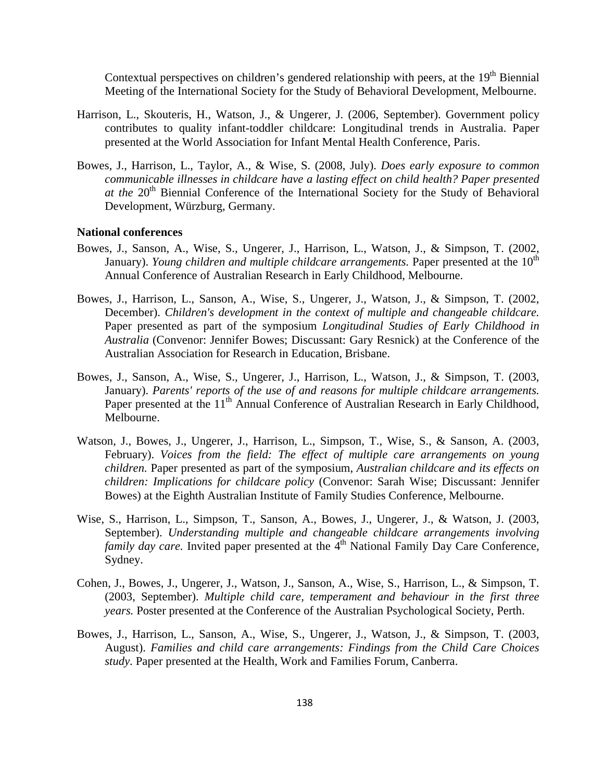Contextual perspectives on children's gendered relationship with peers, at the 19<sup>th</sup> Biennial Meeting of the International Society for the Study of Behavioral Development, Melbourne.

- Harrison, L., Skouteris, H., Watson, J., & Ungerer, J. (2006, September). Government policy contributes to quality infant-toddler childcare: Longitudinal trends in Australia. Paper presented at the World Association for Infant Mental Health Conference, Paris.
- Bowes, J., Harrison, L., Taylor, A., & Wise, S. (2008, July). *Does early exposure to common communicable illnesses in childcare have a lasting effect on child health? Paper presented at the* 20<sup>th</sup> Biennial Conference of the International Society for the Study of Behavioral Development, Würzburg, Germany.

### **National conferences**

- Bowes, J., Sanson, A., Wise, S., Ungerer, J., Harrison, L., Watson, J., & Simpson, T. (2002, January). *Young children and multiple childcare arrangements*. Paper presented at the  $10<sup>th</sup>$ Annual Conference of Australian Research in Early Childhood, Melbourne.
- Bowes, J., Harrison, L., Sanson, A., Wise, S., Ungerer, J., Watson, J., & Simpson, T. (2002, December). *Children's development in the context of multiple and changeable childcare.* Paper presented as part of the symposium *Longitudinal Studies of Early Childhood in Australia* (Convenor: Jennifer Bowes; Discussant: Gary Resnick) at the Conference of the Australian Association for Research in Education, Brisbane.
- Bowes, J., Sanson, A., Wise, S., Ungerer, J., Harrison, L., Watson, J., & Simpson, T. (2003, January). *Parents' reports of the use of and reasons for multiple childcare arrangements.* Paper presented at the 11<sup>th</sup> Annual Conference of Australian Research in Early Childhood, Melbourne.
- Watson, J., Bowes, J., Ungerer, J., Harrison, L., Simpson, T., Wise, S., & Sanson, A. (2003, February). *Voices from the field: The effect of multiple care arrangements on young children.* Paper presented as part of the symposium, *Australian childcare and its effects on children: Implications for childcare policy* (Convenor: Sarah Wise; Discussant: Jennifer Bowes) at the Eighth Australian Institute of Family Studies Conference, Melbourne.
- Wise, S., Harrison, L., Simpson, T., Sanson, A., Bowes, J., Ungerer, J., & Watson, J. (2003, September). *Understanding multiple and changeable childcare arrangements involving family day care.* Invited paper presented at the 4<sup>th</sup> National Family Day Care Conference, Sydney.
- Cohen, J., Bowes, J., Ungerer, J., Watson, J., Sanson, A., Wise, S., Harrison, L., & Simpson, T. (2003, September). *Multiple child care, temperament and behaviour in the first three years.* Poster presented at the Conference of the Australian Psychological Society, Perth.
- Bowes, J., Harrison, L., Sanson, A., Wise, S., Ungerer, J., Watson, J., & Simpson, T. (2003, August). *Families and child care arrangements: Findings from the Child Care Choices study.* Paper presented at the Health, Work and Families Forum, Canberra.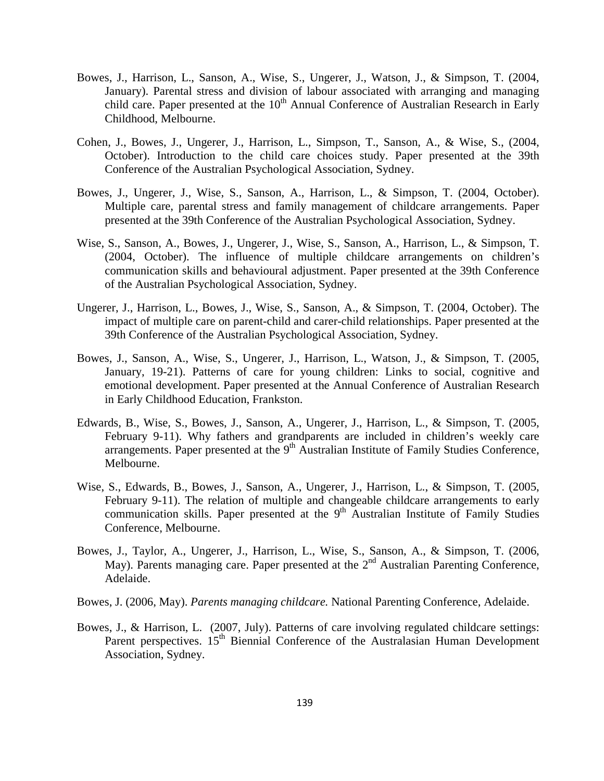- Bowes, J., Harrison, L., Sanson, A., Wise, S., Ungerer, J., Watson, J., & Simpson, T. (2004, January). Parental stress and division of labour associated with arranging and managing child care. Paper presented at the  $10<sup>th</sup>$  Annual Conference of Australian Research in Early Childhood, Melbourne.
- Cohen, J., Bowes, J., Ungerer, J., Harrison, L., Simpson, T., Sanson, A., & Wise, S., (2004, October). Introduction to the child care choices study. Paper presented at the 39th Conference of the Australian Psychological Association, Sydney.
- Bowes, J., Ungerer, J., Wise, S., Sanson, A., Harrison, L., & Simpson, T. (2004, October). Multiple care, parental stress and family management of childcare arrangements. Paper presented at the 39th Conference of the Australian Psychological Association, Sydney.
- Wise, S., Sanson, A., Bowes, J., Ungerer, J., Wise, S., Sanson, A., Harrison, L., & Simpson, T. (2004, October). The influence of multiple childcare arrangements on children's communication skills and behavioural adjustment. Paper presented at the 39th Conference of the Australian Psychological Association, Sydney.
- Ungerer, J., Harrison, L., Bowes, J., Wise, S., Sanson, A., & Simpson, T. (2004, October). The impact of multiple care on parent-child and carer-child relationships. Paper presented at the 39th Conference of the Australian Psychological Association, Sydney.
- Bowes, J., Sanson, A., Wise, S., Ungerer, J., Harrison, L., Watson, J., & Simpson, T. (2005, January, 19-21). Patterns of care for young children: Links to social, cognitive and emotional development. Paper presented at the Annual Conference of Australian Research in Early Childhood Education, Frankston.
- Edwards, B., Wise, S., Bowes, J., Sanson, A., Ungerer, J., Harrison, L., & Simpson, T. (2005, February 9-11). Why fathers and grandparents are included in children's weekly care arrangements. Paper presented at the  $9<sup>th</sup>$  Australian Institute of Family Studies Conference, Melbourne.
- Wise, S., Edwards, B., Bowes, J., Sanson, A., Ungerer, J., Harrison, L., & Simpson, T. (2005, February 9-11). The relation of multiple and changeable childcare arrangements to early communication skills. Paper presented at the  $9<sup>th</sup>$  Australian Institute of Family Studies Conference, Melbourne.
- Bowes, J., Taylor, A., Ungerer, J., Harrison, L., Wise, S., Sanson, A., & Simpson, T. (2006, May). Parents managing care. Paper presented at the  $2<sup>nd</sup>$  Australian Parenting Conference, Adelaide.
- Bowes, J. (2006, May). *Parents managing childcare.* National Parenting Conference, Adelaide.
- Bowes, J., & Harrison, L. (2007, July). Patterns of care involving regulated childcare settings: Parent perspectives. 15<sup>th</sup> Biennial Conference of the Australasian Human Development Association, Sydney.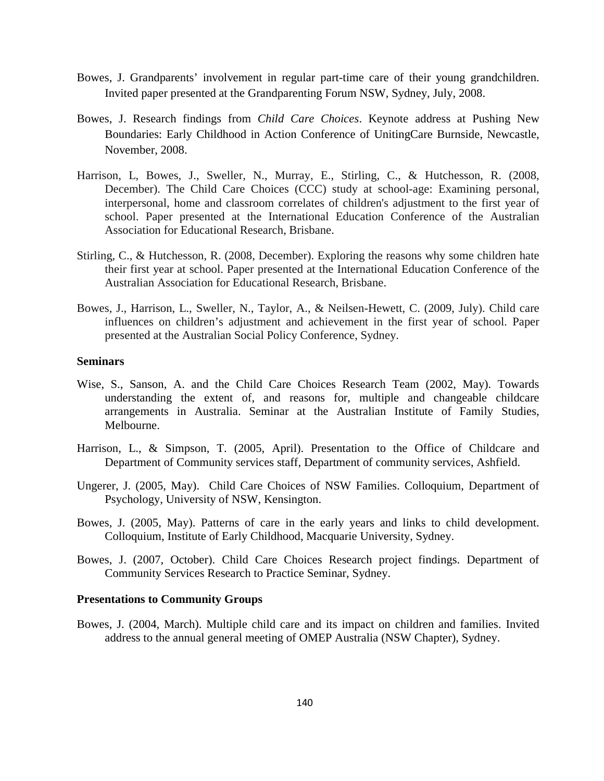- Bowes, J. Grandparents' involvement in regular part-time care of their young grandchildren. Invited paper presented at the Grandparenting Forum NSW, Sydney, July, 2008.
- Bowes, J. Research findings from *Child Care Choices*. Keynote address at Pushing New Boundaries: Early Childhood in Action Conference of UnitingCare Burnside, Newcastle, November, 2008.
- Harrison, L, Bowes, J., Sweller, N., Murray, E., Stirling, C., & Hutchesson, R. (2008, December). The Child Care Choices (CCC) study at school-age: Examining personal, interpersonal, home and classroom correlates of children's adjustment to the first year of school. Paper presented at the International Education Conference of the Australian Association for Educational Research, Brisbane.
- Stirling, C., & Hutchesson, R. (2008, December). Exploring the reasons why some children hate their first year at school. Paper presented at the International Education Conference of the Australian Association for Educational Research, Brisbane.
- Bowes, J., Harrison, L., Sweller, N., Taylor, A., & Neilsen-Hewett, C. (2009, July). Child care influences on children's adjustment and achievement in the first year of school. Paper presented at the Australian Social Policy Conference, Sydney.

## **Seminars**

- Wise, S., Sanson, A. and the Child Care Choices Research Team (2002, May). Towards understanding the extent of, and reasons for, multiple and changeable childcare arrangements in Australia. Seminar at the Australian Institute of Family Studies, Melbourne.
- Harrison, L., & Simpson, T. (2005, April). Presentation to the Office of Childcare and Department of Community services staff, Department of community services, Ashfield.
- Ungerer, J. (2005, May). Child Care Choices of NSW Families. Colloquium, Department of Psychology, University of NSW, Kensington.
- Bowes, J. (2005, May). Patterns of care in the early years and links to child development. Colloquium, Institute of Early Childhood, Macquarie University, Sydney.
- Bowes, J. (2007, October). Child Care Choices Research project findings. Department of Community Services Research to Practice Seminar, Sydney.

## **Presentations to Community Groups**

Bowes, J. (2004, March). Multiple child care and its impact on children and families. Invited address to the annual general meeting of OMEP Australia (NSW Chapter), Sydney.